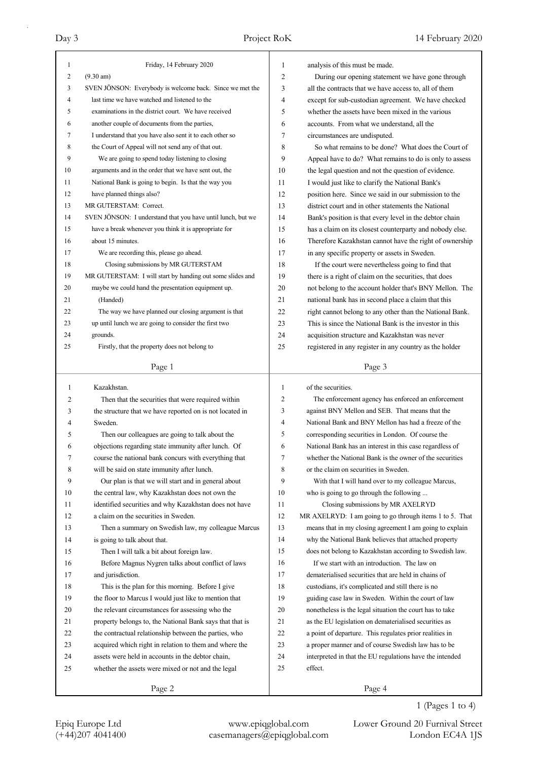| 1            | Friday, 14 February 2020                                    | 1              | analysis of this must be made.                           |
|--------------|-------------------------------------------------------------|----------------|----------------------------------------------------------|
| 2            | $(9.30 \text{ am})$                                         | $\overline{2}$ | During our opening statement we have gone through        |
| 3            | SVEN JÖNSON: Everybody is welcome back. Since we met the    | 3              | all the contracts that we have access to, all of them    |
| 4            | last time we have watched and listened to the               | 4              | except for sub-custodian agreement. We have checked      |
| 5            | examinations in the district court. We have received        | 5              | whether the assets have been mixed in the various        |
| 6            | another couple of documents from the parties,               | 6              | accounts. From what we understand, all the               |
| 7            | I understand that you have also sent it to each other so    | 7              | circumstances are undisputed.                            |
| 8            | the Court of Appeal will not send any of that out.          | 8              | So what remains to be done? What does the Court of       |
| 9            | We are going to spend today listening to closing            | 9              | Appeal have to do? What remains to do is only to assess  |
| 10           | arguments and in the order that we have sent out, the       | 10             | the legal question and not the question of evidence.     |
| 11           | National Bank is going to begin. Is that the way you        | 11             | I would just like to clarify the National Bank's         |
| 12           | have planned things also?                                   | 12             | position here. Since we said in our submission to the    |
| 13           | MR GUTERSTAM: Correct.                                      | 13             | district court and in other statements the National      |
| 14           | SVEN JÖNSON: I understand that you have until lunch, but we | 14             | Bank's position is that every level in the debtor chain  |
| 15           | have a break whenever you think it is appropriate for       | 15             | has a claim on its closest counterparty and nobody else. |
| 16           | about 15 minutes.                                           | 16             | Therefore Kazakhstan cannot have the right of ownership  |
| 17           | We are recording this, please go ahead.                     | 17             | in any specific property or assets in Sweden.            |
| 18           | Closing submissions by MR GUTERSTAM                         | 18             | If the court were nevertheless going to find that        |
| 19           | MR GUTERSTAM: I will start by handing out some slides and   | 19             | there is a right of claim on the securities, that does   |
| 20           | maybe we could hand the presentation equipment up.          | 20             | not belong to the account holder that's BNY Mellon. The  |
| 21           | (Handed)                                                    | 21             | national bank has in second place a claim that this      |
| 22           | The way we have planned our closing argument is that        | 22             | right cannot belong to any other than the National Bank. |
| 23           | up until lunch we are going to consider the first two       | 23             | This is since the National Bank is the investor in this  |
| 24           | grounds.                                                    | 24             | acquisition structure and Kazakhstan was never           |
| 25           | Firstly, that the property does not belong to               | 25             |                                                          |
|              |                                                             |                | registered in any register in any country as the holder  |
|              | Page 1                                                      |                | Page 3                                                   |
|              |                                                             |                |                                                          |
|              |                                                             |                |                                                          |
| $\mathbf{1}$ | Kazakhstan.                                                 | $\mathbf{1}$   | of the securities.                                       |
| 2            | Then that the securities that were required within          | $\mathfrak{2}$ | The enforcement agency has enforced an enforcement       |
| 3            | the structure that we have reported on is not located in    | 3              | against BNY Mellon and SEB. That means that the          |
| 4            | Sweden.                                                     | 4              | National Bank and BNY Mellon has had a freeze of the     |
| 5            | Then our colleagues are going to talk about the             | 5              | corresponding securities in London. Of course the        |
| 6            | objections regarding state immunity after lunch. Of         | 6              | National Bank has an interest in this case regardless of |
| 7            | course the national bank concurs with everything that       | 7              | whether the National Bank is the owner of the securities |
| 8            | will be said on state immunity after lunch.                 | 8              | or the claim on securities in Sweden.                    |
| 9            | Our plan is that we will start and in general about         | 9              | With that I will hand over to my colleague Marcus,       |
| 10           | the central law, why Kazakhstan does not own the            | 10             | who is going to go through the following                 |
| 11           | identified securities and why Kazakhstan does not have      | 11             | Closing submissions by MR AXELRYD                        |
| 12           | a claim on the securities in Sweden.                        | 12             | MR AXELRYD: I am going to go through items 1 to 5. That  |
| 13           | Then a summary on Swedish law, my colleague Marcus          | 13             | means that in my closing agreement I am going to explain |
| 14           | is going to talk about that.                                | 14             | why the National Bank believes that attached property    |
| 15           | Then I will talk a bit about foreign law.                   | 15             | does not belong to Kazakhstan according to Swedish law.  |
| 16           | Before Magnus Nygren talks about conflict of laws           | 16             | If we start with an introduction. The law on             |
| 17           | and jurisdiction.                                           | 17             | dematerialised securities that are held in chains of     |
| 18           | This is the plan for this morning. Before I give            | 18             | custodians, it's complicated and still there is no       |
| 19           | the floor to Marcus I would just like to mention that       | 19             | guiding case law in Sweden. Within the court of law      |
| 20           | the relevant circumstances for assessing who the            | 20             | nonetheless is the legal situation the court has to take |
| 21           | property belongs to, the National Bank says that that is    | 21             | as the EU legislation on dematerialised securities as    |
| 22           | the contractual relationship between the parties, who       | 22             | a point of departure. This regulates prior realities in  |
| 23           | acquired which right in relation to them and where the      | 23             | a proper manner and of course Swedish law has to be      |
| 24           | assets were held in accounts in the debtor chain,           | 24             | interpreted in that the EU regulations have the intended |
| 25           | whether the assets were mixed or not and the legal          | 25             | effect.                                                  |
|              | Page 2                                                      |                | Page 4                                                   |

1 (Pages 1 to 4)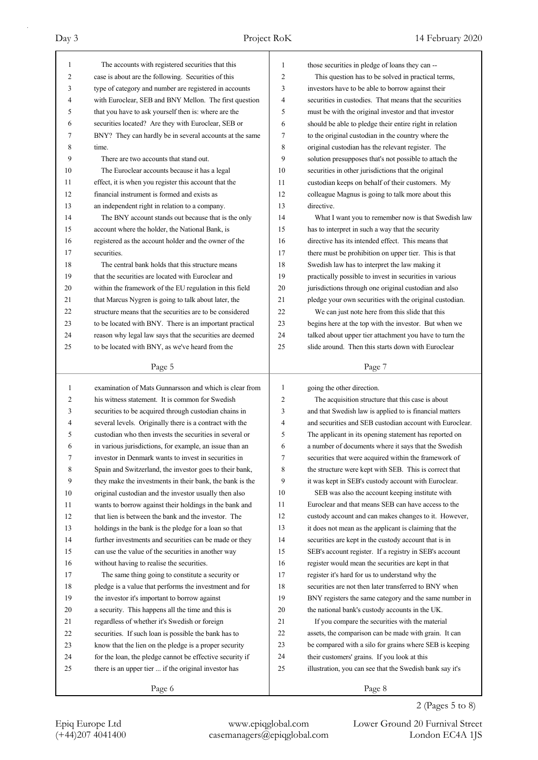| $\mathbf{1}$ | The accounts with registered securities that this        | 1  | those securities in pledge of loans they can --          |
|--------------|----------------------------------------------------------|----|----------------------------------------------------------|
| 2            | case is about are the following. Securities of this      | 2  | This question has to be solved in practical terms,       |
| 3            | type of category and number are registered in accounts   | 3  | investors have to be able to borrow against their        |
| 4            | with Euroclear, SEB and BNY Mellon. The first question   | 4  | securities in custodies. That means that the securities  |
| 5            | that you have to ask yourself then is: where are the     | 5  | must be with the original investor and that investor     |
| 6            | securities located? Are they with Euroclear, SEB or      | 6  | should be able to pledge their entire right in relation  |
| 7            | BNY? They can hardly be in several accounts at the same  | 7  | to the original custodian in the country where the       |
| 8            | time.                                                    | 8  | original custodian has the relevant register. The        |
| 9            | There are two accounts that stand out.                   | 9  | solution presupposes that's not possible to attach the   |
| 10           | The Euroclear accounts because it has a legal            | 10 | securities in other jurisdictions that the original      |
| 11           | effect, it is when you register this account that the    | 11 | custodian keeps on behalf of their customers. My         |
| 12           | financial instrument is formed and exists as             | 12 | colleague Magnus is going to talk more about this        |
| 13           | an independent right in relation to a company.           | 13 | directive.                                               |
| 14           | The BNY account stands out because that is the only      | 14 | What I want you to remember now is that Swedish law      |
| 15           | account where the holder, the National Bank, is          | 15 | has to interpret in such a way that the security         |
| 16           | registered as the account holder and the owner of the    | 16 | directive has its intended effect. This means that       |
| 17           | securities.                                              | 17 | there must be prohibition on upper tier. This is that    |
| 18           | The central bank holds that this structure means         | 18 | Swedish law has to interpret the law making it           |
| 19           | that the securities are located with Euroclear and       | 19 | practically possible to invest in securities in various  |
|              |                                                          | 20 |                                                          |
| 20           | within the framework of the EU regulation in this field  |    | jurisdictions through one original custodian and also    |
| 21           | that Marcus Nygren is going to talk about later, the     | 21 | pledge your own securities with the original custodian.  |
| 22           | structure means that the securities are to be considered | 22 | We can just note here from this slide that this          |
| 23           | to be located with BNY. There is an important practical  | 23 | begins here at the top with the investor. But when we    |
| 24           | reason why legal law says that the securities are deemed | 24 | talked about upper tier attachment you have to turn the  |
| 25           | to be located with BNY, as we've heard from the          | 25 | slide around. Then this starts down with Euroclear       |
|              | Page 5                                                   |    | Page 7                                                   |
|              |                                                          |    |                                                          |
|              |                                                          |    |                                                          |
| 1            | examination of Mats Gunnarsson and which is clear from   | 1  | going the other direction.                               |
| 2            | his witness statement. It is common for Swedish          | 2  | The acquisition structure that this case is about        |
| 3            | securities to be acquired through custodian chains in    | 3  | and that Swedish law is applied to is financial matters  |
| 4            | several levels. Originally there is a contract with the  | 4  | and securities and SEB custodian account with Euroclear. |
| 5            | custodian who then invests the securities in several or  | 5  | The applicant in its opening statement has reported on   |
| 6            | in various jurisdictions, for example, an issue than an  | 6  | a number of documents where it says that the Swedish     |
| 7            | investor in Denmark wants to invest in securities in     | 7  | securities that were acquired within the framework of    |
| 8            | Spain and Switzerland, the investor goes to their bank,  | 8  | the structure were kept with SEB. This is correct that   |
| 9            | they make the investments in their bank, the bank is the | 9  | it was kept in SEB's custody account with Euroclear.     |
| 10           | original custodian and the investor usually then also    | 10 | SEB was also the account keeping institute with          |
| 11           | wants to borrow against their holdings in the bank and   | 11 | Euroclear and that means SEB can have access to the      |
| 12           | that lien is between the bank and the investor. The      | 12 | custody account and can makes changes to it. However,    |
| 13           | holdings in the bank is the pledge for a loan so that    | 13 | it does not mean as the applicant is claiming that the   |
| 14           | further investments and securities can be made or they   | 14 | securities are kept in the custody account that is in    |
| 15           | can use the value of the securities in another way       | 15 | SEB's account register. If a registry in SEB's account   |
| 16           | without having to realise the securities.                | 16 | register would mean the securities are kept in that      |
| 17           | The same thing going to constitute a security or         | 17 | register it's hard for us to understand why the          |
| 18           | pledge is a value that performs the investment and for   | 18 | securities are not then later transferred to BNY when    |
| 19           | the investor it's important to borrow against            | 19 | BNY registers the same category and the same number in   |
| 20           | a security. This happens all the time and this is        | 20 | the national bank's custody accounts in the UK.          |
| 21           | regardless of whether it's Swedish or foreign            | 21 | If you compare the securities with the material          |
| 22           | securities. If such loan is possible the bank has to     | 22 | assets, the comparison can be made with grain. It can    |
| 23           | know that the lien on the pledge is a proper security    | 23 | be compared with a silo for grains where SEB is keeping  |
| 24           | for the loan, the pledge cannot be effective security if | 24 | their customers' grains. If you look at this             |
| 25           | there is an upper tier  if the original investor has     | 25 | illustration, you can see that the Swedish bank say it's |
|              | Page 6                                                   |    | Page 8                                                   |

2 (Pages 5 to 8)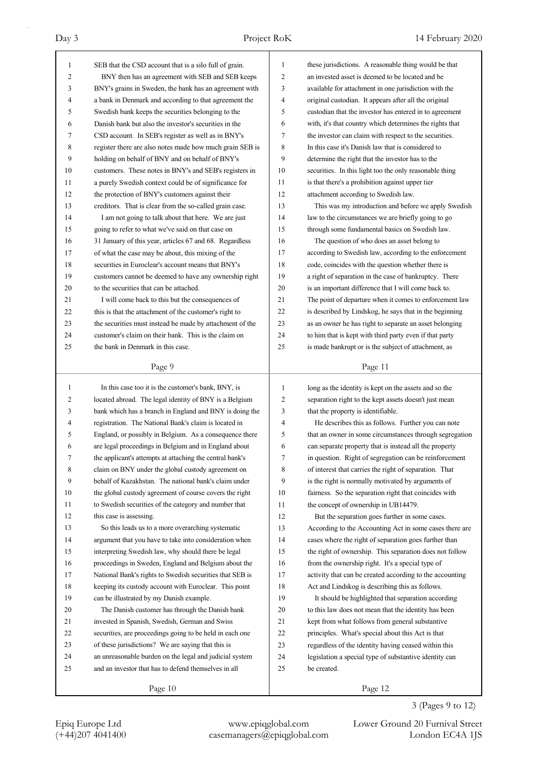| 1            | SEB that the CSD account that is a silo full of grain.   | 1            | these jurisdictions. A reasonable thing would be that    |
|--------------|----------------------------------------------------------|--------------|----------------------------------------------------------|
| 2            | BNY then has an agreement with SEB and SEB keeps         | 2            | an invested asset is deemed to be located and be         |
| 3            | BNY's grains in Sweden, the bank has an agreement with   | 3            | available for attachment in one jurisdiction with the    |
| 4            | a bank in Denmark and according to that agreement the    | 4            | original custodian. It appears after all the original    |
| 5            | Swedish bank keeps the securities belonging to the       | 5            | custodian that the investor has entered in to agreement  |
| 6            | Danish bank but also the investor's securities in the    | 6            | with, it's that country which determines the rights that |
| 7            | CSD account. In SEB's register as well as in BNY's       | 7            | the investor can claim with respect to the securities.   |
| 8            | register there are also notes made how much grain SEB is | 8            | In this case it's Danish law that is considered to       |
| 9            | holding on behalf of BNY and on behalf of BNY's          | 9            | determine the right that the investor has to the         |
| 10           | customers. These notes in BNY's and SEB's registers in   | 10           | securities. In this light too the only reasonable thing  |
| 11           | a purely Swedish context could be of significance for    | 11           | is that there's a prohibition against upper tier         |
| 12           | the protection of BNY's customers against their          | 12           | attachment according to Swedish law.                     |
| 13           | creditors. That is clear from the so-called grain case.  | 13           | This was my introduction and before we apply Swedish     |
| 14           | I am not going to talk about that here. We are just      | 14           | law to the circumstances we are briefly going to go      |
| 15           | going to refer to what we've said on that case on        | 15           | through some fundamental basics on Swedish law.          |
| 16           | 31 January of this year, articles 67 and 68. Regardless  | 16           | The question of who does an asset belong to              |
| 17           | of what the case may be about, this mixing of the        | 17           | according to Swedish law, according to the enforcement   |
| 18           | securities in Euroclear's account means that BNY's       | 18           | code, coincides with the question whether there is       |
| 19           | customers cannot be deemed to have any ownership right   | 19           | a right of separation in the case of bankruptcy. There   |
| 20           | to the securities that can be attached.                  | 20           | is an important difference that I will come back to.     |
| 21           | I will come back to this but the consequences of         | 21           | The point of departure when it comes to enforcement law  |
| 22           | this is that the attachment of the customer's right to   | 22           | is described by Lindskog, he says that in the beginning  |
| 23           | the securities must instead be made by attachment of the | 23           | as an owner he has right to separate an asset belonging  |
| 24           | customer's claim on their bank. This is the claim on     | 24           | to him that is kept with third party even if that party  |
| 25           | the bank in Denmark in this case.                        | 25           | is made bankrupt or is the subject of attachment, as     |
|              |                                                          |              |                                                          |
|              | Page 9                                                   |              | Page 11                                                  |
|              |                                                          |              |                                                          |
|              |                                                          | $\mathbf{1}$ |                                                          |
| $\mathbf{1}$ | In this case too it is the customer's bank, BNY, is      |              | long as the identity is kept on the assets and so the    |
| 2            | located abroad. The legal identity of BNY is a Belgium   | 2            | separation right to the kept assets doesn't just mean    |
| 3            | bank which has a branch in England and BNY is doing the  | 3            | that the property is identifiable.                       |
| 4            | registration. The National Bank's claim is located in    | 4            | He describes this as follows. Further you can note       |
| 5            | England, or possibly in Belgium. As a consequence there  | 5            | that an owner in some circumstances through segregation  |
| 6            | are legal proceedings in Belgium and in England about    | 6            | can separate property that is instead all the property   |
| 7            | the applicant's attempts at attaching the central bank's | 7            | in question. Right of segregation can be reinforcement   |
| 8            | claim on BNY under the global custody agreement on       | 8            | of interest that carries the right of separation. That   |
| 9            | behalf of Kazakhstan. The national bank's claim under    | 9            | is the right is normally motivated by arguments of       |
| 10           | the global custody agreement of course covers the right  | 10           | fairness. So the separation right that coincides with    |
| 11           | to Swedish securities of the category and number that    | 11           | the concept of ownership in UB14479.                     |
| 12           | this case is assessing.                                  | 12           | But the separation goes further in some cases.           |
| 13           | So this leads us to a more overarching systematic        | 13           | According to the Accounting Act in some cases there are  |
| 14           | argument that you have to take into consideration when   | 14           | cases where the right of separation goes further than    |
| 15           | interpreting Swedish law, why should there be legal      | 15           | the right of ownership. This separation does not follow  |
| 16           | proceedings in Sweden, England and Belgium about the     | 16           | from the ownership right. It's a special type of         |
| 17           | National Bank's rights to Swedish securities that SEB is | 17           | activity that can be created according to the accounting |
| 18           | keeping its custody account with Euroclear. This point   | 18           | Act and Lindskog is describing this as follows.          |
| 19           | can be illustrated by my Danish example.                 | 19           | It should be highlighted that separation according       |
| 20           | The Danish customer has through the Danish bank          | 20           | to this law does not mean that the identity has been     |
| 21           | invested in Spanish, Swedish, German and Swiss           | 21           | kept from what follows from general substantive          |
| 22           | securities, are proceedings going to be held in each one | 22           | principles. What's special about this Act is that        |
| 23           | of these jurisdictions? We are saying that this is       | 23           | regardless of the identity having ceased within this     |
| 24           | an unreasonable burden on the legal and judicial system  | 24           | legislation a special type of substantive identity can   |
| 25           | and an investor that has to defend themselves in all     | 25           | be created.                                              |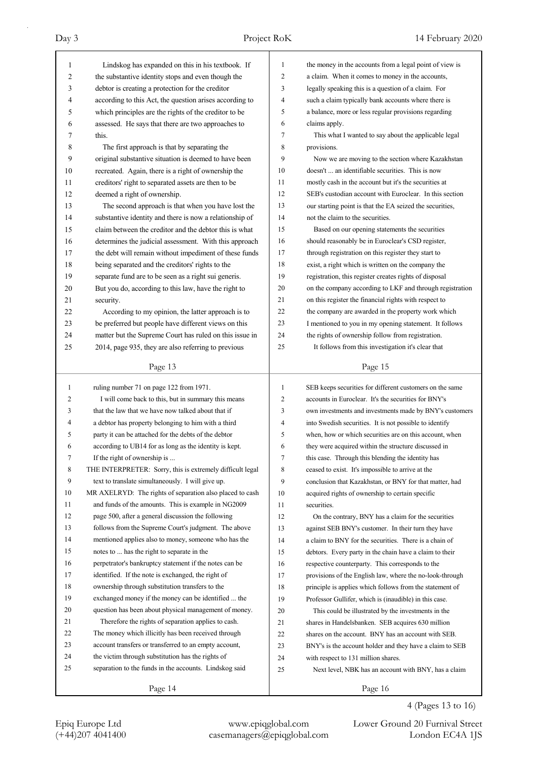| 1  | Lindskog has expanded on this in his textbook. If                                                          | 1  | the money in the accounts from a legal point of view is  |
|----|------------------------------------------------------------------------------------------------------------|----|----------------------------------------------------------|
| 2  | the substantive identity stops and even though the                                                         | 2  | a claim. When it comes to money in the accounts,         |
| 3  | debtor is creating a protection for the creditor                                                           | 3  | legally speaking this is a question of a claim. For      |
| 4  | according to this Act, the question arises according to                                                    | 4  | such a claim typically bank accounts where there is      |
| 5  | which principles are the rights of the creditor to be                                                      | 5  | a balance, more or less regular provisions regarding     |
| 6  | assessed. He says that there are two approaches to                                                         | 6  | claims apply.                                            |
| 7  | this.                                                                                                      | 7  | This what I wanted to say about the applicable legal     |
| 8  | The first approach is that by separating the                                                               | 8  | provisions.                                              |
| 9  | original substantive situation is deemed to have been                                                      | 9  | Now we are moving to the section where Kazakhstan        |
| 10 | recreated. Again, there is a right of ownership the                                                        | 10 | doesn't  an identifiable securities. This is now         |
| 11 | creditors' right to separated assets are then to be                                                        | 11 | mostly cash in the account but it's the securities at    |
| 12 | deemed a right of ownership.                                                                               | 12 | SEB's custodian account with Euroclear. In this section  |
| 13 | The second approach is that when you have lost the                                                         | 13 | our starting point is that the EA seized the securities, |
| 14 | substantive identity and there is now a relationship of                                                    | 14 | not the claim to the securities.                         |
| 15 | claim between the creditor and the debtor this is what                                                     | 15 | Based on our opening statements the securities           |
| 16 | determines the judicial assessment. With this approach                                                     | 16 | should reasonably be in Euroclear's CSD register,        |
| 17 |                                                                                                            | 17 |                                                          |
| 18 | the debt will remain without impediment of these funds<br>being separated and the creditors' rights to the | 18 | through registration on this register they start to      |
| 19 |                                                                                                            | 19 | exist, a right which is written on the company the       |
| 20 | separate fund are to be seen as a right sui generis.                                                       | 20 | registration, this register creates rights of disposal   |
|    | But you do, according to this law, have the right to                                                       | 21 | on the company according to LKF and through registration |
| 21 | security.                                                                                                  | 22 | on this register the financial rights with respect to    |
| 22 | According to my opinion, the latter approach is to                                                         |    | the company are awarded in the property work which       |
| 23 | be preferred but people have different views on this                                                       | 23 | I mentioned to you in my opening statement. It follows   |
| 24 | matter but the Supreme Court has ruled on this issue in                                                    | 24 | the rights of ownership follow from registration.        |
| 25 | 2014, page 935, they are also referring to previous                                                        | 25 | It follows from this investigation it's clear that       |
|    | Page 13                                                                                                    |    | Page 15                                                  |
|    |                                                                                                            |    |                                                          |
| 1  | ruling number 71 on page 122 from 1971.                                                                    | 1  | SEB keeps securities for different customers on the same |
| 2  | I will come back to this, but in summary this means                                                        | 2  | accounts in Euroclear. It's the securities for BNY's     |
| 3  | that the law that we have now talked about that if                                                         | 3  | own investments and investments made by BNY's customers  |
| 4  | a debtor has property belonging to him with a third                                                        | 4  | into Swedish securities. It is not possible to identify  |
| 5  | party it can be attached for the debts of the debtor                                                       | 5  | when, how or which securities are on this account, when  |
| 6  | according to UB14 for as long as the identity is kept.                                                     | 6  | they were acquired within the structure discussed in     |
| 7  | If the right of ownership is                                                                               | 7  | this case. Through this blending the identity has        |
| 8  | THE INTERPRETER: Sorry, this is extremely difficult legal                                                  | 8  | ceased to exist. It's impossible to arrive at the        |
| 9  | text to translate simultaneously. I will give up.                                                          | 9  | conclusion that Kazakhstan, or BNY for that matter, had  |
| 10 | MR AXELRYD: The rights of separation also placed to cash                                                   | 10 | acquired rights of ownership to certain specific         |
| 11 | and funds of the amounts. This is example in NG2009                                                        | 11 | securities.                                              |
| 12 | page 500, after a general discussion the following                                                         | 12 | On the contrary, BNY has a claim for the securities      |
| 13 | follows from the Supreme Court's judgment. The above                                                       | 13 | against SEB BNY's customer. In their turn they have      |
| 14 | mentioned applies also to money, someone who has the                                                       | 14 | a claim to BNY for the securities. There is a chain of   |
| 15 | notes to  has the right to separate in the                                                                 | 15 | debtors. Every party in the chain have a claim to their  |
| 16 | perpetrator's bankruptcy statement if the notes can be                                                     | 16 | respective counterparty. This corresponds to the         |
| 17 | identified. If the note is exchanged, the right of                                                         | 17 | provisions of the English law, where the no-look-through |
| 18 | ownership through substitution transfers to the                                                            | 18 | principle is applies which follows from the statement of |
| 19 | exchanged money if the money can be identified  the                                                        | 19 | Professor Gullifer, which is (inaudible) in this case.   |
| 20 | question has been about physical management of money.                                                      | 20 | This could be illustrated by the investments in the      |
| 21 | Therefore the rights of separation applies to cash.                                                        | 21 | shares in Handelsbanken. SEB acquires 630 million        |
| 22 | The money which illicitly has been received through                                                        | 22 | shares on the account. BNY has an account with SEB.      |
| 23 | account transfers or transferred to an empty account,                                                      | 23 | BNY's is the account holder and they have a claim to SEB |
| 24 | the victim through substitution has the rights of                                                          | 24 | with respect to 131 million shares.                      |
| 25 | separation to the funds in the accounts. Lindskog said                                                     | 25 | Next level, NBK has an account with BNY, has a claim     |
|    | Page 14                                                                                                    |    | Page 16                                                  |

4 (Pages 13 to 16)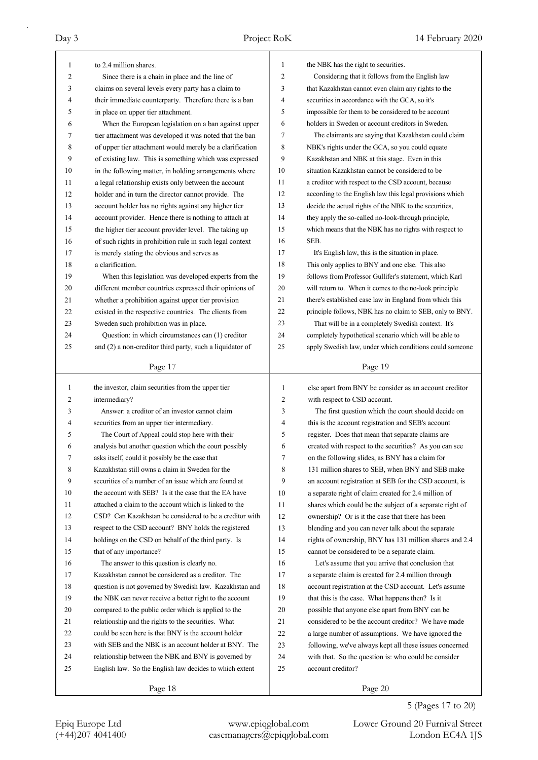| 1  | to 2.4 million shares.                                   | 1              | the NBK has the right to securities.                     |
|----|----------------------------------------------------------|----------------|----------------------------------------------------------|
| 2  | Since there is a chain in place and the line of          | $\overline{2}$ | Considering that it follows from the English law         |
| 3  | claims on several levels every party has a claim to      | 3              | that Kazakhstan cannot even claim any rights to the      |
| 4  | their immediate counterparty. Therefore there is a ban   | 4              | securities in accordance with the GCA, so it's           |
| 5  | in place on upper tier attachment.                       | 5              | impossible for them to be considered to be account       |
| 6  | When the European legislation on a ban against upper     | 6              | holders in Sweden or account creditors in Sweden.        |
| 7  | tier attachment was developed it was noted that the ban  | 7              | The claimants are saying that Kazakhstan could claim     |
| 8  | of upper tier attachment would merely be a clarification | 8              | NBK's rights under the GCA, so you could equate          |
| 9  | of existing law. This is something which was expressed   | 9              | Kazakhstan and NBK at this stage. Even in this           |
| 10 | in the following matter, in holding arrangements where   | 10             | situation Kazakhstan cannot be considered to be          |
| 11 | a legal relationship exists only between the account     | 11             | a creditor with respect to the CSD account, because      |
| 12 | holder and in turn the director cannot provide. The      | 12             | according to the English law this legal provisions which |
| 13 | account holder has no rights against any higher tier     | 13             | decide the actual rights of the NBK to the securities,   |
| 14 | account provider. Hence there is nothing to attach at    | 14             | they apply the so-called no-look-through principle,      |
| 15 | the higher tier account provider level. The taking up    | 15             | which means that the NBK has no rights with respect to   |
| 16 | of such rights in prohibition rule in such legal context | 16             | SEB.                                                     |
| 17 | is merely stating the obvious and serves as              | 17             | It's English law, this is the situation in place.        |
| 18 | a clarification.                                         | 18             | This only applies to BNY and one else. This also         |
| 19 | When this legislation was developed experts from the     | 19             | follows from Professor Gullifer's statement, which Karl  |
| 20 | different member countries expressed their opinions of   | 20             | will return to. When it comes to the no-look principle   |
| 21 | whether a prohibition against upper tier provision       | 21             | there's established case law in England from which this  |
| 22 | existed in the respective countries. The clients from    | 22             | principle follows, NBK has no claim to SEB, only to BNY. |
| 23 | Sweden such prohibition was in place.                    | 23             | That will be in a completely Swedish context. It's       |
| 24 | Question: in which circumstances can (1) creditor        | 24             | completely hypothetical scenario which will be able to   |
| 25 | and (2) a non-creditor third party, such a liquidator of | 25             | apply Swedish law, under which conditions could someone  |
|    |                                                          |                |                                                          |
|    | Page 17                                                  |                | Page 19                                                  |
|    |                                                          |                |                                                          |
|    |                                                          |                |                                                          |
| 1  | the investor, claim securities from the upper tier       | $\mathbf{1}$   | else apart from BNY be consider as an account creditor   |
| 2  | intermediary?                                            | 2              | with respect to CSD account.                             |
| 3  | Answer: a creditor of an investor cannot claim           | 3              | The first question which the court should decide on      |
| 4  | securities from an upper tier intermediary.              | 4              | this is the account registration and SEB's account       |
| 5  | The Court of Appeal could stop here with their           | 5              | register. Does that mean that separate claims are        |
| 6  | analysis but another question which the court possibly   | 6              | created with respect to the securities? As you can see   |
| 7  | asks itself, could it possibly be the case that          | 7              | on the following slides, as BNY has a claim for          |
| 8  | Kazakhstan still owns a claim in Sweden for the          | 8              | 131 million shares to SEB, when BNY and SEB make         |
| 9  | securities of a number of an issue which are found at    | 9              | an account registration at SEB for the CSD account, is   |
| 10 | the account with SEB? Is it the case that the EA have    | 10             | a separate right of claim created for 2.4 million of     |
| 11 | attached a claim to the account which is linked to the   | 11             | shares which could be the subject of a separate right of |
| 12 | CSD? Can Kazakhstan be considered to be a creditor with  | 12             | ownership? Or is it the case that there has been         |
| 13 | respect to the CSD account? BNY holds the registered     | 13             | blending and you can never talk about the separate       |
| 14 | holdings on the CSD on behalf of the third party. Is     | 14             | rights of ownership, BNY has 131 million shares and 2.4  |
| 15 | that of any importance?                                  | 15             | cannot be considered to be a separate claim.             |
| 16 | The answer to this question is clearly no.               | 16             | Let's assume that you arrive that conclusion that        |
| 17 | Kazakhstan cannot be considered as a creditor. The       | 17             | a separate claim is created for 2.4 million through      |
| 18 | question is not governed by Swedish law. Kazakhstan and  | 18             | account registration at the CSD account. Let's assume    |
| 19 | the NBK can never receive a better right to the account  | 19             | that this is the case. What happens then? Is it          |
| 20 | compared to the public order which is applied to the     | 20             | possible that anyone else apart from BNY can be          |
| 21 | relationship and the rights to the securities. What      | 21             | considered to be the account creditor? We have made      |
| 22 | could be seen here is that BNY is the account holder     | $22\,$         | a large number of assumptions. We have ignored the       |
| 23 | with SEB and the NBK is an account holder at BNY. The    | 23             | following, we've always kept all these issues concerned  |
| 24 | relationship between the NBK and BNY is governed by      | 24             | with that. So the question is: who could be consider     |
| 25 | English law. So the English law decides to which extent  | 25             | account creditor?                                        |

5 (Pages 17 to 20)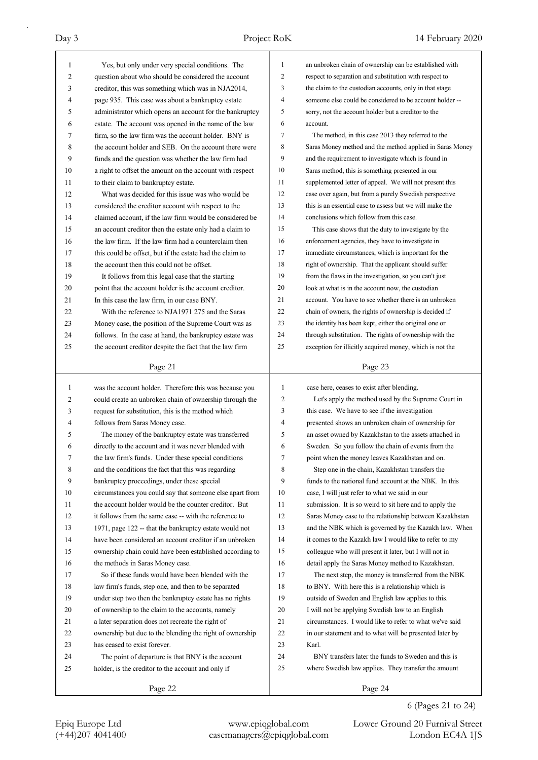| 1  | Yes, but only under very special conditions. The         | 1  | an unbroken chain of ownership can be established with   |
|----|----------------------------------------------------------|----|----------------------------------------------------------|
| 2  | question about who should be considered the account      | 2  | respect to separation and substitution with respect to   |
| 3  | creditor, this was something which was in NJA2014,       | 3  | the claim to the custodian accounts, only in that stage  |
| 4  | page 935. This case was about a bankruptcy estate        | 4  | someone else could be considered to be account holder -- |
| 5  | administrator which opens an account for the bankruptcy  | 5  | sorry, not the account holder but a creditor to the      |
| 6  | estate. The account was opened in the name of the law    | 6  | account.                                                 |
| 7  | firm, so the law firm was the account holder. BNY is     | 7  | The method, in this case 2013 they referred to the       |
| 8  | the account holder and SEB. On the account there were    | 8  | Saras Money method and the method applied in Saras Money |
| 9  | funds and the question was whether the law firm had      | 9  | and the requirement to investigate which is found in     |
| 10 | a right to offset the amount on the account with respect | 10 | Saras method, this is something presented in our         |
| 11 | to their claim to bankruptcy estate.                     | 11 | supplemented letter of appeal. We will not present this  |
| 12 | What was decided for this issue was who would be         | 12 | case over again, but from a purely Swedish perspective   |
| 13 | considered the creditor account with respect to the      | 13 | this is an essential case to assess but we will make the |
| 14 | claimed account, if the law firm would be considered be  | 14 | conclusions which follow from this case.                 |
| 15 | an account creditor then the estate only had a claim to  | 15 | This case shows that the duty to investigate by the      |
| 16 | the law firm. If the law firm had a counterclaim then    | 16 | enforcement agencies, they have to investigate in        |
| 17 | this could be offset, but if the estate had the claim to | 17 | immediate circumstances, which is important for the      |
| 18 | the account then this could not be offset.               | 18 | right of ownership. That the applicant should suffer     |
| 19 | It follows from this legal case that the starting        | 19 | from the flaws in the investigation, so you can't just   |
| 20 | point that the account holder is the account creditor.   | 20 | look at what is in the account now, the custodian        |
| 21 | In this case the law firm, in our case BNY.              | 21 | account. You have to see whether there is an unbroken    |
| 22 | With the reference to NJA1971 275 and the Saras          | 22 | chain of owners, the rights of ownership is decided if   |
| 23 | Money case, the position of the Supreme Court was as     | 23 | the identity has been kept, either the original one or   |
| 24 | follows. In the case at hand, the bankruptcy estate was  | 24 | through substitution. The rights of ownership with the   |
| 25 | the account creditor despite the fact that the law firm  | 25 | exception for illicitly acquired money, which is not the |
|    |                                                          |    |                                                          |
|    | Page 21                                                  |    | Page 23                                                  |
|    |                                                          |    |                                                          |
|    |                                                          |    |                                                          |
| 1  | was the account holder. Therefore this was because you   | 1  | case here, ceases to exist after blending.               |
| 2  | could create an unbroken chain of ownership through the  | 2  | Let's apply the method used by the Supreme Court in      |
| 3  | request for substitution, this is the method which       | 3  | this case. We have to see if the investigation           |
| 4  | follows from Saras Money case.                           | 4  | presented shows an unbroken chain of ownership for       |
| 5  | The money of the bankruptcy estate was transferred       | 5  | an asset owned by Kazakhstan to the assets attached in   |
| 6  | directly to the account and it was never blended with    | 6  | Sweden. So you follow the chain of events from the       |
| 7  | the law firm's funds. Under these special conditions     | Τ  | point when the money leaves Kazakhstan and on.           |
| 8  | and the conditions the fact that this was regarding      | 8  | Step one in the chain, Kazakhstan transfers the          |
| 9  | bankruptcy proceedings, under these special              | 9  | funds to the national fund account at the NBK. In this   |
| 10 | circumstances you could say that someone else apart from | 10 | case, I will just refer to what we said in our           |
| 11 | the account holder would be the counter creditor. But    | 11 | submission. It is so weird to sit here and to apply the  |
| 12 | it follows from the same case -- with the reference to   | 12 | Saras Money case to the relationship between Kazakhstan  |
| 13 | 1971, page 122 -- that the bankruptcy estate would not   | 13 | and the NBK which is governed by the Kazakh law. When    |
| 14 | have been considered an account creditor if an unbroken  | 14 | it comes to the Kazakh law I would like to refer to my   |
| 15 | ownership chain could have been established according to | 15 | colleague who will present it later, but I will not in   |
| 16 | the methods in Saras Money case.                         | 16 | detail apply the Saras Money method to Kazakhstan.       |
| 17 | So if these funds would have been blended with the       | 17 | The next step, the money is transferred from the NBK     |
| 18 | law firm's funds, step one, and then to be separated     | 18 | to BNY. With here this is a relationship which is        |
| 19 | under step two then the bankruptcy estate has no rights  | 19 | outside of Sweden and English law applies to this.       |
| 20 | of ownership to the claim to the accounts, namely        | 20 | I will not be applying Swedish law to an English         |
| 21 | a later separation does not recreate the right of        | 21 | circumstances. I would like to refer to what we've said  |
| 22 | ownership but due to the blending the right of ownership | 22 | in our statement and to what will be presented later by  |
| 23 | has ceased to exist forever.                             | 23 | Karl.                                                    |
| 24 | The point of departure is that BNY is the account        | 24 | BNY transfers later the funds to Sweden and this is      |
| 25 | holder, is the creditor to the account and only if       | 25 | where Swedish law applies. They transfer the amount      |
|    | Page 22                                                  |    | Page 24                                                  |

6 (Pages 21 to 24)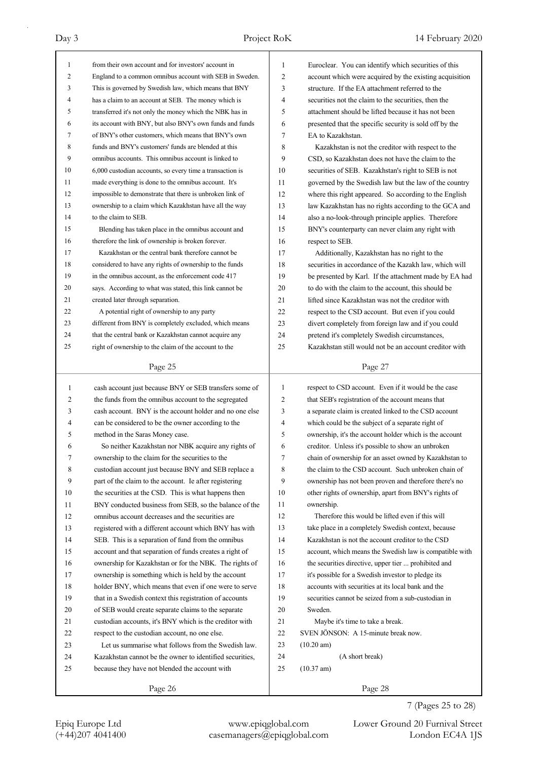| $\mathbf{1}$   | from their own account and for investors' account in                                                            | 1              | Euroclear. You can identify which securities of this    |
|----------------|-----------------------------------------------------------------------------------------------------------------|----------------|---------------------------------------------------------|
| 2              | England to a common omnibus account with SEB in Sweden.                                                         | 2              | account which were acquired by the existing acquisition |
| 3              | This is governed by Swedish law, which means that BNY                                                           | 3              | structure. If the EA attachment referred to the         |
| $\overline{4}$ | has a claim to an account at SEB. The money which is                                                            | 4              | securities not the claim to the securities, then the    |
| 5              | transferred it's not only the money which the NBK has in                                                        | 5              | attachment should be lifted because it has not been     |
| 6              | its account with BNY, but also BNY's own funds and funds                                                        | 6              | presented that the specific security is sold off by the |
| 7              | of BNY's other customers, which means that BNY's own                                                            | 7              | EA to Kazakhstan.                                       |
| 8              | funds and BNY's customers' funds are blended at this                                                            | 8              | Kazakhstan is not the creditor with respect to the      |
| 9              | omnibus accounts. This omnibus account is linked to                                                             | 9              | CSD, so Kazakhstan does not have the claim to the       |
| 10             | 6,000 custodian accounts, so every time a transaction is                                                        | 10             | securities of SEB. Kazakhstan's right to SEB is not     |
| 11             | made everything is done to the omnibus account. It's                                                            | 11             | governed by the Swedish law but the law of the country  |
| 12             | impossible to demonstrate that there is unbroken link of                                                        | 12             | where this right appeared. So according to the English  |
| 13             | ownership to a claim which Kazakhstan have all the way                                                          | 13             | law Kazakhstan has no rights according to the GCA and   |
| 14             | to the claim to SEB.                                                                                            | 14             | also a no-look-through principle applies. Therefore     |
| 15             | Blending has taken place in the omnibus account and                                                             | 15             | BNY's counterparty can never claim any right with       |
| 16             | therefore the link of ownership is broken forever.                                                              | 16             | respect to SEB.                                         |
| 17             | Kazakhstan or the central bank therefore cannot be                                                              | 17             | Additionally, Kazakhstan has no right to the            |
| 18             | considered to have any rights of ownership to the funds                                                         | 18             | securities in accordance of the Kazakh law, which will  |
| 19             | in the omnibus account, as the enforcement code 417                                                             | 19             | be presented by Karl. If the attachment made by EA had  |
| 20             | says. According to what was stated, this link cannot be                                                         | 20             | to do with the claim to the account, this should be     |
| 21             | created later through separation.                                                                               | 21             | lifted since Kazakhstan was not the creditor with       |
| 22             | A potential right of ownership to any party                                                                     | 22             | respect to the CSD account. But even if you could       |
| 23             | different from BNY is completely excluded, which means                                                          | 23             | divert completely from foreign law and if you could     |
| 24             | that the central bank or Kazakhstan cannot acquire any                                                          | 24             | pretend it's completely Swedish circumstances,          |
| 25             | right of ownership to the claim of the account to the                                                           | 25             | Kazakhstan still would not be an account creditor with  |
|                |                                                                                                                 |                |                                                         |
|                | Page 25                                                                                                         |                | Page 27                                                 |
|                |                                                                                                                 |                |                                                         |
|                |                                                                                                                 |                |                                                         |
| $\mathbf{1}$   | cash account just because BNY or SEB transfers some of                                                          | 1              | respect to CSD account. Even if it would be the case    |
| 2<br>3         | the funds from the omnibus account to the segregated<br>cash account. BNY is the account holder and no one else | 2<br>3         | that SEB's registration of the account means that       |
| 4              |                                                                                                                 | $\overline{4}$ | a separate claim is created linked to the CSD account   |
|                | can be considered to be the owner according to the                                                              |                | which could be the subject of a separate right of       |
| 5<br>6         | method in the Saras Money case.                                                                                 | 5<br>6         | ownership, it's the account holder which is the account |
|                | So neither Kazakhstan nor NBK acquire any rights of                                                             |                | creditor. Unless it's possible to show an unbroken      |
| 7              | ownership to the claim for the securities to the                                                                | 7              | chain of ownership for an asset owned by Kazakhstan to  |
| 8              | custodian account just because BNY and SEB replace a                                                            | 8              | the claim to the CSD account. Such unbroken chain of    |
| 9              | part of the claim to the account. Ie after registering                                                          | 9              | ownership has not been proven and therefore there's no  |
| 10             | the securities at the CSD. This is what happens then                                                            | 10             | other rights of ownership, apart from BNY's rights of   |
| 11             | BNY conducted business from SEB, so the balance of the                                                          | 11             | ownership.                                              |
| 12             | omnibus account decreases and the securities are                                                                | 12             | Therefore this would be lifted even if this will        |
| 13             | registered with a different account which BNY has with                                                          | 13             | take place in a completely Swedish context, because     |
| 14             | SEB. This is a separation of fund from the omnibus                                                              | 14             | Kazakhstan is not the account creditor to the CSD       |
| 15             | account and that separation of funds creates a right of                                                         | 15             | account, which means the Swedish law is compatible with |
| 16             | ownership for Kazakhstan or for the NBK. The rights of                                                          | 16             | the securities directive, upper tier  prohibited and    |
| 17             | ownership is something which is held by the account                                                             | 17             | it's possible for a Swedish investor to pledge its      |
| 18             | holder BNY, which means that even if one were to serve                                                          | 18             | accounts with securities at its local bank and the      |
| 19             | that in a Swedish context this registration of accounts                                                         | 19             | securities cannot be seized from a sub-custodian in     |
| 20             | of SEB would create separate claims to the separate                                                             | 20             | Sweden.                                                 |
| 21             | custodian accounts, it's BNY which is the creditor with                                                         | 21             | Maybe it's time to take a break.                        |
| 22             | respect to the custodian account, no one else.                                                                  | 22             | SVEN JÖNSON: A 15-minute break now.                     |
| 23             | Let us summarise what follows from the Swedish law.                                                             | 23             | $(10.20 \text{ am})$                                    |
| 24             | Kazakhstan cannot be the owner to identified securities,                                                        | 24             | (A short break)                                         |
| 25             | because they have not blended the account with                                                                  | 25             | (10.37 am)                                              |

7 (Pages 25 to 28)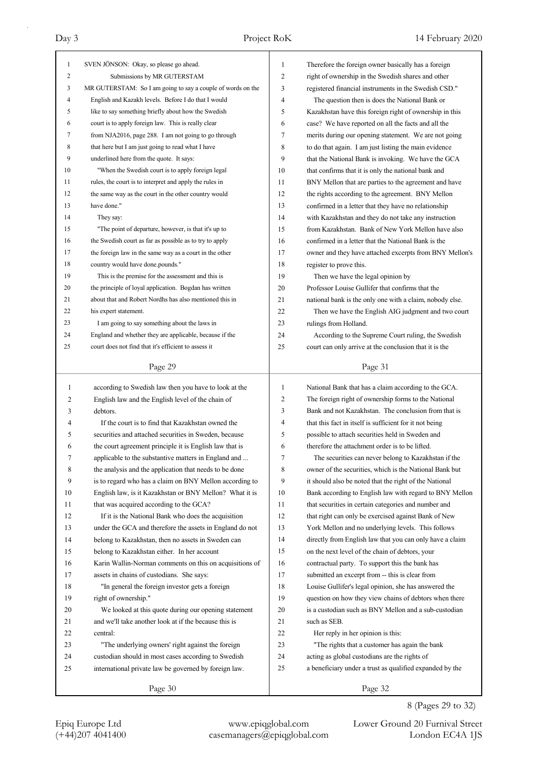| $\mathbf{1}$ | SVEN JÖNSON: Okay, so please go ahead.                                                                          | 1              | Therefore the foreign owner basically has a foreign                                                               |
|--------------|-----------------------------------------------------------------------------------------------------------------|----------------|-------------------------------------------------------------------------------------------------------------------|
| 2            | Submissions by MR GUTERSTAM                                                                                     | $\overline{c}$ | right of ownership in the Swedish shares and other                                                                |
| 3            | MR GUTERSTAM: So I am going to say a couple of words on the                                                     | 3              | registered financial instruments in the Swedish CSD."                                                             |
| 4            | English and Kazakh levels. Before I do that I would                                                             | 4              | The question then is does the National Bank or                                                                    |
| 5            | like to say something briefly about how the Swedish                                                             | 5              | Kazakhstan have this foreign right of ownership in this                                                           |
| 6            | court is to apply foreign law. This is really clear                                                             | 6              | case? We have reported on all the facts and all the                                                               |
| 7            | from NJA2016, page 288. I am not going to go through                                                            | 7              | merits during our opening statement. We are not going                                                             |
| 8            | that here but I am just going to read what I have                                                               | 8              | to do that again. I am just listing the main evidence                                                             |
| 9            | underlined here from the quote. It says:                                                                        | 9              | that the National Bank is invoking. We have the GCA                                                               |
| 10           | "When the Swedish court is to apply foreign legal                                                               | 10             | that confirms that it is only the national bank and                                                               |
| 11           | rules, the court is to interpret and apply the rules in                                                         | 11             | BNY Mellon that are parties to the agreement and have                                                             |
| 12           | the same way as the court in the other country would                                                            | 12             | the rights according to the agreement. BNY Mellon                                                                 |
| 13           | have done."                                                                                                     | 13             | confirmed in a letter that they have no relationship                                                              |
| 14           | They say:                                                                                                       | 14             | with Kazakhstan and they do not take any instruction                                                              |
| 15           | "The point of departure, however, is that it's up to                                                            | 15             | from Kazakhstan. Bank of New York Mellon have also                                                                |
| 16           | the Swedish court as far as possible as to try to apply                                                         | 16             | confirmed in a letter that the National Bank is the                                                               |
| 17           | the foreign law in the same way as a court in the other                                                         | 17             | owner and they have attached excerpts from BNY Mellon's                                                           |
| 18           | country would have done.pounds."                                                                                | 18             | register to prove this.                                                                                           |
| 19           | This is the premise for the assessment and this is                                                              | 19             | Then we have the legal opinion by                                                                                 |
| 20           | the principle of loyal application. Bogdan has written                                                          | 20             | Professor Louise Gullifer that confirms that the                                                                  |
| 21           | about that and Robert Nordhs has also mentioned this in                                                         | 21             | national bank is the only one with a claim, nobody else.                                                          |
| 22           | his expert statement.                                                                                           | 22             | Then we have the English AIG judgment and two court                                                               |
| 23           | I am going to say something about the laws in                                                                   | 23             | rulings from Holland.                                                                                             |
| 24           | England and whether they are applicable, because if the                                                         | 24             | According to the Supreme Court ruling, the Swedish                                                                |
| 25           | court does not find that it's efficient to assess it                                                            | 25             | court can only arrive at the conclusion that it is the                                                            |
|              |                                                                                                                 |                |                                                                                                                   |
|              | Page 29                                                                                                         |                | Page 31                                                                                                           |
|              |                                                                                                                 |                |                                                                                                                   |
| $\mathbf{1}$ |                                                                                                                 | $\mathbf{1}$   |                                                                                                                   |
| 2            | according to Swedish law then you have to look at the                                                           | 2              | National Bank that has a claim according to the GCA.                                                              |
| 3            | English law and the English level of the chain of<br>debtors.                                                   | 3              | The foreign right of ownership forms to the National<br>Bank and not Kazakhstan. The conclusion from that is      |
| 4            | If the court is to find that Kazakhstan owned the                                                               | 4              | that this fact in itself is sufficient for it not being                                                           |
| 5            | securities and attached securities in Sweden, because                                                           | 5              |                                                                                                                   |
| 6            |                                                                                                                 | 6              | possible to attach securities held in Sweden and<br>therefore the attachment order is to be lifted.               |
| 7            | the court agreement principle it is English law that is<br>applicable to the substantive matters in England and | 7              | The securities can never belong to Kazakhstan if the                                                              |
| 8            | the analysis and the application that needs to be done                                                          | 8              | owner of the securities, which is the National Bank but                                                           |
| 9            | is to regard who has a claim on BNY Mellon according to                                                         | 9              |                                                                                                                   |
| 10           | English law, is it Kazakhstan or BNY Mellon? What it is                                                         | 10             | it should also be noted that the right of the National<br>Bank according to English law with regard to BNY Mellon |
| 11           | that was acquired according to the GCA?                                                                         | 11             | that securities in certain categories and number and                                                              |
| 12           | If it is the National Bank who does the acquisition                                                             | 12             | that right can only be exercised against Bank of New                                                              |
| 13           | under the GCA and therefore the assets in England do not                                                        | 13             | York Mellon and no underlying levels. This follows                                                                |
| 14           | belong to Kazakhstan, then no assets in Sweden can                                                              | 14             | directly from English law that you can only have a claim                                                          |
| 15           | belong to Kazakhstan either. In her account                                                                     | 15             | on the next level of the chain of debtors, your                                                                   |
| 16           | Karin Wallin-Norman comments on this on acquisitions of                                                         | 16             | contractual party. To support this the bank has                                                                   |
| 17           | assets in chains of custodians. She says:                                                                       | 17             | submitted an excerpt from -- this is clear from                                                                   |
| 18           | "In general the foreign investor gets a foreign                                                                 | 18             | Louise Gullifer's legal opinion, she has answered the                                                             |
| 19           | right of ownership."                                                                                            | 19             | question on how they view chains of debtors when there                                                            |
| 20           | We looked at this quote during our opening statement                                                            | 20             | is a custodian such as BNY Mellon and a sub-custodian                                                             |
| 21           | and we'll take another look at if the because this is                                                           | 21             | such as SEB.                                                                                                      |
| 22           | central:                                                                                                        | 22             | Her reply in her opinion is this:                                                                                 |
| 23           | "The underlying owners' right against the foreign                                                               | 23             | "The rights that a customer has again the bank                                                                    |
| 24           | custodian should in most cases according to Swedish                                                             | 24             | acting as global custodians are the rights of                                                                     |
| 25           | international private law be governed by foreign law.                                                           | 25             | a beneficiary under a trust as qualified expanded by the                                                          |
|              | Page 30                                                                                                         |                | Page 32                                                                                                           |

8 (Pages 29 to 32)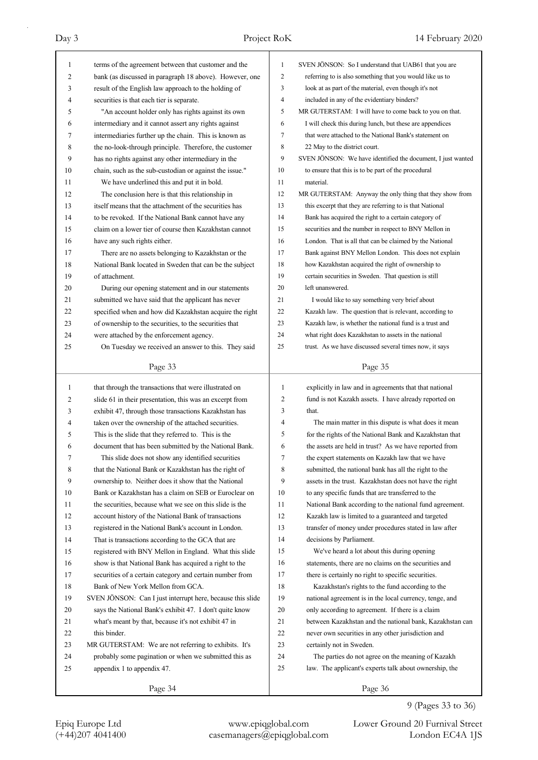| $\mathbf{1}$   | terms of the agreement between that customer and the       | 1              | SVEN JÖNSON: So I understand that UAB61 that you are        |
|----------------|------------------------------------------------------------|----------------|-------------------------------------------------------------|
| 2              | bank (as discussed in paragraph 18 above). However, one    | $\overline{c}$ | referring to is also something that you would like us to    |
| 3              | result of the English law approach to the holding of       | 3              | look at as part of the material, even though it's not       |
| 4              | securities is that each tier is separate.                  | 4              | included in any of the evidentiary binders?                 |
| 5              | "An account holder only has rights against its own         | 5              | MR GUTERSTAM: I will have to come back to you on that.      |
| 6              | intermediary and it cannot assert any rights against       | 6              | I will check this during lunch, but these are appendices    |
| 7              | intermediaries further up the chain. This is known as      | 7              | that were attached to the National Bank's statement on      |
| 8              | the no-look-through principle. Therefore, the customer     | 8              | 22 May to the district court.                               |
| 9              | has no rights against any other intermediary in the        | 9              | SVEN JÖNSON: We have identified the document, I just wanted |
| 10             | chain, such as the sub-custodian or against the issue."    | 10             | to ensure that this is to be part of the procedural         |
| 11             | We have underlined this and put it in bold.                | 11             | material.                                                   |
| 12             | The conclusion here is that this relationship in           | 12             | MR GUTERSTAM: Anyway the only thing that they show from     |
| 13             | itself means that the attachment of the securities has     | 13             | this excerpt that they are referring to is that National    |
| 14             | to be revoked. If the National Bank cannot have any        | 14             | Bank has acquired the right to a certain category of        |
| 15             | claim on a lower tier of course then Kazakhstan cannot     | 15             | securities and the number in respect to BNY Mellon in       |
| 16             | have any such rights either.                               | 16             | London. That is all that can be claimed by the National     |
| 17             | There are no assets belonging to Kazakhstan or the         | 17             | Bank against BNY Mellon London. This does not explain       |
| 18             | National Bank located in Sweden that can be the subject    | 18             | how Kazakhstan acquired the right of ownership to           |
| 19             | of attachment.                                             | 19             | certain securities in Sweden. That question is still        |
| 20             | During our opening statement and in our statements         | 20             | left unanswered.                                            |
| 21             | submitted we have said that the applicant has never        | 21             | I would like to say something very brief about              |
| 22             | specified when and how did Kazakhstan acquire the right    | 22             | Kazakh law. The question that is relevant, according to     |
| 23             | of ownership to the securities, to the securities that     | 23             | Kazakh law, is whether the national fund is a trust and     |
| 24             | were attached by the enforcement agency.                   | 24             | what right does Kazakhstan to assets in the national        |
| 25             | On Tuesday we received an answer to this. They said        | 25             | trust. As we have discussed several times now, it says      |
|                | Page 33                                                    |                | Page 35                                                     |
|                |                                                            |                |                                                             |
|                |                                                            |                |                                                             |
| $\mathbf{1}$   | that through the transactions that were illustrated on     | $\mathbf{1}$   | explicitly in law and in agreements that that national      |
| 2              | slide 61 in their presentation, this was an excerpt from   | 2              | fund is not Kazakh assets. I have already reported on       |
| 3              | exhibit 47, through those transactions Kazakhstan has      | 3              | that.                                                       |
| $\overline{4}$ | taken over the ownership of the attached securities.       | 4              | The main matter in this dispute is what does it mean        |
| 5              | This is the slide that they referred to. This is the       | 5              | for the rights of the National Bank and Kazakhstan that     |
| 6              | document that has been submitted by the National Bank.     | 6              | the assets are held in trust? As we have reported from      |
| 7              | This slide does not show any identified securities         | 7              | the expert statements on Kazakh law that we have            |
| 8              | that the National Bank or Kazakhstan has the right of      | 8              | submitted, the national bank has all the right to the       |
| 9              | ownership to. Neither does it show that the National       | 9              | assets in the trust. Kazakhstan does not have the right     |
| 10             | Bank or Kazakhstan has a claim on SEB or Euroclear on      | 10             | to any specific funds that are transferred to the           |
| 11             | the securities, because what we see on this slide is the   | 11             | National Bank according to the national fund agreement.     |
| 12             | account history of the National Bank of transactions       | 12             | Kazakh law is limited to a guaranteed and targeted          |
| 13             | registered in the National Bank's account in London.       | 13             | transfer of money under procedures stated in law after      |
| 14             | That is transactions according to the GCA that are         | 14             | decisions by Parliament.                                    |
| 15             | registered with BNY Mellon in England. What this slide     | 15             | We've heard a lot about this during opening                 |
| 16             | show is that National Bank has acquired a right to the     | 16             | statements, there are no claims on the securities and       |
| 17             | securities of a certain category and certain number from   | 17             | there is certainly no right to specific securities.         |
| 18             | Bank of New York Mellon from GCA.                          | 18             | Kazakhstan's rights to the fund according to the            |
| 19             | SVEN JÖNSON: Can I just interrupt here, because this slide | 19             | national agreement is in the local currency, tenge, and     |
| 20             | says the National Bank's exhibit 47. I don't quite know    | 20             | only according to agreement. If there is a claim            |
| 21             | what's meant by that, because it's not exhibit 47 in       | 21             | between Kazakhstan and the national bank, Kazakhstan can    |
| 22             | this binder.                                               | 22             | never own securities in any other jurisdiction and          |
| 23             | MR GUTERSTAM: We are not referring to exhibits. It's       | 23             | certainly not in Sweden.                                    |
| 24             | probably some pagination or when we submitted this as      | 24             | The parties do not agree on the meaning of Kazakh           |
| 25             | appendix 1 to appendix 47.                                 | 25             | law. The applicant's experts talk about ownership, the      |
|                | Page 34                                                    |                | Page 36                                                     |

# 9 (Pages 33 to 36)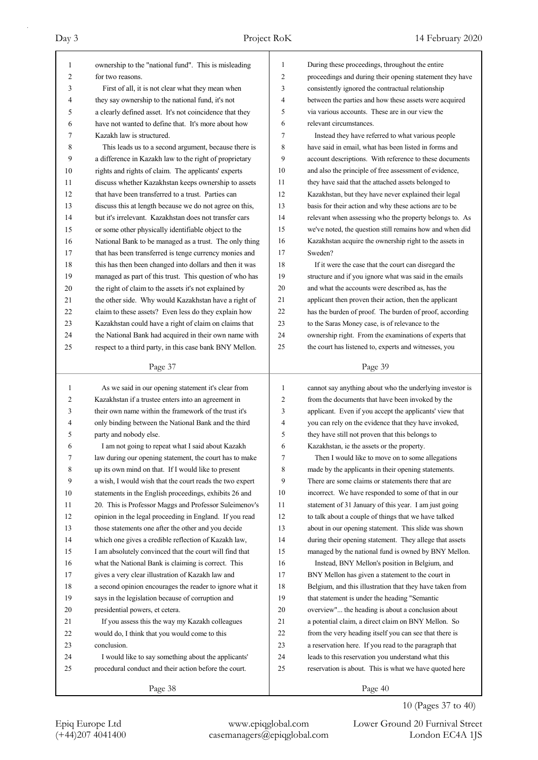| 1  | ownership to the "national fund". This is misleading     | 1              | During these proceedings, throughout the entire          |
|----|----------------------------------------------------------|----------------|----------------------------------------------------------|
| 2  | for two reasons.                                         | 2              | proceedings and during their opening statement they have |
| 3  | First of all, it is not clear what they mean when        | 3              | consistently ignored the contractual relationship        |
| 4  | they say ownership to the national fund, it's not        | 4              | between the parties and how these assets were acquired   |
| 5  | a clearly defined asset. It's not coincidence that they  | 5              | via various accounts. These are in our view the          |
| 6  | have not wanted to define that. It's more about how      | 6              | relevant circumstances.                                  |
| 7  | Kazakh law is structured.                                | 7              | Instead they have referred to what various people        |
| 8  | This leads us to a second argument, because there is     | 8              | have said in email, what has been listed in forms and    |
| 9  | a difference in Kazakh law to the right of proprietary   | 9              | account descriptions. With reference to these documents  |
| 10 | rights and rights of claim. The applicants' experts      | 10             | and also the principle of free assessment of evidence,   |
| 11 | discuss whether Kazakhstan keeps ownership to assets     | 11             | they have said that the attached assets belonged to      |
| 12 | that have been transferred to a trust. Parties can       | 12             | Kazakhstan, but they have never explained their legal    |
| 13 | discuss this at length because we do not agree on this,  | 13             | basis for their action and why these actions are to be   |
| 14 | but it's irrelevant. Kazakhstan does not transfer cars   | 14             | relevant when assessing who the property belongs to. As  |
| 15 | or some other physically identifiable object to the      | 15             | we've noted, the question still remains how and when did |
| 16 | National Bank to be managed as a trust. The only thing   | 16             | Kazakhstan acquire the ownership right to the assets in  |
| 17 | that has been transferred is tenge currency monies and   | 17             | Sweden?                                                  |
| 18 | this has then been changed into dollars and then it was  | 18             | If it were the case that the court can disregard the     |
| 19 | managed as part of this trust. This question of who has  | 19             | structure and if you ignore what was said in the emails  |
| 20 | the right of claim to the assets it's not explained by   | 20             | and what the accounts were described as, has the         |
| 21 | the other side. Why would Kazakhstan have a right of     | 21             | applicant then proven their action, then the applicant   |
| 22 | claim to these assets? Even less do they explain how     | 22             | has the burden of proof. The burden of proof, according  |
| 23 |                                                          | 23             |                                                          |
|    | Kazakhstan could have a right of claim on claims that    | 24             | to the Saras Money case, is of relevance to the          |
| 24 | the National Bank had acquired in their own name with    | 25             | ownership right. From the examinations of experts that   |
| 25 | respect to a third party, in this case bank BNY Mellon.  |                | the court has listened to, experts and witnesses, you    |
|    | Page 37                                                  |                | Page 39                                                  |
|    |                                                          |                |                                                          |
|    |                                                          | $\mathbf{1}$   |                                                          |
| 1  | As we said in our opening statement it's clear from      |                | cannot say anything about who the underlying investor is |
| 2  | Kazakhstan if a trustee enters into an agreement in      | $\overline{c}$ | from the documents that have been invoked by the         |
| 3  | their own name within the framework of the trust it's    | 3              | applicant. Even if you accept the applicants' view that  |
| 4  | only binding between the National Bank and the third     | 4              | you can rely on the evidence that they have invoked,     |
| 5  | party and nobody else.                                   | 5              | they have still not proven that this belongs to          |
| 6  | I am not going to repeat what I said about Kazakh        | 6              | Kazakhstan, ie the assets or the property.               |
| 7  | law during our opening statement, the court has to make  | 7              | Then I would like to move on to some allegations         |
| 8  | up its own mind on that. If I would like to present      | 8              | made by the applicants in their opening statements.      |
| 9  | a wish, I would wish that the court reads the two expert | 9              | There are some claims or statements there that are       |
| 10 | statements in the English proceedings, exhibits 26 and   | 10             | incorrect. We have responded to some of that in our      |
| 11 | 20. This is Professor Maggs and Professor Suleimenov's   | 11             | statement of 31 January of this year. I am just going    |
| 12 | opinion in the legal proceeding in England. If you read  | 12             | to talk about a couple of things that we have talked     |
| 13 | those statements one after the other and you decide      | 13             | about in our opening statement. This slide was shown     |
| 14 | which one gives a credible reflection of Kazakh law,     | 14             | during their opening statement. They allege that assets  |
| 15 | I am absolutely convinced that the court will find that  | 15             | managed by the national fund is owned by BNY Mellon.     |
| 16 | what the National Bank is claiming is correct. This      | 16             | Instead, BNY Mellon's position in Belgium, and           |
| 17 | gives a very clear illustration of Kazakh law and        | 17             | BNY Mellon has given a statement to the court in         |
| 18 | a second opinion encourages the reader to ignore what it | 18             | Belgium, and this illustration that they have taken from |
| 19 | says in the legislation because of corruption and        | 19             | that statement is under the heading "Semantic            |
| 20 | presidential powers, et cetera.                          | 20             | overview" the heading is about a conclusion about        |
| 21 | If you assess this the way my Kazakh colleagues          | 21             | a potential claim, a direct claim on BNY Mellon. So      |
| 22 | would do, I think that you would come to this            | 22             | from the very heading itself you can see that there is   |
| 23 | conclusion.                                              | 23             | a reservation here. If you read to the paragraph that    |
| 24 | I would like to say something about the applicants'      | 24             | leads to this reservation you understand what this       |
| 25 | procedural conduct and their action before the court.    | 25             | reservation is about. This is what we have quoted here   |

10 (Pages 37 to 40)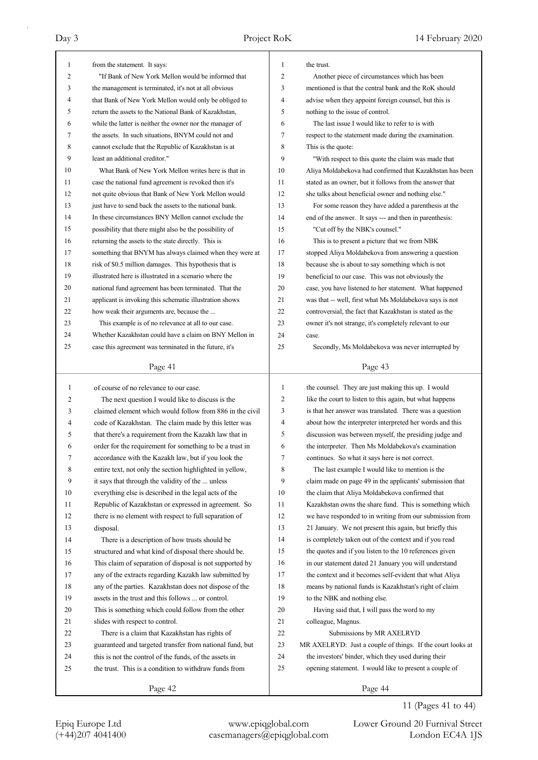| 1  | from the statement. It says:                             | $\mathbf{1}$   | the trust.                                                 |
|----|----------------------------------------------------------|----------------|------------------------------------------------------------|
| 2  | "If Bank of New York Mellon would be informed that       | $\overline{2}$ | Another piece of circumstances which has been              |
| 3  | the management is terminated, it's not at all obvious    | 3              | mentioned is that the central bank and the RoK should      |
| 4  | that Bank of New York Mellon would only be obliged to    | 4              | advise when they appoint foreign counsel, but this is      |
| 5  | return the assets to the National Bank of Kazakhstan,    | 5              | nothing to the issue of control.                           |
| 6  | while the latter is neither the owner nor the manager of | 6              | The last issue I would like to refer to is with            |
| 7  | the assets. In such situations, BNYM could not and       | 7              | respect to the statement made during the examination.      |
| 8  | cannot exclude that the Republic of Kazakhstan is at     | 8              | This is the quote:                                         |
| 9  | least an additional creditor."                           | 9              | "With respect to this quote the claim was made that        |
| 10 | What Bank of New York Mellon writes here is that in      | 10             | Aliya Moldabekova had confirmed that Kazakhstan has been   |
| 11 | case the national fund agreement is revoked then it's    | 11             | stated as an owner, but it follows from the answer that    |
| 12 | not quite obvious that Bank of New York Mellon would     | 12             | she talks about beneficial owner and nothing else."        |
| 13 | just have to send back the assets to the national bank.  | 13             | For some reason they have added a parenthesis at the       |
| 14 | In these circumstances BNY Mellon cannot exclude the     | 14             | end of the answer. It says --- and then in parenthesis:    |
| 15 | possibility that there might also be the possibility of  | 15             | "Cut off by the NBK's counsel."                            |
| 16 | returning the assets to the state directly. This is      | 16             | This is to present a picture that we from NBK              |
| 17 | something that BNYM has always claimed when they were at | 17             | stopped Aliya Moldabekova from answering a question        |
| 18 | risk of \$0.5 million damages. This hypothesis that is   | 18             | because she is about to say something which is not         |
| 19 | illustrated here is illustrated in a scenario where the  | 19             | beneficial to our case. This was not obviously the         |
| 20 | national fund agreement has been terminated. That the    | 20             | case, you have listened to her statement. What happened    |
| 21 | applicant is invoking this schematic illustration shows  | 21             | was that -- well, first what Ms Moldabekova says is not    |
| 22 | how weak their arguments are, because the                | 22             | controversial, the fact that Kazakhstan is stated as the   |
| 23 | This example is of no relevance at all to our case.      | 23             | owner it's not strange, it's completely relevant to our    |
| 24 | Whether Kazakhstan could have a claim on BNY Mellon in   | 24             | case.                                                      |
| 25 | case this agreement was terminated in the future, it's   | 25             | Secondly, Ms Moldabekova was never interrupted by          |
|    |                                                          |                |                                                            |
|    | Page 41                                                  |                | Page 43                                                    |
|    |                                                          |                |                                                            |
|    |                                                          |                |                                                            |
| 1  | of course of no relevance to our case.                   | $\mathbf{1}$   | the counsel. They are just making this up. I would         |
| 2  | The next question I would like to discuss is the         | 2              | like the court to listen to this again, but what happens   |
| 3  | claimed element which would follow from 886 in the civil | 3              | is that her answer was translated. There was a question    |
| 4  | code of Kazakhstan. The claim made by this letter was    | 4              | about how the interpreter interpreted her words and this   |
| 5  | that there's a requirement from the Kazakh law that in   | 5              | discussion was between myself, the presiding judge and     |
| 6  | order for the requirement for something to be a trust in | 6              | the interpreter. Then Ms Moldabekova's examination         |
| 7  | accordance with the Kazakh law, but if you look the      | 7              | continues. So what it says here is not correct.            |
| 8  | entire text, not only the section highlighted in yellow, | 8              | The last example I would like to mention is the            |
| 9  | it says that through the validity of the  unless         | 9              | claim made on page 49 in the applicants' submission that   |
| 10 | everything else is described in the legal acts of the    | 10             | the claim that Aliya Moldabekova confirmed that            |
| 11 | Republic of Kazakhstan or expressed in agreement. So     | 11             | Kazakhstan owns the share fund. This is something which    |
| 12 | there is no element with respect to full separation of   | 12             | we have responded to in writing from our submission from   |
| 13 | disposal.                                                | 13             | 21 January. We not present this again, but briefly this    |
| 14 | There is a description of how trusts should be           | 14             | is completely taken out of the context and if you read     |
| 15 | structured and what kind of disposal there should be.    | 15             | the quotes and if you listen to the 10 references given    |
| 16 | This claim of separation of disposal is not supported by | 16             | in our statement dated 21 January you will understand      |
| 17 | any of the extracts regarding Kazakh law submitted by    | 17             | the context and it becomes self-evident that what Aliya    |
| 18 | any of the parties. Kazakhstan does not dispose of the   | 18             | means by national funds is Kazakhstan's right of claim     |
| 19 | assets in the trust and this follows  or control.        | 19             | to the NBK and nothing else.                               |
| 20 | This is something which could follow from the other      | 20             | Having said that, I will pass the word to my               |
| 21 | slides with respect to control.                          | 21             | colleague, Magnus.                                         |
| 22 | There is a claim that Kazakhstan has rights of           | 22             | Submissions by MR AXELRYD                                  |
| 23 | guaranteed and targeted transfer from national fund, but | 23             | MR AXELRYD: Just a couple of things. If the court looks at |
| 24 | this is not the control of the funds, of the assets in   | 24             | the investors' binder, which they used during their        |
| 25 | the trust. This is a condition to withdraw funds from    | 25             | opening statement. I would like to present a couple of     |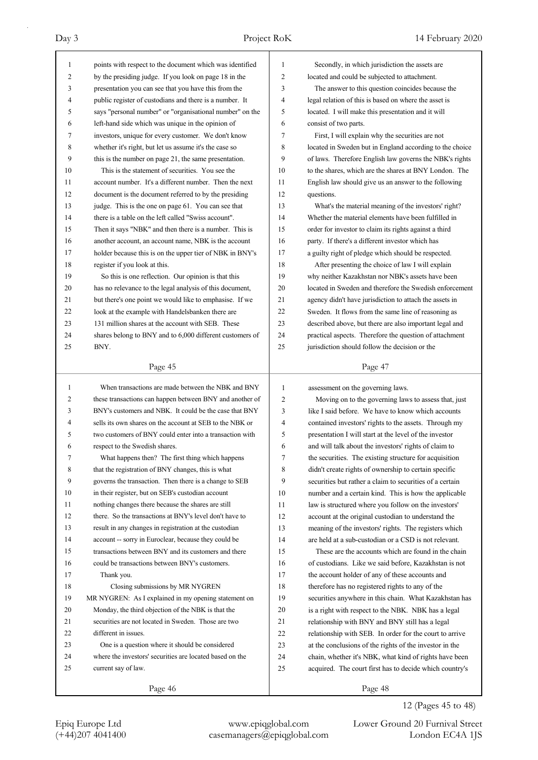| $\mathbf{1}$ |                                                                                                       |              |                                                          |
|--------------|-------------------------------------------------------------------------------------------------------|--------------|----------------------------------------------------------|
|              | points with respect to the document which was identified                                              | 1            | Secondly, in which jurisdiction the assets are           |
| 2            | by the presiding judge. If you look on page 18 in the                                                 | 2            | located and could be subjected to attachment.            |
| 3            | presentation you can see that you have this from the                                                  | 3            | The answer to this question coincides because the        |
| 4            | public register of custodians and there is a number. It                                               | 4            | legal relation of this is based on where the asset is    |
| 5            | says "personal number" or "organisational number" on the                                              | 5            | located. I will make this presentation and it will       |
| 6            | left-hand side which was unique in the opinion of                                                     | 6            | consist of two parts.                                    |
| 7            | investors, unique for every customer. We don't know                                                   | 7            | First, I will explain why the securities are not         |
| 8            | whether it's right, but let us assume it's the case so                                                | 8            | located in Sweden but in England according to the choice |
| 9            | this is the number on page 21, the same presentation.                                                 | 9            | of laws. Therefore English law governs the NBK's rights  |
| 10           | This is the statement of securities. You see the                                                      | 10           | to the shares, which are the shares at BNY London. The   |
| 11           | account number. It's a different number. Then the next                                                | 11           | English law should give us an answer to the following    |
| 12           | document is the document referred to by the presiding                                                 | 12           | questions.                                               |
| 13           | judge. This is the one on page 61. You can see that                                                   | 13           | What's the material meaning of the investors' right?     |
| 14           | there is a table on the left called "Swiss account".                                                  | 14           | Whether the material elements have been fulfilled in     |
| 15           | Then it says "NBK" and then there is a number. This is                                                | 15           | order for investor to claim its rights against a third   |
| 16           | another account, an account name, NBK is the account                                                  | 16           | party. If there's a different investor which has         |
| 17           | holder because this is on the upper tier of NBK in BNY's                                              | 17           | a guilty right of pledge which should be respected.      |
| 18           | register if you look at this.                                                                         | 18           | After presenting the choice of law I will explain        |
| 19           | So this is one reflection. Our opinion is that this                                                   | 19           | why neither Kazakhstan nor NBK's assets have been        |
| 20           | has no relevance to the legal analysis of this document,                                              | 20           | located in Sweden and therefore the Swedish enforcement  |
| 21           | but there's one point we would like to emphasise. If we                                               | 21           |                                                          |
| 22           |                                                                                                       | 22           | agency didn't have jurisdiction to attach the assets in  |
|              | look at the example with Handelsbanken there are<br>131 million shares at the account with SEB. These |              | Sweden. It flows from the same line of reasoning as      |
| 23           |                                                                                                       | 23           | described above, but there are also important legal and  |
| 24           | shares belong to BNY and to 6,000 different customers of                                              | 24           | practical aspects. Therefore the question of attachment  |
| 25           | BNY.                                                                                                  | 25           | jurisdiction should follow the decision or the           |
|              | Page 45                                                                                               |              | Page 47                                                  |
| 1            | When transactions are made between the NBK and BNY                                                    |              |                                                          |
|              |                                                                                                       |              |                                                          |
|              |                                                                                                       | $\mathbf{1}$ | assessment on the governing laws.                        |
| 2            | these transactions can happen between BNY and another of                                              | 2            | Moving on to the governing laws to assess that, just     |
| 3            | BNY's customers and NBK. It could be the case that BNY                                                | 3            | like I said before. We have to know which accounts       |
| 4            | sells its own shares on the account at SEB to the NBK or                                              | 4            | contained investors' rights to the assets. Through my    |
| 5            | two customers of BNY could enter into a transaction with                                              | 5            | presentation I will start at the level of the investor   |
| 6            | respect to the Swedish shares.                                                                        | 6            | and will talk about the investors' rights of claim to    |
| 7            | What happens then? The first thing which happens                                                      | 7            | the securities. The existing structure for acquisition   |
| 8            | that the registration of BNY changes, this is what                                                    | 8            | didn't create rights of ownership to certain specific    |
| 9            | governs the transaction. Then there is a change to SEB                                                | 9            | securities but rather a claim to securities of a certain |
| 10           | in their register, but on SEB's custodian account                                                     | 10           | number and a certain kind. This is how the applicable    |
| 11           | nothing changes there because the shares are still                                                    | 11           | law is structured where you follow on the investors'     |
| 12           | there. So the transactions at BNY's level don't have to                                               | 12           | account at the original custodian to understand the      |
| 13           | result in any changes in registration at the custodian                                                | 13           | meaning of the investors' rights. The registers which    |
| 14           | account -- sorry in Euroclear, because they could be                                                  | 14           | are held at a sub-custodian or a CSD is not relevant.    |
| 15           | transactions between BNY and its customers and there                                                  | 15           | These are the accounts which are found in the chain      |
| 16           | could be transactions between BNY's customers.                                                        | 16           | of custodians. Like we said before, Kazakhstan is not    |
| 17           | Thank you.                                                                                            | 17           | the account holder of any of these accounts and          |
| 18           | Closing submissions by MR NYGREN                                                                      | 18           | therefore has no registered rights to any of the         |
| 19           | MR NYGREN: As I explained in my opening statement on                                                  | 19           | securities anywhere in this chain. What Kazakhstan has   |
| 20           | Monday, the third objection of the NBK is that the                                                    | 20           | is a right with respect to the NBK. NBK has a legal      |
| 21           | securities are not located in Sweden. Those are two                                                   | 21           | relationship with BNY and BNY still has a legal          |
| 22           | different in issues.                                                                                  | 22           | relationship with SEB. In order for the court to arrive  |
| 23           | One is a question where it should be considered                                                       | 23           | at the conclusions of the rights of the investor in the  |
| 24           | where the investors' securities are located based on the                                              | 24           | chain, whether it's NBK, what kind of rights have been   |
| 25           | current say of law.                                                                                   | 25           | acquired. The court first has to decide which country's  |
|              | Page 46                                                                                               |              | Page 48                                                  |

12 (Pages 45 to 48)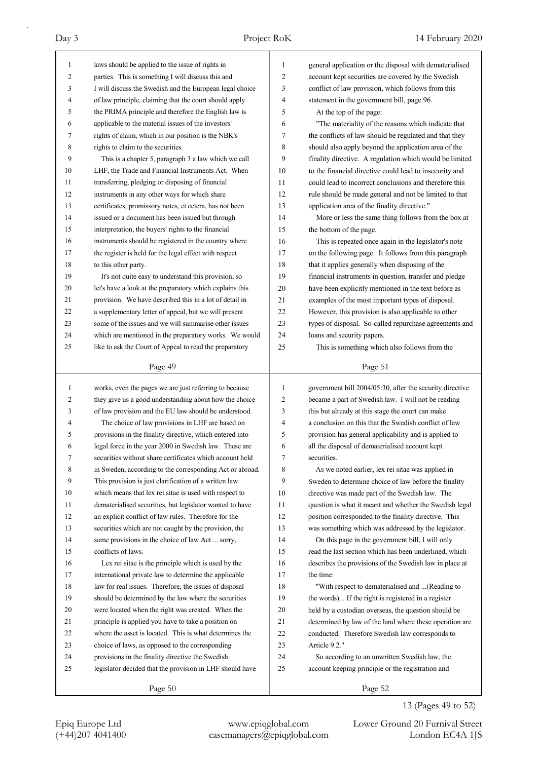| $\mathbf{1}$ | laws should be applied to the issue of rights in         | 1              | general application or the disposal with dematerialised  |
|--------------|----------------------------------------------------------|----------------|----------------------------------------------------------|
| 2            | parties. This is something I will discuss this and       | 2              | account kept securities are covered by the Swedish       |
| 3            | I will discuss the Swedish and the European legal choice | 3              | conflict of law provision, which follows from this       |
| 4            | of law principle, claiming that the court should apply   | 4              | statement in the government bill, page 96.               |
| 5            | the PRIMA principle and therefore the English law is     | 5              | At the top of the page:                                  |
| 6            | applicable to the material issues of the investors'      | 6              | "The materiality of the reasons which indicate that      |
| 7            | rights of claim, which in our position is the NBK's      | 7              | the conflicts of law should be regulated and that they   |
| 8            | rights to claim to the securities.                       | 8              | should also apply beyond the application area of the     |
| 9            | This is a chapter 5, paragraph 3 a law which we call     | 9              | finality directive. A regulation which would be limited  |
| 10           | LHF, the Trade and Financial Instruments Act. When       | 10             | to the financial directive could lead to insecurity and  |
| 11           | transferring, pledging or disposing of financial         | 11             | could lead to incorrect conclusions and therefore this   |
| 12           | instruments in any other ways for which share            | 12             | rule should be made general and not be limited to that   |
| 13           | certificates, promissory notes, et cetera, has not been  | 13             | application area of the finality directive."             |
| 14           | issued or a document has been issued but through         | 14             | More or less the same thing follows from the box at      |
| 15           | interpretation, the buyers' rights to the financial      | 15             | the bottom of the page.                                  |
| 16           | instruments should be registered in the country where    | 16             | This is repeated once again in the legislator's note     |
| 17           | the register is held for the legal effect with respect   | 17             | on the following page. It follows from this paragraph    |
| 18           | to this other party.                                     | 18             | that it applies generally when disposing of the          |
| 19           | It's not quite easy to understand this provision, so     | 19             | financial instruments in question, transfer and pledge   |
| 20           | let's have a look at the preparatory which explains this | 20             | have been explicitly mentioned in the text before as     |
| 21           | provision. We have described this in a lot of detail in  | 21             | examples of the most important types of disposal.        |
| 22           | a supplementary letter of appeal, but we will present    | 22             | However, this provision is also applicable to other      |
| 23           | some of the issues and we will summarise other issues    | 23             | types of disposal. So-called repurchase agreements and   |
| 24           | which are mentioned in the preparatory works. We would   | 24             | loans and security papers.                               |
| 25           | like to ask the Court of Appeal to read the preparatory  | 25             | This is something which also follows from the            |
|              |                                                          |                |                                                          |
|              | Page 49                                                  |                | Page 51                                                  |
|              |                                                          |                |                                                          |
|              |                                                          | $\mathbf{1}$   |                                                          |
| $\mathbf{1}$ | works, even the pages we are just referring to because   |                | government bill 2004/05:30, after the security directive |
| 2            | they give us a good understanding about how the choice   | $\overline{c}$ | became a part of Swedish law. I will not be reading      |
| 3            | of law provision and the EU law should be understood.    | 3              | this but already at this stage the court can make        |
| 4<br>5       | The choice of law provisions in LHF are based on         | 4              | a conclusion on this that the Swedish conflict of law    |
|              | provisions in the finality directive, which entered into | 5              | provision has general applicability and is applied to    |
| 6            | legal force in the year 2000 in Swedish law. These are   | 6              | all the disposal of dematerialised account kept          |
| 7            | securities without share certificates which account held | 7              | securities.                                              |
| 8            | in Sweden, according to the corresponding Act or abroad. | 8              | As we noted earlier, lex rei sitae was applied in        |
| 9            | This provision is just clarification of a written law    | 9              | Sweden to determine choice of law before the finality    |
| 10           | which means that lex rei sitae is used with respect to   | 10             | directive was made part of the Swedish law. The          |
| 11           | dematerialised securities, but legislator wanted to have | 11             | question is what it meant and whether the Swedish legal  |
| 12           | an explicit conflict of law rules. Therefore for the     | 12             | position corresponded to the finality directive. This    |
| 13           | securities which are not caught by the provision, the    | 13             | was something which was addressed by the legislator.     |
| 14           | same provisions in the choice of law Act  sorry,         | 14             | On this page in the government bill, I will only         |
| 15           | conflicts of laws.                                       | 15             | read the last section which has been underlined, which   |
| 16           | Lex rei sitae is the principle which is used by the      | 16             | describes the provisions of the Swedish law in place at  |
| 17           | international private law to determine the applicable    | 17             | the time:                                                |
| 18           | law for real issues. Therefore, the issues of disposal   | 18             | "With respect to dematerialised and  (Reading to         |
| 19           | should be determined by the law where the securities     | 19             | the words) If the right is registered in a register      |
| 20           | were located when the right was created. When the        | 20             | held by a custodian overseas, the question should be     |
| 21           | principle is applied you have to take a position on      | 21             | determined by law of the land where these operation are  |
| 22           | where the asset is located. This is what determines the  | 22             | conducted. Therefore Swedish law corresponds to          |
| 23           | choice of laws, as opposed to the corresponding          | 23             | Article 9.2."                                            |
| 24           | provisions in the finality directive the Swedish         | 24             | So according to an unwritten Swedish law, the            |
| 25           | legislator decided that the provision in LHF should have | 25             | account keeping principle or the registration and        |

## 13 (Pages 49 to 52)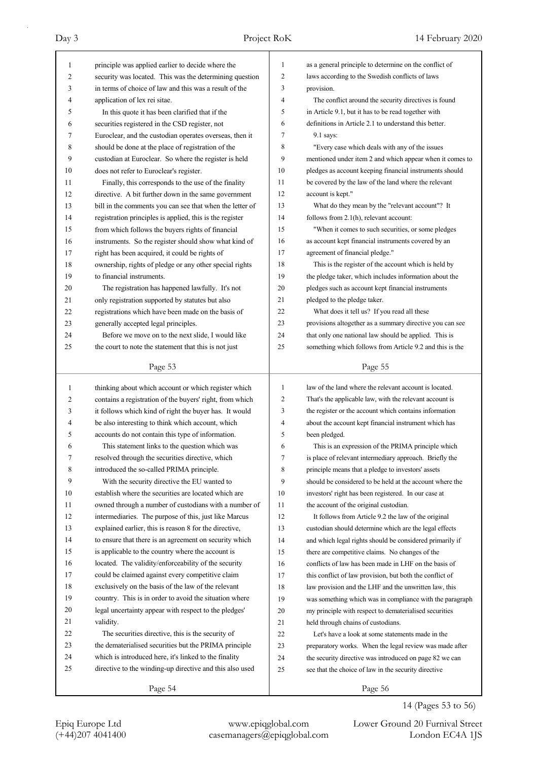| $\mathbf{1}$ | principle was applied earlier to decide where the        | $\mathbf{1}$   | as a general principle to determine on the conflict of   |
|--------------|----------------------------------------------------------|----------------|----------------------------------------------------------|
| 2            | security was located. This was the determining question  | $\overline{c}$ | laws according to the Swedish conflicts of laws          |
| 3            | in terms of choice of law and this was a result of the   | 3              | provision.                                               |
| 4            | application of lex rei sitae.                            | 4              | The conflict around the security directives is found     |
| 5            | In this quote it has been clarified that if the          | 5              | in Article 9.1, but it has to be read together with      |
| 6            | securities registered in the CSD register, not           | 6              | definitions in Article 2.1 to understand this better.    |
| 7            | Euroclear, and the custodian operates overseas, then it  | 7              | 9.1 says:                                                |
| 8            | should be done at the place of registration of the       | 8              | "Every case which deals with any of the issues           |
| 9            | custodian at Euroclear. So where the register is held    | 9              | mentioned under item 2 and which appear when it comes to |
| 10           | does not refer to Euroclear's register.                  | 10             | pledges as account keeping financial instruments should  |
| 11           | Finally, this corresponds to the use of the finality     | 11             | be covered by the law of the land where the relevant     |
| 12           | directive. A bit further down in the same government     | 12             | account is kept."                                        |
| 13           | bill in the comments you can see that when the letter of | 13             | What do they mean by the "relevant account"? It          |
| 14           | registration principles is applied, this is the register | 14             | follows from 2.1(h), relevant account:                   |
| 15           | from which follows the buyers rights of financial        | 15             | "When it comes to such securities, or some pledges       |
| 16           | instruments. So the register should show what kind of    | 16             | as account kept financial instruments covered by an      |
| 17           | right has been acquired, it could be rights of           | 17             | agreement of financial pledge."                          |
| 18           | ownership, rights of pledge or any other special rights  | 18             | This is the register of the account which is held by     |
| 19           | to financial instruments.                                | 19             | the pledge taker, which includes information about the   |
| 20           | The registration has happened lawfully. It's not         | 20             | pledges such as account kept financial instruments       |
| 21           | only registration supported by statutes but also         | 21             | pledged to the pledge taker.                             |
| 22           | registrations which have been made on the basis of       | 22             | What does it tell us? If you read all these              |
| 23           | generally accepted legal principles.                     | 23             | provisions altogether as a summary directive you can see |
| 24           | Before we move on to the next slide, I would like        | 24             | that only one national law should be applied. This is    |
| 25           | the court to note the statement that this is not just    | 25             | something which follows from Article 9.2 and this is the |
|              | Page 53                                                  |                | Page 55                                                  |
|              |                                                          |                |                                                          |
|              |                                                          |                |                                                          |
| 1            | thinking about which account or which register which     | 1              | law of the land where the relevant account is located.   |
| 2            | contains a registration of the buyers' right, from which | $\mathfrak{2}$ | That's the applicable law, with the relevant account is  |
| 3            | it follows which kind of right the buyer has. It would   | 3              | the register or the account which contains information   |
| 4            | be also interesting to think which account, which        | 4              | about the account kept financial instrument which has    |
| 5            | accounts do not contain this type of information.        | 5              | been pledged.                                            |
| 6            | This statement links to the question which was           | 6              | This is an expression of the PRIMA principle which       |
| 7            | resolved through the securities directive, which         | 7              | is place of relevant intermediary approach. Briefly the  |
| 8            | introduced the so-called PRIMA principle.                | 8              | principle means that a pledge to investors' assets       |
| 9            | With the security directive the EU wanted to             | 9              | should be considered to be held at the account where the |
| 10           | establish where the securities are located which are     | 10             | investors' right has been registered. In our case at     |
| 11           | owned through a number of custodians with a number of    | 11             | the account of the original custodian.                   |
| 12           | intermediaries. The purpose of this, just like Marcus    | 12             | It follows from Article 9.2 the law of the original      |
| 13           | explained earlier, this is reason 8 for the directive,   | 13             | custodian should determine which are the legal effects   |
| 14           | to ensure that there is an agreement on security which   | 14             | and which legal rights should be considered primarily if |
| 15           | is applicable to the country where the account is        | 15             | there are competitive claims. No changes of the          |
| 16           | located. The validity/enforceability of the security     | 16             | conflicts of law has been made in LHF on the basis of    |
| 17           | could be claimed against every competitive claim         | 17             | this conflict of law provision, but both the conflict of |
| 18           | exclusively on the basis of the law of the relevant      | 18             | law provision and the LHF and the unwritten law, this    |
| 19           | country. This is in order to avoid the situation where   | 19             | was something which was in compliance with the paragraph |
| 20           | legal uncertainty appear with respect to the pledges'    | 20             | my principle with respect to dematerialised securities   |
| 21           | validity.                                                | 21             | held through chains of custodians.                       |
| 22           | The securities directive, this is the security of        | 22             | Let's have a look at some statements made in the         |
| 23           | the dematerialised securities but the PRIMA principle    | 23             | preparatory works. When the legal review was made after  |
| 24           | which is introduced here, it's linked to the finality    | 24             | the security directive was introduced on page 82 we can  |
| 25           | directive to the winding-up directive and this also used | 25             | see that the choice of law in the security directive     |
|              | Page 54                                                  |                | Page 56                                                  |

14 (Pages 53 to 56)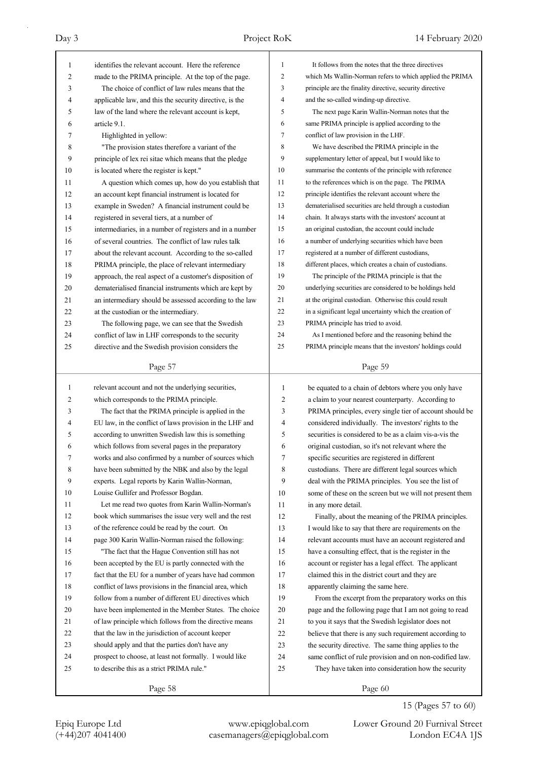| 1            | identifies the relevant account. Here the reference      | 1            | It follows from the notes that the three directives      |
|--------------|----------------------------------------------------------|--------------|----------------------------------------------------------|
| 2            | made to the PRIMA principle. At the top of the page.     | 2            | which Ms Wallin-Norman refers to which applied the PRIMA |
| 3            | The choice of conflict of law rules means that the       | 3            | principle are the finality directive, security directive |
| 4            | applicable law, and this the security directive, is the  | 4            | and the so-called winding-up directive.                  |
| 5            | law of the land where the relevant account is kept,      | 5            | The next page Karin Wallin-Norman notes that the         |
| 6            | article 9.1.                                             | 6            | same PRIMA principle is applied according to the         |
| 7            | Highlighted in yellow:                                   | 7            | conflict of law provision in the LHF.                    |
| 8            | "The provision states therefore a variant of the         | 8            | We have described the PRIMA principle in the             |
| 9            | principle of lex rei sitae which means that the pledge   | 9            | supplementary letter of appeal, but I would like to      |
| 10           | is located where the register is kept."                  | 10           | summarise the contents of the principle with reference   |
| 11           | A question which comes up, how do you establish that     | 11           | to the references which is on the page. The PRIMA        |
| 12           | an account kept financial instrument is located for      | 12           | principle identifies the relevant account where the      |
| 13           | example in Sweden? A financial instrument could be       | 13           | dematerialised securities are held through a custodian   |
| 14           | registered in several tiers, at a number of              | 14           | chain. It always starts with the investors' account at   |
| 15           | intermediaries, in a number of registers and in a number | 15           | an original custodian, the account could include         |
| 16           | of several countries. The conflict of law rules talk     | 16           | a number of underlying securities which have been        |
| 17           | about the relevant account. According to the so-called   | 17           | registered at a number of different custodians,          |
| 18           | PRIMA principle, the place of relevant intermediary      | 18           | different places, which creates a chain of custodians.   |
| 19           | approach, the real aspect of a customer's disposition of | 19           | The principle of the PRIMA principle is that the         |
| 20           | dematerialised financial instruments which are kept by   | 20           | underlying securities are considered to be holdings held |
| 21           | an intermediary should be assessed according to the law  | 21           | at the original custodian. Otherwise this could result   |
| 22           | at the custodian or the intermediary.                    | 22           | in a significant legal uncertainty which the creation of |
| 23           | The following page, we can see that the Swedish          | 23           | PRIMA principle has tried to avoid.                      |
| 24           | conflict of law in LHF corresponds to the security       | 24           | As I mentioned before and the reasoning behind the       |
| 25           | directive and the Swedish provision considers the        | 25           | PRIMA principle means that the investors' holdings could |
|              |                                                          |              |                                                          |
|              | Page 57                                                  |              | Page 59                                                  |
|              |                                                          |              |                                                          |
|              |                                                          |              |                                                          |
| $\mathbf{1}$ | relevant account and not the underlying securities,      | $\mathbf{1}$ | be equated to a chain of debtors where you only have     |
| 2            | which corresponds to the PRIMA principle.                | 2            | a claim to your nearest counterparty. According to       |
| 3            | The fact that the PRIMA principle is applied in the      | 3            | PRIMA principles, every single tier of account should be |
| 4            | EU law, in the conflict of laws provision in the LHF and | 4            | considered individually. The investors' rights to the    |
| 5            | according to unwritten Swedish law this is something     | 5            | securities is considered to be as a claim vis-a-vis the  |
| 6            | which follows from several pages in the preparatory      | 6            | original custodian, so it's not relevant where the       |
| 7            | works and also confirmed by a number of sources which    | 7            | specific securities are registered in different          |
| 8            | have been submitted by the NBK and also by the legal     | 8            | custodians. There are different legal sources which      |
| 9            | experts. Legal reports by Karin Wallin-Norman,           | 9            | deal with the PRIMA principles. You see the list of      |
| 10           | Louise Gullifer and Professor Bogdan.                    | 10           | some of these on the screen but we will not present them |
| 11           | Let me read two quotes from Karin Wallin-Norman's        | 11           | in any more detail.                                      |
| 12           | book which summarises the issue very well and the rest   | 12           | Finally, about the meaning of the PRIMA principles.      |
| 13           | of the reference could be read by the court. On          | 13           | I would like to say that there are requirements on the   |
| 14           | page 300 Karin Wallin-Norman raised the following:       | 14           | relevant accounts must have an account registered and    |
| 15           | "The fact that the Hague Convention still has not        | 15           | have a consulting effect, that is the register in the    |
| 16           | been accepted by the EU is partly connected with the     | 16           | account or register has a legal effect. The applicant    |
| 17           | fact that the EU for a number of years have had common   | 17           | claimed this in the district court and they are          |
| 18           | conflict of laws provisions in the financial area, which | 18           | apparently claiming the same here.                       |
| 19           | follow from a number of different EU directives which    | 19           | From the excerpt from the preparatory works on this      |
| 20           | have been implemented in the Member States. The choice   | 20           | page and the following page that I am not going to read  |
| 21           | of law principle which follows from the directive means  | 21           | to you it says that the Swedish legislator does not      |
| 22           | that the law in the jurisdiction of account keeper       | 22           | believe that there is any such requirement according to  |
| 23           | should apply and that the parties don't have any         | 23           | the security directive. The same thing applies to the    |
| 24           | prospect to choose, at least not formally. I would like  | 24           | same conflict of rule provision and on non-codified law. |
| 25           | to describe this as a strict PRIMA rule."                | 25           | They have taken into consideration how the security      |

15 (Pages 57 to 60)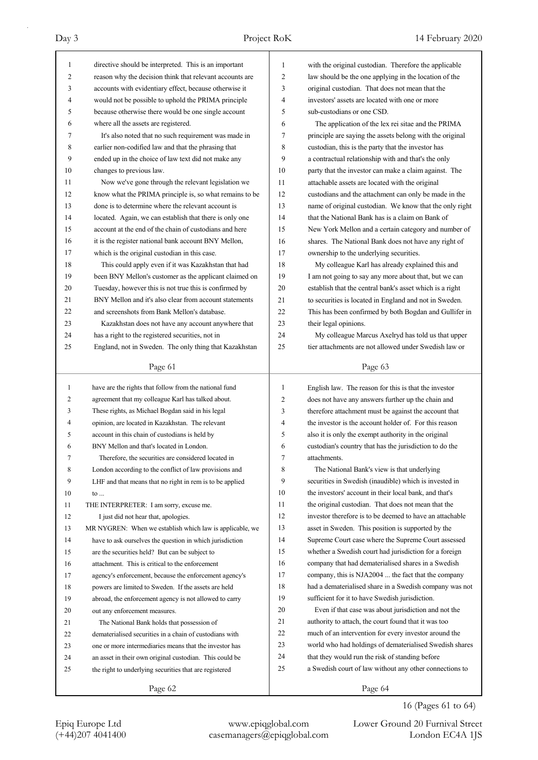| 1              | directive should be interpreted. This is an important    | 1              | with the original custodian. Therefore the applicable    |
|----------------|----------------------------------------------------------|----------------|----------------------------------------------------------|
| $\overline{2}$ | reason why the decision think that relevant accounts are | 2              | law should be the one applying in the location of the    |
| 3              | accounts with evidentiary effect, because otherwise it   | 3              | original custodian. That does not mean that the          |
| 4              | would not be possible to uphold the PRIMA principle      | 4              | investors' assets are located with one or more           |
| 5              | because otherwise there would be one single account      | 5              | sub-custodians or one CSD.                               |
| 6              | where all the assets are registered.                     | 6              | The application of the lex rei sitae and the PRIMA       |
| 7              | It's also noted that no such requirement was made in     | 7              | principle are saying the assets belong with the original |
| 8              | earlier non-codified law and that the phrasing that      | 8              | custodian, this is the party that the investor has       |
| 9              | ended up in the choice of law text did not make any      | 9              | a contractual relationship with and that's the only      |
| 10             | changes to previous law.                                 | 10             | party that the investor can make a claim against. The    |
| 11             | Now we've gone through the relevant legislation we       | 11             | attachable assets are located with the original          |
| 12             | know what the PRIMA principle is, so what remains to be  | 12             | custodians and the attachment can only be made in the    |
| 13             | done is to determine where the relevant account is       | 13             | name of original custodian. We know that the only right  |
| 14             | located. Again, we can establish that there is only one  | 14             | that the National Bank has is a claim on Bank of         |
| 15             | account at the end of the chain of custodians and here   | 15             | New York Mellon and a certain category and number of     |
| 16             | it is the register national bank account BNY Mellon,     | 16             | shares. The National Bank does not have any right of     |
| 17             | which is the original custodian in this case.            | 17             | ownership to the underlying securities.                  |
| 18             | This could apply even if it was Kazakhstan that had      | 18             | My colleague Karl has already explained this and         |
| 19             | been BNY Mellon's customer as the applicant claimed on   | 19             | I am not going to say any more about that, but we can    |
| 20             | Tuesday, however this is not true this is confirmed by   | 20             | establish that the central bank's asset which is a right |
| 21             | BNY Mellon and it's also clear from account statements   | 21             | to securities is located in England and not in Sweden.   |
| 22             | and screenshots from Bank Mellon's database.             | 22             | This has been confirmed by both Bogdan and Gullifer in   |
| 23             | Kazakhstan does not have any account anywhere that       | 23             | their legal opinions.                                    |
| 24             | has a right to the registered securities, not in         | 24             | My colleague Marcus Axelryd has told us that upper       |
| 25             | England, not in Sweden. The only thing that Kazakhstan   | 25             | tier attachments are not allowed under Swedish law or    |
|                | Page 61                                                  |                | Page 63                                                  |
|                |                                                          |                |                                                          |
|                |                                                          |                |                                                          |
| $\mathbf{1}$   | have are the rights that follow from the national fund   | $\mathbf{1}$   | English law. The reason for this is that the investor    |
| 2              | agreement that my colleague Karl has talked about.       | $\overline{c}$ | does not have any answers further up the chain and       |
| 3              | These rights, as Michael Bogdan said in his legal        | 3              | therefore attachment must be against the account that    |
| 4              | opinion, are located in Kazakhstan. The relevant         | 4              | the investor is the account holder of. For this reason   |
| 5              | account in this chain of custodians is held by           | 5              | also it is only the exempt authority in the original     |
| 6              | BNY Mellon and that's located in London.                 | 6              | custodian's country that has the jurisdiction to do the  |
| 7              | Therefore, the securities are considered located in      | 7              | attachments.                                             |
| 8              | London according to the conflict of law provisions and   | 8              | The National Bank's view is that underlying              |
| 9              | LHF and that means that no right in rem is to be applied | 9              | securities in Swedish (inaudible) which is invested in   |
| 10             | to                                                       | 10             | the investors' account in their local bank, and that's   |
| 11             | THE INTERPRETER: I am sorry, excuse me.                  | 11             | the original custodian. That does not mean that the      |
| 12             | I just did not hear that, apologies.                     | 12             | investor therefore is to be deemed to have an attachable |
| 13             | MR NYGREN: When we establish which law is applicable, we | 13             | asset in Sweden. This position is supported by the       |
| 14             | have to ask ourselves the question in which jurisdiction | 14             | Supreme Court case where the Supreme Court assessed      |
| 15             | are the securities held? But can be subject to           | 15             | whether a Swedish court had jurisdiction for a foreign   |
| 16             | attachment. This is critical to the enforcement          | 16             | company that had dematerialised shares in a Swedish      |
| 17             | agency's enforcement, because the enforcement agency's   | 17             | company, this is NJA2004  the fact that the company      |
| 18             | powers are limited to Sweden. If the assets are held     | 18             | had a dematerialised share in a Swedish company was not  |
| 19             | abroad, the enforcement agency is not allowed to carry   | 19             | sufficient for it to have Swedish jurisdiction.          |
| 20             | out any enforcement measures.                            | 20             | Even if that case was about jurisdiction and not the     |
| 21             | The National Bank holds that possession of               | 21             | authority to attach, the court found that it was too     |
| 22             | dematerialised securities in a chain of custodians with  | 22             | much of an intervention for every investor around the    |
| 23             | one or more intermediaries means that the investor has   | 23             | world who had holdings of dematerialised Swedish shares  |
| 24             | an asset in their own original custodian. This could be  | 24             | that they would run the risk of standing before          |
| 25             | the right to underlying securities that are registered   | 25             | a Swedish court of law without any other connections to  |
|                | Page 62                                                  |                | Page 64                                                  |

16 (Pages 61 to 64)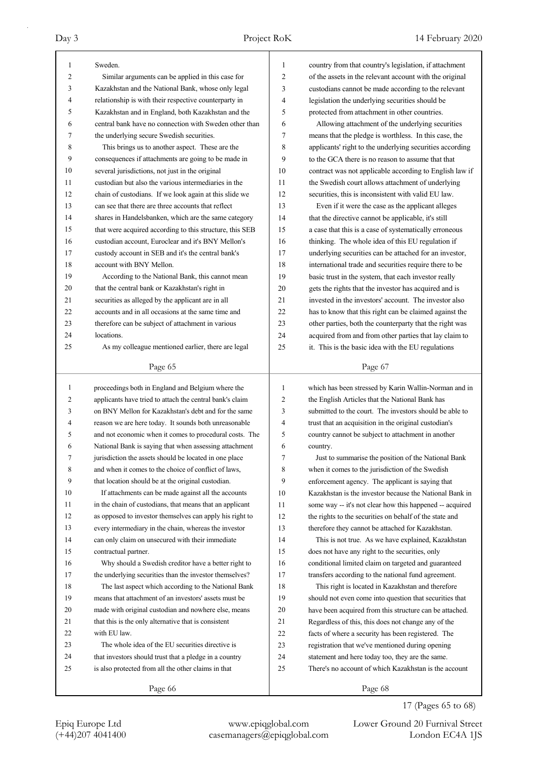| 1              | Sweden.                                                                                                          | 1              | country from that country's legislation, if attachment   |
|----------------|------------------------------------------------------------------------------------------------------------------|----------------|----------------------------------------------------------|
| 2              | Similar arguments can be applied in this case for                                                                | $\overline{2}$ | of the assets in the relevant account with the original  |
| 3              | Kazakhstan and the National Bank, whose only legal                                                               | 3              | custodians cannot be made according to the relevant      |
| 4              | relationship is with their respective counterparty in                                                            | 4              | legislation the underlying securities should be          |
| 5              | Kazakhstan and in England, both Kazakhstan and the                                                               | 5              | protected from attachment in other countries.            |
| 6              | central bank have no connection with Sweden other than                                                           | 6              | Allowing attachment of the underlying securities         |
| 7              | the underlying secure Swedish securities.                                                                        | 7              | means that the pledge is worthless. In this case, the    |
| 8              | This brings us to another aspect. These are the                                                                  | 8              | applicants' right to the underlying securities according |
| 9              | consequences if attachments are going to be made in                                                              | 9              | to the GCA there is no reason to assume that that        |
| 10             | several jurisdictions, not just in the original                                                                  | 10             | contract was not applicable according to English law if  |
| 11             | custodian but also the various intermediaries in the                                                             | 11             | the Swedish court allows attachment of underlying        |
| 12             | chain of custodians. If we look again at this slide we                                                           | 12             | securities, this is inconsistent with valid EU law.      |
| 13             | can see that there are three accounts that reflect                                                               | 13             | Even if it were the case as the applicant alleges        |
| 14             | shares in Handelsbanken, which are the same category                                                             | 14             | that the directive cannot be applicable, it's still      |
| 15             | that were acquired according to this structure, this SEB                                                         | 15             | a case that this is a case of systematically erroneous   |
| 16             | custodian account, Euroclear and it's BNY Mellon's                                                               | 16             | thinking. The whole idea of this EU regulation if        |
| 17             | custody account in SEB and it's the central bank's                                                               | 17             | underlying securities can be attached for an investor,   |
| 18             | account with BNY Mellon.                                                                                         | 18             | international trade and securities require there to be   |
| 19             | According to the National Bank, this cannot mean                                                                 | 19             | basic trust in the system, that each investor really     |
| 20             | that the central bank or Kazakhstan's right in                                                                   | 20             | gets the rights that the investor has acquired and is    |
| 21             | securities as alleged by the applicant are in all                                                                | 21             | invested in the investors' account. The investor also    |
| 22             | accounts and in all occasions at the same time and                                                               | 22             | has to know that this right can be claimed against the   |
| 23             | therefore can be subject of attachment in various                                                                | 23             | other parties, both the counterparty that the right was  |
| 24             | locations.                                                                                                       | 24             | acquired from and from other parties that lay claim to   |
| 25             | As my colleague mentioned earlier, there are legal                                                               | 25             | it. This is the basic idea with the EU regulations       |
|                |                                                                                                                  |                |                                                          |
|                | Page 65                                                                                                          |                | Page 67                                                  |
|                |                                                                                                                  |                |                                                          |
|                |                                                                                                                  |                |                                                          |
| $\mathbf{1}$   | proceedings both in England and Belgium where the                                                                | $\mathbf{1}$   | which has been stressed by Karin Wallin-Norman and in    |
| $\overline{c}$ | applicants have tried to attach the central bank's claim<br>on BNY Mellon for Kazakhstan's debt and for the same | 2              | the English Articles that the National Bank has          |
| 3              |                                                                                                                  | 3              | submitted to the court. The investors should be able to  |
| 4<br>5         | reason we are here today. It sounds both unreasonable                                                            | 4              | trust that an acquisition in the original custodian's    |
|                | and not economic when it comes to procedural costs. The                                                          | 5              | country cannot be subject to attachment in another       |
| 6              | National Bank is saying that when assessing attachment                                                           | 6              | country.                                                 |
|                | jurisdiction the assets should be located in one place                                                           | 7              | Just to summarise the position of the National Bank      |
| 8              | and when it comes to the choice of conflict of laws,                                                             | 8              | when it comes to the jurisdiction of the Swedish         |
| 9              | that location should be at the original custodian.                                                               | 9              | enforcement agency. The applicant is saying that         |
| 10             | If attachments can be made against all the accounts                                                              | 10             | Kazakhstan is the investor because the National Bank in  |
| 11             | in the chain of custodians, that means that an applicant                                                         | 11             | some way -- it's not clear how this happened -- acquired |
| 12             | as opposed to investor themselves can apply his right to                                                         | 12             | the rights to the securities on behalf of the state and  |
| 13             | every intermediary in the chain, whereas the investor                                                            | 13             | therefore they cannot be attached for Kazakhstan.        |
| 14             | can only claim on unsecured with their immediate                                                                 | 14             | This is not true. As we have explained, Kazakhstan       |
| 15             | contractual partner.                                                                                             | 15             | does not have any right to the securities, only          |
| 16             | Why should a Swedish creditor have a better right to                                                             | 16             | conditional limited claim on targeted and guaranteed     |
| 17             | the underlying securities than the investor themselves?                                                          | 17             | transfers according to the national fund agreement.      |
| 18             | The last aspect which according to the National Bank                                                             | 18             | This right is located in Kazakhstan and therefore        |
| 19             | means that attachment of an investors' assets must be                                                            | 19             | should not even come into question that securities that  |
| 20             | made with original custodian and nowhere else, means                                                             | 20             | have been acquired from this structure can be attached.  |
| 21             | that this is the only alternative that is consistent                                                             | 21             | Regardless of this, this does not change any of the      |
| 22             | with EU law.                                                                                                     | 22             | facts of where a security has been registered. The       |
| 23             | The whole idea of the EU securities directive is                                                                 | 23             | registration that we've mentioned during opening         |
| 24             | that investors should trust that a pledge in a country                                                           | 24             | statement and here today too, they are the same.         |
| 25             | is also protected from all the other claims in that                                                              | 25             | There's no account of which Kazakhstan is the account    |

17 (Pages 65 to 68)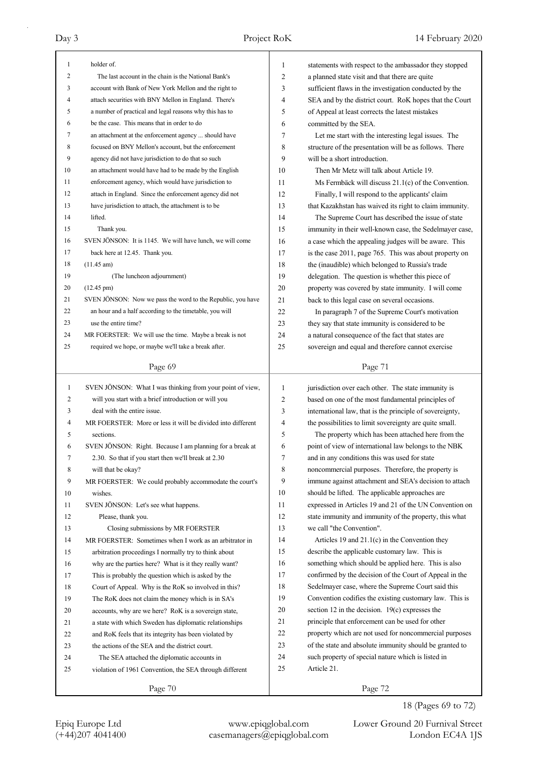| 1              | holder of.                                                  | 1  | statements with respect to the ambassador they stopped   |
|----------------|-------------------------------------------------------------|----|----------------------------------------------------------|
| $\overline{c}$ | The last account in the chain is the National Bank's        | 2  | a planned state visit and that there are quite           |
| 3              | account with Bank of New York Mellon and the right to       | 3  | sufficient flaws in the investigation conducted by the   |
| 4              | attach securities with BNY Mellon in England. There's       | 4  | SEA and by the district court. RoK hopes that the Court  |
| 5              | a number of practical and legal reasons why this has to     | 5  | of Appeal at least corrects the latest mistakes          |
| 6              | be the case. This means that in order to do                 | 6  | committed by the SEA.                                    |
| 7              | an attachment at the enforcement agency  should have        | 7  | Let me start with the interesting legal issues. The      |
| 8              | focused on BNY Mellon's account, but the enforcement        | 8  | structure of the presentation will be as follows. There  |
| 9              | agency did not have jurisdiction to do that so such         | 9  | will be a short introduction.                            |
| 10             | an attachment would have had to be made by the English      | 10 | Then Mr Metz will talk about Article 19.                 |
| 11             | enforcement agency, which would have jurisdiction to        | 11 | Ms Fermbäck will discuss 21.1(c) of the Convention.      |
| 12             | attach in England. Since the enforcement agency did not     | 12 | Finally, I will respond to the applicants' claim         |
| 13             | have jurisdiction to attach, the attachment is to be        | 13 | that Kazakhstan has waived its right to claim immunity.  |
| 14             | lifted.                                                     | 14 | The Supreme Court has described the issue of state       |
| 15             | Thank you.                                                  | 15 | immunity in their well-known case, the Sedelmayer case,  |
| 16             | SVEN JÖNSON: It is 1145. We will have lunch, we will come   | 16 | a case which the appealing judges will be aware. This    |
| 17             | back here at 12.45. Thank you.                              | 17 | is the case 2011, page 765. This was about property on   |
| 18             | (11.45 am)                                                  | 18 | the (inaudible) which belonged to Russia's trade         |
| 19             | (The luncheon adjournment)                                  |    |                                                          |
|                | $(12.45 \text{ pm})$                                        | 19 | delegation. The question is whether this piece of        |
| 20             |                                                             | 20 | property was covered by state immunity. I will come      |
| 21             | SVEN JÖNSON: Now we pass the word to the Republic, you have | 21 | back to this legal case on several occasions.            |
| 22             | an hour and a half according to the timetable, you will     | 22 | In paragraph 7 of the Supreme Court's motivation         |
| 23             | use the entire time?                                        | 23 | they say that state immunity is considered to be         |
| 24             | MR FOERSTER: We will use the time. Maybe a break is not     | 24 | a natural consequence of the fact that states are        |
| 25             | required we hope, or maybe we'll take a break after.        | 25 | sovereign and equal and therefore cannot exercise        |
|                | Page 69                                                     |    | Page 71                                                  |
|                |                                                             |    |                                                          |
|                |                                                             |    |                                                          |
| $\mathbf{1}$   | SVEN JÖNSON: What I was thinking from your point of view,   | 1  | jurisdiction over each other. The state immunity is      |
| 2              | will you start with a brief introduction or will you        | 2  | based on one of the most fundamental principles of       |
| 3              | deal with the entire issue.                                 | 3  | international law, that is the principle of sovereignty, |
| 4              | MR FOERSTER: More or less it will be divided into different | 4  | the possibilities to limit sovereignty are quite small.  |
| 5              | sections.                                                   | 5  | The property which has been attached here from the       |
| 6              | SVEN JÖNSON: Right. Because I am planning for a break at    | 6  | point of view of international law belongs to the NBK    |
| 7              | 2.30. So that if you start then we'll break at 2.30         | 7  | and in any conditions this was used for state            |
| 8              | will that be okay?                                          | 8  | noncommercial purposes. Therefore, the property is       |
| 9              | MR FOERSTER: We could probably accommodate the court's      | 9  | immune against attachment and SEA's decision to attach   |
| 10             | wishes.                                                     | 10 | should be lifted. The applicable approaches are          |
| 11             | SVEN JÖNSON: Let's see what happens.                        | 11 | expressed in Articles 19 and 21 of the UN Convention on  |
| 12             | Please, thank you.                                          | 12 | state immunity and immunity of the property, this what   |
| 13             | Closing submissions by MR FOERSTER                          | 13 | we call "the Convention".                                |
| 14             | MR FOERSTER: Sometimes when I work as an arbitrator in      | 14 | Articles 19 and $21.1(c)$ in the Convention they         |
| 15             | arbitration proceedings I normally try to think about       | 15 | describe the applicable customary law. This is           |
| 16             | why are the parties here? What is it they really want?      | 16 | something which should be applied here. This is also     |
| 17             | This is probably the question which is asked by the         | 17 | confirmed by the decision of the Court of Appeal in the  |
| 18             | Court of Appeal. Why is the RoK so involved in this?        | 18 | Sedelmayer case, where the Supreme Court said this       |
| 19             | The RoK does not claim the money which is in SA's           | 19 | Convention codifies the existing customary law. This is  |
| 20             | accounts, why are we here? RoK is a sovereign state,        | 20 | section 12 in the decision. $19(c)$ expresses the        |
| 21             | a state with which Sweden has diplomatic relationships      | 21 | principle that enforcement can be used for other         |
| 22             | and RoK feels that its integrity has been violated by       | 22 | property which are not used for noncommercial purposes   |
| 23             | the actions of the SEA and the district court.              | 23 | of the state and absolute immunity should be granted to  |
| 24             | The SEA attached the diplomatic accounts in                 | 24 | such property of special nature which is listed in       |
| 25             | violation of 1961 Convention, the SEA through different     | 25 | Article 21.                                              |

18 (Pages 69 to 72)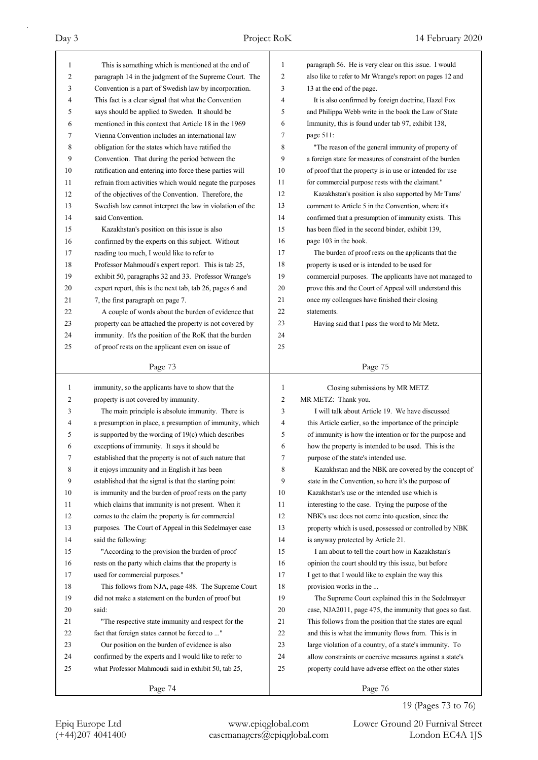| 1            | This is something which is mentioned at the end of       | 1            | paragraph 56. He is very clear on this issue. I would    |
|--------------|----------------------------------------------------------|--------------|----------------------------------------------------------|
| 2            | paragraph 14 in the judgment of the Supreme Court. The   | 2            | also like to refer to Mr Wrange's report on pages 12 and |
| 3            | Convention is a part of Swedish law by incorporation.    | 3            | 13 at the end of the page.                               |
| 4            | This fact is a clear signal that what the Convention     | 4            | It is also confirmed by foreign doctrine, Hazel Fox      |
| 5            | says should be applied to Sweden. It should be           | 5            | and Philippa Webb write in the book the Law of State     |
| 6            | mentioned in this context that Article 18 in the 1969    | 6            | Immunity, this is found under tab 97, exhibit 138,       |
| 7            | Vienna Convention includes an international law          | 7            | page 511:                                                |
| 8            | obligation for the states which have ratified the        | 8            | "The reason of the general immunity of property of       |
| 9            | Convention. That during the period between the           | 9            | a foreign state for measures of constraint of the burden |
| 10           | ratification and entering into force these parties will  | 10           | of proof that the property is in use or intended for use |
| 11           | refrain from activities which would negate the purposes  | 11           | for commercial purpose rests with the claimant."         |
| 12           | of the objectives of the Convention. Therefore, the      | 12           | Kazakhstan's position is also supported by Mr Tams'      |
| 13           | Swedish law cannot interpret the law in violation of the | 13           | comment to Article 5 in the Convention, where it's       |
| 14           | said Convention.                                         | 14           | confirmed that a presumption of immunity exists. This    |
| 15           | Kazakhstan's position on this issue is also              | 15           | has been filed in the second binder, exhibit 139,        |
| 16           | confirmed by the experts on this subject. Without        | 16           | page 103 in the book.                                    |
| 17           | reading too much, I would like to refer to               | 17           | The burden of proof rests on the applicants that the     |
| 18           | Professor Mahmoudi's expert report. This is tab 25,      | 18           | property is used or is intended to be used for           |
| 19           | exhibit 50, paragraphs 32 and 33. Professor Wrange's     | 19           | commercial purposes. The applicants have not managed to  |
| 20           | expert report, this is the next tab, tab 26, pages 6 and | 20           | prove this and the Court of Appeal will understand this  |
| 21           | 7, the first paragraph on page 7.                        | 21           | once my colleagues have finished their closing           |
| 22           | A couple of words about the burden of evidence that      | 22           | statements.                                              |
| 23           | property can be attached the property is not covered by  | 23           | Having said that I pass the word to Mr Metz.             |
| 24           | immunity. It's the position of the RoK that the burden   | 24           |                                                          |
| 25           | of proof rests on the applicant even on issue of         | 25           |                                                          |
|              |                                                          |              |                                                          |
|              | Page 73                                                  |              | Page 75                                                  |
|              |                                                          |              |                                                          |
|              |                                                          |              |                                                          |
| $\mathbf{1}$ | immunity, so the applicants have to show that the        | $\mathbf{1}$ | Closing submissions by MR METZ                           |
| 2            | property is not covered by immunity.                     | 2            | MR METZ: Thank you.                                      |
| 3            | The main principle is absolute immunity. There is        | 3            | I will talk about Article 19. We have discussed          |
| 4            | a presumption in place, a presumption of immunity, which | 4            | this Article earlier, so the importance of the principle |
| 5            | is supported by the wording of 19(c) which describes     | 5            | of immunity is how the intention or for the purpose and  |
| 6            | exceptions of immunity. It says it should be             | 6            | how the property is intended to be used. This is the     |
| 7            | established that the property is not of such nature that | 7            | purpose of the state's intended use.                     |
| 8            | it enjoys immunity and in English it has been            | 8            | Kazakhstan and the NBK are covered by the concept of     |
| 9            | established that the signal is that the starting point   | 9            | state in the Convention, so here it's the purpose of     |
| 10           | is immunity and the burden of proof rests on the party   | 10           | Kazakhstan's use or the intended use which is            |
| 11           | which claims that immunity is not present. When it       | 11           | interesting to the case. Trying the purpose of the       |
| 12           | comes to the claim the property is for commercial        | 12           | NBK's use does not come into question, since the         |
| 13           | purposes. The Court of Appeal in this Sedelmayer case    | 13           | property which is used, possessed or controlled by NBK   |
| 14           | said the following:                                      | 14           | is anyway protected by Article 21.                       |
| 15           | "According to the provision the burden of proof          | 15           | I am about to tell the court how in Kazakhstan's         |
| 16           | rests on the party which claims that the property is     | 16           | opinion the court should try this issue, but before      |
| 17           | used for commercial purposes."                           | 17           | I get to that I would like to explain the way this       |
| 18           | This follows from NJA, page 488. The Supreme Court       | 18           | provision works in the                                   |
| 19           | did not make a statement on the burden of proof but      | 19           | The Supreme Court explained this in the Sedelmayer       |
| 20           | said:                                                    | 20           | case, NJA2011, page 475, the immunity that goes so fast. |
| 21           | "The respective state immunity and respect for the       | 21           | This follows from the position that the states are equal |
| 22           | fact that foreign states cannot be forced to "           | 22           | and this is what the immunity flows from. This is in     |
| 23           | Our position on the burden of evidence is also           | 23           | large violation of a country, of a state's immunity. To  |
| 24           | confirmed by the experts and I would like to refer to    | 24           | allow constraints or coercive measures against a state's |
| 25           | what Professor Mahmoudi said in exhibit 50, tab 25,      | 25           | property could have adverse effect on the other states   |
|              | Page 74                                                  |              | Page 76                                                  |

19 (Pages 73 to 76)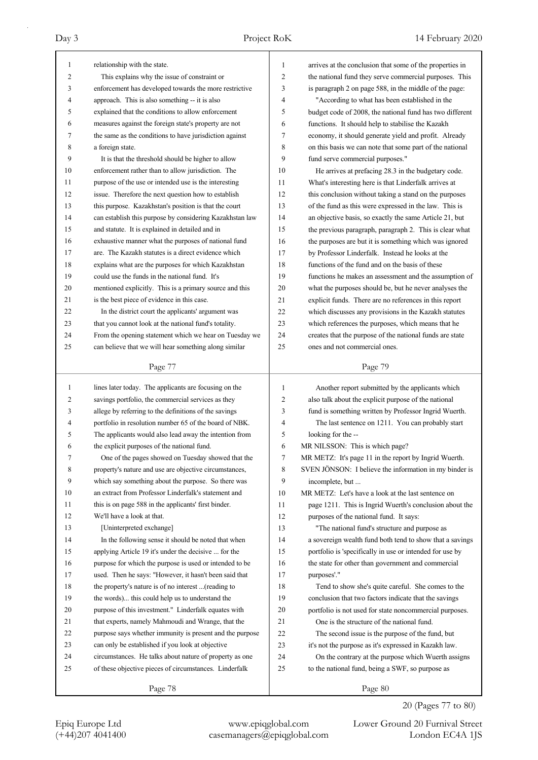| relationship with the state.<br>1<br>arrives at the conclusion that some of the properties in<br>1<br>This explains why the issue of constraint or<br>2<br>the national fund they serve commercial purposes. This<br>2<br>enforcement has developed towards the more restrictive<br>3<br>3<br>is paragraph 2 on page 588, in the middle of the page:<br>approach. This is also something -- it is also<br>"According to what has been established in the<br>4<br>4<br>5<br>explained that the conditions to allow enforcement<br>budget code of 2008, the national fund has two different<br>5<br>measures against the foreign state's property are not<br>functions. It should help to stabilise the Kazakh<br>6<br>6<br>the same as the conditions to have jurisdiction against<br>7<br>7<br>economy, it should generate yield and profit. Already<br>8<br>a foreign state.<br>8<br>on this basis we can note that some part of the national<br>9<br>9<br>fund serve commercial purposes."<br>It is that the threshold should be higher to allow<br>10<br>enforcement rather than to allow jurisdiction. The<br>10<br>He arrives at prefacing 28.3 in the budgetary code.<br>11<br>purpose of the use or intended use is the interesting<br>11<br>What's interesting here is that Linderfalk arrives at<br>12<br>12<br>issue. Therefore the next question how to establish<br>this conclusion without taking a stand on the purposes<br>13<br>this purpose. Kazakhstan's position is that the court<br>13<br>of the fund as this were expressed in the law. This is<br>can establish this purpose by considering Kazakhstan law<br>14<br>14<br>an objective basis, so exactly the same Article 21, but<br>15<br>and statute. It is explained in detailed and in<br>the previous paragraph, paragraph 2. This is clear what<br>15<br>16<br>exhaustive manner what the purposes of national fund<br>16<br>the purposes are but it is something which was ignored<br>are. The Kazakh statutes is a direct evidence which<br>17<br>17<br>by Professor Linderfalk. Instead he looks at the<br>18<br>explains what are the purposes for which Kazakhstan<br>18<br>functions of the fund and on the basis of these<br>19<br>could use the funds in the national fund. It's<br>19<br>functions he makes an assessment and the assumption of<br>mentioned explicitly. This is a primary source and this<br>20<br>what the purposes should be, but he never analyses the<br>20<br>21<br>is the best piece of evidence in this case.<br>21<br>explicit funds. There are no references in this report<br>22<br>In the district court the applicants' argument was<br>22<br>which discusses any provisions in the Kazakh statutes<br>23<br>that you cannot look at the national fund's totality.<br>23<br>which references the purposes, which means that he<br>From the opening statement which we hear on Tuesday we<br>24<br>creates that the purpose of the national funds are state<br>24<br>25<br>25<br>can believe that we will hear something along similar<br>ones and not commercial ones.<br>Page 77<br>Page 79<br>lines later today. The applicants are focusing on the<br>$\mathbf{1}$<br>Another report submitted by the applicants which<br>$\mathbf{1}$<br>2<br>savings portfolio, the commercial services as they<br>2<br>also talk about the explicit purpose of the national<br>allege by referring to the definitions of the savings<br>3<br>fund is something written by Professor Ingrid Wuerth.<br>3<br>portfolio in resolution number 65 of the board of NBK.<br>4<br>The last sentence on 1211. You can probably start<br>4<br>The applicants would also lead away the intention from<br>5<br>5<br>looking for the --<br>6<br>MR NILSSON: This is which page?<br>the explicit purposes of the national fund.<br>6<br>One of the pages showed on Tuesday showed that the<br>7<br>MR METZ: It's page 11 in the report by Ingrid Wuerth.<br>7<br>8<br>8<br>SVEN JÖNSON: I believe the information in my binder is<br>property's nature and use are objective circumstances,<br>9<br>which say something about the purpose. So there was<br>9<br>incomplete, but<br>10<br>an extract from Professor Linderfalk's statement and<br>10<br>MR METZ: Let's have a look at the last sentence on<br>11<br>this is on page 588 in the applicants' first binder.<br>page 1211. This is Ingrid Wuerth's conclusion about the<br>11<br>12<br>We'll have a look at that.<br>12<br>purposes of the national fund. It says:<br>13<br>13<br>"The national fund's structure and purpose as<br>[Uninterpreted exchange]<br>14<br>In the following sense it should be noted that when<br>14<br>a sovereign wealth fund both tend to show that a savings<br>applying Article 19 it's under the decisive  for the<br>portfolio is 'specifically in use or intended for use by<br>15<br>15<br>16<br>purpose for which the purpose is used or intended to be<br>the state for other than government and commercial<br>16<br>17<br>17<br>used. Then he says: "However, it hasn't been said that<br>purposes'."<br>18<br>the property's nature is of no interest  (reading to<br>18<br>Tend to show she's quite careful. She comes to the<br>19<br>the words) this could help us to understand the<br>19<br>conclusion that two factors indicate that the savings<br>20<br>20<br>portfolio is not used for state noncommercial purposes.<br>purpose of this investment." Linderfalk equates with<br>21<br>that experts, namely Mahmoudi and Wrange, that the<br>21<br>One is the structure of the national fund.<br>22<br>22<br>purpose says whether immunity is present and the purpose<br>The second issue is the purpose of the fund, but<br>23<br>can only be established if you look at objective<br>23<br>it's not the purpose as it's expressed in Kazakh law.<br>24<br>24<br>circumstances. He talks about nature of property as one<br>On the contrary at the purpose which Wuerth assigns<br>of these objective pieces of circumstances. Linderfalk<br>25<br>to the national fund, being a SWF, so purpose as<br>25<br>Page 78<br>Page 80 |  |  |
|----------------------------------------------------------------------------------------------------------------------------------------------------------------------------------------------------------------------------------------------------------------------------------------------------------------------------------------------------------------------------------------------------------------------------------------------------------------------------------------------------------------------------------------------------------------------------------------------------------------------------------------------------------------------------------------------------------------------------------------------------------------------------------------------------------------------------------------------------------------------------------------------------------------------------------------------------------------------------------------------------------------------------------------------------------------------------------------------------------------------------------------------------------------------------------------------------------------------------------------------------------------------------------------------------------------------------------------------------------------------------------------------------------------------------------------------------------------------------------------------------------------------------------------------------------------------------------------------------------------------------------------------------------------------------------------------------------------------------------------------------------------------------------------------------------------------------------------------------------------------------------------------------------------------------------------------------------------------------------------------------------------------------------------------------------------------------------------------------------------------------------------------------------------------------------------------------------------------------------------------------------------------------------------------------------------------------------------------------------------------------------------------------------------------------------------------------------------------------------------------------------------------------------------------------------------------------------------------------------------------------------------------------------------------------------------------------------------------------------------------------------------------------------------------------------------------------------------------------------------------------------------------------------------------------------------------------------------------------------------------------------------------------------------------------------------------------------------------------------------------------------------------------------------------------------------------------------------------------------------------------------------------------------------------------------------------------------------------------------------------------------------------------------------------------------------------------------------------------------------------------------------------------------------------------------------------------------------------------------------------------------------------------------------------------------------------------------------------------------------------------------------------------------------------------------------------------------------------------------------------------------------------------------------------------------------------------------------------------------------------------------------------------------------------------------------------------------------------------------------------------------------------------------------------------------------------------------------------------------------------------------------------------------------------------------------------------------------------------------------------------------------------------------------------------------------------------------------------------------------------------------------------------------------------------------------------------------------------------------------------------------------------------------------------------------------------------------------------------------------------------------------------------------------------------------------------------------------------------------------------------------------------------------------------------------------------------------------------------------------------------------------------------------------------------------------------------------------------------------------------------------------------------------------------------------------------------------------------------------------------------------------------------------------------------------------------------------------------------------------------------------------------------------------------------------------------------------------------------------------------------------------------------------------------------------------------------------------------------------------------------------------------------------------------------------------------------------------------------------------------------------------------------------------------------------------------------------------------------------------------------------------------------------------------------------------------------------------------------------------------------------------------------------------------------------------------------------------------------------------------------------------|--|--|
|                                                                                                                                                                                                                                                                                                                                                                                                                                                                                                                                                                                                                                                                                                                                                                                                                                                                                                                                                                                                                                                                                                                                                                                                                                                                                                                                                                                                                                                                                                                                                                                                                                                                                                                                                                                                                                                                                                                                                                                                                                                                                                                                                                                                                                                                                                                                                                                                                                                                                                                                                                                                                                                                                                                                                                                                                                                                                                                                                                                                                                                                                                                                                                                                                                                                                                                                                                                                                                                                                                                                                                                                                                                                                                                                                                                                                                                                                                                                                                                                                                                                                                                                                                                                                                                                                                                                                                                                                                                                                                                                                                                                                                                                                                                                                                                                                                                                                                                                                                                                                                                                                                                                                                                                                                                                                                                                                                                                                                                                                                                                                                                                                                                                                                                                                                                                                                                                                                                                                                                                                                                                                                                                        |  |  |
|                                                                                                                                                                                                                                                                                                                                                                                                                                                                                                                                                                                                                                                                                                                                                                                                                                                                                                                                                                                                                                                                                                                                                                                                                                                                                                                                                                                                                                                                                                                                                                                                                                                                                                                                                                                                                                                                                                                                                                                                                                                                                                                                                                                                                                                                                                                                                                                                                                                                                                                                                                                                                                                                                                                                                                                                                                                                                                                                                                                                                                                                                                                                                                                                                                                                                                                                                                                                                                                                                                                                                                                                                                                                                                                                                                                                                                                                                                                                                                                                                                                                                                                                                                                                                                                                                                                                                                                                                                                                                                                                                                                                                                                                                                                                                                                                                                                                                                                                                                                                                                                                                                                                                                                                                                                                                                                                                                                                                                                                                                                                                                                                                                                                                                                                                                                                                                                                                                                                                                                                                                                                                                                                        |  |  |
|                                                                                                                                                                                                                                                                                                                                                                                                                                                                                                                                                                                                                                                                                                                                                                                                                                                                                                                                                                                                                                                                                                                                                                                                                                                                                                                                                                                                                                                                                                                                                                                                                                                                                                                                                                                                                                                                                                                                                                                                                                                                                                                                                                                                                                                                                                                                                                                                                                                                                                                                                                                                                                                                                                                                                                                                                                                                                                                                                                                                                                                                                                                                                                                                                                                                                                                                                                                                                                                                                                                                                                                                                                                                                                                                                                                                                                                                                                                                                                                                                                                                                                                                                                                                                                                                                                                                                                                                                                                                                                                                                                                                                                                                                                                                                                                                                                                                                                                                                                                                                                                                                                                                                                                                                                                                                                                                                                                                                                                                                                                                                                                                                                                                                                                                                                                                                                                                                                                                                                                                                                                                                                                                        |  |  |
|                                                                                                                                                                                                                                                                                                                                                                                                                                                                                                                                                                                                                                                                                                                                                                                                                                                                                                                                                                                                                                                                                                                                                                                                                                                                                                                                                                                                                                                                                                                                                                                                                                                                                                                                                                                                                                                                                                                                                                                                                                                                                                                                                                                                                                                                                                                                                                                                                                                                                                                                                                                                                                                                                                                                                                                                                                                                                                                                                                                                                                                                                                                                                                                                                                                                                                                                                                                                                                                                                                                                                                                                                                                                                                                                                                                                                                                                                                                                                                                                                                                                                                                                                                                                                                                                                                                                                                                                                                                                                                                                                                                                                                                                                                                                                                                                                                                                                                                                                                                                                                                                                                                                                                                                                                                                                                                                                                                                                                                                                                                                                                                                                                                                                                                                                                                                                                                                                                                                                                                                                                                                                                                                        |  |  |
|                                                                                                                                                                                                                                                                                                                                                                                                                                                                                                                                                                                                                                                                                                                                                                                                                                                                                                                                                                                                                                                                                                                                                                                                                                                                                                                                                                                                                                                                                                                                                                                                                                                                                                                                                                                                                                                                                                                                                                                                                                                                                                                                                                                                                                                                                                                                                                                                                                                                                                                                                                                                                                                                                                                                                                                                                                                                                                                                                                                                                                                                                                                                                                                                                                                                                                                                                                                                                                                                                                                                                                                                                                                                                                                                                                                                                                                                                                                                                                                                                                                                                                                                                                                                                                                                                                                                                                                                                                                                                                                                                                                                                                                                                                                                                                                                                                                                                                                                                                                                                                                                                                                                                                                                                                                                                                                                                                                                                                                                                                                                                                                                                                                                                                                                                                                                                                                                                                                                                                                                                                                                                                                                        |  |  |
|                                                                                                                                                                                                                                                                                                                                                                                                                                                                                                                                                                                                                                                                                                                                                                                                                                                                                                                                                                                                                                                                                                                                                                                                                                                                                                                                                                                                                                                                                                                                                                                                                                                                                                                                                                                                                                                                                                                                                                                                                                                                                                                                                                                                                                                                                                                                                                                                                                                                                                                                                                                                                                                                                                                                                                                                                                                                                                                                                                                                                                                                                                                                                                                                                                                                                                                                                                                                                                                                                                                                                                                                                                                                                                                                                                                                                                                                                                                                                                                                                                                                                                                                                                                                                                                                                                                                                                                                                                                                                                                                                                                                                                                                                                                                                                                                                                                                                                                                                                                                                                                                                                                                                                                                                                                                                                                                                                                                                                                                                                                                                                                                                                                                                                                                                                                                                                                                                                                                                                                                                                                                                                                                        |  |  |
|                                                                                                                                                                                                                                                                                                                                                                                                                                                                                                                                                                                                                                                                                                                                                                                                                                                                                                                                                                                                                                                                                                                                                                                                                                                                                                                                                                                                                                                                                                                                                                                                                                                                                                                                                                                                                                                                                                                                                                                                                                                                                                                                                                                                                                                                                                                                                                                                                                                                                                                                                                                                                                                                                                                                                                                                                                                                                                                                                                                                                                                                                                                                                                                                                                                                                                                                                                                                                                                                                                                                                                                                                                                                                                                                                                                                                                                                                                                                                                                                                                                                                                                                                                                                                                                                                                                                                                                                                                                                                                                                                                                                                                                                                                                                                                                                                                                                                                                                                                                                                                                                                                                                                                                                                                                                                                                                                                                                                                                                                                                                                                                                                                                                                                                                                                                                                                                                                                                                                                                                                                                                                                                                        |  |  |
|                                                                                                                                                                                                                                                                                                                                                                                                                                                                                                                                                                                                                                                                                                                                                                                                                                                                                                                                                                                                                                                                                                                                                                                                                                                                                                                                                                                                                                                                                                                                                                                                                                                                                                                                                                                                                                                                                                                                                                                                                                                                                                                                                                                                                                                                                                                                                                                                                                                                                                                                                                                                                                                                                                                                                                                                                                                                                                                                                                                                                                                                                                                                                                                                                                                                                                                                                                                                                                                                                                                                                                                                                                                                                                                                                                                                                                                                                                                                                                                                                                                                                                                                                                                                                                                                                                                                                                                                                                                                                                                                                                                                                                                                                                                                                                                                                                                                                                                                                                                                                                                                                                                                                                                                                                                                                                                                                                                                                                                                                                                                                                                                                                                                                                                                                                                                                                                                                                                                                                                                                                                                                                                                        |  |  |
|                                                                                                                                                                                                                                                                                                                                                                                                                                                                                                                                                                                                                                                                                                                                                                                                                                                                                                                                                                                                                                                                                                                                                                                                                                                                                                                                                                                                                                                                                                                                                                                                                                                                                                                                                                                                                                                                                                                                                                                                                                                                                                                                                                                                                                                                                                                                                                                                                                                                                                                                                                                                                                                                                                                                                                                                                                                                                                                                                                                                                                                                                                                                                                                                                                                                                                                                                                                                                                                                                                                                                                                                                                                                                                                                                                                                                                                                                                                                                                                                                                                                                                                                                                                                                                                                                                                                                                                                                                                                                                                                                                                                                                                                                                                                                                                                                                                                                                                                                                                                                                                                                                                                                                                                                                                                                                                                                                                                                                                                                                                                                                                                                                                                                                                                                                                                                                                                                                                                                                                                                                                                                                                                        |  |  |
|                                                                                                                                                                                                                                                                                                                                                                                                                                                                                                                                                                                                                                                                                                                                                                                                                                                                                                                                                                                                                                                                                                                                                                                                                                                                                                                                                                                                                                                                                                                                                                                                                                                                                                                                                                                                                                                                                                                                                                                                                                                                                                                                                                                                                                                                                                                                                                                                                                                                                                                                                                                                                                                                                                                                                                                                                                                                                                                                                                                                                                                                                                                                                                                                                                                                                                                                                                                                                                                                                                                                                                                                                                                                                                                                                                                                                                                                                                                                                                                                                                                                                                                                                                                                                                                                                                                                                                                                                                                                                                                                                                                                                                                                                                                                                                                                                                                                                                                                                                                                                                                                                                                                                                                                                                                                                                                                                                                                                                                                                                                                                                                                                                                                                                                                                                                                                                                                                                                                                                                                                                                                                                                                        |  |  |
|                                                                                                                                                                                                                                                                                                                                                                                                                                                                                                                                                                                                                                                                                                                                                                                                                                                                                                                                                                                                                                                                                                                                                                                                                                                                                                                                                                                                                                                                                                                                                                                                                                                                                                                                                                                                                                                                                                                                                                                                                                                                                                                                                                                                                                                                                                                                                                                                                                                                                                                                                                                                                                                                                                                                                                                                                                                                                                                                                                                                                                                                                                                                                                                                                                                                                                                                                                                                                                                                                                                                                                                                                                                                                                                                                                                                                                                                                                                                                                                                                                                                                                                                                                                                                                                                                                                                                                                                                                                                                                                                                                                                                                                                                                                                                                                                                                                                                                                                                                                                                                                                                                                                                                                                                                                                                                                                                                                                                                                                                                                                                                                                                                                                                                                                                                                                                                                                                                                                                                                                                                                                                                                                        |  |  |
|                                                                                                                                                                                                                                                                                                                                                                                                                                                                                                                                                                                                                                                                                                                                                                                                                                                                                                                                                                                                                                                                                                                                                                                                                                                                                                                                                                                                                                                                                                                                                                                                                                                                                                                                                                                                                                                                                                                                                                                                                                                                                                                                                                                                                                                                                                                                                                                                                                                                                                                                                                                                                                                                                                                                                                                                                                                                                                                                                                                                                                                                                                                                                                                                                                                                                                                                                                                                                                                                                                                                                                                                                                                                                                                                                                                                                                                                                                                                                                                                                                                                                                                                                                                                                                                                                                                                                                                                                                                                                                                                                                                                                                                                                                                                                                                                                                                                                                                                                                                                                                                                                                                                                                                                                                                                                                                                                                                                                                                                                                                                                                                                                                                                                                                                                                                                                                                                                                                                                                                                                                                                                                                                        |  |  |
|                                                                                                                                                                                                                                                                                                                                                                                                                                                                                                                                                                                                                                                                                                                                                                                                                                                                                                                                                                                                                                                                                                                                                                                                                                                                                                                                                                                                                                                                                                                                                                                                                                                                                                                                                                                                                                                                                                                                                                                                                                                                                                                                                                                                                                                                                                                                                                                                                                                                                                                                                                                                                                                                                                                                                                                                                                                                                                                                                                                                                                                                                                                                                                                                                                                                                                                                                                                                                                                                                                                                                                                                                                                                                                                                                                                                                                                                                                                                                                                                                                                                                                                                                                                                                                                                                                                                                                                                                                                                                                                                                                                                                                                                                                                                                                                                                                                                                                                                                                                                                                                                                                                                                                                                                                                                                                                                                                                                                                                                                                                                                                                                                                                                                                                                                                                                                                                                                                                                                                                                                                                                                                                                        |  |  |
|                                                                                                                                                                                                                                                                                                                                                                                                                                                                                                                                                                                                                                                                                                                                                                                                                                                                                                                                                                                                                                                                                                                                                                                                                                                                                                                                                                                                                                                                                                                                                                                                                                                                                                                                                                                                                                                                                                                                                                                                                                                                                                                                                                                                                                                                                                                                                                                                                                                                                                                                                                                                                                                                                                                                                                                                                                                                                                                                                                                                                                                                                                                                                                                                                                                                                                                                                                                                                                                                                                                                                                                                                                                                                                                                                                                                                                                                                                                                                                                                                                                                                                                                                                                                                                                                                                                                                                                                                                                                                                                                                                                                                                                                                                                                                                                                                                                                                                                                                                                                                                                                                                                                                                                                                                                                                                                                                                                                                                                                                                                                                                                                                                                                                                                                                                                                                                                                                                                                                                                                                                                                                                                                        |  |  |
|                                                                                                                                                                                                                                                                                                                                                                                                                                                                                                                                                                                                                                                                                                                                                                                                                                                                                                                                                                                                                                                                                                                                                                                                                                                                                                                                                                                                                                                                                                                                                                                                                                                                                                                                                                                                                                                                                                                                                                                                                                                                                                                                                                                                                                                                                                                                                                                                                                                                                                                                                                                                                                                                                                                                                                                                                                                                                                                                                                                                                                                                                                                                                                                                                                                                                                                                                                                                                                                                                                                                                                                                                                                                                                                                                                                                                                                                                                                                                                                                                                                                                                                                                                                                                                                                                                                                                                                                                                                                                                                                                                                                                                                                                                                                                                                                                                                                                                                                                                                                                                                                                                                                                                                                                                                                                                                                                                                                                                                                                                                                                                                                                                                                                                                                                                                                                                                                                                                                                                                                                                                                                                                                        |  |  |
|                                                                                                                                                                                                                                                                                                                                                                                                                                                                                                                                                                                                                                                                                                                                                                                                                                                                                                                                                                                                                                                                                                                                                                                                                                                                                                                                                                                                                                                                                                                                                                                                                                                                                                                                                                                                                                                                                                                                                                                                                                                                                                                                                                                                                                                                                                                                                                                                                                                                                                                                                                                                                                                                                                                                                                                                                                                                                                                                                                                                                                                                                                                                                                                                                                                                                                                                                                                                                                                                                                                                                                                                                                                                                                                                                                                                                                                                                                                                                                                                                                                                                                                                                                                                                                                                                                                                                                                                                                                                                                                                                                                                                                                                                                                                                                                                                                                                                                                                                                                                                                                                                                                                                                                                                                                                                                                                                                                                                                                                                                                                                                                                                                                                                                                                                                                                                                                                                                                                                                                                                                                                                                                                        |  |  |
|                                                                                                                                                                                                                                                                                                                                                                                                                                                                                                                                                                                                                                                                                                                                                                                                                                                                                                                                                                                                                                                                                                                                                                                                                                                                                                                                                                                                                                                                                                                                                                                                                                                                                                                                                                                                                                                                                                                                                                                                                                                                                                                                                                                                                                                                                                                                                                                                                                                                                                                                                                                                                                                                                                                                                                                                                                                                                                                                                                                                                                                                                                                                                                                                                                                                                                                                                                                                                                                                                                                                                                                                                                                                                                                                                                                                                                                                                                                                                                                                                                                                                                                                                                                                                                                                                                                                                                                                                                                                                                                                                                                                                                                                                                                                                                                                                                                                                                                                                                                                                                                                                                                                                                                                                                                                                                                                                                                                                                                                                                                                                                                                                                                                                                                                                                                                                                                                                                                                                                                                                                                                                                                                        |  |  |
|                                                                                                                                                                                                                                                                                                                                                                                                                                                                                                                                                                                                                                                                                                                                                                                                                                                                                                                                                                                                                                                                                                                                                                                                                                                                                                                                                                                                                                                                                                                                                                                                                                                                                                                                                                                                                                                                                                                                                                                                                                                                                                                                                                                                                                                                                                                                                                                                                                                                                                                                                                                                                                                                                                                                                                                                                                                                                                                                                                                                                                                                                                                                                                                                                                                                                                                                                                                                                                                                                                                                                                                                                                                                                                                                                                                                                                                                                                                                                                                                                                                                                                                                                                                                                                                                                                                                                                                                                                                                                                                                                                                                                                                                                                                                                                                                                                                                                                                                                                                                                                                                                                                                                                                                                                                                                                                                                                                                                                                                                                                                                                                                                                                                                                                                                                                                                                                                                                                                                                                                                                                                                                                                        |  |  |
|                                                                                                                                                                                                                                                                                                                                                                                                                                                                                                                                                                                                                                                                                                                                                                                                                                                                                                                                                                                                                                                                                                                                                                                                                                                                                                                                                                                                                                                                                                                                                                                                                                                                                                                                                                                                                                                                                                                                                                                                                                                                                                                                                                                                                                                                                                                                                                                                                                                                                                                                                                                                                                                                                                                                                                                                                                                                                                                                                                                                                                                                                                                                                                                                                                                                                                                                                                                                                                                                                                                                                                                                                                                                                                                                                                                                                                                                                                                                                                                                                                                                                                                                                                                                                                                                                                                                                                                                                                                                                                                                                                                                                                                                                                                                                                                                                                                                                                                                                                                                                                                                                                                                                                                                                                                                                                                                                                                                                                                                                                                                                                                                                                                                                                                                                                                                                                                                                                                                                                                                                                                                                                                                        |  |  |
|                                                                                                                                                                                                                                                                                                                                                                                                                                                                                                                                                                                                                                                                                                                                                                                                                                                                                                                                                                                                                                                                                                                                                                                                                                                                                                                                                                                                                                                                                                                                                                                                                                                                                                                                                                                                                                                                                                                                                                                                                                                                                                                                                                                                                                                                                                                                                                                                                                                                                                                                                                                                                                                                                                                                                                                                                                                                                                                                                                                                                                                                                                                                                                                                                                                                                                                                                                                                                                                                                                                                                                                                                                                                                                                                                                                                                                                                                                                                                                                                                                                                                                                                                                                                                                                                                                                                                                                                                                                                                                                                                                                                                                                                                                                                                                                                                                                                                                                                                                                                                                                                                                                                                                                                                                                                                                                                                                                                                                                                                                                                                                                                                                                                                                                                                                                                                                                                                                                                                                                                                                                                                                                                        |  |  |
|                                                                                                                                                                                                                                                                                                                                                                                                                                                                                                                                                                                                                                                                                                                                                                                                                                                                                                                                                                                                                                                                                                                                                                                                                                                                                                                                                                                                                                                                                                                                                                                                                                                                                                                                                                                                                                                                                                                                                                                                                                                                                                                                                                                                                                                                                                                                                                                                                                                                                                                                                                                                                                                                                                                                                                                                                                                                                                                                                                                                                                                                                                                                                                                                                                                                                                                                                                                                                                                                                                                                                                                                                                                                                                                                                                                                                                                                                                                                                                                                                                                                                                                                                                                                                                                                                                                                                                                                                                                                                                                                                                                                                                                                                                                                                                                                                                                                                                                                                                                                                                                                                                                                                                                                                                                                                                                                                                                                                                                                                                                                                                                                                                                                                                                                                                                                                                                                                                                                                                                                                                                                                                                                        |  |  |
|                                                                                                                                                                                                                                                                                                                                                                                                                                                                                                                                                                                                                                                                                                                                                                                                                                                                                                                                                                                                                                                                                                                                                                                                                                                                                                                                                                                                                                                                                                                                                                                                                                                                                                                                                                                                                                                                                                                                                                                                                                                                                                                                                                                                                                                                                                                                                                                                                                                                                                                                                                                                                                                                                                                                                                                                                                                                                                                                                                                                                                                                                                                                                                                                                                                                                                                                                                                                                                                                                                                                                                                                                                                                                                                                                                                                                                                                                                                                                                                                                                                                                                                                                                                                                                                                                                                                                                                                                                                                                                                                                                                                                                                                                                                                                                                                                                                                                                                                                                                                                                                                                                                                                                                                                                                                                                                                                                                                                                                                                                                                                                                                                                                                                                                                                                                                                                                                                                                                                                                                                                                                                                                                        |  |  |
|                                                                                                                                                                                                                                                                                                                                                                                                                                                                                                                                                                                                                                                                                                                                                                                                                                                                                                                                                                                                                                                                                                                                                                                                                                                                                                                                                                                                                                                                                                                                                                                                                                                                                                                                                                                                                                                                                                                                                                                                                                                                                                                                                                                                                                                                                                                                                                                                                                                                                                                                                                                                                                                                                                                                                                                                                                                                                                                                                                                                                                                                                                                                                                                                                                                                                                                                                                                                                                                                                                                                                                                                                                                                                                                                                                                                                                                                                                                                                                                                                                                                                                                                                                                                                                                                                                                                                                                                                                                                                                                                                                                                                                                                                                                                                                                                                                                                                                                                                                                                                                                                                                                                                                                                                                                                                                                                                                                                                                                                                                                                                                                                                                                                                                                                                                                                                                                                                                                                                                                                                                                                                                                                        |  |  |
|                                                                                                                                                                                                                                                                                                                                                                                                                                                                                                                                                                                                                                                                                                                                                                                                                                                                                                                                                                                                                                                                                                                                                                                                                                                                                                                                                                                                                                                                                                                                                                                                                                                                                                                                                                                                                                                                                                                                                                                                                                                                                                                                                                                                                                                                                                                                                                                                                                                                                                                                                                                                                                                                                                                                                                                                                                                                                                                                                                                                                                                                                                                                                                                                                                                                                                                                                                                                                                                                                                                                                                                                                                                                                                                                                                                                                                                                                                                                                                                                                                                                                                                                                                                                                                                                                                                                                                                                                                                                                                                                                                                                                                                                                                                                                                                                                                                                                                                                                                                                                                                                                                                                                                                                                                                                                                                                                                                                                                                                                                                                                                                                                                                                                                                                                                                                                                                                                                                                                                                                                                                                                                                                        |  |  |
|                                                                                                                                                                                                                                                                                                                                                                                                                                                                                                                                                                                                                                                                                                                                                                                                                                                                                                                                                                                                                                                                                                                                                                                                                                                                                                                                                                                                                                                                                                                                                                                                                                                                                                                                                                                                                                                                                                                                                                                                                                                                                                                                                                                                                                                                                                                                                                                                                                                                                                                                                                                                                                                                                                                                                                                                                                                                                                                                                                                                                                                                                                                                                                                                                                                                                                                                                                                                                                                                                                                                                                                                                                                                                                                                                                                                                                                                                                                                                                                                                                                                                                                                                                                                                                                                                                                                                                                                                                                                                                                                                                                                                                                                                                                                                                                                                                                                                                                                                                                                                                                                                                                                                                                                                                                                                                                                                                                                                                                                                                                                                                                                                                                                                                                                                                                                                                                                                                                                                                                                                                                                                                                                        |  |  |
|                                                                                                                                                                                                                                                                                                                                                                                                                                                                                                                                                                                                                                                                                                                                                                                                                                                                                                                                                                                                                                                                                                                                                                                                                                                                                                                                                                                                                                                                                                                                                                                                                                                                                                                                                                                                                                                                                                                                                                                                                                                                                                                                                                                                                                                                                                                                                                                                                                                                                                                                                                                                                                                                                                                                                                                                                                                                                                                                                                                                                                                                                                                                                                                                                                                                                                                                                                                                                                                                                                                                                                                                                                                                                                                                                                                                                                                                                                                                                                                                                                                                                                                                                                                                                                                                                                                                                                                                                                                                                                                                                                                                                                                                                                                                                                                                                                                                                                                                                                                                                                                                                                                                                                                                                                                                                                                                                                                                                                                                                                                                                                                                                                                                                                                                                                                                                                                                                                                                                                                                                                                                                                                                        |  |  |
|                                                                                                                                                                                                                                                                                                                                                                                                                                                                                                                                                                                                                                                                                                                                                                                                                                                                                                                                                                                                                                                                                                                                                                                                                                                                                                                                                                                                                                                                                                                                                                                                                                                                                                                                                                                                                                                                                                                                                                                                                                                                                                                                                                                                                                                                                                                                                                                                                                                                                                                                                                                                                                                                                                                                                                                                                                                                                                                                                                                                                                                                                                                                                                                                                                                                                                                                                                                                                                                                                                                                                                                                                                                                                                                                                                                                                                                                                                                                                                                                                                                                                                                                                                                                                                                                                                                                                                                                                                                                                                                                                                                                                                                                                                                                                                                                                                                                                                                                                                                                                                                                                                                                                                                                                                                                                                                                                                                                                                                                                                                                                                                                                                                                                                                                                                                                                                                                                                                                                                                                                                                                                                                                        |  |  |
|                                                                                                                                                                                                                                                                                                                                                                                                                                                                                                                                                                                                                                                                                                                                                                                                                                                                                                                                                                                                                                                                                                                                                                                                                                                                                                                                                                                                                                                                                                                                                                                                                                                                                                                                                                                                                                                                                                                                                                                                                                                                                                                                                                                                                                                                                                                                                                                                                                                                                                                                                                                                                                                                                                                                                                                                                                                                                                                                                                                                                                                                                                                                                                                                                                                                                                                                                                                                                                                                                                                                                                                                                                                                                                                                                                                                                                                                                                                                                                                                                                                                                                                                                                                                                                                                                                                                                                                                                                                                                                                                                                                                                                                                                                                                                                                                                                                                                                                                                                                                                                                                                                                                                                                                                                                                                                                                                                                                                                                                                                                                                                                                                                                                                                                                                                                                                                                                                                                                                                                                                                                                                                                                        |  |  |
|                                                                                                                                                                                                                                                                                                                                                                                                                                                                                                                                                                                                                                                                                                                                                                                                                                                                                                                                                                                                                                                                                                                                                                                                                                                                                                                                                                                                                                                                                                                                                                                                                                                                                                                                                                                                                                                                                                                                                                                                                                                                                                                                                                                                                                                                                                                                                                                                                                                                                                                                                                                                                                                                                                                                                                                                                                                                                                                                                                                                                                                                                                                                                                                                                                                                                                                                                                                                                                                                                                                                                                                                                                                                                                                                                                                                                                                                                                                                                                                                                                                                                                                                                                                                                                                                                                                                                                                                                                                                                                                                                                                                                                                                                                                                                                                                                                                                                                                                                                                                                                                                                                                                                                                                                                                                                                                                                                                                                                                                                                                                                                                                                                                                                                                                                                                                                                                                                                                                                                                                                                                                                                                                        |  |  |
|                                                                                                                                                                                                                                                                                                                                                                                                                                                                                                                                                                                                                                                                                                                                                                                                                                                                                                                                                                                                                                                                                                                                                                                                                                                                                                                                                                                                                                                                                                                                                                                                                                                                                                                                                                                                                                                                                                                                                                                                                                                                                                                                                                                                                                                                                                                                                                                                                                                                                                                                                                                                                                                                                                                                                                                                                                                                                                                                                                                                                                                                                                                                                                                                                                                                                                                                                                                                                                                                                                                                                                                                                                                                                                                                                                                                                                                                                                                                                                                                                                                                                                                                                                                                                                                                                                                                                                                                                                                                                                                                                                                                                                                                                                                                                                                                                                                                                                                                                                                                                                                                                                                                                                                                                                                                                                                                                                                                                                                                                                                                                                                                                                                                                                                                                                                                                                                                                                                                                                                                                                                                                                                                        |  |  |
|                                                                                                                                                                                                                                                                                                                                                                                                                                                                                                                                                                                                                                                                                                                                                                                                                                                                                                                                                                                                                                                                                                                                                                                                                                                                                                                                                                                                                                                                                                                                                                                                                                                                                                                                                                                                                                                                                                                                                                                                                                                                                                                                                                                                                                                                                                                                                                                                                                                                                                                                                                                                                                                                                                                                                                                                                                                                                                                                                                                                                                                                                                                                                                                                                                                                                                                                                                                                                                                                                                                                                                                                                                                                                                                                                                                                                                                                                                                                                                                                                                                                                                                                                                                                                                                                                                                                                                                                                                                                                                                                                                                                                                                                                                                                                                                                                                                                                                                                                                                                                                                                                                                                                                                                                                                                                                                                                                                                                                                                                                                                                                                                                                                                                                                                                                                                                                                                                                                                                                                                                                                                                                                                        |  |  |
|                                                                                                                                                                                                                                                                                                                                                                                                                                                                                                                                                                                                                                                                                                                                                                                                                                                                                                                                                                                                                                                                                                                                                                                                                                                                                                                                                                                                                                                                                                                                                                                                                                                                                                                                                                                                                                                                                                                                                                                                                                                                                                                                                                                                                                                                                                                                                                                                                                                                                                                                                                                                                                                                                                                                                                                                                                                                                                                                                                                                                                                                                                                                                                                                                                                                                                                                                                                                                                                                                                                                                                                                                                                                                                                                                                                                                                                                                                                                                                                                                                                                                                                                                                                                                                                                                                                                                                                                                                                                                                                                                                                                                                                                                                                                                                                                                                                                                                                                                                                                                                                                                                                                                                                                                                                                                                                                                                                                                                                                                                                                                                                                                                                                                                                                                                                                                                                                                                                                                                                                                                                                                                                                        |  |  |
|                                                                                                                                                                                                                                                                                                                                                                                                                                                                                                                                                                                                                                                                                                                                                                                                                                                                                                                                                                                                                                                                                                                                                                                                                                                                                                                                                                                                                                                                                                                                                                                                                                                                                                                                                                                                                                                                                                                                                                                                                                                                                                                                                                                                                                                                                                                                                                                                                                                                                                                                                                                                                                                                                                                                                                                                                                                                                                                                                                                                                                                                                                                                                                                                                                                                                                                                                                                                                                                                                                                                                                                                                                                                                                                                                                                                                                                                                                                                                                                                                                                                                                                                                                                                                                                                                                                                                                                                                                                                                                                                                                                                                                                                                                                                                                                                                                                                                                                                                                                                                                                                                                                                                                                                                                                                                                                                                                                                                                                                                                                                                                                                                                                                                                                                                                                                                                                                                                                                                                                                                                                                                                                                        |  |  |
|                                                                                                                                                                                                                                                                                                                                                                                                                                                                                                                                                                                                                                                                                                                                                                                                                                                                                                                                                                                                                                                                                                                                                                                                                                                                                                                                                                                                                                                                                                                                                                                                                                                                                                                                                                                                                                                                                                                                                                                                                                                                                                                                                                                                                                                                                                                                                                                                                                                                                                                                                                                                                                                                                                                                                                                                                                                                                                                                                                                                                                                                                                                                                                                                                                                                                                                                                                                                                                                                                                                                                                                                                                                                                                                                                                                                                                                                                                                                                                                                                                                                                                                                                                                                                                                                                                                                                                                                                                                                                                                                                                                                                                                                                                                                                                                                                                                                                                                                                                                                                                                                                                                                                                                                                                                                                                                                                                                                                                                                                                                                                                                                                                                                                                                                                                                                                                                                                                                                                                                                                                                                                                                                        |  |  |
|                                                                                                                                                                                                                                                                                                                                                                                                                                                                                                                                                                                                                                                                                                                                                                                                                                                                                                                                                                                                                                                                                                                                                                                                                                                                                                                                                                                                                                                                                                                                                                                                                                                                                                                                                                                                                                                                                                                                                                                                                                                                                                                                                                                                                                                                                                                                                                                                                                                                                                                                                                                                                                                                                                                                                                                                                                                                                                                                                                                                                                                                                                                                                                                                                                                                                                                                                                                                                                                                                                                                                                                                                                                                                                                                                                                                                                                                                                                                                                                                                                                                                                                                                                                                                                                                                                                                                                                                                                                                                                                                                                                                                                                                                                                                                                                                                                                                                                                                                                                                                                                                                                                                                                                                                                                                                                                                                                                                                                                                                                                                                                                                                                                                                                                                                                                                                                                                                                                                                                                                                                                                                                                                        |  |  |
|                                                                                                                                                                                                                                                                                                                                                                                                                                                                                                                                                                                                                                                                                                                                                                                                                                                                                                                                                                                                                                                                                                                                                                                                                                                                                                                                                                                                                                                                                                                                                                                                                                                                                                                                                                                                                                                                                                                                                                                                                                                                                                                                                                                                                                                                                                                                                                                                                                                                                                                                                                                                                                                                                                                                                                                                                                                                                                                                                                                                                                                                                                                                                                                                                                                                                                                                                                                                                                                                                                                                                                                                                                                                                                                                                                                                                                                                                                                                                                                                                                                                                                                                                                                                                                                                                                                                                                                                                                                                                                                                                                                                                                                                                                                                                                                                                                                                                                                                                                                                                                                                                                                                                                                                                                                                                                                                                                                                                                                                                                                                                                                                                                                                                                                                                                                                                                                                                                                                                                                                                                                                                                                                        |  |  |
|                                                                                                                                                                                                                                                                                                                                                                                                                                                                                                                                                                                                                                                                                                                                                                                                                                                                                                                                                                                                                                                                                                                                                                                                                                                                                                                                                                                                                                                                                                                                                                                                                                                                                                                                                                                                                                                                                                                                                                                                                                                                                                                                                                                                                                                                                                                                                                                                                                                                                                                                                                                                                                                                                                                                                                                                                                                                                                                                                                                                                                                                                                                                                                                                                                                                                                                                                                                                                                                                                                                                                                                                                                                                                                                                                                                                                                                                                                                                                                                                                                                                                                                                                                                                                                                                                                                                                                                                                                                                                                                                                                                                                                                                                                                                                                                                                                                                                                                                                                                                                                                                                                                                                                                                                                                                                                                                                                                                                                                                                                                                                                                                                                                                                                                                                                                                                                                                                                                                                                                                                                                                                                                                        |  |  |
|                                                                                                                                                                                                                                                                                                                                                                                                                                                                                                                                                                                                                                                                                                                                                                                                                                                                                                                                                                                                                                                                                                                                                                                                                                                                                                                                                                                                                                                                                                                                                                                                                                                                                                                                                                                                                                                                                                                                                                                                                                                                                                                                                                                                                                                                                                                                                                                                                                                                                                                                                                                                                                                                                                                                                                                                                                                                                                                                                                                                                                                                                                                                                                                                                                                                                                                                                                                                                                                                                                                                                                                                                                                                                                                                                                                                                                                                                                                                                                                                                                                                                                                                                                                                                                                                                                                                                                                                                                                                                                                                                                                                                                                                                                                                                                                                                                                                                                                                                                                                                                                                                                                                                                                                                                                                                                                                                                                                                                                                                                                                                                                                                                                                                                                                                                                                                                                                                                                                                                                                                                                                                                                                        |  |  |
|                                                                                                                                                                                                                                                                                                                                                                                                                                                                                                                                                                                                                                                                                                                                                                                                                                                                                                                                                                                                                                                                                                                                                                                                                                                                                                                                                                                                                                                                                                                                                                                                                                                                                                                                                                                                                                                                                                                                                                                                                                                                                                                                                                                                                                                                                                                                                                                                                                                                                                                                                                                                                                                                                                                                                                                                                                                                                                                                                                                                                                                                                                                                                                                                                                                                                                                                                                                                                                                                                                                                                                                                                                                                                                                                                                                                                                                                                                                                                                                                                                                                                                                                                                                                                                                                                                                                                                                                                                                                                                                                                                                                                                                                                                                                                                                                                                                                                                                                                                                                                                                                                                                                                                                                                                                                                                                                                                                                                                                                                                                                                                                                                                                                                                                                                                                                                                                                                                                                                                                                                                                                                                                                        |  |  |
|                                                                                                                                                                                                                                                                                                                                                                                                                                                                                                                                                                                                                                                                                                                                                                                                                                                                                                                                                                                                                                                                                                                                                                                                                                                                                                                                                                                                                                                                                                                                                                                                                                                                                                                                                                                                                                                                                                                                                                                                                                                                                                                                                                                                                                                                                                                                                                                                                                                                                                                                                                                                                                                                                                                                                                                                                                                                                                                                                                                                                                                                                                                                                                                                                                                                                                                                                                                                                                                                                                                                                                                                                                                                                                                                                                                                                                                                                                                                                                                                                                                                                                                                                                                                                                                                                                                                                                                                                                                                                                                                                                                                                                                                                                                                                                                                                                                                                                                                                                                                                                                                                                                                                                                                                                                                                                                                                                                                                                                                                                                                                                                                                                                                                                                                                                                                                                                                                                                                                                                                                                                                                                                                        |  |  |
|                                                                                                                                                                                                                                                                                                                                                                                                                                                                                                                                                                                                                                                                                                                                                                                                                                                                                                                                                                                                                                                                                                                                                                                                                                                                                                                                                                                                                                                                                                                                                                                                                                                                                                                                                                                                                                                                                                                                                                                                                                                                                                                                                                                                                                                                                                                                                                                                                                                                                                                                                                                                                                                                                                                                                                                                                                                                                                                                                                                                                                                                                                                                                                                                                                                                                                                                                                                                                                                                                                                                                                                                                                                                                                                                                                                                                                                                                                                                                                                                                                                                                                                                                                                                                                                                                                                                                                                                                                                                                                                                                                                                                                                                                                                                                                                                                                                                                                                                                                                                                                                                                                                                                                                                                                                                                                                                                                                                                                                                                                                                                                                                                                                                                                                                                                                                                                                                                                                                                                                                                                                                                                                                        |  |  |
|                                                                                                                                                                                                                                                                                                                                                                                                                                                                                                                                                                                                                                                                                                                                                                                                                                                                                                                                                                                                                                                                                                                                                                                                                                                                                                                                                                                                                                                                                                                                                                                                                                                                                                                                                                                                                                                                                                                                                                                                                                                                                                                                                                                                                                                                                                                                                                                                                                                                                                                                                                                                                                                                                                                                                                                                                                                                                                                                                                                                                                                                                                                                                                                                                                                                                                                                                                                                                                                                                                                                                                                                                                                                                                                                                                                                                                                                                                                                                                                                                                                                                                                                                                                                                                                                                                                                                                                                                                                                                                                                                                                                                                                                                                                                                                                                                                                                                                                                                                                                                                                                                                                                                                                                                                                                                                                                                                                                                                                                                                                                                                                                                                                                                                                                                                                                                                                                                                                                                                                                                                                                                                                                        |  |  |
|                                                                                                                                                                                                                                                                                                                                                                                                                                                                                                                                                                                                                                                                                                                                                                                                                                                                                                                                                                                                                                                                                                                                                                                                                                                                                                                                                                                                                                                                                                                                                                                                                                                                                                                                                                                                                                                                                                                                                                                                                                                                                                                                                                                                                                                                                                                                                                                                                                                                                                                                                                                                                                                                                                                                                                                                                                                                                                                                                                                                                                                                                                                                                                                                                                                                                                                                                                                                                                                                                                                                                                                                                                                                                                                                                                                                                                                                                                                                                                                                                                                                                                                                                                                                                                                                                                                                                                                                                                                                                                                                                                                                                                                                                                                                                                                                                                                                                                                                                                                                                                                                                                                                                                                                                                                                                                                                                                                                                                                                                                                                                                                                                                                                                                                                                                                                                                                                                                                                                                                                                                                                                                                                        |  |  |
|                                                                                                                                                                                                                                                                                                                                                                                                                                                                                                                                                                                                                                                                                                                                                                                                                                                                                                                                                                                                                                                                                                                                                                                                                                                                                                                                                                                                                                                                                                                                                                                                                                                                                                                                                                                                                                                                                                                                                                                                                                                                                                                                                                                                                                                                                                                                                                                                                                                                                                                                                                                                                                                                                                                                                                                                                                                                                                                                                                                                                                                                                                                                                                                                                                                                                                                                                                                                                                                                                                                                                                                                                                                                                                                                                                                                                                                                                                                                                                                                                                                                                                                                                                                                                                                                                                                                                                                                                                                                                                                                                                                                                                                                                                                                                                                                                                                                                                                                                                                                                                                                                                                                                                                                                                                                                                                                                                                                                                                                                                                                                                                                                                                                                                                                                                                                                                                                                                                                                                                                                                                                                                                                        |  |  |
|                                                                                                                                                                                                                                                                                                                                                                                                                                                                                                                                                                                                                                                                                                                                                                                                                                                                                                                                                                                                                                                                                                                                                                                                                                                                                                                                                                                                                                                                                                                                                                                                                                                                                                                                                                                                                                                                                                                                                                                                                                                                                                                                                                                                                                                                                                                                                                                                                                                                                                                                                                                                                                                                                                                                                                                                                                                                                                                                                                                                                                                                                                                                                                                                                                                                                                                                                                                                                                                                                                                                                                                                                                                                                                                                                                                                                                                                                                                                                                                                                                                                                                                                                                                                                                                                                                                                                                                                                                                                                                                                                                                                                                                                                                                                                                                                                                                                                                                                                                                                                                                                                                                                                                                                                                                                                                                                                                                                                                                                                                                                                                                                                                                                                                                                                                                                                                                                                                                                                                                                                                                                                                                                        |  |  |
|                                                                                                                                                                                                                                                                                                                                                                                                                                                                                                                                                                                                                                                                                                                                                                                                                                                                                                                                                                                                                                                                                                                                                                                                                                                                                                                                                                                                                                                                                                                                                                                                                                                                                                                                                                                                                                                                                                                                                                                                                                                                                                                                                                                                                                                                                                                                                                                                                                                                                                                                                                                                                                                                                                                                                                                                                                                                                                                                                                                                                                                                                                                                                                                                                                                                                                                                                                                                                                                                                                                                                                                                                                                                                                                                                                                                                                                                                                                                                                                                                                                                                                                                                                                                                                                                                                                                                                                                                                                                                                                                                                                                                                                                                                                                                                                                                                                                                                                                                                                                                                                                                                                                                                                                                                                                                                                                                                                                                                                                                                                                                                                                                                                                                                                                                                                                                                                                                                                                                                                                                                                                                                                                        |  |  |
|                                                                                                                                                                                                                                                                                                                                                                                                                                                                                                                                                                                                                                                                                                                                                                                                                                                                                                                                                                                                                                                                                                                                                                                                                                                                                                                                                                                                                                                                                                                                                                                                                                                                                                                                                                                                                                                                                                                                                                                                                                                                                                                                                                                                                                                                                                                                                                                                                                                                                                                                                                                                                                                                                                                                                                                                                                                                                                                                                                                                                                                                                                                                                                                                                                                                                                                                                                                                                                                                                                                                                                                                                                                                                                                                                                                                                                                                                                                                                                                                                                                                                                                                                                                                                                                                                                                                                                                                                                                                                                                                                                                                                                                                                                                                                                                                                                                                                                                                                                                                                                                                                                                                                                                                                                                                                                                                                                                                                                                                                                                                                                                                                                                                                                                                                                                                                                                                                                                                                                                                                                                                                                                                        |  |  |
|                                                                                                                                                                                                                                                                                                                                                                                                                                                                                                                                                                                                                                                                                                                                                                                                                                                                                                                                                                                                                                                                                                                                                                                                                                                                                                                                                                                                                                                                                                                                                                                                                                                                                                                                                                                                                                                                                                                                                                                                                                                                                                                                                                                                                                                                                                                                                                                                                                                                                                                                                                                                                                                                                                                                                                                                                                                                                                                                                                                                                                                                                                                                                                                                                                                                                                                                                                                                                                                                                                                                                                                                                                                                                                                                                                                                                                                                                                                                                                                                                                                                                                                                                                                                                                                                                                                                                                                                                                                                                                                                                                                                                                                                                                                                                                                                                                                                                                                                                                                                                                                                                                                                                                                                                                                                                                                                                                                                                                                                                                                                                                                                                                                                                                                                                                                                                                                                                                                                                                                                                                                                                                                                        |  |  |
|                                                                                                                                                                                                                                                                                                                                                                                                                                                                                                                                                                                                                                                                                                                                                                                                                                                                                                                                                                                                                                                                                                                                                                                                                                                                                                                                                                                                                                                                                                                                                                                                                                                                                                                                                                                                                                                                                                                                                                                                                                                                                                                                                                                                                                                                                                                                                                                                                                                                                                                                                                                                                                                                                                                                                                                                                                                                                                                                                                                                                                                                                                                                                                                                                                                                                                                                                                                                                                                                                                                                                                                                                                                                                                                                                                                                                                                                                                                                                                                                                                                                                                                                                                                                                                                                                                                                                                                                                                                                                                                                                                                                                                                                                                                                                                                                                                                                                                                                                                                                                                                                                                                                                                                                                                                                                                                                                                                                                                                                                                                                                                                                                                                                                                                                                                                                                                                                                                                                                                                                                                                                                                                                        |  |  |
|                                                                                                                                                                                                                                                                                                                                                                                                                                                                                                                                                                                                                                                                                                                                                                                                                                                                                                                                                                                                                                                                                                                                                                                                                                                                                                                                                                                                                                                                                                                                                                                                                                                                                                                                                                                                                                                                                                                                                                                                                                                                                                                                                                                                                                                                                                                                                                                                                                                                                                                                                                                                                                                                                                                                                                                                                                                                                                                                                                                                                                                                                                                                                                                                                                                                                                                                                                                                                                                                                                                                                                                                                                                                                                                                                                                                                                                                                                                                                                                                                                                                                                                                                                                                                                                                                                                                                                                                                                                                                                                                                                                                                                                                                                                                                                                                                                                                                                                                                                                                                                                                                                                                                                                                                                                                                                                                                                                                                                                                                                                                                                                                                                                                                                                                                                                                                                                                                                                                                                                                                                                                                                                                        |  |  |
|                                                                                                                                                                                                                                                                                                                                                                                                                                                                                                                                                                                                                                                                                                                                                                                                                                                                                                                                                                                                                                                                                                                                                                                                                                                                                                                                                                                                                                                                                                                                                                                                                                                                                                                                                                                                                                                                                                                                                                                                                                                                                                                                                                                                                                                                                                                                                                                                                                                                                                                                                                                                                                                                                                                                                                                                                                                                                                                                                                                                                                                                                                                                                                                                                                                                                                                                                                                                                                                                                                                                                                                                                                                                                                                                                                                                                                                                                                                                                                                                                                                                                                                                                                                                                                                                                                                                                                                                                                                                                                                                                                                                                                                                                                                                                                                                                                                                                                                                                                                                                                                                                                                                                                                                                                                                                                                                                                                                                                                                                                                                                                                                                                                                                                                                                                                                                                                                                                                                                                                                                                                                                                                                        |  |  |
|                                                                                                                                                                                                                                                                                                                                                                                                                                                                                                                                                                                                                                                                                                                                                                                                                                                                                                                                                                                                                                                                                                                                                                                                                                                                                                                                                                                                                                                                                                                                                                                                                                                                                                                                                                                                                                                                                                                                                                                                                                                                                                                                                                                                                                                                                                                                                                                                                                                                                                                                                                                                                                                                                                                                                                                                                                                                                                                                                                                                                                                                                                                                                                                                                                                                                                                                                                                                                                                                                                                                                                                                                                                                                                                                                                                                                                                                                                                                                                                                                                                                                                                                                                                                                                                                                                                                                                                                                                                                                                                                                                                                                                                                                                                                                                                                                                                                                                                                                                                                                                                                                                                                                                                                                                                                                                                                                                                                                                                                                                                                                                                                                                                                                                                                                                                                                                                                                                                                                                                                                                                                                                                                        |  |  |
|                                                                                                                                                                                                                                                                                                                                                                                                                                                                                                                                                                                                                                                                                                                                                                                                                                                                                                                                                                                                                                                                                                                                                                                                                                                                                                                                                                                                                                                                                                                                                                                                                                                                                                                                                                                                                                                                                                                                                                                                                                                                                                                                                                                                                                                                                                                                                                                                                                                                                                                                                                                                                                                                                                                                                                                                                                                                                                                                                                                                                                                                                                                                                                                                                                                                                                                                                                                                                                                                                                                                                                                                                                                                                                                                                                                                                                                                                                                                                                                                                                                                                                                                                                                                                                                                                                                                                                                                                                                                                                                                                                                                                                                                                                                                                                                                                                                                                                                                                                                                                                                                                                                                                                                                                                                                                                                                                                                                                                                                                                                                                                                                                                                                                                                                                                                                                                                                                                                                                                                                                                                                                                                                        |  |  |
|                                                                                                                                                                                                                                                                                                                                                                                                                                                                                                                                                                                                                                                                                                                                                                                                                                                                                                                                                                                                                                                                                                                                                                                                                                                                                                                                                                                                                                                                                                                                                                                                                                                                                                                                                                                                                                                                                                                                                                                                                                                                                                                                                                                                                                                                                                                                                                                                                                                                                                                                                                                                                                                                                                                                                                                                                                                                                                                                                                                                                                                                                                                                                                                                                                                                                                                                                                                                                                                                                                                                                                                                                                                                                                                                                                                                                                                                                                                                                                                                                                                                                                                                                                                                                                                                                                                                                                                                                                                                                                                                                                                                                                                                                                                                                                                                                                                                                                                                                                                                                                                                                                                                                                                                                                                                                                                                                                                                                                                                                                                                                                                                                                                                                                                                                                                                                                                                                                                                                                                                                                                                                                                                        |  |  |

20 (Pages 77 to 80)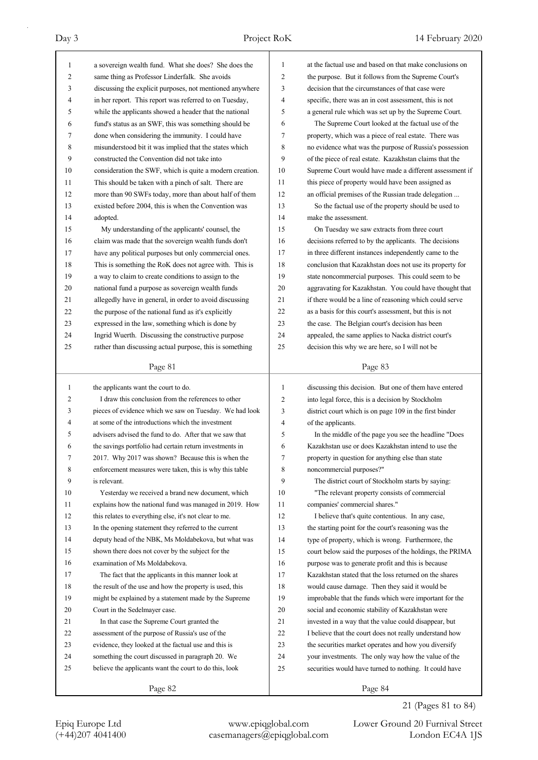| 1            | a sovereign wealth fund. What she does? She does the     | 1            | at the factual use and based on that make conclusions on |
|--------------|----------------------------------------------------------|--------------|----------------------------------------------------------|
| 2            | same thing as Professor Linderfalk. She avoids           | 2            | the purpose. But it follows from the Supreme Court's     |
| 3            | discussing the explicit purposes, not mentioned anywhere | 3            | decision that the circumstances of that case were        |
| 4            | in her report. This report was referred to on Tuesday,   | 4            | specific, there was an in cost assessment, this is not   |
| 5            | while the applicants showed a header that the national   | 5            | a general rule which was set up by the Supreme Court.    |
| 6            | fund's status as an SWF, this was something should be    | 6            | The Supreme Court looked at the factual use of the       |
| 7            | done when considering the immunity. I could have         | 7            | property, which was a piece of real estate. There was    |
| 8            | misunderstood bit it was implied that the states which   | 8            | no evidence what was the purpose of Russia's possession  |
| 9            | constructed the Convention did not take into             | 9            | of the piece of real estate. Kazakhstan claims that the  |
| 10           | consideration the SWF, which is quite a modern creation. | 10           | Supreme Court would have made a different assessment if  |
| 11           | This should be taken with a pinch of salt. There are     | 11           | this piece of property would have been assigned as       |
| 12           | more than 90 SWFs today, more than about half of them    | 12           | an official premises of the Russian trade delegation     |
| 13           | existed before 2004, this is when the Convention was     | 13           | So the factual use of the property should be used to     |
| 14           | adopted.                                                 | 14           | make the assessment.                                     |
| 15           | My understanding of the applicants' counsel, the         | 15           | On Tuesday we saw extracts from three court              |
| 16           | claim was made that the sovereign wealth funds don't     | 16           | decisions referred to by the applicants. The decisions   |
| 17           | have any political purposes but only commercial ones.    | 17           | in three different instances independently came to the   |
| 18           | This is something the RoK does not agree with. This is   | 18           | conclusion that Kazakhstan does not use its property for |
| 19           | a way to claim to create conditions to assign to the     | 19           | state noncommercial purposes. This could seem to be      |
| 20           | national fund a purpose as sovereign wealth funds        | 20           | aggravating for Kazakhstan. You could have thought that  |
| 21           | allegedly have in general, in order to avoid discussing  | 21           | if there would be a line of reasoning which could serve  |
| 22           | the purpose of the national fund as it's explicitly      | 22           | as a basis for this court's assessment, but this is not  |
| 23           | expressed in the law, something which is done by         | 23           | the case. The Belgian court's decision has been          |
| 24           | Ingrid Wuerth. Discussing the constructive purpose       | 24           | appealed, the same applies to Nacka district court's     |
| 25           | rather than discussing actual purpose, this is something | 25           | decision this why we are here, so I will not be          |
|              |                                                          |              |                                                          |
|              | Page 81                                                  |              | Page 83                                                  |
|              |                                                          |              |                                                          |
|              |                                                          |              |                                                          |
| $\mathbf{1}$ | the applicants want the court to do.                     | $\mathbf{1}$ | discussing this decision. But one of them have entered   |
| 2            | I draw this conclusion from the references to other      | 2            | into legal force, this is a decision by Stockholm        |
| 3            | pieces of evidence which we saw on Tuesday. We had look  | 3            | district court which is on page 109 in the first binder  |
| 4            | at some of the introductions which the investment        | 4            | of the applicants.                                       |
| 5            | advisers advised the fund to do. After that we saw that  | 5            | In the middle of the page you see the headline "Does     |
| 6            | the savings portfolio had certain return investments in  | 6            | Kazakhstan use or does Kazakhstan intend to use the      |
| 7            | 2017. Why 2017 was shown? Because this is when the       | 7            | property in question for anything else than state        |
| 8            | enforcement measures were taken, this is why this table  | 8            | noncommercial purposes?"                                 |
| 9            | is relevant.                                             | 9            | The district court of Stockholm starts by saying:        |
| 10           | Yesterday we received a brand new document, which        | 10           | "The relevant property consists of commercial            |
| 11           | explains how the national fund was managed in 2019. How  | 11           | companies' commercial shares."                           |
| 12           | this relates to everything else, it's not clear to me.   | 12           | I believe that's quite contentious. In any case,         |
| 13           | In the opening statement they referred to the current    | 13           | the starting point for the court's reasoning was the     |
| 14           | deputy head of the NBK, Ms Moldabekova, but what was     | 14           | type of property, which is wrong. Furthermore, the       |
| 15           | shown there does not cover by the subject for the        | 15           | court below said the purposes of the holdings, the PRIMA |
| 16           | examination of Ms Moldabekova.                           | 16           | purpose was to generate profit and this is because       |
| 17           | The fact that the applicants in this manner look at      | 17           | Kazakhstan stated that the loss returned on the shares   |
| 18           | the result of the use and how the property is used, this | 18           | would cause damage. Then they said it would be           |
| 19           | might be explained by a statement made by the Supreme    | 19           | improbable that the funds which were important for the   |
| 20           | Court in the Sedelmayer case.                            | 20           | social and economic stability of Kazakhstan were         |
| 21           | In that case the Supreme Court granted the               | 21           | invested in a way that the value could disappear, but    |
| 22           | assessment of the purpose of Russia's use of the         | 22           | I believe that the court does not really understand how  |
| 23           | evidence, they looked at the factual use and this is     | 23           | the securities market operates and how you diversify     |
| 24           | something the court discussed in paragraph 20. We        | 24           | your investments. The only way how the value of the      |
| 25           | believe the applicants want the court to do this, look   | 25           | securities would have turned to nothing. It could have   |

21 (Pages 81 to 84)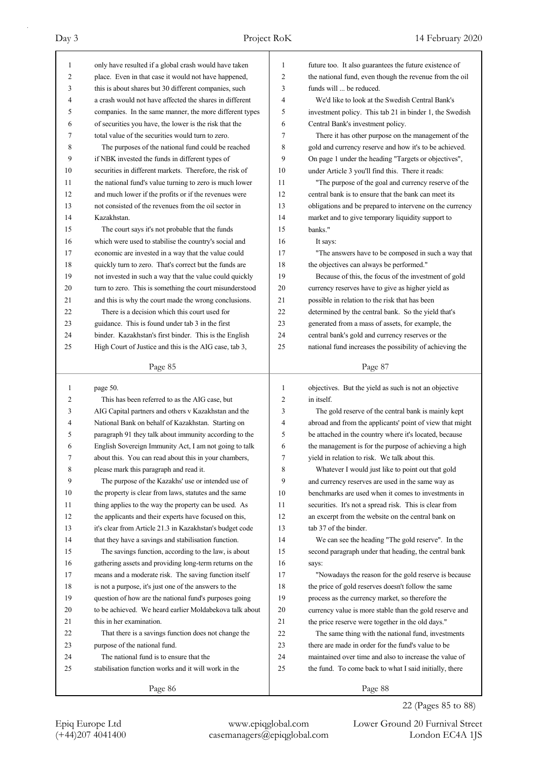| 1            | only have resulted if a global crash would have taken    | 1  | future too. It also guarantees the future existence of   |
|--------------|----------------------------------------------------------|----|----------------------------------------------------------|
| 2            | place. Even in that case it would not have happened,     | 2  | the national fund, even though the revenue from the oil  |
| 3            | this is about shares but 30 different companies, such    | 3  | funds will  be reduced.                                  |
| 4            | a crash would not have affected the shares in different  | 4  | We'd like to look at the Swedish Central Bank's          |
| 5            | companies. In the same manner, the more different types  | 5  | investment policy. This tab 21 in binder 1, the Swedish  |
| 6            | of securities you have, the lower is the risk that the   | 6  | Central Bank's investment policy.                        |
| 7            | total value of the securities would turn to zero.        | 7  | There it has other purpose on the management of the      |
| 8            | The purposes of the national fund could be reached       | 8  | gold and currency reserve and how it's to be achieved.   |
| 9            | if NBK invested the funds in different types of          | 9  | On page 1 under the heading "Targets or objectives",     |
| 10           | securities in different markets. Therefore, the risk of  | 10 | under Article 3 you'll find this. There it reads:        |
| 11           | the national fund's value turning to zero is much lower  | 11 | "The purpose of the goal and currency reserve of the     |
| 12           | and much lower if the profits or if the revenues were    | 12 | central bank is to ensure that the bank can meet its     |
| 13           | not consisted of the revenues from the oil sector in     | 13 | obligations and be prepared to intervene on the currency |
| 14           | Kazakhstan.                                              | 14 | market and to give temporary liquidity support to        |
| 15           | The court says it's not probable that the funds          | 15 | banks."                                                  |
| 16           | which were used to stabilise the country's social and    | 16 | It says:                                                 |
| 17           | economic are invested in a way that the value could      | 17 | "The answers have to be composed in such a way that      |
| 18           | quickly turn to zero. That's correct but the funds are   | 18 | the objectives can always be performed."                 |
| 19           | not invested in such a way that the value could quickly  | 19 | Because of this, the focus of the investment of gold     |
| 20           | turn to zero. This is something the court misunderstood  | 20 | currency reserves have to give as higher yield as        |
| 21           | and this is why the court made the wrong conclusions.    | 21 | possible in relation to the risk that has been           |
| 22           | There is a decision which this court used for            | 22 | determined by the central bank. So the yield that's      |
| 23           | guidance. This is found under tab 3 in the first         | 23 | generated from a mass of assets, for example, the        |
| 24           | binder. Kazakhstan's first binder. This is the English   | 24 | central bank's gold and currency reserves or the         |
| 25           | High Court of Justice and this is the AIG case, tab 3,   | 25 | national fund increases the possibility of achieving the |
|              |                                                          |    |                                                          |
|              | Page 85                                                  |    | Page 87                                                  |
|              |                                                          |    |                                                          |
|              |                                                          |    |                                                          |
| $\mathbf{1}$ | page 50.                                                 | 1  | objectives. But the yield as such is not an objective    |
| 2            | This has been referred to as the AIG case, but           | 2  | in itself.                                               |
| 3            | AIG Capital partners and others v Kazakhstan and the     | 3  | The gold reserve of the central bank is mainly kept      |
| 4            | National Bank on behalf of Kazakhstan. Starting on       | 4  | abroad and from the applicants' point of view that might |
| 5            | paragraph 91 they talk about immunity according to the   | 5  | be attached in the country where it's located, because   |
| 6            | English Sovereign Immunity Act, I am not going to talk   | 6  | the management is for the purpose of achieving a high    |
| 7            | about this. You can read about this in your chambers,    | 7  | yield in relation to risk. We talk about this.           |
| 8            | please mark this paragraph and read it.                  | 8  | Whatever I would just like to point out that gold        |
| 9            | The purpose of the Kazakhs' use or intended use of       | 9  | and currency reserves are used in the same way as        |
| 10           | the property is clear from laws, statutes and the same   | 10 | benchmarks are used when it comes to investments in      |
| 11           | thing applies to the way the property can be used. As    | 11 | securities. It's not a spread risk. This is clear from   |
| 12           | the applicants and their experts have focused on this,   | 12 | an excerpt from the website on the central bank on       |
| 13           | it's clear from Article 21.3 in Kazakhstan's budget code | 13 | tab 37 of the binder.                                    |
| 14           | that they have a savings and stabilisation function.     | 14 | We can see the heading "The gold reserve". In the        |
| 15           | The savings function, according to the law, is about     | 15 | second paragraph under that heading, the central bank    |
| 16           | gathering assets and providing long-term returns on the  | 16 | says:                                                    |
| 17           | means and a moderate risk. The saving function itself    | 17 | "Nowadays the reason for the gold reserve is because     |
| 18           | is not a purpose, it's just one of the answers to the    | 18 | the price of gold reserves doesn't follow the same       |
| 19           | question of how are the national fund's purposes going   | 19 | process as the currency market, so therefore the         |
| 20           | to be achieved. We heard earlier Moldabekova talk about  | 20 | currency value is more stable than the gold reserve and  |
| 21           | this in her examination.                                 | 21 | the price reserve were together in the old days."        |
| 22           | That there is a savings function does not change the     | 22 | The same thing with the national fund, investments       |
| 23           | purpose of the national fund.                            | 23 | there are made in order for the fund's value to be       |
| 24           | The national fund is to ensure that the                  | 24 | maintained over time and also to increase the value of   |
| 25           | stabilisation function works and it will work in the     | 25 | the fund. To come back to what I said initially, there   |

22 (Pages 85 to 88)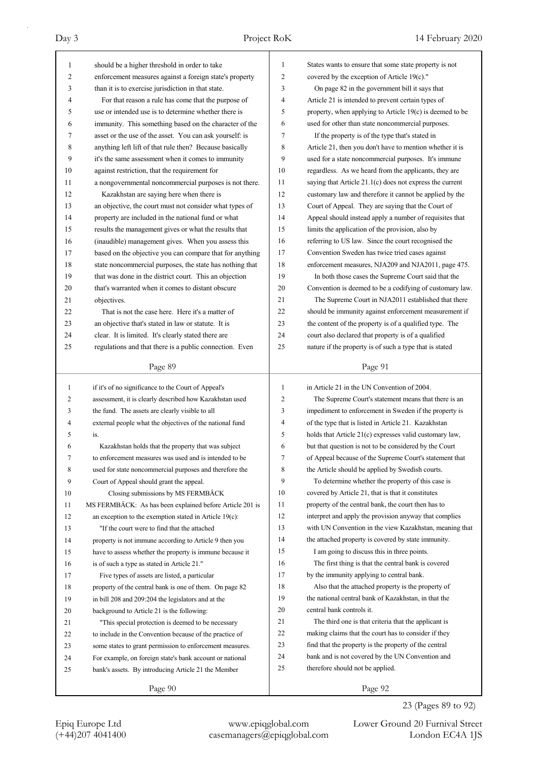| 1            | should be a higher threshold in order to take             | 1            | States wants to ensure that some state property is not   |
|--------------|-----------------------------------------------------------|--------------|----------------------------------------------------------|
| 2            | enforcement measures against a foreign state's property   | 2            | covered by the exception of Article $19(c)$ ."           |
| 3            | than it is to exercise jurisdiction in that state.        | 3            | On page 82 in the government bill it says that           |
| 4            | For that reason a rule has come that the purpose of       | 4            | Article 21 is intended to prevent certain types of       |
| 5            | use or intended use is to determine whether there is      | 5            | property, when applying to Article 19(c) is deemed to be |
| 6            | immunity. This something based on the character of the    | 6            | used for other than state noncommercial purposes.        |
| 7            | asset or the use of the asset. You can ask yourself: is   | 7            | If the property is of the type that's stated in          |
| 8            | anything left lift of that rule then? Because basically   | 8            | Article 21, then you don't have to mention whether it is |
| 9            | it's the same assessment when it comes to immunity        | 9            | used for a state noncommercial purposes. It's immune     |
| 10           | against restriction, that the requirement for             | 10           | regardless. As we heard from the applicants, they are    |
| 11           | a nongovernmental noncommercial purposes is not there.    | 11           | saying that Article 21.1(c) does not express the current |
| 12           | Kazakhstan are saying here when there is                  | 12           | customary law and therefore it cannot be applied by the  |
| 13           | an objective, the court must not consider what types of   | 13           | Court of Appeal. They are saying that the Court of       |
| 14           | property are included in the national fund or what        | 14           | Appeal should instead apply a number of requisites that  |
| 15           | results the management gives or what the results that     | 15           | limits the application of the provision, also by         |
| 16           | (inaudible) management gives. When you assess this        | 16           | referring to US law. Since the court recognised the      |
| 17           | based on the objective you can compare that for anything  | 17           | Convention Sweden has twice tried cases against          |
| 18           | state noncommercial purposes, the state has nothing that  | 18           | enforcement measures, NJA209 and NJA2011, page 475.      |
| 19           | that was done in the district court. This an objection    | 19           | In both those cases the Supreme Court said that the      |
| 20           | that's warranted when it comes to distant obscure         | 20           | Convention is deemed to be a codifying of customary law. |
| 21           | objectives.                                               | 21           | The Supreme Court in NJA2011 established that there      |
| 22           | That is not the case here. Here it's a matter of          | 22           | should be immunity against enforcement measurement if    |
| 23           | an objective that's stated in law or statute. It is       | 23           | the content of the property is of a qualified type. The  |
| 24           | clear. It is limited. It's clearly stated there are       | 24           | court also declared that property is of a qualified      |
| 25           | regulations and that there is a public connection. Even   | 25           | nature if the property is of such a type that is stated  |
|              |                                                           |              |                                                          |
|              | Page 89                                                   |              | Page 91                                                  |
|              |                                                           |              |                                                          |
|              |                                                           |              |                                                          |
| $\mathbf{1}$ | if it's of no significance to the Court of Appeal's       | $\mathbf{1}$ | in Article 21 in the UN Convention of 2004.              |
| 2            | assessment, it is clearly described how Kazakhstan used   | 2            | The Supreme Court's statement means that there is an     |
| 3            | the fund. The assets are clearly visible to all           | 3            | impediment to enforcement in Sweden if the property is   |
| 4            | external people what the objectives of the national fund  | 4            | of the type that is listed in Article 21. Kazakhstan     |
| 5            | is.                                                       | 5            | holds that Article 21(c) expresses valid customary law,  |
| 6            | Kazakhstan holds that the property that was subject       | 6            | but that question is not to be considered by the Court   |
| 7            | to enforcement measures was used and is intended to be    | 7            | of Appeal because of the Supreme Court's statement that  |
| 8            | used for state noncommercial purposes and therefore the   | 8            | the Article should be applied by Swedish courts.         |
| 9            | Court of Appeal should grant the appeal.                  | 9            | To determine whether the property of this case is        |
| 10           | Closing submissions by MS FERMBÄCK                        | 10           | covered by Article 21, that is that it constitutes       |
| 11           | MS FERMBÄCK: As has been explained before Article 201 is  | 11           | property of the central bank, the court then has to      |
| 12           | an exception to the exemption stated in Article $19(c)$ : | 12           | interpret and apply the provision anyway that complies   |
| 13           | "If the court were to find that the attached              | 13           | with UN Convention in the view Kazakhstan, meaning that  |
| 14           | property is not immune according to Article 9 then you    | 14           | the attached property is covered by state immunity.      |
| 15           | have to assess whether the property is immune because it  | 15           | I am going to discuss this in three points.              |
| 16           | is of such a type as stated in Article 21."               | 16           | The first thing is that the central bank is covered      |
| 17           | Five types of assets are listed, a particular             | 17           | by the immunity applying to central bank.                |
| 18           | property of the central bank is one of them. On page 82   | 18           | Also that the attached property is the property of       |
| 19           | in bill 208 and 209:204 the legislators and at the        | 19           | the national central bank of Kazakhstan, in that the     |
| 20           | background to Article 21 is the following:                | 20           | central bank controls it.                                |
| 21           | "This special protection is deemed to be necessary        | 21           | The third one is that criteria that the applicant is     |
| 22           | to include in the Convention because of the practice of   | 22           | making claims that the court has to consider if they     |
| 23           | some states to grant permission to enforcement measures.  | 23           | find that the property is the property of the central    |
| 24           | For example, on foreign state's bank account or national  | 24           | bank and is not covered by the UN Convention and         |
| 25           | bank's assets. By introducing Article 21 the Member       | 25           | therefore should not be applied.                         |

23 (Pages 89 to 92)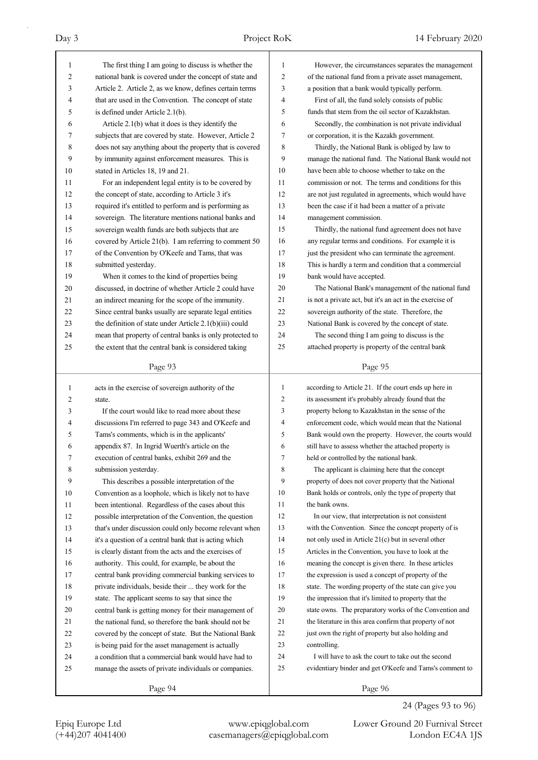| 1            | The first thing I am going to discuss is whether the     | 1                   | However, the circumstances separates the management      |
|--------------|----------------------------------------------------------|---------------------|----------------------------------------------------------|
| 2            | national bank is covered under the concept of state and  | 2                   | of the national fund from a private asset management,    |
| 3            | Article 2. Article 2, as we know, defines certain terms  | 3                   | a position that a bank would typically perform.          |
| 4            | that are used in the Convention. The concept of state    | 4                   | First of all, the fund solely consists of public         |
| 5            | is defined under Article 2.1(b).                         | 5                   | funds that stem from the oil sector of Kazakhstan.       |
| 6            | Article 2.1(b) what it does is they identify the         | 6                   | Secondly, the combination is not private individual      |
| 7            | subjects that are covered by state. However, Article 2   | 7                   | or corporation, it is the Kazakh government.             |
| 8            | does not say anything about the property that is covered | 8                   | Thirdly, the National Bank is obliged by law to          |
| 9            | by immunity against enforcement measures. This is        | 9                   | manage the national fund. The National Bank would not    |
| 10           | stated in Articles 18, 19 and 21.                        | 10                  | have been able to choose whether to take on the          |
| 11           | For an independent legal entity is to be covered by      | 11                  | commission or not. The terms and conditions for this     |
| 12           | the concept of state, according to Article 3 it's        | 12                  | are not just regulated in agreements, which would have   |
| 13           | required it's entitled to perform and is performing as   | 13                  | been the case if it had been a matter of a private       |
| 14           | sovereign. The literature mentions national banks and    | 14                  | management commission.                                   |
| 15           | sovereign wealth funds are both subjects that are        | 15                  | Thirdly, the national fund agreement does not have       |
| 16           | covered by Article 21(b). I am referring to comment 50   | 16                  | any regular terms and conditions. For example it is      |
| 17           | of the Convention by O'Keefe and Tams, that was          | 17                  | just the president who can terminate the agreement.      |
| 18           | submitted yesterday.                                     | 18                  | This is hardly a term and condition that a commercial    |
| 19           | When it comes to the kind of properties being            | 19                  | bank would have accepted.                                |
| 20           | discussed, in doctrine of whether Article 2 could have   | 20                  | The National Bank's management of the national fund      |
| 21           | an indirect meaning for the scope of the immunity.       | 21                  | is not a private act, but it's an act in the exercise of |
| 22           | Since central banks usually are separate legal entities  | 22                  | sovereign authority of the state. Therefore, the         |
| 23           | the definition of state under Article 2.1(b)(iii) could  | 23                  | National Bank is covered by the concept of state.        |
| 24           | mean that property of central banks is only protected to | 24                  | The second thing I am going to discuss is the            |
| 25           | the extent that the central bank is considered taking    | 25                  | attached property is property of the central bank        |
|              |                                                          |                     |                                                          |
|              | Page 93                                                  |                     | Page 95                                                  |
|              |                                                          |                     |                                                          |
|              |                                                          |                     |                                                          |
| $\mathbf{1}$ | acts in the exercise of sovereign authority of the       | $\mathbf{1}$        | according to Article 21. If the court ends up here in    |
| 2            | state.                                                   | $\overline{c}$      | its assessment it's probably already found that the      |
| 3            | If the court would like to read more about these         | 3<br>$\overline{4}$ | property belong to Kazakhstan in the sense of the        |
| 4            | discussions I'm referred to page 343 and O'Keefe and     |                     | enforcement code, which would mean that the National     |
| 5            | Tams's comments, which is in the applicants'             | 5                   | Bank would own the property. However, the courts would   |
| 6            | appendix 87. In Ingrid Wuerth's article on the           | 6                   | still have to assess whether the attached property is    |
| 7            | execution of central banks, exhibit 269 and the          | 7                   | held or controlled by the national bank.                 |
| 8            | submission yesterday.                                    | 8                   | The applicant is claiming here that the concept          |
| 9            | This describes a possible interpretation of the          | 9                   | property of does not cover property that the National    |
| 10           | Convention as a loophole, which is likely not to have    | 10                  | Bank holds or controls, only the type of property that   |
| 11           | been intentional. Regardless of the cases about this     | 11                  | the bank owns.                                           |
| 12           | possible interpretation of the Convention, the question  | 12                  | In our view, that interpretation is not consistent       |
| 13           | that's under discussion could only become relevant when  | 13                  | with the Convention. Since the concept property of is    |
| 14           | it's a question of a central bank that is acting which   | 14                  | not only used in Article 21(c) but in several other      |
| 15           | is clearly distant from the acts and the exercises of    | 15                  | Articles in the Convention, you have to look at the      |
| 16           | authority. This could, for example, be about the         | 16                  | meaning the concept is given there. In these articles    |
| 17           | central bank providing commercial banking services to    | 17                  | the expression is used a concept of property of the      |
| 18           | private individuals, beside their  they work for the     | 18                  | state. The wording property of the state can give you    |
| 19           | state. The applicant seems to say that since the         | 19                  | the impression that it's limited to property that the    |
| 20           | central bank is getting money for their management of    | 20                  | state owns. The preparatory works of the Convention and  |
| 21           | the national fund, so therefore the bank should not be   | 21                  | the literature in this area confirm that property of not |
| 22           | covered by the concept of state. But the National Bank   | 22                  | just own the right of property but also holding and      |
| 23           | is being paid for the asset management is actually       | 23                  | controlling.                                             |
| 24           | a condition that a commercial bank would have had to     | 24                  | I will have to ask the court to take out the second      |
| 25           | manage the assets of private individuals or companies.   | 25                  | evidentiary binder and get O'Keefe and Tams's comment to |

24 (Pages 93 to 96)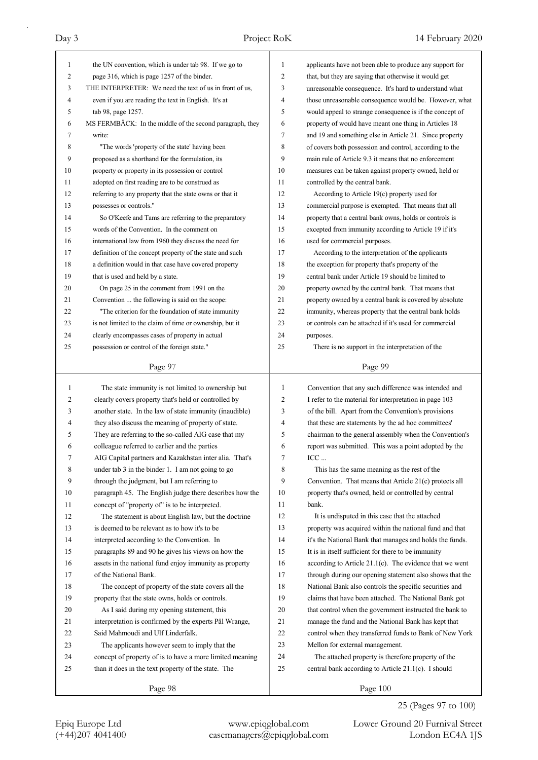| 1                   | the UN convention, which is under tab 98. If we go to                                                             | 1        | applicants have not been able to produce any support for                                                         |
|---------------------|-------------------------------------------------------------------------------------------------------------------|----------|------------------------------------------------------------------------------------------------------------------|
| 2                   | page 316, which is page 1257 of the binder.                                                                       | 2        | that, but they are saying that otherwise it would get                                                            |
| 3                   | THE INTERPRETER: We need the text of us in front of us,                                                           | 3        | unreasonable consequence. It's hard to understand what                                                           |
| $\overline{4}$<br>5 | even if you are reading the text in English. It's at                                                              | 4<br>5   | those unreasonable consequence would be. However, what                                                           |
| 6                   | tab 98, page 1257.                                                                                                | 6        | would appeal to strange consequence is if the concept of                                                         |
| 7                   | MS FERMBÄCK: In the middle of the second paragraph, they                                                          | 7        | property of would have meant one thing in Articles 18                                                            |
|                     | write:                                                                                                            |          | and 19 and something else in Article 21. Since property                                                          |
| 8<br>9              | "The words 'property of the state' having been                                                                    | 8<br>9   | of covers both possession and control, according to the<br>main rule of Article 9.3 it means that no enforcement |
|                     | proposed as a shorthand for the formulation, its                                                                  |          |                                                                                                                  |
| 10                  | property or property in its possession or control                                                                 | 10       | measures can be taken against property owned, held or                                                            |
| 11                  | adopted on first reading are to be construed as                                                                   | 11<br>12 | controlled by the central bank.                                                                                  |
| 12<br>13            | referring to any property that the state owns or that it                                                          | 13       | According to Article $19(c)$ property used for                                                                   |
|                     | possesses or controls."                                                                                           |          | commercial purpose is exempted. That means that all                                                              |
| 14                  | So O'Keefe and Tams are referring to the preparatory                                                              | 14       | property that a central bank owns, holds or controls is                                                          |
| 15                  | words of the Convention. In the comment on                                                                        | 15<br>16 | excepted from immunity according to Article 19 if it's                                                           |
| 16<br>17            | international law from 1960 they discuss the need for<br>definition of the concept property of the state and such | 17       | used for commercial purposes.                                                                                    |
|                     |                                                                                                                   |          | According to the interpretation of the applicants                                                                |
| 18                  | a definition would in that case have covered property                                                             | 18       | the exception for property that's property of the                                                                |
| 19                  | that is used and held by a state.                                                                                 | 19       | central bank under Article 19 should be limited to                                                               |
| 20                  | On page 25 in the comment from 1991 on the                                                                        | 20       | property owned by the central bank. That means that                                                              |
| 21                  | Convention  the following is said on the scope:                                                                   | 21       | property owned by a central bank is covered by absolute                                                          |
| 22                  | "The criterion for the foundation of state immunity                                                               | 22       | immunity, whereas property that the central bank holds                                                           |
| 23                  | is not limited to the claim of time or ownership, but it                                                          | 23<br>24 | or controls can be attached if it's used for commercial                                                          |
| 24                  | clearly encompasses cases of property in actual                                                                   | 25       | purposes.                                                                                                        |
| 25                  | possession or control of the foreign state."                                                                      |          | There is no support in the interpretation of the                                                                 |
|                     | Page 97                                                                                                           |          | Page 99                                                                                                          |
|                     |                                                                                                                   |          |                                                                                                                  |
|                     |                                                                                                                   | 1        |                                                                                                                  |
| $\mathbf{1}$        | The state immunity is not limited to ownership but                                                                | 2        | Convention that any such difference was intended and                                                             |
| 2<br>3              | clearly covers property that's held or controlled by                                                              | 3        | I refer to the material for interpretation in page 103                                                           |
| 4                   | another state. In the law of state immunity (inaudible)                                                           | 4        | of the bill. Apart from the Convention's provisions                                                              |
| 5                   | they also discuss the meaning of property of state.                                                               | 5        | that these are statements by the ad hoc committees'                                                              |
| 6                   | They are referring to the so-called AIG case that my                                                              | 6        | chairman to the general assembly when the Convention's                                                           |
|                     | colleague referred to earlier and the parties                                                                     | 7        | report was submitted. This was a point adopted by the                                                            |
| 7<br>8              | AIG Capital partners and Kazakhstan inter alia. That's                                                            | 8        | ICC                                                                                                              |
|                     | under tab 3 in the binder 1. I am not going to go                                                                 | 9        | This has the same meaning as the rest of the                                                                     |
| 9<br>10             | through the judgment, but I am referring to                                                                       | 10       | Convention. That means that Article 21(c) protects all                                                           |
| 11                  | paragraph 45. The English judge there describes how the<br>concept of "property of" is to be interpreted.         | 11       | property that's owned, held or controlled by central<br>bank.                                                    |
| 12                  | The statement is about English law, but the doctrine                                                              | 12       | It is undisputed in this case that the attached                                                                  |
| 13                  | is deemed to be relevant as to how it's to be                                                                     | 13       | property was acquired within the national fund and that                                                          |
| 14                  | interpreted according to the Convention. In                                                                       | 14       | it's the National Bank that manages and holds the funds.                                                         |
| 15                  | paragraphs 89 and 90 he gives his views on how the                                                                | 15       | It is in itself sufficient for there to be immunity                                                              |
| 16                  | assets in the national fund enjoy immunity as property                                                            | 16       | according to Article $21.1(c)$ . The evidence that we went                                                       |
| 17                  | of the National Bank.                                                                                             | 17       | through during our opening statement also shows that the                                                         |
| 18                  | The concept of property of the state covers all the                                                               | 18       | National Bank also controls the specific securities and                                                          |
| 19                  | property that the state owns, holds or controls.                                                                  | 19       | claims that have been attached. The National Bank got                                                            |
| 20                  | As I said during my opening statement, this                                                                       | 20       | that control when the government instructed the bank to                                                          |
| 21                  | interpretation is confirmed by the experts Pål Wrange,                                                            | 21       | manage the fund and the National Bank has kept that                                                              |
| 22                  | Said Mahmoudi and Ulf Linderfalk.                                                                                 | 22       | control when they transferred funds to Bank of New York                                                          |
| 23                  | The applicants however seem to imply that the                                                                     | 23       | Mellon for external management.                                                                                  |
| 24                  | concept of property of is to have a more limited meaning                                                          | 24       | The attached property is therefore property of the                                                               |
| 25                  | than it does in the text property of the state. The                                                               | 25       | central bank according to Article 21.1(c). I should                                                              |
|                     | Page 98                                                                                                           |          | Page 100                                                                                                         |

25 (Pages 97 to 100)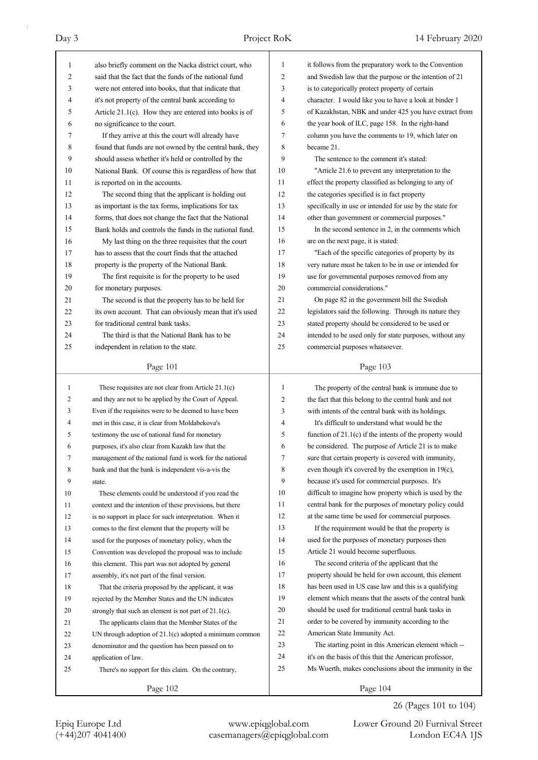| 1  | also briefly comment on the Nacka district court, who     | $\mathbf{1}$   | it follows from the preparatory work to the Convention     |
|----|-----------------------------------------------------------|----------------|------------------------------------------------------------|
| 2  | said that the fact that the funds of the national fund    | $\overline{c}$ | and Swedish law that the purpose or the intention of 21    |
| 3  | were not entered into books, that that indicate that      | 3              | is to categorically protect property of certain            |
| 4  | it's not property of the central bank according to        | 4              | character. I would like you to have a look at binder 1     |
| 5  | Article $21.1(c)$ . How they are entered into books is of | 5              | of Kazakhstan, NBK and under 425 you have extract from     |
| 6  | no significance to the court.                             | 6              | the year book of ILC, page 158. In the right-hand          |
| 7  | If they arrive at this the court will already have        | 7              | column you have the comments to 19, which later on         |
| 8  | found that funds are not owned by the central bank, they  | 8              | became 21.                                                 |
| 9  | should assess whether it's held or controlled by the      | 9              | The sentence to the comment it's stated:                   |
| 10 | National Bank. Of course this is regardless of how that   | 10             | "Article 21.6 to prevent any interpretation to the         |
| 11 | is reported on in the accounts.                           | 11             | effect the property classified as belonging to any of      |
| 12 | The second thing that the applicant is holding out        | 12             | the categories specified is in fact property               |
| 13 | as important is the tax forms, implications for tax       | 13             | specifically in use or intended for use by the state for   |
| 14 | forms, that does not change the fact that the National    | 14             | other than government or commercial purposes."             |
| 15 | Bank holds and controls the funds in the national fund.   | 15             | In the second sentence in 2, in the comments which         |
| 16 | My last thing on the three requisites that the court      | 16             | are on the next page, it is stated:                        |
| 17 | has to assess that the court finds that the attached      | 17             | "Each of the specific categories of property by its        |
| 18 | property is the property of the National Bank.            | 18             | very nature must be taken to be in use or intended for     |
| 19 | The first requisite is for the property to be used        | 19             | use for governmental purposes removed from any             |
| 20 | for monetary purposes.                                    | 20             | commercial considerations."                                |
| 21 | The second is that the property has to be held for        | 21             | On page 82 in the government bill the Swedish              |
| 22 | its own account. That can obviously mean that it's used   | 22             | legislators said the following. Through its nature they    |
| 23 | for traditional central bank tasks.                       | 23             | stated property should be considered to be used or         |
| 24 | The third is that the National Bank has to be             | 24             | intended to be used only for state purposes, without any   |
| 25 | independent in relation to the state.                     | 25             | commercial purposes whatsoever.                            |
|    | Page 101                                                  |                | Page 103                                                   |
|    |                                                           |                |                                                            |
|    |                                                           |                |                                                            |
| 1  | These requisites are not clear from Article $21.1(c)$     | 1              | The property of the central bank is immune due to          |
| 2  | and they are not to be applied by the Court of Appeal.    | $\overline{2}$ | the fact that this belong to the central bank and not      |
| 3  | Even if the requisites were to be deemed to have been     | 3              | with intents of the central bank with its holdings.        |
| 4  | met in this case, it is clear from Moldabekova's          | 4              | It's difficult to understand what would be the             |
| 5  | testimony the use of national fund for monetary           | 5              | function of $21.1(c)$ if the intents of the property would |
| 6  | purposes, it's also clear from Kazakh law that the        | 6              | be considered. The purpose of Article 21 is to make        |
| 7  | management of the national fund is work for the national  | 7              | sure that certain property is covered with immunity,       |
| 8  | bank and that the bank is independent vis-a-vis the       | 8              | even though it's covered by the exemption in $19(c)$ ,     |
| 9  | state.                                                    | 9              | because it's used for commercial purposes. It's            |
| 10 | These elements could be understood if you read the        | 10             | difficult to imagine how property which is used by the     |
| 11 | context and the intention of these provisions, but there  | 11             | central bank for the purposes of monetary policy could     |
| 12 | is no support in place for such interpretation. When it   | 12             | at the same time be used for commercial purposes.          |
| 13 | comes to the first element that the property will be      | 13             | If the requirement would be that the property is           |
| 14 | used for the purposes of monetary policy, when the        | 14             | used for the purposes of monetary purposes then            |
| 15 | Convention was developed the proposal was to include      | 15             | Article 21 would become superfluous.                       |
| 16 | this element. This part was not adopted by general        | 16             | The second criteria of the applicant that the              |
| 17 | assembly, it's not part of the final version.             | 17             | property should be held for own account, this element      |
| 18 | That the criteria proposed by the applicant, it was       | 18             | has been used in US case law and this is a qualifying      |
| 19 | rejected by the Member States and the UN indicates        | 19             | element which means that the assets of the central bank    |
| 20 | strongly that such an element is not part of $21.1(c)$ .  | 20             | should be used for traditional central bank tasks in       |
| 21 | The applicants claim that the Member States of the        | 21             | order to be covered by immunity according to the           |
| 22 | UN through adoption of $21.1(c)$ adopted a minimum common | 22             | American State Immunity Act.                               |
| 23 | denominator and the question has been passed on to        | 23             | The starting point in this American element which --       |
| 24 | application of law.                                       | 24             | it's on the basis of this that the American professor,     |
| 25 | There's no support for this claim. On the contrary,       | 25             | Ms Wuerth, makes conclusions about the immunity in the     |

26 (Pages 101 to 104)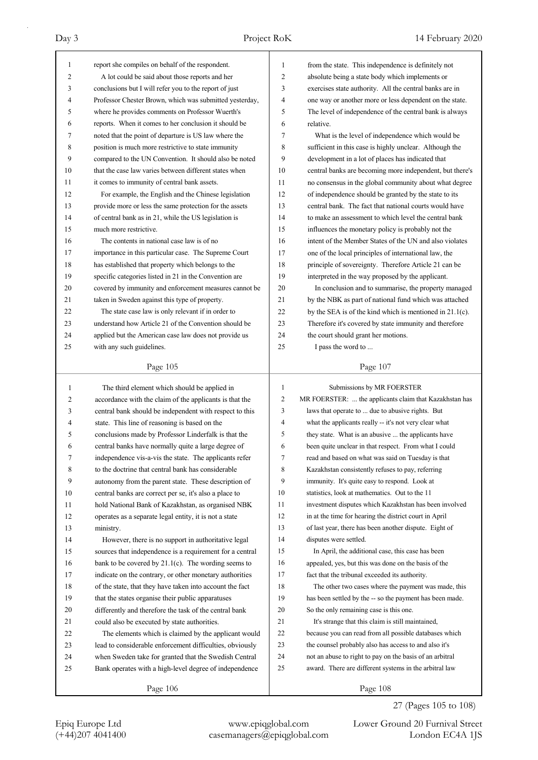| 1              | report she compiles on behalf of the respondent.         | 1              | from the state. This independence is definitely not         |
|----------------|----------------------------------------------------------|----------------|-------------------------------------------------------------|
| $\overline{c}$ | A lot could be said about those reports and her          | 2              | absolute being a state body which implements or             |
| 3              | conclusions but I will refer you to the report of just   | 3              | exercises state authority. All the central banks are in     |
| 4              | Professor Chester Brown, which was submitted yesterday,  | 4              | one way or another more or less dependent on the state.     |
| 5              | where he provides comments on Professor Wuerth's         | 5              | The level of independence of the central bank is always     |
| 6              | reports. When it comes to her conclusion it should be    | 6              | relative.                                                   |
| 7              | noted that the point of departure is US law where the    | 7              | What is the level of independence which would be            |
| 8              | position is much more restrictive to state immunity      | 8              | sufficient in this case is highly unclear. Although the     |
| 9              | compared to the UN Convention. It should also be noted   | 9              | development in a lot of places has indicated that           |
| 10             | that the case law varies between different states when   | 10             | central banks are becoming more independent, but there's    |
| 11             | it comes to immunity of central bank assets.             | 11             | no consensus in the global community about what degree      |
| 12             | For example, the English and the Chinese legislation     | 12             | of independence should be granted by the state to its       |
| 13             | provide more or less the same protection for the assets  | 13             | central bank. The fact that national courts would have      |
| 14             | of central bank as in 21, while the US legislation is    | 14             | to make an assessment to which level the central bank       |
| 15             | much more restrictive.                                   | 15             | influences the monetary policy is probably not the          |
| 16             | The contents in national case law is of no               | 16             | intent of the Member States of the UN and also violates     |
| 17             | importance in this particular case. The Supreme Court    | 17             | one of the local principles of international law, the       |
| 18             | has established that property which belongs to the       | 18             | principle of sovereignty. Therefore Article 21 can be       |
| 19             | specific categories listed in 21 in the Convention are   | 19             | interpreted in the way proposed by the applicant.           |
| 20             | covered by immunity and enforcement measures cannot be   | 20             | In conclusion and to summarise, the property managed        |
| 21             | taken in Sweden against this type of property.           | 21             | by the NBK as part of national fund which was attached      |
| 22             | The state case law is only relevant if in order to       | 22             | by the SEA is of the kind which is mentioned in $21.1(c)$ . |
| 23             | understand how Article 21 of the Convention should be    | 23             | Therefore it's covered by state immunity and therefore      |
| 24             | applied but the American case law does not provide us    | 24             | the court should grant her motions.                         |
| 25             | with any such guidelines.                                | 25             | I pass the word to                                          |
|                |                                                          |                |                                                             |
|                | Page 105                                                 |                | Page 107                                                    |
|                |                                                          |                |                                                             |
|                |                                                          |                |                                                             |
| $\mathbf{1}$   | The third element which should be applied in             | $\mathbf{1}$   | Submissions by MR FOERSTER                                  |
| 2              | accordance with the claim of the applicants is that the  | $\overline{c}$ | MR FOERSTER:  the applicants claim that Kazakhstan has      |
| 3              | central bank should be independent with respect to this  | 3              | laws that operate to  due to abusive rights. But            |
| 4              | state. This line of reasoning is based on the            | $\overline{4}$ | what the applicants really -- it's not very clear what      |
| 5              | conclusions made by Professor Linderfalk is that the     | 5              | they state. What is an abusive  the applicants have         |
| 6              | central banks have normally quite a large degree of      | 6              | been quite unclear in that respect. From what I could       |
| 7              | independence vis-a-vis the state. The applicants refer   | 7              | read and based on what was said on Tuesday is that          |
| 8              | to the doctrine that central bank has considerable       | 8              | Kazakhstan consistently refuses to pay, referring           |
| 9              | autonomy from the parent state. These description of     | 9              | immunity. It's quite easy to respond. Look at               |
| 10             | central banks are correct per se, it's also a place to   | 10             | statistics, look at mathematics. Out to the 11              |
| 11             | hold National Bank of Kazakhstan, as organised NBK       | 11             | investment disputes which Kazakhstan has been involved      |
| 12             | operates as a separate legal entity, it is not a state   | 12             | in at the time for hearing the district court in April      |
| 13             | ministry.                                                | 13             | of last year, there has been another dispute. Eight of      |
| 14             | However, there is no support in authoritative legal      | 14             | disputes were settled.                                      |
| 15             | sources that independence is a requirement for a central | 15             | In April, the additional case, this case has been           |
| 16             | bank to be covered by $21.1(c)$ . The wording seems to   | 16             | appealed, yes, but this was done on the basis of the        |
| 17             | indicate on the contrary, or other monetary authorities  | 17             | fact that the tribunal exceeded its authority.              |
| 18             | of the state, that they have taken into account the fact | 18             | The other two cases where the payment was made, this        |
| 19             | that the states organise their public apparatuses        | 19             | has been settled by the -- so the payment has been made.    |
| 20             | differently and therefore the task of the central bank   | 20             | So the only remaining case is this one.                     |
| 21             | could also be executed by state authorities.             | 21             | It's strange that this claim is still maintained,           |
| 22             | The elements which is claimed by the applicant would     | 22             | because you can read from all possible databases which      |
| 23             | lead to considerable enforcement difficulties, obviously | 23             | the counsel probably also has access to and also it's       |
| 24             | when Sweden take for granted that the Swedish Central    | 24             | not an abuse to right to pay on the basis of an arbitral    |
| 25             | Bank operates with a high-level degree of independence   | 25             | award. There are different systems in the arbitral law      |

Epiq Europe Ltd www.epiqglobal.com Lower Ground 20 Furnival Street<br>
(+44)207 4041400 casemanagers@epiqglobal.com London EC4A 1JS

Lower Ground 20 Furnival Street

27 (Pages 105 to 108)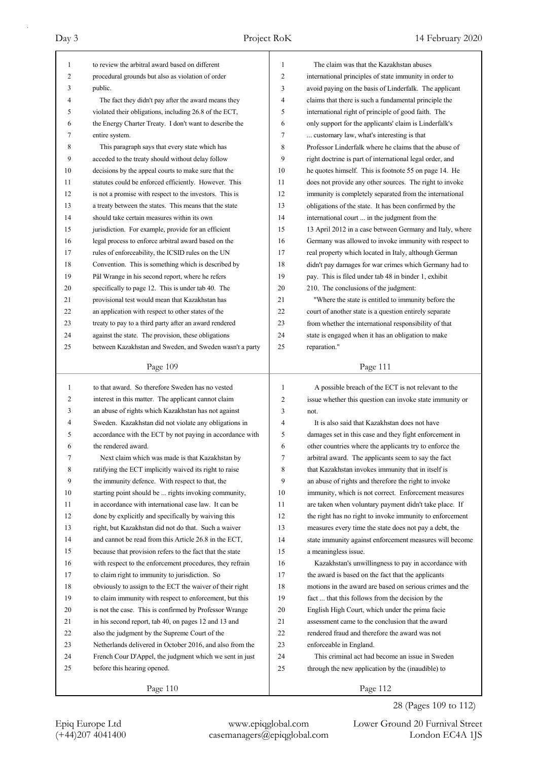| $\mathbf{1}$ | to review the arbitral award based on different          | 1              | The claim was that the Kazakhstan abuses                 |
|--------------|----------------------------------------------------------|----------------|----------------------------------------------------------|
| 2            | procedural grounds but also as violation of order        | $\overline{c}$ | international principles of state immunity in order to   |
| 3            | public.                                                  | 3              | avoid paying on the basis of Linderfalk. The applicant   |
| 4            | The fact they didn't pay after the award means they      | 4              | claims that there is such a fundamental principle the    |
| 5            | violated their obligations, including 26.8 of the ECT,   | 5              | international right of principle of good faith. The      |
| 6            | the Energy Charter Treaty. I don't want to describe the  | 6              | only support for the applicants' claim is Linderfalk's   |
| 7            | entire system.                                           | 7              | customary law, what's interesting is that                |
| 8            | This paragraph says that every state which has           | 8              | Professor Linderfalk where he claims that the abuse of   |
| 9            | acceded to the treaty should without delay follow        | 9              | right doctrine is part of international legal order, and |
| 10           | decisions by the appeal courts to make sure that the     | 10             | he quotes himself. This is footnote 55 on page 14. He    |
| 11           | statutes could be enforced efficiently. However. This    | 11             | does not provide any other sources. The right to invoke  |
| 12           | is not a promise with respect to the investors. This is  | 12             | immunity is completely separated from the international  |
| 13           | a treaty between the states. This means that the state   | 13             | obligations of the state. It has been confirmed by the   |
| 14           | should take certain measures within its own              | 14             | international court  in the judgment from the            |
| 15           | jurisdiction. For example, provide for an efficient      | 15             | 13 April 2012 in a case between Germany and Italy, where |
| 16           | legal process to enforce arbitral award based on the     | 16             | Germany was allowed to invoke immunity with respect to   |
| 17           | rules of enforceability, the ICSID rules on the UN       | 17             | real property which located in Italy, although German    |
| 18           | Convention. This is something which is described by      | 18             | didn't pay damages for war crimes which Germany had to   |
| 19           | Pål Wrange in his second report, where he refers         | 19             | pay. This is filed under tab 48 in binder 1, exhibit     |
| 20           | specifically to page 12. This is under tab 40. The       | 20             | 210. The conclusions of the judgment:                    |
| 21           | provisional test would mean that Kazakhstan has          | 21             | "Where the state is entitled to immunity before the      |
| 22           | an application with respect to other states of the       | 22             | court of another state is a question entirely separate   |
| 23           | treaty to pay to a third party after an award rendered   | 23             | from whether the international responsibility of that    |
| 24           | against the state. The provision, these obligations      | 24             | state is engaged when it has an obligation to make       |
| 25           | between Kazakhstan and Sweden, and Sweden wasn't a party | 25             | reparation."                                             |
|              |                                                          |                |                                                          |
|              | Page 109                                                 |                | Page 111                                                 |
|              |                                                          |                |                                                          |
|              |                                                          |                |                                                          |
| $\mathbf{1}$ | to that award. So therefore Sweden has no vested         | 1              | A possible breach of the ECT is not relevant to the      |
| 2            | interest in this matter. The applicant cannot claim      | $\overline{c}$ | issue whether this question can invoke state immunity or |
| 3            | an abuse of rights which Kazakhstan has not against      | 3              | not.                                                     |
| 4            | Sweden. Kazakhstan did not violate any obligations in    | $\overline{4}$ | It is also said that Kazakhstan does not have            |
| 5            | accordance with the ECT by not paying in accordance with | 5              | damages set in this case and they fight enforcement in   |
| 6            | the rendered award.                                      | 6              | other countries where the applicants try to enforce the  |
| 7            | Next claim which was made is that Kazakhstan by          | $\mathcal{L}$  | arbitral award. The applicants seem to say the fact      |
| 8            | ratifying the ECT implicitly waived its right to raise   | 8              | that Kazakhstan invokes immunity that in itself is       |
| 9            | the immunity defence. With respect to that, the          | 9              | an abuse of rights and therefore the right to invoke     |
| 10           | starting point should be  rights invoking community,     | 10             | immunity, which is not correct. Enforcement measures     |
| 11           | in accordance with international case law. It can be     | 11             | are taken when voluntary payment didn't take place. If   |
| 12           | done by explicitly and specifically by waiving this      | 12             | the right has no right to invoke immunity to enforcement |
| 13           | right, but Kazakhstan did not do that. Such a waiver     | 13             | measures every time the state does not pay a debt, the   |
| 14           | and cannot be read from this Article 26.8 in the ECT,    | 14             | state immunity against enforcement measures will become  |
| 15           | because that provision refers to the fact that the state | 15             | a meaningless issue.                                     |
| 16           | with respect to the enforcement procedures, they refrain | 16             | Kazakhstan's unwillingness to pay in accordance with     |
| 17           | to claim right to immunity to jurisdiction. So           | 17             | the award is based on the fact that the applicants       |
| 18           | obviously to assign to the ECT the waiver of their right | 18             | motions in the award are based on serious crimes and the |
| 19           | to claim immunity with respect to enforcement, but this  | 19             | fact  that this follows from the decision by the         |
| $20\,$       | is not the case. This is confirmed by Professor Wrange   | 20             | English High Court, which under the prima facie          |
| 21           | in his second report, tab 40, on pages 12 and 13 and     | 21             | assessment came to the conclusion that the award         |
| 22           | also the judgment by the Supreme Court of the            | 22             | rendered fraud and therefore the award was not           |
| 23           | Netherlands delivered in October 2016, and also from the | 23             | enforceable in England.                                  |
| 24           | French Cour D'Appel, the judgment which we sent in just  | 24             | This criminal act had become an issue in Sweden          |
| 25           | before this hearing opened.                              | 25             | through the new application by the (inaudible) to        |

Epiq Europe Ltd www.epiqglobal.com Lower Ground 20 Furnival Street<br>
(+44)207 4041400 casemanagers@epiqglobal.com London EC4A 1JS

Lower Ground 20 Furnival Street 28 (Pages 109 to 112)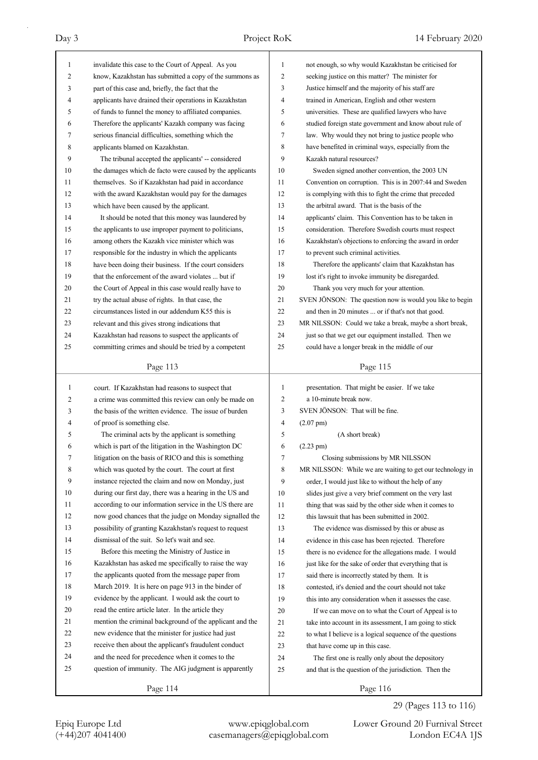| 1            | invalidate this case to the Court of Appeal. As you      | $\mathbf{1}$   | not enough, so why would Kazakhstan be criticised for     |
|--------------|----------------------------------------------------------|----------------|-----------------------------------------------------------|
| 2            | know, Kazakhstan has submitted a copy of the summons as  | 2              | seeking justice on this matter? The minister for          |
| 3            | part of this case and, briefly, the fact that the        | 3              | Justice himself and the majority of his staff are         |
| 4            | applicants have drained their operations in Kazakhstan   | $\overline{4}$ | trained in American, English and other western            |
| 5            | of funds to funnel the money to affiliated companies.    | 5              | universities. These are qualified lawyers who have        |
| 6            | Therefore the applicants' Kazakh company was facing      | 6              | studied foreign state government and know about rule of   |
| 7            | serious financial difficulties, something which the      | 7              | law. Why would they not bring to justice people who       |
| 8            | applicants blamed on Kazakhstan.                         | 8              | have benefited in criminal ways, especially from the      |
| 9            | The tribunal accepted the applicants' -- considered      | 9              | Kazakh natural resources?                                 |
| 10           | the damages which de facto were caused by the applicants | 10             | Sweden signed another convention, the 2003 UN             |
| 11           | themselves. So if Kazakhstan had paid in accordance      | 11             | Convention on corruption. This is in 2007:44 and Sweden   |
| 12           | with the award Kazakhstan would pay for the damages      | 12             | is complying with this to fight the crime that preceded   |
| 13           | which have been caused by the applicant.                 | 13             | the arbitral award. That is the basis of the              |
| 14           | It should be noted that this money was laundered by      | 14             | applicants' claim. This Convention has to be taken in     |
| 15           | the applicants to use improper payment to politicians,   | 15             | consideration. Therefore Swedish courts must respect      |
| 16           | among others the Kazakh vice minister which was          | 16             | Kazakhstan's objections to enforcing the award in order   |
| 17           | responsible for the industry in which the applicants     | 17             | to prevent such criminal activities.                      |
| 18           | have been doing their business. If the court considers   | 18             | Therefore the applicants' claim that Kazakhstan has       |
| 19           | that the enforcement of the award violates  but if       | 19             | lost it's right to invoke immunity be disregarded.        |
| 20           | the Court of Appeal in this case would really have to    | 20             | Thank you very much for your attention.                   |
| 21           | try the actual abuse of rights. In that case, the        | 21             | SVEN JÖNSON: The question now is would you like to begin  |
| 22           | circumstances listed in our addendum K55 this is         | 22             | and then in 20 minutes  or if that's not that good.       |
| 23           | relevant and this gives strong indications that          | 23             | MR NILSSON: Could we take a break, maybe a short break,   |
| 24           | Kazakhstan had reasons to suspect the applicants of      | 24             | just so that we get our equipment installed. Then we      |
| 25           | committing crimes and should be tried by a competent     | 25             | could have a longer break in the middle of our            |
|              |                                                          |                |                                                           |
|              | Page 113                                                 |                | Page 115                                                  |
|              |                                                          |                |                                                           |
|              |                                                          |                |                                                           |
| $\mathbf{1}$ | court. If Kazakhstan had reasons to suspect that         | 1              | presentation. That might be easier. If we take            |
| 2            | a crime was committed this review can only be made on    | 2              | a 10-minute break now.                                    |
| 3            | the basis of the written evidence. The issue of burden   | 3              | SVEN JÖNSON: That will be fine.                           |
| 4<br>5       | of proof is something else.                              | $\overline{4}$ | $(2.07 \text{ pm})$                                       |
|              | The criminal acts by the applicant is something          | 5              | (A short break)                                           |
| 6            | which is part of the litigation in the Washington DC     | 6              | $(2.23 \text{ pm})$                                       |
| 7            | litigation on the basis of RICO and this is something    | 7              | Closing submissions by MR NILSSON                         |
| 8            | which was quoted by the court. The court at first        | 8              | MR NILSSON: While we are waiting to get our technology in |
| 9            | instance rejected the claim and now on Monday, just      | 9              | order, I would just like to without the help of any       |
| 10           | during our first day, there was a hearing in the US and  | 10             | slides just give a very brief comment on the very last    |
| 11           | according to our information service in the US there are | 11             | thing that was said by the other side when it comes to    |
| 12           | now good chances that the judge on Monday signalled the  | 12             | this lawsuit that has been submitted in 2002.             |
| 13           | possibility of granting Kazakhstan's request to request  | 13             | The evidence was dismissed by this or abuse as            |
| 14           | dismissal of the suit. So let's wait and see.            | 14             | evidence in this case has been rejected. Therefore        |
| 15           | Before this meeting the Ministry of Justice in           | 15             | there is no evidence for the allegations made. I would    |
| 16           | Kazakhstan has asked me specifically to raise the way    | 16             | just like for the sake of order that everything that is   |
| 17           | the applicants quoted from the message paper from        | 17             | said there is incorrectly stated by them. It is           |
| 18           | March 2019. It is here on page 913 in the binder of      | 18             | contested, it's denied and the court should not take      |
| 19           | evidence by the applicant. I would ask the court to      | 19             | this into any consideration when it assesses the case.    |
| 20           | read the entire article later. In the article they       | 20             | If we can move on to what the Court of Appeal is to       |
| 21           | mention the criminal background of the applicant and the | 21             | take into account in its assessment, I am going to stick  |
| 22           | new evidence that the minister for justice had just      | $22\,$         | to what I believe is a logical sequence of the questions  |
| 23           | receive then about the applicant's fraudulent conduct    | 23             | that have come up in this case.                           |
| 24           | and the need for precedence when it comes to the         | 24             | The first one is really only about the depository         |
| 25           | question of immunity. The AIG judgment is apparently     | 25             | and that is the question of the jurisdiction. Then the    |

29 (Pages 113 to 116)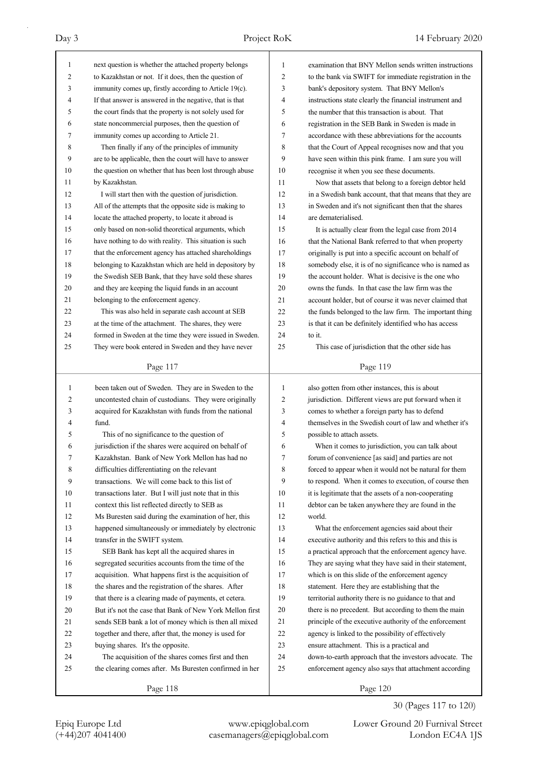| 1            | next question is whether the attached property belongs   | $\mathbf{1}$ | examination that BNY Mellon sends written instructions   |
|--------------|----------------------------------------------------------|--------------|----------------------------------------------------------|
| 2            | to Kazakhstan or not. If it does, then the question of   | 2            | to the bank via SWIFT for immediate registration in the  |
| 3            | immunity comes up, firstly according to Article 19(c).   | 3            | bank's depository system. That BNY Mellon's              |
| 4            | If that answer is answered in the negative, that is that | 4            | instructions state clearly the financial instrument and  |
| 5            | the court finds that the property is not solely used for | 5            | the number that this transaction is about. That          |
| 6            | state noncommercial purposes, then the question of       | 6            | registration in the SEB Bank in Sweden is made in        |
| 7            | immunity comes up according to Article 21.               | 7            | accordance with these abbreviations for the accounts     |
| 8            | Then finally if any of the principles of immunity        | 8            | that the Court of Appeal recognises now and that you     |
| 9            | are to be applicable, then the court will have to answer | 9            | have seen within this pink frame. I am sure you will     |
| 10           | the question on whether that has been lost through abuse | 10           | recognise it when you see these documents.               |
| 11           | by Kazakhstan.                                           | 11           | Now that assets that belong to a foreign debtor held     |
| 12           | I will start then with the question of jurisdiction.     | 12           | in a Swedish bank account, that that means that they are |
| 13           | All of the attempts that the opposite side is making to  | 13           | in Sweden and it's not significant then that the shares  |
| 14           | locate the attached property, to locate it abroad is     | 14           | are dematerialised.                                      |
| 15           | only based on non-solid theoretical arguments, which     | 15           | It is actually clear from the legal case from 2014       |
| 16           | have nothing to do with reality. This situation is such  | 16           | that the National Bank referred to that when property    |
| 17           | that the enforcement agency has attached shareholdings   | 17           | originally is put into a specific account on behalf of   |
| 18           | belonging to Kazakhstan which are held in depository by  | 18           | somebody else, it is of no significance who is named as  |
| 19           | the Swedish SEB Bank, that they have sold these shares   | 19           | the account holder. What is decisive is the one who      |
| 20           | and they are keeping the liquid funds in an account      | 20           | owns the funds. In that case the law firm was the        |
| 21           | belonging to the enforcement agency.                     | 21           | account holder, but of course it was never claimed that  |
| 22           | This was also held in separate cash account at SEB       | 22           | the funds belonged to the law firm. The important thing  |
| 23           | at the time of the attachment. The shares, they were     | 23           | is that it can be definitely identified who has access   |
| 24           | formed in Sweden at the time they were issued in Sweden. | 24           | to it.                                                   |
| 25           | They were book entered in Sweden and they have never     | 25           | This case of jurisdiction that the other side has        |
|              |                                                          |              |                                                          |
|              | Page 117                                                 |              | Page 119                                                 |
|              |                                                          |              |                                                          |
|              |                                                          |              |                                                          |
| $\mathbf{1}$ | been taken out of Sweden. They are in Sweden to the      | $\mathbf{1}$ | also gotten from other instances, this is about          |
| 2            | uncontested chain of custodians. They were originally    | 2            | jurisdiction. Different views are put forward when it    |
| 3            | acquired for Kazakhstan with funds from the national     | 3            | comes to whether a foreign party has to defend           |
| 4            | fund.                                                    | 4            | themselves in the Swedish court of law and whether it's  |
| 5            | This of no significance to the question of               | 5            | possible to attach assets.                               |
| 6            | jurisdiction if the shares were acquired on behalf of    | 6            | When it comes to jurisdiction, you can talk about        |
| 7            | Kazakhstan. Bank of New York Mellon has had no           | 7            | forum of convenience [as said] and parties are not       |
| 8            | difficulties differentiating on the relevant             | 8            | forced to appear when it would not be natural for them   |
| 9            | transactions. We will come back to this list of          | 9            | to respond. When it comes to execution, of course then   |
| 10           | transactions later. But I will just note that in this    | 10           | it is legitimate that the assets of a non-cooperating    |
| 11           | context this list reflected directly to SEB as           | 11           | debtor can be taken anywhere they are found in the       |
| 12           | Ms Buresten said during the examination of her, this     | 12           | world.                                                   |
| 13           | happened simultaneously or immediately by electronic     | 13           | What the enforcement agencies said about their           |
| 14           | transfer in the SWIFT system.                            | 14           | executive authority and this refers to this and this is  |
| 15           | SEB Bank has kept all the acquired shares in             | 15           | a practical approach that the enforcement agency have.   |
| 16           | segregated securities accounts from the time of the      | 16           | They are saying what they have said in their statement,  |
| 17           | acquisition. What happens first is the acquisition of    | 17           | which is on this slide of the enforcement agency         |
| 18           | the shares and the registration of the shares. After     | 18           | statement. Here they are establishing that the           |
| 19           | that there is a clearing made of payments, et cetera.    | 19           | territorial authority there is no guidance to that and   |
| 20           | But it's not the case that Bank of New York Mellon first | 20           | there is no precedent. But according to them the main    |
| 21           | sends SEB bank a lot of money which is then all mixed    | 21           | principle of the executive authority of the enforcement  |
| 22           | together and there, after that, the money is used for    | 22           | agency is linked to the possibility of effectively       |
| 23           | buying shares. It's the opposite.                        | 23           | ensure attachment. This is a practical and               |
| 24           | The acquisition of the shares comes first and then       | 24           | down-to-earth approach that the investors advocate. The  |
| 25           | the clearing comes after. Ms Buresten confirmed in her   | 25           | enforcement agency also says that attachment according   |

Epiq Europe Ltd www.epiqglobal.com Lower Ground 20 Furnival Street<br>
(+44)207 4041400 casemanagers@epiqglobal.com London EC4A 1JS Lower Ground 20 Furnival Street

30 (Pages 117 to 120)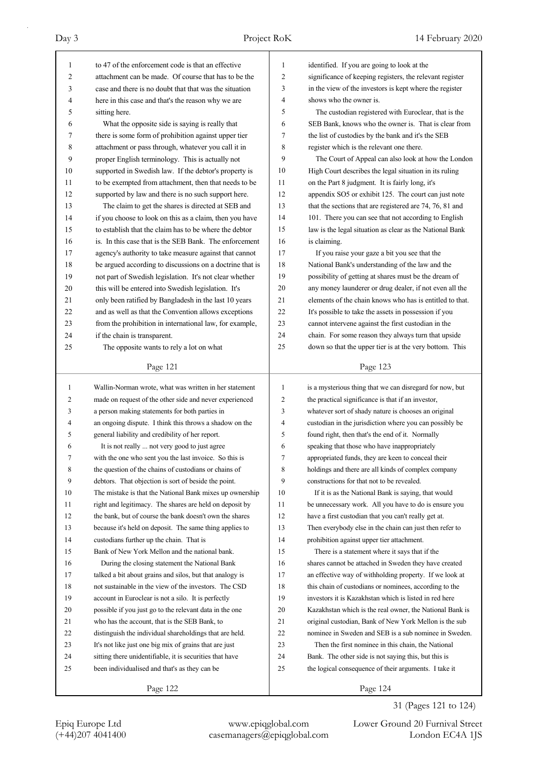| 1            | to 47 of the enforcement code is that an effective       | 1              | identified. If you are going to look at the              |
|--------------|----------------------------------------------------------|----------------|----------------------------------------------------------|
| 2            | attachment can be made. Of course that has to be the     | 2              | significance of keeping registers, the relevant register |
| 3            | case and there is no doubt that that was the situation   | 3              | in the view of the investors is kept where the register  |
| 4            | here in this case and that's the reason why we are       | 4              | shows who the owner is.                                  |
| 5            | sitting here.                                            | 5              | The custodian registered with Euroclear, that is the     |
| 6            | What the opposite side is saying is really that          | 6              | SEB Bank, knows who the owner is. That is clear from     |
| 7            | there is some form of prohibition against upper tier     | 7              | the list of custodies by the bank and it's the SEB       |
| 8            | attachment or pass through, whatever you call it in      | 8              | register which is the relevant one there.                |
| 9            | proper English terminology. This is actually not         | 9              | The Court of Appeal can also look at how the London      |
| 10           | supported in Swedish law. If the debtor's property is    | 10             | High Court describes the legal situation in its ruling   |
| 11           | to be exempted from attachment, then that needs to be    | 11             | on the Part 8 judgment. It is fairly long, it's          |
| 12           | supported by law and there is no such support here.      | 12             | appendix SO5 or exhibit 125. The court can just note     |
| 13           | The claim to get the shares is directed at SEB and       | 13             | that the sections that are registered are 74, 76, 81 and |
| 14           | if you choose to look on this as a claim, then you have  | 14             | 101. There you can see that not according to English     |
| 15           | to establish that the claim has to be where the debtor   | 15             | law is the legal situation as clear as the National Bank |
| 16           | is. In this case that is the SEB Bank. The enforcement   | 16             | is claiming.                                             |
| 17           | agency's authority to take measure against that cannot   | 17             | If you raise your gaze a bit you see that the            |
| 18           | be argued according to discussions on a doctrine that is | 18             | National Bank's understanding of the law and the         |
| 19           | not part of Swedish legislation. It's not clear whether  | 19             | possibility of getting at shares must be the dream of    |
| 20           | this will be entered into Swedish legislation. It's      | 20             | any money launderer or drug dealer, if not even all the  |
| 21           | only been ratified by Bangladesh in the last 10 years    | 21             | elements of the chain knows who has is entitled to that. |
| 22           | and as well as that the Convention allows exceptions     | 22             | It's possible to take the assets in possession if you    |
| 23           | from the prohibition in international law, for example,  | 23             | cannot intervene against the first custodian in the      |
| 24           | if the chain is transparent.                             | 24             | chain. For some reason they always turn that upside      |
| 25           | The opposite wants to rely a lot on what                 | 25             | down so that the upper tier is at the very bottom. This  |
|              |                                                          |                |                                                          |
|              | Page 121                                                 |                | Page 123                                                 |
|              |                                                          |                |                                                          |
|              |                                                          |                |                                                          |
| $\mathbf{1}$ | Wallin-Norman wrote, what was written in her statement   | 1              | is a mysterious thing that we can disregard for now, but |
| 2            | made on request of the other side and never experienced  | $\overline{c}$ | the practical significance is that if an investor,       |
| 3            | a person making statements for both parties in           | 3              | whatever sort of shady nature is chooses an original     |
| 4            | an ongoing dispute. I think this throws a shadow on the  | 4              | custodian in the jurisdiction where you can possibly be  |
| 5            | general liability and credibility of her report.         | 5              | found right, then that's the end of it. Normally         |
| 6<br>7       | It is not really  not very good to just agree            | 6<br>7         | speaking that those who have inappropriately             |
|              | with the one who sent you the last invoice. So this is   |                | appropriated funds, they are keen to conceal their       |
| 8            | the question of the chains of custodians or chains of    | 8              | holdings and there are all kinds of complex company      |
| 9            | debtors. That objection is sort of beside the point.     | 9              | constructions for that not to be revealed.               |
| 10           | The mistake is that the National Bank mixes up ownership | 10             | If it is as the National Bank is saying, that would      |
| 11           | right and legitimacy. The shares are held on deposit by  | 11             | be unnecessary work. All you have to do is ensure you    |
| 12           | the bank, but of course the bank doesn't own the shares  | 12             | have a first custodian that you can't really get at.     |
| 13           | because it's held on deposit. The same thing applies to  | 13             | Then everybody else in the chain can just then refer to  |
| 14           | custodians further up the chain. That is                 | 14             | prohibition against upper tier attachment.               |
| 15           | Bank of New York Mellon and the national bank.           | 15             | There is a statement where it says that if the           |
| 16           | During the closing statement the National Bank           | 16             | shares cannot be attached in Sweden they have created    |
| 17           | talked a bit about grains and silos, but that analogy is | 17             | an effective way of withholding property. If we look at  |
| 18           | not sustainable in the view of the investors. The CSD    | 18             | this chain of custodians or nominees, according to the   |
| 19           | account in Euroclear is not a silo. It is perfectly      | 19             | investors it is Kazakhstan which is listed in red here   |
| 20           | possible if you just go to the relevant data in the one  | 20             | Kazakhstan which is the real owner, the National Bank is |
| 21           | who has the account, that is the SEB Bank, to            | 21             | original custodian, Bank of New York Mellon is the sub   |
| 22           | distinguish the individual shareholdings that are held.  | 22             | nominee in Sweden and SEB is a sub nominee in Sweden.    |
| 23           | It's not like just one big mix of grains that are just   | 23             | Then the first nominee in this chain, the National       |
| 24           | sitting there unidentifiable, it is securities that have | 24             | Bank. The other side is not saying this, but this is     |
| 25           | been individualised and that's as they can be            | 25             | the logical consequence of their arguments. I take it    |

31 (Pages 121 to 124)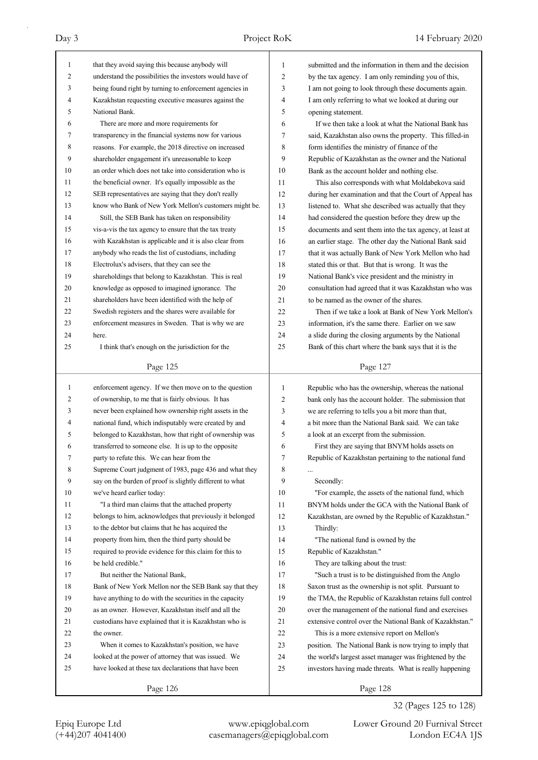| $\mathbf{1}$ | that they avoid saying this because anybody will         | $\mathbf{1}$ | submitted and the information in them and the decision   |
|--------------|----------------------------------------------------------|--------------|----------------------------------------------------------|
| 2            | understand the possibilities the investors would have of | 2            | by the tax agency. I am only reminding you of this,      |
| 3            | being found right by turning to enforcement agencies in  | 3            | I am not going to look through these documents again.    |
| 4            | Kazakhstan requesting executive measures against the     | 4            | I am only referring to what we looked at during our      |
| 5            | National Bank.                                           | 5            | opening statement.                                       |
| 6            | There are more and more requirements for                 | 6            | If we then take a look at what the National Bank has     |
| 7            | transparency in the financial systems now for various    | 7            | said, Kazakhstan also owns the property. This filled-in  |
| 8            | reasons. For example, the 2018 directive on increased    | 8            | form identifies the ministry of finance of the           |
| 9            | shareholder engagement it's unreasonable to keep         | 9            | Republic of Kazakhstan as the owner and the National     |
| 10           | an order which does not take into consideration who is   | 10           | Bank as the account holder and nothing else.             |
| 11           | the beneficial owner. It's equally impossible as the     | 11           | This also corresponds with what Moldabekova said         |
| 12           | SEB representatives are saying that they don't really    | 12           | during her examination and that the Court of Appeal has  |
| 13           | know who Bank of New York Mellon's customers might be.   | 13           | listened to. What she described was actually that they   |
| 14           | Still, the SEB Bank has taken on responsibility          | 14           | had considered the question before they drew up the      |
| 15           | vis-a-vis the tax agency to ensure that the tax treaty   | 15           | documents and sent them into the tax agency, at least at |
| 16           | with Kazakhstan is applicable and it is also clear from  | 16           | an earlier stage. The other day the National Bank said   |
| 17           | anybody who reads the list of custodians, including      | 17           | that it was actually Bank of New York Mellon who had     |
| 18           | Electrolux's advisers, that they can see the             | 18           | stated this or that. But that is wrong. It was the       |
| 19           | shareholdings that belong to Kazakhstan. This is real    | 19           | National Bank's vice president and the ministry in       |
| 20           | knowledge as opposed to imagined ignorance. The          | 20           | consultation had agreed that it was Kazakhstan who was   |
| 21           | shareholders have been identified with the help of       | 21           | to be named as the owner of the shares.                  |
| 22           | Swedish registers and the shares were available for      | 22           | Then if we take a look at Bank of New York Mellon's      |
| 23           | enforcement measures in Sweden. That is why we are       | 23           | information, it's the same there. Earlier on we saw      |
| 24           | here.                                                    | 24           | a slide during the closing arguments by the National     |
| 25           | I think that's enough on the jurisdiction for the        | 25           | Bank of this chart where the bank says that it is the    |
|              |                                                          |              |                                                          |
|              | Page 125                                                 |              | Page 127                                                 |
|              |                                                          |              |                                                          |
|              |                                                          |              |                                                          |
| $\mathbf{1}$ | enforcement agency. If we then move on to the question   | 1            | Republic who has the ownership, whereas the national     |
| 2            | of ownership, to me that is fairly obvious. It has       | 2            | bank only has the account holder. The submission that    |
| 3            | never been explained how ownership right assets in the   | 3            | we are referring to tells you a bit more than that,      |
| 4            | national fund, which indisputably were created by and    | 4            | a bit more than the National Bank said. We can take      |
| 5            | belonged to Kazakhstan, how that right of ownership was  | 5            | a look at an excerpt from the submission.                |
| 6            | transferred to someone else. It is up to the opposite    | 6            | First they are saying that BNYM holds assets on          |
| 7            | party to refute this. We can hear from the               | Τ            | Republic of Kazakhstan pertaining to the national fund   |
| 8            | Supreme Court judgment of 1983, page 436 and what they   | 8            |                                                          |
| 9            | say on the burden of proof is slightly different to what | 9            | Secondly:                                                |
| 10           | we've heard earlier today:                               | 10           | "For example, the assets of the national fund, which     |
| 11           | "I a third man claims that the attached property         | 11           | BNYM holds under the GCA with the National Bank of       |
| 12           | belongs to him, acknowledges that previously it belonged | 12           | Kazakhstan, are owned by the Republic of Kazakhstan."    |
| 13           | to the debtor but claims that he has acquired the        | 13           | Thirdly:                                                 |
| 14           | property from him, then the third party should be        | 14           | "The national fund is owned by the                       |
| 15           | required to provide evidence for this claim for this to  | 15           | Republic of Kazakhstan."                                 |
| 16           | be held credible."                                       | 16           | They are talking about the trust:                        |
| 17           | But neither the National Bank,                           | 17           | "Such a trust is to be distinguished from the Anglo      |
| 18           | Bank of New York Mellon nor the SEB Bank say that they   | 18           | Saxon trust as the ownership is not split. Pursuant to   |
| 19           | have anything to do with the securities in the capacity  | 19           | the TMA, the Republic of Kazakhstan retains full control |
| $20\,$       | as an owner. However, Kazakhstan itself and all the      | 20           | over the management of the national fund and exercises   |
| 21           | custodians have explained that it is Kazakhstan who is   | 21           | extensive control over the National Bank of Kazakhstan." |
| 22           | the owner.                                               | 22           | This is a more extensive report on Mellon's              |
| 23           | When it comes to Kazakhstan's position, we have          | 23           | position. The National Bank is now trying to imply that  |
| 24           | looked at the power of attorney that was issued. We      | 24           | the world's largest asset manager was frightened by the  |
| 25           | have looked at these tax declarations that have been     | 25           | investors having made threats. What is really happening  |

### 32 (Pages 125 to 128)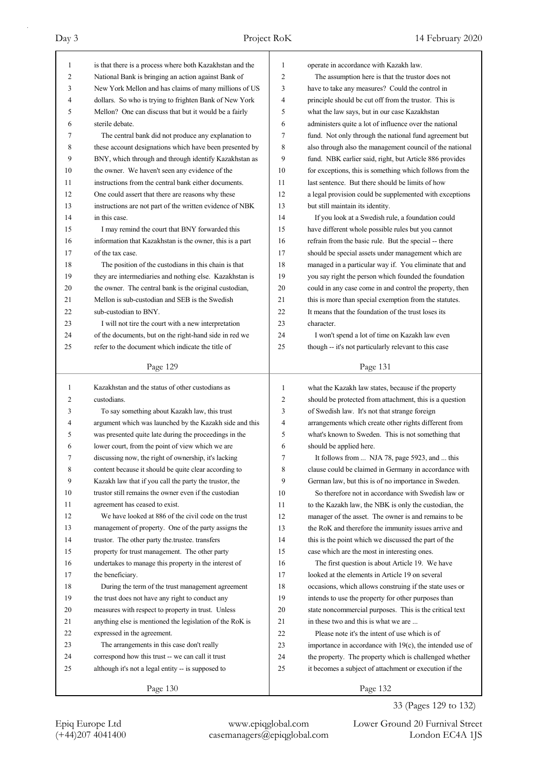| 1  | is that there is a process where both Kazakhstan and the | 1  | operate in accordance with Kazakh law.                   |
|----|----------------------------------------------------------|----|----------------------------------------------------------|
| 2  | National Bank is bringing an action against Bank of      | 2  | The assumption here is that the trustor does not         |
| 3  | New York Mellon and has claims of many millions of US    | 3  | have to take any measures? Could the control in          |
| 4  | dollars. So who is trying to frighten Bank of New York   | 4  | principle should be cut off from the trustor. This is    |
| 5  | Mellon? One can discuss that but it would be a fairly    | 5  | what the law says, but in our case Kazakhstan            |
| 6  | sterile debate.                                          | 6  | administers quite a lot of influence over the national   |
| 7  | The central bank did not produce any explanation to      | 7  | fund. Not only through the national fund agreement but   |
| 8  | these account designations which have been presented by  | 8  | also through also the management council of the national |
| 9  | BNY, which through and through identify Kazakhstan as    | 9  | fund. NBK earlier said, right, but Article 886 provides  |
| 10 | the owner. We haven't seen any evidence of the           | 10 | for exceptions, this is something which follows from the |
| 11 | instructions from the central bank either documents.     | 11 | last sentence. But there should be limits of how         |
| 12 | One could assert that there are reasons why these        | 12 | a legal provision could be supplemented with exceptions  |
| 13 | instructions are not part of the written evidence of NBK | 13 | but still maintain its identity.                         |
| 14 | in this case.                                            | 14 | If you look at a Swedish rule, a foundation could        |
| 15 | I may remind the court that BNY forwarded this           | 15 | have different whole possible rules but you cannot       |
| 16 | information that Kazakhstan is the owner, this is a part | 16 | refrain from the basic rule. But the special -- there    |
| 17 | of the tax case.                                         | 17 | should be special assets under management which are      |
| 18 | The position of the custodians in this chain is that     | 18 | managed in a particular way if. You eliminate that and   |
| 19 | they are intermediaries and nothing else. Kazakhstan is  | 19 |                                                          |
|    |                                                          |    | you say right the person which founded the foundation    |
| 20 | the owner. The central bank is the original custodian,   | 20 | could in any case come in and control the property, then |
| 21 | Mellon is sub-custodian and SEB is the Swedish           | 21 | this is more than special exemption from the statutes.   |
| 22 | sub-custodian to BNY.                                    | 22 | It means that the foundation of the trust loses its      |
| 23 | I will not tire the court with a new interpretation      | 23 | character.                                               |
| 24 | of the documents, but on the right-hand side in red we   | 24 | I won't spend a lot of time on Kazakh law even           |
| 25 | refer to the document which indicate the title of        | 25 | though -- it's not particularly relevant to this case    |
|    | Page 129                                                 |    | Page 131                                                 |
|    |                                                          |    |                                                          |
|    |                                                          |    |                                                          |
| 1  | Kazakhstan and the status of other custodians as         | 1  | what the Kazakh law states, because if the property      |
| 2  | custodians.                                              | 2  | should be protected from attachment, this is a question  |
| 3  | To say something about Kazakh law, this trust            | 3  | of Swedish law. It's not that strange foreign            |
| 4  | argument which was launched by the Kazakh side and this  | 4  | arrangements which create other rights different from    |
| 5  | was presented quite late during the proceedings in the   | 5  | what's known to Sweden. This is not something that       |
| 6  | lower court, from the point of view which we are         | 6  | should be applied here.                                  |
| 7  | discussing now, the right of ownership, it's lacking     | 7  | It follows from  NJA 78, page 5923, and  this            |
| 8  | content because it should be quite clear according to    | 8  | clause could be claimed in Germany in accordance with    |
| 9  | Kazakh law that if you call the party the trustor, the   | 9  | German law, but this is of no importance in Sweden.      |
| 10 | trustor still remains the owner even if the custodian    | 10 | So therefore not in accordance with Swedish law or       |
| 11 | agreement has ceased to exist.                           | 11 | to the Kazakh law, the NBK is only the custodian, the    |
| 12 | We have looked at 886 of the civil code on the trust     | 12 | manager of the asset. The owner is and remains to be     |
| 13 | management of property. One of the party assigns the     | 13 | the RoK and therefore the immunity issues arrive and     |
| 14 | trustor. The other party the trustee. transfers          | 14 | this is the point which we discussed the part of the     |
| 15 | property for trust management. The other party           | 15 | case which are the most in interesting ones.             |
| 16 | undertakes to manage this property in the interest of    | 16 | The first question is about Article 19. We have          |
| 17 | the beneficiary.                                         | 17 | looked at the elements in Article 19 on several          |
| 18 | During the term of the trust management agreement        | 18 | occasions, which allows construing if the state uses or  |
| 19 | the trust does not have any right to conduct any         | 19 | intends to use the property for other purposes than      |
| 20 | measures with respect to property in trust. Unless       | 20 | state noncommercial purposes. This is the critical text  |
| 21 | anything else is mentioned the legislation of the RoK is | 21 | in these two and this is what we are                     |
| 22 | expressed in the agreement.                              | 22 | Please note it's the intent of use which is of           |
| 23 | The arrangements in this case don't really               | 23 | importance in accordance with 19(c), the intended use of |
| 24 | correspond how this trust -- we can call it trust        | 24 | the property. The property which is challenged whether   |
| 25 | although it's not a legal entity -- is supposed to       | 25 | it becomes a subject of attachment or execution if the   |
|    | Page 130                                                 |    | Page 132                                                 |

### 33 (Pages 129 to 132)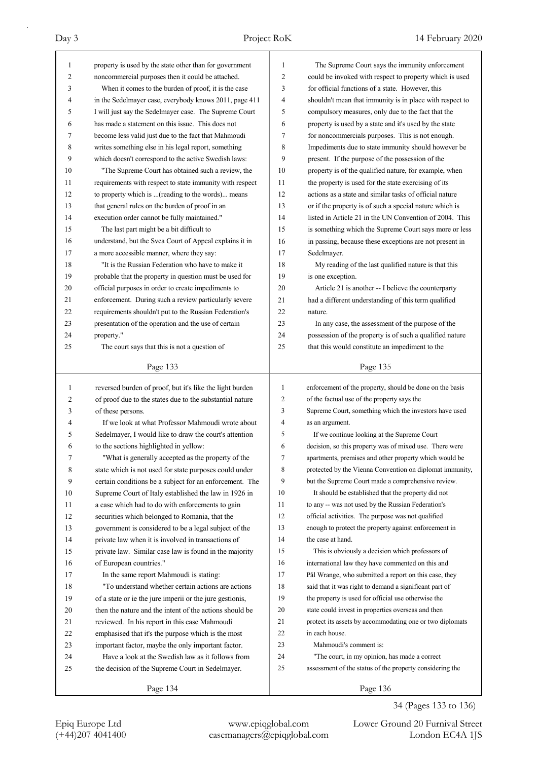| $\mathbf{1}$ | property is used by the state other than for government                                                             | 1              | The Supreme Court says the immunity enforcement                                                                |
|--------------|---------------------------------------------------------------------------------------------------------------------|----------------|----------------------------------------------------------------------------------------------------------------|
| 2            | noncommercial purposes then it could be attached.                                                                   | 2              | could be invoked with respect to property which is used                                                        |
| 3            | When it comes to the burden of proof, it is the case                                                                | 3              | for official functions of a state. However, this                                                               |
| 4            | in the Sedelmayer case, everybody knows 2011, page 411                                                              | 4              | shouldn't mean that immunity is in place with respect to                                                       |
| 5            | I will just say the Sedelmayer case. The Supreme Court                                                              | 5              | compulsory measures, only due to the fact that the                                                             |
| 6            | has made a statement on this issue. This does not                                                                   | 6              | property is used by a state and it's used by the state                                                         |
| 7            | become less valid just due to the fact that Mahmoudi                                                                | 7              | for noncommercials purposes. This is not enough.                                                               |
| 8            | writes something else in his legal report, something                                                                | 8              | Impediments due to state immunity should however be                                                            |
| 9            | which doesn't correspond to the active Swedish laws:                                                                | 9              | present. If the purpose of the possession of the                                                               |
| 10           | "The Supreme Court has obtained such a review, the                                                                  | 10             | property is of the qualified nature, for example, when                                                         |
| 11           | requirements with respect to state immunity with respect                                                            | 11             | the property is used for the state exercising of its                                                           |
| 12           | to property which is (reading to the words) means                                                                   | 12             | actions as a state and similar tasks of official nature                                                        |
| 13           | that general rules on the burden of proof in an                                                                     | 13             | or if the property is of such a special nature which is                                                        |
| 14           | execution order cannot be fully maintained."                                                                        | 14             | listed in Article 21 in the UN Convention of 2004. This                                                        |
| 15           | The last part might be a bit difficult to                                                                           | 15             | is something which the Supreme Court says more or less                                                         |
| 16           | understand, but the Svea Court of Appeal explains it in                                                             | 16             | in passing, because these exceptions are not present in                                                        |
| 17           | a more accessible manner, where they say:                                                                           | 17             | Sedelmayer.                                                                                                    |
| 18           | "It is the Russian Federation who have to make it                                                                   | 18             | My reading of the last qualified nature is that this                                                           |
| 19           | probable that the property in question must be used for                                                             | 19             | is one exception.                                                                                              |
| 20           | official purposes in order to create impediments to                                                                 | 20             | Article 21 is another -- I believe the counterparty                                                            |
| 21           | enforcement. During such a review particularly severe                                                               | 21             | had a different understanding of this term qualified                                                           |
| 22           | requirements shouldn't put to the Russian Federation's                                                              | 22             | nature.                                                                                                        |
| 23           | presentation of the operation and the use of certain                                                                | 23             | In any case, the assessment of the purpose of the                                                              |
| 24           | property."                                                                                                          | 24             | possession of the property is of such a qualified nature                                                       |
| 25           | The court says that this is not a question of                                                                       | 25             | that this would constitute an impediment to the                                                                |
|              | Page 133                                                                                                            |                | Page 135                                                                                                       |
|              |                                                                                                                     |                |                                                                                                                |
|              |                                                                                                                     |                |                                                                                                                |
| 1            | reversed burden of proof, but it's like the light burden                                                            | $\mathbf{1}$   | enforcement of the property, should be done on the basis                                                       |
| 2            | of proof due to the states due to the substantial nature                                                            | $\overline{c}$ | of the factual use of the property says the                                                                    |
| 3            | of these persons.                                                                                                   | 3              | Supreme Court, something which the investors have used                                                         |
| 4            | If we look at what Professor Mahmoudi wrote about                                                                   | 4              | as an argument.                                                                                                |
| 5            | Sedelmayer, I would like to draw the court's attention                                                              | 5              | If we continue looking at the Supreme Court                                                                    |
| 6            | to the sections highlighted in yellow:                                                                              | 6              | decision, so this property was of mixed use. There were                                                        |
| 7            | "What is generally accepted as the property of the                                                                  | 7              | apartments, premises and other property which would be                                                         |
| 8            | state which is not used for state purposes could under                                                              | 8              | protected by the Vienna Convention on diplomat immunity,                                                       |
| 9            | certain conditions be a subject for an enforcement. The                                                             | 9              | but the Supreme Court made a comprehensive review.                                                             |
| 10           | Supreme Court of Italy established the law in 1926 in                                                               | 10             | It should be established that the property did not                                                             |
| 11           | a case which had to do with enforcements to gain                                                                    | 11             | to any -- was not used by the Russian Federation's                                                             |
| 12           | securities which belonged to Romania, that the                                                                      | 12             | official activities. The purpose was not qualified                                                             |
| 13           | government is considered to be a legal subject of the                                                               | 13             | enough to protect the property against enforcement in                                                          |
| 14           | private law when it is involved in transactions of                                                                  | 14             | the case at hand.                                                                                              |
| 15           | private law. Similar case law is found in the majority                                                              | 15             | This is obviously a decision which professors of                                                               |
| 16           | of European countries."                                                                                             | 16             | international law they have commented on this and                                                              |
| 17           | In the same report Mahmoudi is stating:                                                                             | 17             | Pål Wrange, who submitted a report on this case, they                                                          |
| 18<br>19     | "To understand whether certain actions are actions                                                                  | 18<br>19       | said that it was right to demand a significant part of                                                         |
| 20           | of a state or ie the jure imperii or the jure gestionis,<br>then the nature and the intent of the actions should be | 20             | the property is used for official use otherwise the                                                            |
| 21           |                                                                                                                     | 21             | state could invest in properties overseas and then<br>protect its assets by accommodating one or two diplomats |
| 22           | reviewed. In his report in this case Mahmoudi                                                                       | 22             | in each house.                                                                                                 |
| 23           | emphasised that it's the purpose which is the most                                                                  | 23             | Mahmoudi's comment is:                                                                                         |
| 24           | important factor, maybe the only important factor.<br>Have a look at the Swedish law as it follows from             | 24             | "The court, in my opinion, has made a correct                                                                  |
| 25           | the decision of the Supreme Court in Sedelmayer.                                                                    | 25             | assessment of the status of the property considering the                                                       |
|              | Page 134                                                                                                            |                | Page 136                                                                                                       |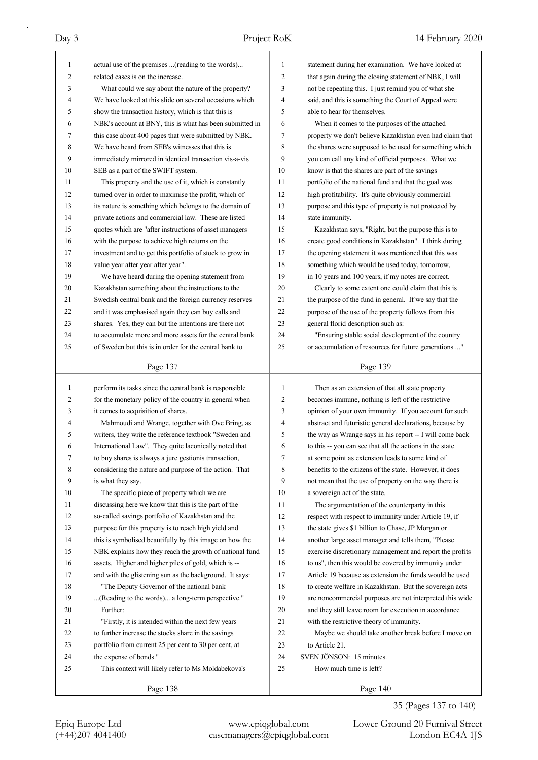| $\mathbf{1}$ | actual use of the premises (reading to the words)        | 1      | statement during her examination. We have looked at      |
|--------------|----------------------------------------------------------|--------|----------------------------------------------------------|
| 2            | related cases is on the increase.                        | 2      | that again during the closing statement of NBK, I will   |
| 3            | What could we say about the nature of the property?      | 3      | not be repeating this. I just remind you of what she     |
| 4            | We have looked at this slide on several occasions which  | 4      | said, and this is something the Court of Appeal were     |
| 5            | show the transaction history, which is that this is      | 5      | able to hear for themselves.                             |
| 6            | NBK's account at BNY, this is what has been submitted in | 6      | When it comes to the purposes of the attached            |
| 7            | this case about 400 pages that were submitted by NBK.    | 7      | property we don't believe Kazakhstan even had claim that |
| 8            | We have heard from SEB's witnesses that this is          | 8      | the shares were supposed to be used for something which  |
| 9            | immediately mirrored in identical transaction vis-a-vis  | 9      | you can call any kind of official purposes. What we      |
| 10           | SEB as a part of the SWIFT system.                       | 10     | know is that the shares are part of the savings          |
| 11           | This property and the use of it, which is constantly     | 11     | portfolio of the national fund and that the goal was     |
| 12           | turned over in order to maximise the profit, which of    | 12     | high profitability. It's quite obviously commercial      |
| 13           | its nature is something which belongs to the domain of   | 13     | purpose and this type of property is not protected by    |
| 14           | private actions and commercial law. These are listed     | 14     | state immunity.                                          |
| 15           | quotes which are "after instructions of asset managers   | 15     | Kazakhstan says, "Right, but the purpose this is to      |
| 16           | with the purpose to achieve high returns on the          | 16     | create good conditions in Kazakhstan". I think during    |
| 17           | investment and to get this portfolio of stock to grow in | 17     | the opening statement it was mentioned that this was     |
| 18           | value year after year after year".                       | 18     | something which would be used today, tomorrow,           |
| 19           | We have heard during the opening statement from          | 19     | in 10 years and 100 years, if my notes are correct.      |
| 20           | Kazakhstan something about the instructions to the       | 20     | Clearly to some extent one could claim that this is      |
| 21           | Swedish central bank and the foreign currency reserves   | 21     | the purpose of the fund in general. If we say that the   |
| 22           | and it was emphasised again they can buy calls and       | 22     | purpose of the use of the property follows from this     |
| 23           | shares. Yes, they can but the intentions are there not   | 23     | general florid description such as:                      |
| 24           | to accumulate more and more assets for the central bank  | 24     | "Ensuring stable social development of the country       |
| 25           | of Sweden but this is in order for the central bank to   | 25     | or accumulation of resources for future generations "    |
|              |                                                          |        |                                                          |
|              | Page 137                                                 |        | Page 139                                                 |
|              |                                                          |        |                                                          |
|              |                                                          |        |                                                          |
| $\mathbf{1}$ | perform its tasks since the central bank is responsible  | 1      | Then as an extension of that all state property          |
| 2<br>3       | for the monetary policy of the country in general when   | 2<br>3 | becomes immune, nothing is left of the restrictive       |
| 4            | it comes to acquisition of shares.                       |        | opinion of your own immunity. If you account for such    |
|              | Mahmoudi and Wrange, together with Ove Bring, as         | 4      | abstract and futuristic general declarations, because by |
| 5            | writers, they write the reference textbook "Sweden and   | 5      | the way as Wrange says in his report -- I will come back |
| 6<br>7       | International Law". They quite laconically noted that    | 6      | to this -- you can see that all the actions in the state |
|              | to buy shares is always a jure gestionis transaction,    | 7      | at some point as extension leads to some kind of         |
| 8            | considering the nature and purpose of the action. That   | 8      | benefits to the citizens of the state. However, it does  |
| 9            | is what they say.                                        | 9      | not mean that the use of property on the way there is    |
| 10           | The specific piece of property which we are              | 10     | a sovereign act of the state.                            |
| 11           | discussing here we know that this is the part of the     | 11     | The argumentation of the counterparty in this            |
| 12           | so-called savings portfolio of Kazakhstan and the        | 12     | respect with respect to immunity under Article 19, if    |
| 13           | purpose for this property is to reach high yield and     | 13     | the state gives \$1 billion to Chase, JP Morgan or       |
| 14           | this is symbolised beautifully by this image on how the  | 14     | another large asset manager and tells them, "Please      |
| 15           | NBK explains how they reach the growth of national fund  | 15     | exercise discretionary management and report the profits |
| 16           | assets. Higher and higher piles of gold, which is --     | 16     | to us", then this would be covered by immunity under     |
| 17           | and with the glistening sun as the background. It says:  | 17     | Article 19 because as extension the funds would be used  |
| 18           | "The Deputy Governor of the national bank                | 18     | to create welfare in Kazakhstan. But the sovereign acts  |
| 19           | (Reading to the words) a long-term perspective."         | 19     | are noncommercial purposes are not interpreted this wide |
| 20           | Further:                                                 | 20     | and they still leave room for execution in accordance    |
| 21           | "Firstly, it is intended within the next few years       | 21     | with the restrictive theory of immunity.                 |
| 22           | to further increase the stocks share in the savings      | 22     | Maybe we should take another break before I move on      |
| 23           | portfolio from current 25 per cent to 30 per cent, at    | 23     | to Article 21.                                           |
| 24           | the expense of bonds."                                   | 24     | SVEN JÖNSON: 15 minutes.                                 |
| 25           | This context will likely refer to Ms Moldabekova's       | 25     | How much time is left?                                   |

# 35 (Pages 137 to 140)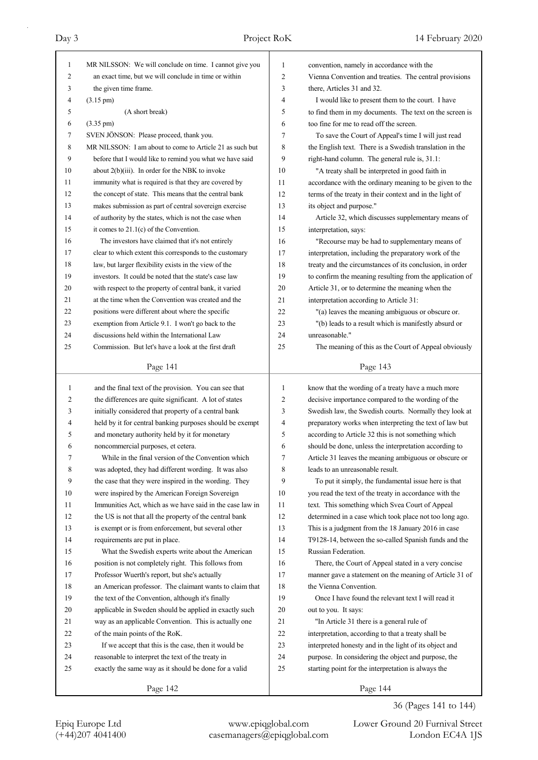| $\mathbf{1}$   | MR NILSSON: We will conclude on time. I cannot give you  | 1              | convention, namely in accordance with the                |
|----------------|----------------------------------------------------------|----------------|----------------------------------------------------------|
| $\overline{2}$ | an exact time, but we will conclude in time or within    | $\overline{2}$ | Vienna Convention and treaties. The central provisions   |
| 3              | the given time frame.                                    | 3              | there, Articles 31 and 32.                               |
| 4              | $(3.15 \text{ pm})$                                      | $\overline{4}$ | I would like to present them to the court. I have        |
| 5              | (A short break)                                          | 5              | to find them in my documents. The text on the screen is  |
| 6              | $(3.35 \text{ pm})$                                      | 6              | too fine for me to read off the screen.                  |
| 7              | SVEN JÖNSON: Please proceed, thank you.                  | 7              | To save the Court of Appeal's time I will just read      |
| 8              | MR NILSSON: I am about to come to Article 21 as such but | 8              | the English text. There is a Swedish translation in the  |
| 9              | before that I would like to remind you what we have said | 9              | right-hand column. The general rule is, 31.1:            |
| 10             | about $2(b)(iii)$ . In order for the NBK to invoke       | 10             | "A treaty shall be interpreted in good faith in          |
| 11             | immunity what is required is that they are covered by    | 11             | accordance with the ordinary meaning to be given to the  |
| 12             | the concept of state. This means that the central bank   | 12             | terms of the treaty in their context and in the light of |
| 13             | makes submission as part of central sovereign exercise   | 13             | its object and purpose."                                 |
| 14             | of authority by the states, which is not the case when   | 14             | Article 32, which discusses supplementary means of       |
| 15             | it comes to $21.1(c)$ of the Convention.                 | 15             | interpretation, says:                                    |
| 16             | The investors have claimed that it's not entirely        | 16             | "Recourse may be had to supplementary means of           |
| 17             | clear to which extent this corresponds to the customary  | 17             | interpretation, including the preparatory work of the    |
| 18             | law, but larger flexibility exists in the view of the    | 18             | treaty and the circumstances of its conclusion, in order |
| 19             | investors. It could be noted that the state's case law   | 19             | to confirm the meaning resulting from the application of |
| 20             | with respect to the property of central bank, it varied  | 20             | Article 31, or to determine the meaning when the         |
| 21             | at the time when the Convention was created and the      | 21             | interpretation according to Article 31:                  |
| 22             | positions were different about where the specific        | 22             | "(a) leaves the meaning ambiguous or obscure or.         |
| 23             | exemption from Article 9.1. I won't go back to the       | 23             | "(b) leads to a result which is manifestly absurd or     |
| 24             | discussions held within the International Law            | 24             | unreasonable."                                           |
| 25             | Commission. But let's have a look at the first draft     | 25             | The meaning of this as the Court of Appeal obviously     |
|                |                                                          |                |                                                          |
|                | Page 141                                                 |                | Page 143                                                 |
|                |                                                          |                |                                                          |
|                |                                                          |                |                                                          |
| 1              | and the final text of the provision. You can see that    | 1              | know that the wording of a treaty have a much more       |
| 2              | the differences are quite significant. A lot of states   | $\overline{2}$ | decisive importance compared to the wording of the       |
| 3              | initially considered that property of a central bank     | 3              | Swedish law, the Swedish courts. Normally they look at   |
| 4              | held by it for central banking purposes should be exempt | 4              | preparatory works when interpreting the text of law but  |
| 5              | and monetary authority held by it for monetary           | 5              | according to Article 32 this is not something which      |
| 6              | noncommercial purposes, et cetera.                       | 6              | should be done, unless the interpretation according to   |
| 7              | While in the final version of the Convention which       | 7              | Article 31 leaves the meaning ambiguous or obscure or    |
| 8              | was adopted, they had different wording. It was also     | 8              | leads to an unreasonable result.                         |
| 9              | the case that they were inspired in the wording. They    | 9              | To put it simply, the fundamental issue here is that     |
| 10             | were inspired by the American Foreign Sovereign          | 10             | you read the text of the treaty in accordance with the   |
| 11             | Immunities Act, which as we have said in the case law in | 11             | text. This something which Svea Court of Appeal          |
| 12             | the US is not that all the property of the central bank  | 12             | determined in a case which took place not too long ago.  |
| 13             | is exempt or is from enforcement, but several other      | 13             | This is a judgment from the 18 January 2016 in case      |
| 14             | requirements are put in place.                           | 14             | T9128-14, between the so-called Spanish funds and the    |
| 15             | What the Swedish experts write about the American        | 15             | Russian Federation.                                      |
| 16             | position is not completely right. This follows from      | 16             | There, the Court of Appeal stated in a very concise      |
| 17             | Professor Wuerth's report, but she's actually            | 17             | manner gave a statement on the meaning of Article 31 of  |
| 18             | an American professor. The claimant wants to claim that  | 18             | the Vienna Convention.                                   |
| 19             | the text of the Convention, although it's finally        | 19             | Once I have found the relevant text I will read it       |
| 20             | applicable in Sweden should be applied in exactly such   | $20\,$         | out to you. It says:                                     |
| 21             | way as an applicable Convention. This is actually one    | 21             | "In Article 31 there is a general rule of                |
| 22             | of the main points of the RoK.                           | $22\,$         | interpretation, according to that a treaty shall be      |
| 23             | If we accept that this is the case, then it would be     | 23             | interpreted honesty and in the light of its object and   |
| 24             | reasonable to interpret the text of the treaty in        | 24             | purpose. In considering the object and purpose, the      |
| 25             | exactly the same way as it should be done for a valid    | 25             | starting point for the interpretation is always the      |
|                | Page 142                                                 |                | Page 144                                                 |

36 (Pages 141 to 144)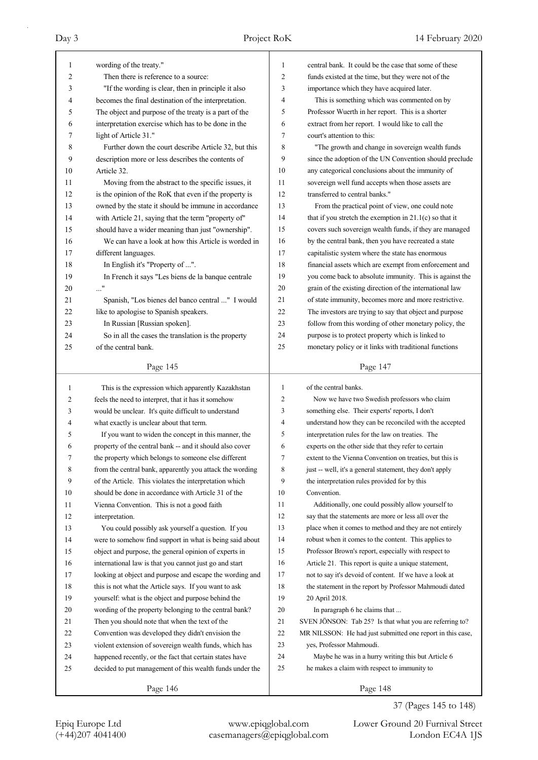| 1        | wording of the treaty."                                                                                     | 1              | central bank. It could be the case that some of these                                                            |
|----------|-------------------------------------------------------------------------------------------------------------|----------------|------------------------------------------------------------------------------------------------------------------|
| 2        | Then there is reference to a source:                                                                        | 2              | funds existed at the time, but they were not of the                                                              |
| 3        | "If the wording is clear, then in principle it also                                                         | 3              | importance which they have acquired later.                                                                       |
| 4        | becomes the final destination of the interpretation.                                                        | 4              | This is something which was commented on by                                                                      |
| 5        | The object and purpose of the treaty is a part of the                                                       | 5              | Professor Wuerth in her report. This is a shorter                                                                |
| 6        | interpretation exercise which has to be done in the                                                         | 6              | extract from her report. I would like to call the                                                                |
| 7        | light of Article 31."                                                                                       | 7              | court's attention to this:                                                                                       |
| 8        | Further down the court describe Article 32, but this                                                        | 8              | "The growth and change in sovereign wealth funds                                                                 |
| 9        | description more or less describes the contents of                                                          | 9              | since the adoption of the UN Convention should preclude                                                          |
| 10       | Article 32.                                                                                                 | 10             | any categorical conclusions about the immunity of                                                                |
| 11       | Moving from the abstract to the specific issues, it                                                         | 11<br>12       | sovereign well fund accepts when those assets are                                                                |
| 12       | is the opinion of the RoK that even if the property is                                                      |                | transferred to central banks."                                                                                   |
| 13       | owned by the state it should be immune in accordance                                                        | 13             | From the practical point of view, one could note                                                                 |
| 14       | with Article 21, saying that the term "property of"                                                         | 14<br>15       | that if you stretch the exemption in $21.1(c)$ so that it                                                        |
| 15       | should have a wider meaning than just "ownership".                                                          |                | covers such sovereign wealth funds, if they are managed                                                          |
| 16       | We can have a look at how this Article is worded in                                                         | 16             | by the central bank, then you have recreated a state                                                             |
| 17       | different languages.                                                                                        | 17             | capitalistic system where the state has enormous                                                                 |
| 18       | In English it's "Property of ".                                                                             | 18             | financial assets which are exempt from enforcement and                                                           |
| 19       | In French it says "Les biens de la banque centrale                                                          | 19             | you come back to absolute immunity. This is against the                                                          |
| 20       | $\ldots$ "                                                                                                  | 20             | grain of the existing direction of the international law                                                         |
| 21       | Spanish, "Los bienes del banco central " I would                                                            | 21             | of state immunity, becomes more and more restrictive.                                                            |
| 22       | like to apologise to Spanish speakers.                                                                      | 22             | The investors are trying to say that object and purpose                                                          |
| 23       | In Russian [Russian spoken].                                                                                | 23             | follow from this wording of other monetary policy, the                                                           |
| 24       | So in all the cases the translation is the property                                                         | 24             | purpose is to protect property which is linked to                                                                |
| 25       | of the central bank.                                                                                        | 25             | monetary policy or it links with traditional functions                                                           |
|          | Page 145                                                                                                    |                | Page 147                                                                                                         |
|          |                                                                                                             |                |                                                                                                                  |
|          |                                                                                                             |                |                                                                                                                  |
| 1        | This is the expression which apparently Kazakhstan                                                          | 1              | of the central banks.                                                                                            |
| 2        | feels the need to interpret, that it has it somehow                                                         | $\mathfrak{2}$ | Now we have two Swedish professors who claim                                                                     |
| 3        | would be unclear. It's quite difficult to understand                                                        | 3              | something else. Their experts' reports, I don't                                                                  |
| 4        | what exactly is unclear about that term.                                                                    | 4              | understand how they can be reconciled with the accepted                                                          |
| 5        | If you want to widen the concept in this manner, the                                                        | 5              | interpretation rules for the law on treaties. The                                                                |
| 6        | property of the central bank -- and it should also cover                                                    | 6              | experts on the other side that they refer to certain                                                             |
| 7        | the property which belongs to someone else different                                                        | 7              | extent to the Vienna Convention on treaties, but this is                                                         |
| 8        | from the central bank, apparently you attack the wording                                                    | 8              | just -- well, it's a general statement, they don't apply                                                         |
| 9        | of the Article. This violates the interpretation which                                                      | 9              | the interpretation rules provided for by this                                                                    |
| 10       | should be done in accordance with Article 31 of the                                                         | 10             | Convention.                                                                                                      |
| 11       | Vienna Convention. This is not a good faith                                                                 | 11             | Additionally, one could possibly allow yourself to                                                               |
| 12       | interpretation.                                                                                             | 12<br>13       | say that the statements are more or less all over the<br>place when it comes to method and they are not entirely |
| 13       | You could possibly ask yourself a question. If you                                                          |                |                                                                                                                  |
| 14       | were to somehow find support in what is being said about                                                    | 14<br>15       | robust when it comes to the content. This applies to                                                             |
| 15       | object and purpose, the general opinion of experts in                                                       | 16             | Professor Brown's report, especially with respect to                                                             |
| 16       | international law is that you cannot just go and start                                                      | 17             | Article 21. This report is quite a unique statement,                                                             |
| 17       | looking at object and purpose and escape the wording and                                                    | 18             | not to say it's devoid of content. If we have a look at                                                          |
| 18       | this is not what the Article says. If you want to ask                                                       | 19             | the statement in the report by Professor Mahmoudi dated<br>20 April 2018.                                        |
| 19       | yourself: what is the object and purpose behind the                                                         | 20             |                                                                                                                  |
| 20<br>21 | wording of the property belonging to the central bank?                                                      | 21             | In paragraph 6 he claims that<br>SVEN JÖNSON: Tab 25? Is that what you are referring to?                         |
| 22       | Then you should note that when the text of the                                                              | 22             |                                                                                                                  |
| 23       | Convention was developed they didn't envision the<br>violent extension of sovereign wealth funds, which has | 23             | MR NILSSON: He had just submitted one report in this case,<br>yes, Professor Mahmoudi.                           |
| 24       | happened recently, or the fact that certain states have                                                     | 24             | Maybe he was in a hurry writing this but Article 6                                                               |
| 25       | decided to put management of this wealth funds under the                                                    | 25             | he makes a claim with respect to immunity to                                                                     |

37 (Pages 145 to 148)

Epiq Europe Ltd www.epiqglobal.com Lower Ground 20 Furnival Street<br>
(+44)207 4041400 casemanagers@epiqglobal.com London EC4A 1JS Lower Ground 20 Furnival Street

Page 148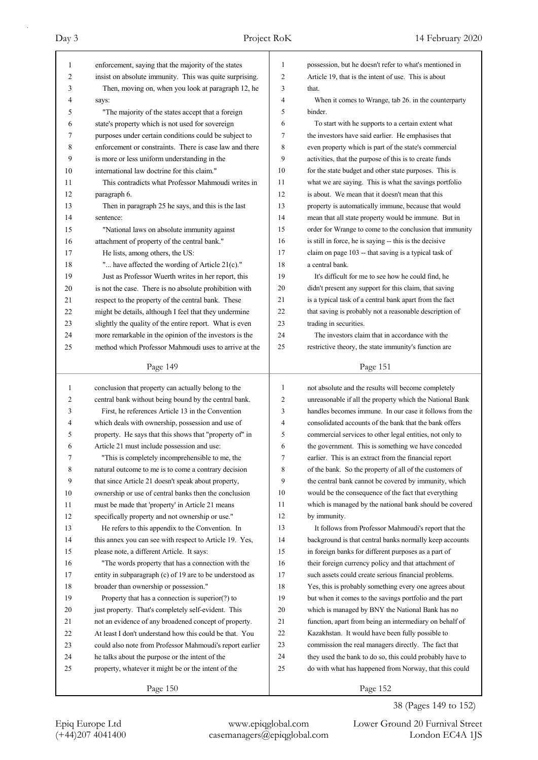| 1  | enforcement, saying that the majority of the states      | 1            | possession, but he doesn't refer to what's mentioned in  |
|----|----------------------------------------------------------|--------------|----------------------------------------------------------|
| 2  | insist on absolute immunity. This was quite surprising.  | 2            | Article 19, that is the intent of use. This is about     |
| 3  | Then, moving on, when you look at paragraph 12, he       | 3            | that.                                                    |
| 4  | says:                                                    | 4            | When it comes to Wrange, tab 26. in the counterparty     |
| 5  | "The majority of the states accept that a foreign        | 5            | binder.                                                  |
| 6  | state's property which is not used for sovereign         | 6            | To start with he supports to a certain extent what       |
| 7  | purposes under certain conditions could be subject to    | 7            | the investors have said earlier. He emphasises that      |
| 8  | enforcement or constraints. There is case law and there  | 8            | even property which is part of the state's commercial    |
| 9  | is more or less uniform understanding in the             | 9            | activities, that the purpose of this is to create funds  |
| 10 | international law doctrine for this claim."              | 10           | for the state budget and other state purposes. This is   |
| 11 | This contradicts what Professor Mahmoudi writes in       | 11           | what we are saying. This is what the savings portfolio   |
| 12 | paragraph 6.                                             | 12           | is about. We mean that it doesn't mean that this         |
| 13 | Then in paragraph 25 he says, and this is the last       | 13           | property is automatically immune, because that would     |
| 14 | sentence:                                                | 14           | mean that all state property would be immune. But in     |
| 15 | "National laws on absolute immunity against              | 15           | order for Wrange to come to the conclusion that immunity |
| 16 | attachment of property of the central bank."             | 16           | is still in force, he is saying -- this is the decisive  |
| 17 | He lists, among others, the US:                          | 17           | claim on page 103 -- that saving is a typical task of    |
| 18 | " have affected the wording of Article 21(c)."           | 18           | a central bank.                                          |
| 19 | Just as Professor Wuerth writes in her report, this      | 19           | It's difficult for me to see how he could find, he       |
| 20 | is not the case. There is no absolute prohibition with   | 20           | didn't present any support for this claim, that saving   |
| 21 | respect to the property of the central bank. These       | 21           | is a typical task of a central bank apart from the fact  |
| 22 | might be details, although I feel that they undermine    | 22           | that saving is probably not a reasonable description of  |
| 23 | slightly the quality of the entire report. What is even  | 23           | trading in securities.                                   |
| 24 | more remarkable in the opinion of the investors is the   | 24           | The investors claim that in accordance with the          |
| 25 | method which Professor Mahmoudi uses to arrive at the    | 25           | restrictive theory, the state immunity's function are    |
|    |                                                          |              |                                                          |
|    | Page 149                                                 |              | Page 151                                                 |
|    |                                                          |              |                                                          |
|    |                                                          |              |                                                          |
| 1  | conclusion that property can actually belong to the      | $\mathbf{1}$ | not absolute and the results will become completely      |
| 2  | central bank without being bound by the central bank.    | 2            | unreasonable if all the property which the National Bank |
| 3  | First, he references Article 13 in the Convention        | 3            | handles becomes immune. In our case it follows from the  |
| 4  | which deals with ownership, possession and use of        | 4            | consolidated accounts of the bank that the bank offers   |
| 5  | property. He says that this shows that "property of" in  | 5            | commercial services to other legal entities, not only to |
| 6  | Article 21 must include possession and use:              | 6            | the government. This is something we have conceded       |
| 7  | "This is completely incomprehensible to me, the          | 7            | earlier. This is an extract from the financial report    |
| 8  | natural outcome to me is to come a contrary decision     | 8            | of the bank. So the property of all of the customers of  |
| 9  | that since Article 21 doesn't speak about property,      | 9            | the central bank cannot be covered by immunity, which    |
| 10 | ownership or use of central banks then the conclusion    | 10           | would be the consequence of the fact that everything     |
| 11 | must be made that 'property' in Article 21 means         | 11           | which is managed by the national bank should be covered  |
| 12 | specifically property and not ownership or use."         | 12           | by immunity.                                             |
| 13 | He refers to this appendix to the Convention. In         | 13           | It follows from Professor Mahmoudi's report that the     |
| 14 | this annex you can see with respect to Article 19. Yes,  | 14           | background is that central banks normally keep accounts  |
| 15 | please note, a different Article. It says:               | 15           | in foreign banks for different purposes as a part of     |
| 16 | "The words property that has a connection with the       | 16           | their foreign currency policy and that attachment of     |
| 17 | entity in subparagraph (c) of 19 are to be understood as | 17           | such assets could create serious financial problems.     |
| 18 | broader than ownership or possession."                   | 18           | Yes, this is probably something every one agrees about   |
| 19 | Property that has a connection is superior(?) to         | 19           | but when it comes to the savings portfolio and the part  |
| 20 | just property. That's completely self-evident. This      | 20           | which is managed by BNY the National Bank has no         |
| 21 | not an evidence of any broadened concept of property.    | 21           | function, apart from being an intermediary on behalf of  |
| 22 | At least I don't understand how this could be that. You  | 22           | Kazakhstan. It would have been fully possible to         |
| 23 | could also note from Professor Mahmoudi's report earlier | 23           | commission the real managers directly. The fact that     |
| 24 | he talks about the purpose or the intent of the          | 24           | they used the bank to do so, this could probably have to |
| 25 | property, whatever it might be or the intent of the      | 25           | do with what has happened from Norway, that this could   |

38 (Pages 149 to 152)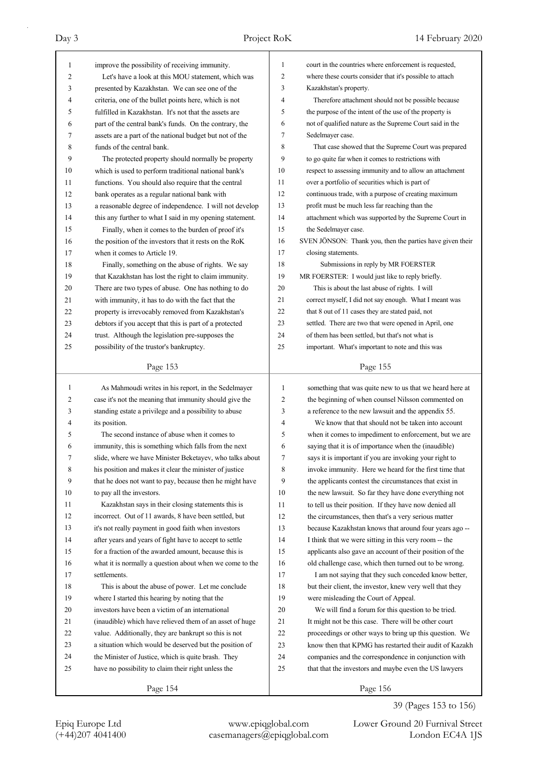| $\mathbf{1}$ | improve the possibility of receiving immunity.           | 1              | court in the countries where enforcement is requested,    |
|--------------|----------------------------------------------------------|----------------|-----------------------------------------------------------|
| 2            | Let's have a look at this MOU statement, which was       | 2              | where these courts consider that it's possible to attach  |
| 3            | presented by Kazakhstan. We can see one of the           | 3              | Kazakhstan's property.                                    |
| 4            | criteria, one of the bullet points here, which is not    | $\overline{4}$ | Therefore attachment should not be possible because       |
| 5            | fulfilled in Kazakhstan. It's not that the assets are    | 5              | the purpose of the intent of the use of the property is   |
| 6            | part of the central bank's funds. On the contrary, the   | 6              | not of qualified nature as the Supreme Court said in the  |
| 7            | assets are a part of the national budget but not of the  | 7              | Sedelmayer case.                                          |
| 8            | funds of the central bank.                               | 8              | That case showed that the Supreme Court was prepared      |
| 9            | The protected property should normally be property       | 9              | to go quite far when it comes to restrictions with        |
| 10           | which is used to perform traditional national bank's     | 10             | respect to assessing immunity and to allow an attachment  |
| 11           | functions. You should also require that the central      | 11             | over a portfolio of securities which is part of           |
| 12           | bank operates as a regular national bank with            | 12             | continuous trade, with a purpose of creating maximum      |
| 13           | a reasonable degree of independence. I will not develop  | 13             | profit must be much less far reaching than the            |
| 14           | this any further to what I said in my opening statement. | 14             | attachment which was supported by the Supreme Court in    |
| 15           | Finally, when it comes to the burden of proof it's       | 15             | the Sedelmayer case.                                      |
| 16           | the position of the investors that it rests on the RoK   | 16             | SVEN JÖNSON: Thank you, then the parties have given their |
| 17           | when it comes to Article 19.                             | 17             | closing statements.                                       |
| 18           | Finally, something on the abuse of rights. We say        | 18             | Submissions in reply by MR FOERSTER                       |
| 19           | that Kazakhstan has lost the right to claim immunity.    | 19             | MR FOERSTER: I would just like to reply briefly.          |
| 20           | There are two types of abuse. One has nothing to do      | 20             | This is about the last abuse of rights. I will            |
| 21           | with immunity, it has to do with the fact that the       | 21             | correct myself, I did not say enough. What I meant was    |
| 22           | property is irrevocably removed from Kazakhstan's        | 22             | that 8 out of 11 cases they are stated paid, not          |
| 23           | debtors if you accept that this is part of a protected   | 23             | settled. There are two that were opened in April, one     |
| 24           | trust. Although the legislation pre-supposes the         | 24             | of them has been settled, but that's not what is          |
| 25           | possibility of the trustor's bankruptcy.                 | 25             | important. What's important to note and this was          |
|              |                                                          |                |                                                           |
|              | Page 153                                                 |                | Page 155                                                  |
|              |                                                          |                |                                                           |
|              |                                                          |                |                                                           |
| 1            | As Mahmoudi writes in his report, in the Sedelmayer      | 1              | something that was quite new to us that we heard here at  |
| 2            | case it's not the meaning that immunity should give the  | 2              | the beginning of when counsel Nilsson commented on        |
| 3            | standing estate a privilege and a possibility to abuse   | 3              | a reference to the new lawsuit and the appendix 55.       |
| 4            | its position.                                            | 4              | We know that that should not be taken into account        |
| 5            | The second instance of abuse when it comes to            | 5              | when it comes to impediment to enforcement, but we are    |
| 6            | immunity, this is something which falls from the next    | 6              | saying that it is of importance when the (inaudible)      |
| 7            | slide, where we have Minister Beketayev, who talks about | 7              | says it is important if you are invoking your right to    |
| 8            | his position and makes it clear the minister of justice  | 8              | invoke immunity. Here we heard for the first time that    |
| 9            | that he does not want to pay, because then he might have | 9              | the applicants contest the circumstances that exist in    |
| 10           | to pay all the investors.                                | 10             | the new lawsuit. So far they have done everything not     |
| 11           | Kazakhstan says in their closing statements this is      | 11             | to tell us their position. If they have now denied all    |
| 12           | incorrect. Out of 11 awards, 8 have been settled, but    | 12             | the circumstances, then that's a very serious matter      |
| 13           | it's not really payment in good faith when investors     | 13             | because Kazakhstan knows that around four years ago --    |
| 14           | after years and years of fight have to accept to settle  | 14             | I think that we were sitting in this very room -- the     |
| 15           | for a fraction of the awarded amount, because this is    | 15             | applicants also gave an account of their position of the  |
| 16           | what it is normally a question about when we come to the | 16             | old challenge case, which then turned out to be wrong.    |
| 17           | settlements.                                             | 17             | I am not saying that they such conceded know better,      |
| 18           | This is about the abuse of power. Let me conclude        | 18             | but their client, the investor, knew very well that they  |
| 19           | where I started this hearing by noting that the          | 19             | were misleading the Court of Appeal.                      |
| 20           | investors have been a victim of an international         | 20             | We will find a forum for this question to be tried.       |
| 21           | (inaudible) which have relieved them of an asset of huge | 21             | It might not be this case. There will be other court      |
| 22           | value. Additionally, they are bankrupt so this is not    | 22             | proceedings or other ways to bring up this question. We   |
| 23           | a situation which would be deserved but the position of  | 23             | know then that KPMG has restarted their audit of Kazakh   |
| 24           | the Minister of Justice, which is quite brash. They      | 24             | companies and the correspondence in conjunction with      |
| 25           | have no possibility to claim their right unless the      | 25             | that that the investors and maybe even the US lawyers     |
|              | Page 154                                                 |                | Page 156                                                  |

39 (Pages 153 to 156)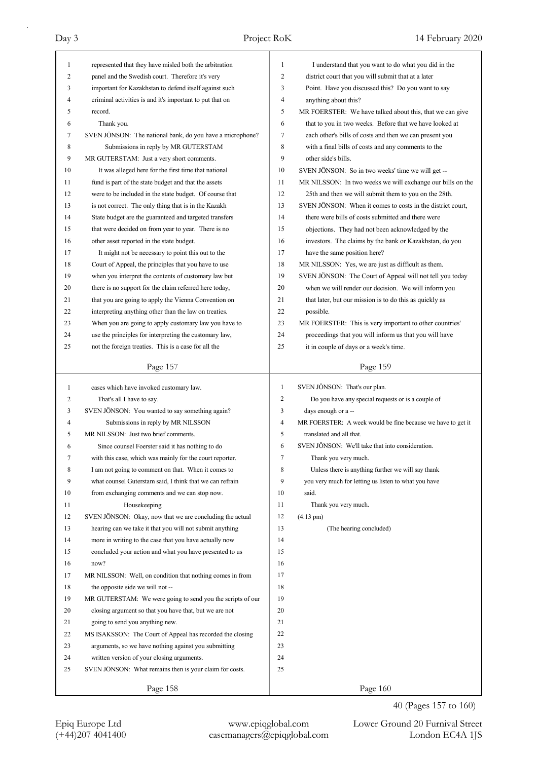| $\mathbf{1}$ | represented that they have misled both the arbitration                     | $\mathbf{1}$   | I understand that you want to do what you did in the                                |
|--------------|----------------------------------------------------------------------------|----------------|-------------------------------------------------------------------------------------|
| 2            | panel and the Swedish court. Therefore it's very                           | 2              | district court that you will submit that at a later                                 |
| 3            | important for Kazakhstan to defend itself against such                     | 3              | Point. Have you discussed this? Do you want to say                                  |
| 4            | criminal activities is and it's important to put that on                   | $\overline{4}$ | anything about this?                                                                |
| 5            | record.                                                                    | 5              | MR FOERSTER: We have talked about this, that we can give                            |
| 6            | Thank you.                                                                 | 6              | that to you in two weeks. Before that we have looked at                             |
| 7            | SVEN JÖNSON: The national bank, do you have a microphone?                  | 7              | each other's bills of costs and then we can present you                             |
| 8            | Submissions in reply by MR GUTERSTAM                                       | 8              | with a final bills of costs and any comments to the                                 |
| 9            | MR GUTERSTAM: Just a very short comments.                                  | 9              | other side's bills.                                                                 |
| 10           | It was alleged here for the first time that national                       | 10             | SVEN JÖNSON: So in two weeks' time we will get --                                   |
| 11           | fund is part of the state budget and that the assets                       | 11             | MR NILSSON: In two weeks we will exchange our bills on the                          |
| 12           | were to be included in the state budget. Of course that                    | 12             | 25th and then we will submit them to you on the 28th.                               |
| 13           | is not correct. The only thing that is in the Kazakh                       | 13             | SVEN JÖNSON: When it comes to costs in the district court,                          |
| 14           | State budget are the guaranteed and targeted transfers                     | 14             | there were bills of costs submitted and there were                                  |
| 15           | that were decided on from year to year. There is no                        | 15             | objections. They had not been acknowledged by the                                   |
| 16           | other asset reported in the state budget.                                  | 16             | investors. The claims by the bank or Kazakhstan, do you                             |
| 17           | It might not be necessary to point this out to the                         | 17             | have the same position here?                                                        |
| 18           | Court of Appeal, the principles that you have to use                       | 18             | MR NILSSON: Yes, we are just as difficult as them.                                  |
| 19           | when you interpret the contents of customary law but                       | 19             | SVEN JÖNSON: The Court of Appeal will not tell you today                            |
| 20           | there is no support for the claim referred here today,                     | 20             | when we will render our decision. We will inform you                                |
| 21           | that you are going to apply the Vienna Convention on                       | 21             | that later, but our mission is to do this as quickly as                             |
| 22           | interpreting anything other than the law on treaties.                      | 22             | possible.                                                                           |
| 23           | When you are going to apply customary law you have to                      | 23             | MR FOERSTER: This is very important to other countries'                             |
| 24           | use the principles for interpreting the customary law,                     | 24             | proceedings that you will inform us that you will have                              |
| 25           | not the foreign treaties. This is a case for all the                       | 25             | it in couple of days or a week's time.                                              |
|              | Page 157                                                                   |                | Page 159                                                                            |
|              |                                                                            |                |                                                                                     |
|              |                                                                            | 1              |                                                                                     |
| 1<br>2       | cases which have invoked customary law.<br>That's all I have to say.       | $\overline{2}$ | SVEN JÖNSON: That's our plan.<br>Do you have any special requests or is a couple of |
| 3            | SVEN JÖNSON: You wanted to say something again?                            | 3              | days enough or a --                                                                 |
| 4            |                                                                            | $\overline{4}$ | MR FOERSTER: A week would be fine because we have to get it                         |
| 5            | Submissions in reply by MR NILSSON<br>MR NILSSON: Just two brief comments. | 5              | translated and all that.                                                            |
| 6            | Since counsel Foerster said it has nothing to do                           | 6              | SVEN JÖNSON: We'll take that into consideration.                                    |
| 7            | with this case, which was mainly for the court reporter.                   | 7              | Thank you very much.                                                                |
| 8            | I am not going to comment on that. When it comes to                        | 8              | Unless there is anything further we will say thank                                  |
| 9            | what counsel Guterstam said, I think that we can refrain                   | 9              | you very much for letting us listen to what you have                                |
| 10           | from exchanging comments and we can stop now.                              | 10             | said.                                                                               |
| 11           | Housekeeping                                                               | 11             | Thank you very much.                                                                |
| 12           | SVEN JÖNSON: Okay, now that we are concluding the actual                   | 12             | $(4.13 \text{ pm})$                                                                 |
| 13           | hearing can we take it that you will not submit anything                   | 13             | (The hearing concluded)                                                             |
| 14           | more in writing to the case that you have actually now                     | 14             |                                                                                     |
| 15           | concluded your action and what you have presented to us                    | 15             |                                                                                     |
| 16           | now?                                                                       | 16             |                                                                                     |
| 17           | MR NILSSON: Well, on condition that nothing comes in from                  | 17             |                                                                                     |
| 18           | the opposite side we will not --                                           | 18             |                                                                                     |
| 19           | MR GUTERSTAM: We were going to send you the scripts of our                 | 19             |                                                                                     |
| 20           | closing argument so that you have that, but we are not                     | 20             |                                                                                     |
| 21           | going to send you anything new.                                            | 21             |                                                                                     |
| 22           | MS ISAKSSON: The Court of Appeal has recorded the closing                  | 22             |                                                                                     |
| 23           | arguments, so we have nothing against you submitting                       | 23             |                                                                                     |
| 24           | written version of your closing arguments.                                 | 24             |                                                                                     |
| 25           | SVEN JÖNSON: What remains then is your claim for costs.                    | 25             |                                                                                     |

40 (Pages 157 to 160)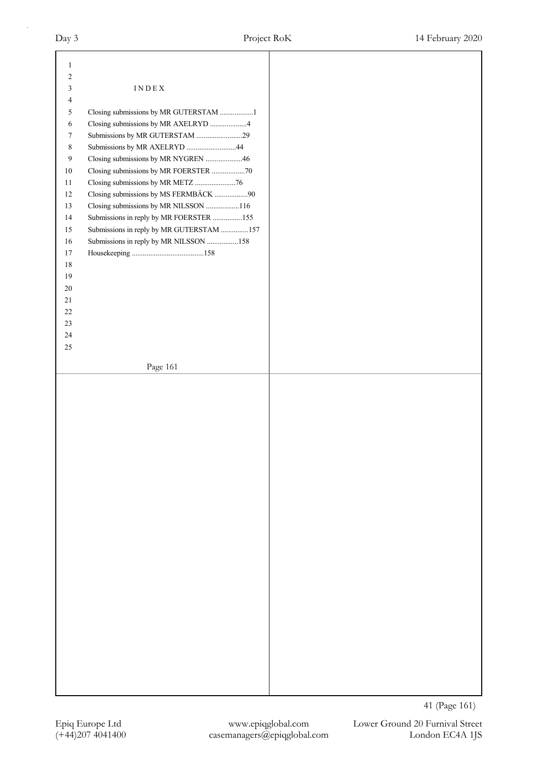| $\mathbf{1}$<br>2 |                                          |
|-------------------|------------------------------------------|
| 3                 | $\texttt{INDE}{}$ X                      |
| 4                 |                                          |
| 5                 | Closing submissions by MR GUTERSTAM 1    |
| 6                 | Closing submissions by MR AXELRYD 4      |
| 7                 | Submissions by MR GUTERSTAM 29           |
| $\,8\,$           | Submissions by MR AXELRYD 44             |
|                   |                                          |
| $\overline{9}$    | Closing submissions by MR NYGREN 46      |
| 10                | Closing submissions by MR FOERSTER 70    |
| 11                | Closing submissions by MR METZ 76        |
| 12                | Closing submissions by MS FERMBÄCK 90    |
| 13                | Closing submissions by MR NILSSON 116    |
| 14                | Submissions in reply by MR FOERSTER 155  |
| 15                | Submissions in reply by MR GUTERSTAM 157 |
| 16                | Submissions in reply by MR NILSSON 158   |
| 17                |                                          |
| 18                |                                          |
| 19                |                                          |
| 20                |                                          |
| 21                |                                          |
| 22                |                                          |
| 23                |                                          |
| $24\,$            |                                          |
| 25                |                                          |
|                   |                                          |
|                   | Page 161                                 |
|                   |                                          |
|                   |                                          |
|                   |                                          |
|                   |                                          |
|                   |                                          |
|                   |                                          |
|                   |                                          |
|                   |                                          |
|                   |                                          |
|                   |                                          |
|                   |                                          |
|                   |                                          |
|                   |                                          |
|                   |                                          |
|                   |                                          |
|                   |                                          |
|                   |                                          |
|                   |                                          |
|                   |                                          |
|                   |                                          |
|                   |                                          |
|                   |                                          |
|                   |                                          |
|                   |                                          |
|                   |                                          |
|                   |                                          |
|                   |                                          |
|                   |                                          |
|                   |                                          |
|                   |                                          |

41 (Page 161)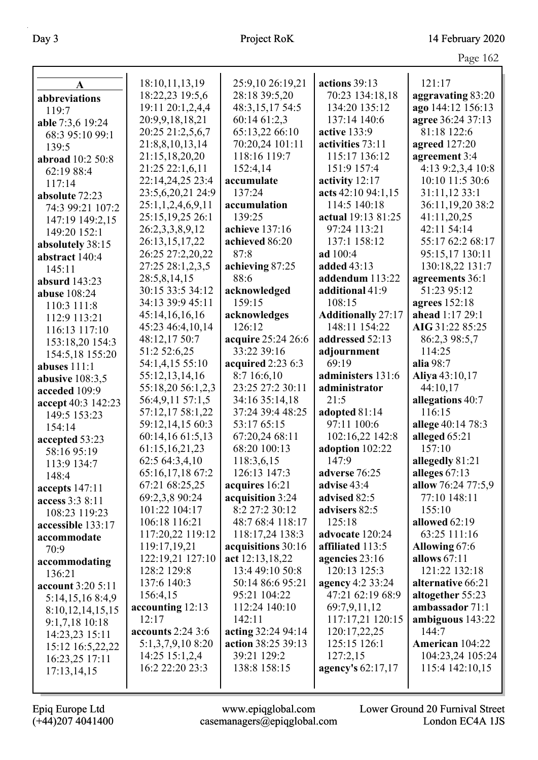Day 3 Project RoK 14 February 2020

|                                      |                                     |                         |                           | Page 162                           |
|--------------------------------------|-------------------------------------|-------------------------|---------------------------|------------------------------------|
|                                      | 18:10,11,13,19                      | 25:9,10 26:19,21        | actions 39:13             | 121:17                             |
| $\mathbf{A}$                         | 18:22,23 19:5,6                     | 28:18 39:5,20           | 70:23 134:18,18           | aggravating 83:20                  |
| abbreviations                        | 19:11 20:1,2,4,4                    | 48:3,15,17 54:5         | 134:20 135:12             | ago 144:12 156:13                  |
| 119:7                                | 20:9,9,18,18,21                     | 60:14 61:2,3            | 137:14 140:6              | agree 36:24 37:13                  |
| able 7:3,6 19:24                     | 20:25 21:2,5,6,7                    | 65:13,22 66:10          | active 133:9              | 81:18 122:6                        |
| 68:3 95:10 99:1                      | 21:8,8,10,13,14                     | 70:20,24 101:11         | activities 73:11          | agreed 127:20                      |
| 139:5                                | 21:15,18,20,20                      | 118:16 119:7            | 115:17 136:12             | agreement 3:4                      |
| abroad 10:2 50:8                     | 21:25 22:1,6,11                     | 152:4,14                | 151:9 157:4               | 4:13 9:2,3,4 10:8                  |
| 62:19 88:4                           | 22:14,24,25 23:4                    | accumulate              | activity 12:17            | 10:10 11:5 30:6                    |
| 117:14                               | 23:5,6,20,21 24:9                   | 137:24                  | acts 42:10 94:1,15        | 31:11,12 33:1                      |
| absolute 72:23                       | 25:1,1,2,4,6,9,11                   | accumulation            | 114:5 140:18              | 36:11,19,20 38:2                   |
| 74:3 99:21 107:2                     | 25:15,19,25 26:1                    | 139:25                  | actual 19:13 81:25        | 41:11,20,25                        |
| 147:19 149:2,15                      | 26:2,3,3,8,9,12                     | achieve 137:16          | 97:24 113:21              | 42:11 54:14                        |
| 149:20 152:1                         |                                     | achieved 86:20          | 137:1 158:12              | 55:17 62:2 68:17                   |
| absolutely 38:15                     | 26:13,15,17,22<br>26:25 27:2,20,22  | 87:8                    | ad 100:4                  | 95:15,17 130:11                    |
| abstract 140:4                       | 27:25 28:1,2,3,5                    |                         | added 43:13               |                                    |
| 145:11                               | 28:5,8,14,15                        | achieving 87:25<br>88:6 | addendum 113:22           | 130:18,22 131:7<br>agreements 36:1 |
| <b>absurd</b> 143:23                 | 30:15 33:5 34:12                    | acknowledged            | additional 41:9           | 51:23 95:12                        |
| abuse 108:24                         | 34:13 39:9 45:11                    | 159:15                  | 108:15                    | agrees 152:18                      |
| 110:3 111:8                          | 45:14,16,16,16                      |                         | <b>Additionally 27:17</b> | ahead 1:17 29:1                    |
| 112:9 113:21                         | 45:23 46:4,10,14                    | acknowledges<br>126:12  | 148:11 154:22             | AIG 31:22 85:25                    |
| 116:13 117:10                        |                                     | acquire 25:24 26:6      | addressed 52:13           | 86:2,3 98:5,7                      |
| 153:18,20 154:3                      | 48:12,17 50:7<br>51:2 52:6,25       | 33:22 39:16             |                           | 114:25                             |
| 154:5,18 155:20                      | 54:1,4,15 55:10                     | acquired 2:23 6:3       | adjournment<br>69:19      | alia 98:7                          |
| abuses 111:1                         |                                     | 8:7 16:6,10             | administers 131:6         | Aliya 43:10,17                     |
| abusive $108:3,5$                    | 55:12,13,14,16<br>55:18,20 56:1,2,3 | 23:25 27:2 30:11        | administrator             | 44:10,17                           |
| acceded 109:9                        | 56:4,9,11 57:1,5                    | 34:16 35:14,18          | 21:5                      | allegations 40:7                   |
| accept 40:3 142:23                   | 57:12,17 58:1,22                    | 37:24 39:4 48:25        | adopted 81:14             | 116:15                             |
| 149:5 153:23                         | 59:12,14,15 60:3                    | 53:17 65:15             | 97:11 100:6               | allege 40:14 78:3                  |
| 154:14                               | 60:14,16 61:5,13                    | 67:20,24 68:11          | 102:16,22 142:8           | alleged 65:21                      |
| accepted 53:23                       | 61:15,16,21,23                      | 68:20 100:13            | adoption 102:22           | 157:10                             |
| 58:16 95:19                          | 62:5 64:3,4,10                      | 118:3,6,15              | 147:9                     | allegedly 81:21                    |
| 113:9 134:7                          | 65:16,17,18 67:2                    | 126:13 147:3            | adverse 76:25             | alleges 67:13                      |
| 148:4                                | 67:21 68:25,25                      | acquires 16:21          | advise 43:4               | allow 76:24 77:5,9                 |
| accepts 147:11                       | 69:2,3,8 90:24                      | acquisition 3:24        | advised 82:5              | 77:10 148:11                       |
| access 3:3 8:11                      | 101:22 104:17                       | 8:2 27:2 30:12          | advisers 82:5             | 155:10                             |
| 108:23 119:23                        | 106:18 116:21                       | 48:7 68:4 118:17        | 125:18                    | allowed 62:19                      |
| accessible 133:17                    | 117:20,22 119:12                    | 118:17,24 138:3         | advocate 120:24           | 63:25 111:16                       |
| accommodate<br>70:9                  | 119:17,19,21                        | acquisitions 30:16      | affiliated 113:5          | Allowing 67:6                      |
|                                      | 122:19,21 127:10                    | act 12:13,18,22         | agencies 23:16            | allows $67:11$                     |
| accommodating<br>136:21              | 128:2 129:8                         | 13:4 49:10 50:8         | 120:13 125:3              | 121:22 132:18                      |
| account 3:20 5:11                    | 137:6 140:3                         | 50:14 86:6 95:21        | agency 4:2 33:24          | alternative 66:21                  |
|                                      | 156:4,15                            | 95:21 104:22            | 47:21 62:19 68:9          | altogether 55:23                   |
| 5:14,15,16 8:4,9<br>8:10,12,14,15,15 | accounting 12:13                    | 112:24 140:10           | 69:7,9,11,12              | ambassador 71:1                    |
|                                      | 12:17                               | 142:11                  | 117:17,21 120:15          | ambiguous 143:22                   |
| 9:1,7,18 10:18<br>14:23,23 15:11     | accounts $2:24$ 3:6                 | acting 32:24 94:14      | 120:17,22,25              | 144:7                              |
| 15:12 16:5,22,22                     | 5:1,3,7,9,10 8:20                   | action 38:25 39:13      | 125:15 126:1              | American 104:22                    |
| 16:23,25 17:11                       | 14:25 15:1,2,4                      | 39:21 129:2             | 127:2,15                  | 104:23,24 105:24                   |
| 17:13,14,15                          | 16:2 22:20 23:3                     | 138:8 158:15            | agency's 62:17,17         | 115:4 142:10,15                    |
|                                      |                                     |                         |                           |                                    |
|                                      |                                     |                         |                           |                                    |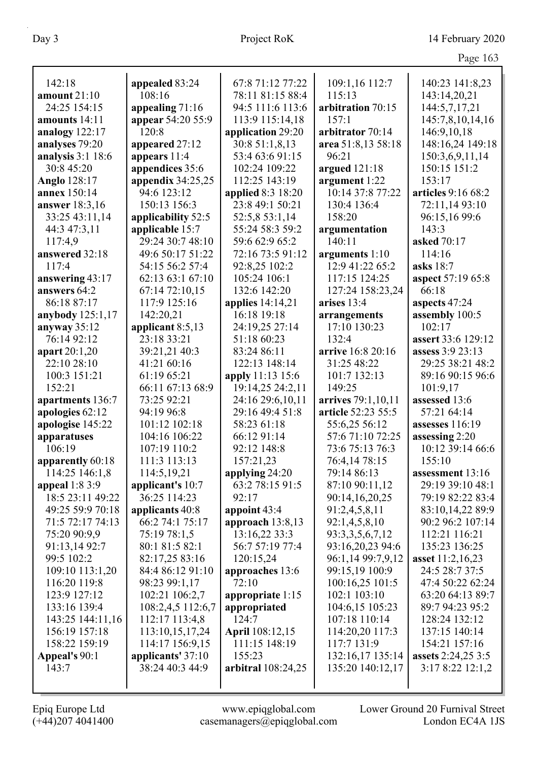|                     |                     |                        |                    | Page 163                  |
|---------------------|---------------------|------------------------|--------------------|---------------------------|
| 142:18              | appealed 83:24      | 67:8 71:12 77:22       | 109:1,16 112:7     | 140:23 141:8,23           |
| amount $21:10$      | 108:16              | 78:11 81:15 88:4       | 115:13             | 143:14,20,21              |
| 24:25 154:15        | appealing $71:16$   | 94:5 111:6 113:6       | arbitration 70:15  | 144:5,7,17,21             |
| amounts 14:11       | appear 54:20 55:9   | 113:9 115:14,18        | 157:1              | 145:7,8,10,14,16          |
| analogy 122:17      | 120:8               | application 29:20      | arbitrator 70:14   | 146:9,10,18               |
| analyses 79:20      | appeared 27:12      | 30:8 51:1,8,13         | area 51:8,13 58:18 | 148:16,24 149:18          |
| analysis $3:1$ 18:6 | appears 11:4        | 53:4 63:6 91:15        | 96:21              | 150:3,6,9,11,14           |
| 30:8 45:20          | appendices 35:6     | 102:24 109:22          | argued 121:18      | 150:15 151:2              |
| Anglo 128:17        | appendix $34:25,25$ | 112:25 143:19          | argument 1:22      | 153:17                    |
| annex 150:14        | 94:6 123:12         | applied 8:3 18:20      | 10:14 37:8 77:22   | articles 9:16 68:2        |
| answer 18:3,16      | 150:13 156:3        | 23:8 49:1 50:21        | 130:4 136:4        | 72:11,14 93:10            |
| 33:25 43:11,14      | applicability 52:5  | 52:5,8 53:1,14         | 158:20             | 96:15,16 99:6             |
| 44:3 47:3,11        | applicable 15:7     | 55:24 58:3 59:2        | argumentation      | 143:3                     |
| 117:4,9             | 29:24 30:7 48:10    | 59:6 62:9 65:2         | 140:11             | asked 70:17               |
| answered 32:18      | 49:6 50:17 51:22    | 72:16 73:5 91:12       | arguments 1:10     | 114:16                    |
| 117:4               | 54:15 56:2 57:4     | 92:8,25 102:2          | 12:9 41:22 65:2    | asks 18:7                 |
| answering 43:17     | 62:13 63:1 67:10    | 105:24 106:1           | 117:15 124:25      | aspect 57:19 65:8         |
| answers 64:2        | 67:14 72:10,15      | 132:6 142:20           | 127:24 158:23,24   | 66:18                     |
| 86:18 87:17         | 117:9 125:16        | applies $14:14,21$     | arises 13:4        | aspects 47:24             |
| anybody 125:1,17    | 142:20,21           | 16:18 19:18            | arrangements       | assembly 100:5            |
| anyway 35:12        | applicant 8:5,13    | 24:19,25 27:14         | 17:10 130:23       | 102:17                    |
| 76:14 92:12         | 23:18 33:21         | 51:18 60:23            | 132:4              | assert 33:6 129:12        |
| apart 20:1,20       | 39:21,21 40:3       | 83:24 86:11            | arrive 16:8 20:16  | assess 3:9 23:13          |
| 22:10 28:10         | 41:21 60:16         | 122:13 148:14          | 31:25 48:22        | 29:25 38:21 48:2          |
| 100:3 151:21        | 61:19 65:21         | apply 11:13 15:6       | 101:7 132:13       | 89:16 90:15 96:6          |
| 152:21              | 66:11 67:13 68:9    | 19:14,25 24:2,11       | 149:25             | 101:9,17                  |
| apartments 136:7    | 73:25 92:21         | 24:16 29:6,10,11       | arrives 79:1,10,11 | assessed 13:6             |
| apologies 62:12     | 94:19 96:8          | 29:16 49:4 51:8        | article 52:23 55:5 | 57:21 64:14               |
| apologise 145:22    | 101:12 102:18       | 58:23 61:18            | 55:6,25 56:12      | assesses 116:19           |
| apparatuses         | 104:16 106:22       | 66:12 91:14            | 57:6 71:10 72:25   | assessing 2:20            |
| 106:19              | 107:19 110:2        | 92:12 148:8            | 73:6 75:13 76:3    | 10:12 39:14 66:6          |
| apparently 60:18    | 111:3 113:13        | 157:21,23              | 76:4,14 78:15      | 155:10                    |
| 114:25 146:1,8      | 114:5,19,21         | applying 24:20         | 79:14 86:13        | assessment 13:16          |
| appeal $1:83:9$     | applicant's 10:7    | 63:2 78:15 91:5        | 87:10 90:11,12     | 29:19 39:10 48:1          |
| 18:5 23:11 49:22    | 36:25 114:23        | 92:17                  | 90:14,16,20,25     | 79:19 82:22 83:4          |
| 49:25 59:9 70:18    | applicants 40:8     | appoint 43:4           | 91:2,4,5,8,11      | 83:10,14,22 89:9          |
| 71:5 72:17 74:13    | 66:2 74:1 75:17     | approach $13:8,13$     | 92:1,4,5,8,10      | 90:2 96:2 107:14          |
| 75:20 90:9,9        | 75:19 78:1,5        | 13:16,22 33:3          | 93:3,3,5,6,7,12    | 112:21 116:21             |
| 91:13,14 92:7       | 80:1 81:5 82:1      | 56:7 57:19 77:4        | 93:16,20,23 94:6   | 135:23 136:25             |
| 99:5 102:2          | 82:17,25 83:16      | 120:15,24              | 96:1,14 99:7,9,12  | asset 11:2,16,23          |
| 109:10 113:1,20     | 84:4 86:12 91:10    | approaches 13:6        | 99:15,19 100:9     | 24:5 28:7 37:5            |
| 116:20 119:8        | 98:23 99:1,17       | 72:10                  | 100:16,25 101:5    | 47:4 50:22 62:24          |
| 123:9 127:12        | 102:21 106:2,7      | appropriate 1:15       | 102:1 103:10       | 63:20 64:13 89:7          |
| 133:16 139:4        | 108:2,4,5 112:6,7   | appropriated           | 104:6,15 105:23    | 89:7 94:23 95:2           |
| 143:25 144:11,16    | 112:17 113:4,8      | 124:7                  | 107:18 110:14      | 128:24 132:12             |
| 156:19 157:18       | 113:10,15,17,24     | <b>April</b> 108:12,15 | 114:20,20 117:3    | 137:15 140:14             |
| 158:22 159:19       | 114:17 156:9,15     | 111:15 148:19          | 117:7 131:9        | 154:21 157:16             |
| Appeal's 90:1       | applicants' 37:10   | 155:23                 | 132:16,17 135:14   | <b>assets</b> 2:24,25 3:5 |
| 143:7               | 38:24 40:3 44:9     | arbitral 108:24,25     | 135:20 140:12,17   | 3:17 8:22 12:1,2          |
|                     |                     |                        |                    |                           |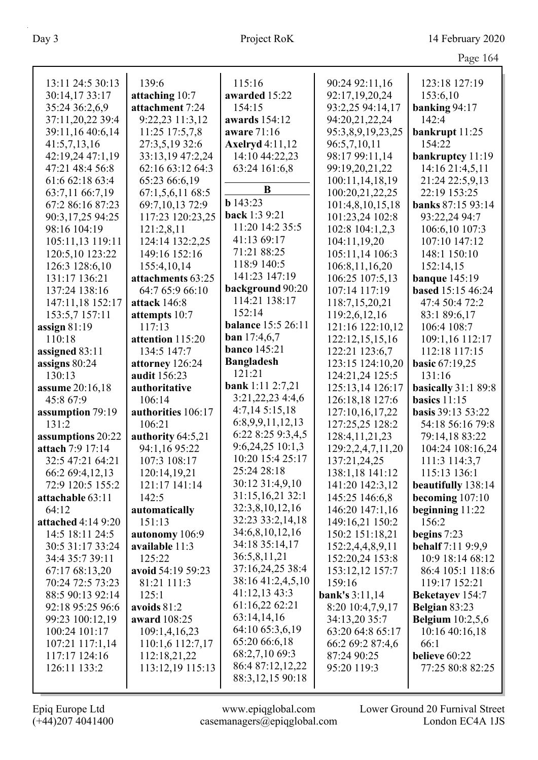|                        |                    |                           |                   | $\circ$                  |
|------------------------|--------------------|---------------------------|-------------------|--------------------------|
| 13:11 24:5 30:13       | 139:6              | 115:16                    | 90:24 92:11,16    | 123:18 127:19            |
| 30:14,17 33:17         | attaching 10:7     | awarded 15:22             | 92:17,19,20,24    | 153:6,10                 |
| 35:24 36:2,6,9         | attachment 7:24    | 154:15                    | 93:2,25 94:14,17  | banking 94:17            |
| 37:11,20,22 39:4       | 9:22,23 11:3,12    | awards 154:12             | 94:20,21,22,24    | 142:4                    |
| 39:11,16 40:6,14       | 11:25 17:5,7,8     | aware 71:16               | 95:3,8,9,19,23,25 | bankrupt 11:25           |
| 41:5,7,13,16           | 27:3,5,19 32:6     | <b>Axelryd</b> 4:11,12    | 96:5,7,10,11      | 154:22                   |
| 42:19,24 47:1,19       | 33:13,19 47:2,24   | 14:10 44:22,23            | 98:17 99:11,14    | bankruptcy 11:19         |
| 47:21 48:4 56:8        | 62:16 63:12 64:3   | 63:24 161:6,8             | 99:19,20,21,22    | 14:16 21:4,5,11          |
| 61:6 62:18 63:4        | 65:23 66:6,19      |                           | 100:11,14,18,19   | 21:24 22:5,9,13          |
| 63:7,11 66:7,19        | 67:1,5,6,1168:5    | B                         | 100:20,21,22,25   | 22:19 153:25             |
| 67:2 86:16 87:23       | 69:7,10,13 72:9    | b143:23                   | 101:4,8,10,15,18  | banks 87:15 93:14        |
| 90:3,17,25 94:25       | 117:23 120:23,25   | back 1:3 9:21             | 101:23,24 102:8   | 93:22,24 94:7            |
| 98:16 104:19           | 121:2,8,11         | 11:20 14:2 35:5           | 102:8 104:1,2,3   | 106:6,10 107:3           |
| 105:11,13 119:11       | 124:14 132:2,25    | 41:13 69:17               | 104:11,19,20      | 107:10 147:12            |
| 120:5,10 123:22        | 149:16 152:16      | 71:21 88:25               | 105:11,14 106:3   | 148:1 150:10             |
| 126:3 128:6,10         | 155:4,10,14        | 118:9 140:5               | 106:8,11,16,20    | 152:14,15                |
| 131:17 136:21          | attachments 63:25  | 141:23 147:19             | 106:25 107:5,13   | <b>banque</b> 145:19     |
| 137:24 138:16          | 64:7 65:9 66:10    | background 90:20          | 107:14 117:19     | <b>based</b> 15:15 46:24 |
| 147:11,18 152:17       | attack 146:8       | 114:21 138:17             | 118:7,15,20,21    | 47:4 50:4 72:2           |
| 153:5,7 157:11         | attempts 10:7      | 152:14                    | 119:2,6,12,16     | 83:1 89:6,17             |
| assign $81:19$         | 117:13             | <b>balance</b> 15:5 26:11 | 121:16 122:10,12  | 106:4 108:7              |
| 110:18                 | attention 115:20   | ban $17:4,6,7$            | 122:12,15,15,16   | 109:1,16 112:17          |
| assigned 83:11         | 134:5 147:7        | <b>banco</b> 145:21       | 122:21 123:6,7    | 112:18 117:15            |
| assigns 80:24          | attorney 126:24    | <b>Bangladesh</b>         | 123:15 124:10,20  | <b>basic 67:19,25</b>    |
| 130:13                 | audit 156:23       | 121:21                    | 124:21,24 125:5   | 131:16                   |
| <b>assume</b> 20:16,18 | authoritative      | bank 1:11 2:7,21          | 125:13,14 126:17  | basically 31:1 89:8      |
| 45:8 67:9              | 106:14             | 3:21,22,23 4:4,6          | 126:18,18 127:6   | basics $11:15$           |
| assumption 79:19       | authorities 106:17 | 4:7,145:15,18             | 127:10,16,17,22   | <b>basis</b> 39:13 53:22 |
| 131:2                  | 106:21             | 6:8,9,9,11,12,13          | 127:25,25 128:2   | 54:18 56:16 79:8         |
| assumptions 20:22      | authority 64:5,21  | 6:22 8:25 9:3,4,5         | 128:4, 11, 21, 23 | 79:14,18 83:22           |
| attach 7:9 17:14       | 94:1,16 95:22      | 9:6,24,25 10:1,3          | 129:2,2,4,7,11,20 | 104:24 108:16,24         |
| 32:5 47:21 64:21       | 107:3 108:17       | 10:20 15:4 25:17          | 137:21,24,25      | 111:3 114:3,7            |
| 66:2 69:4,12,13        | 120:14,19,21       | 25:24 28:18               | 138:1,18 141:12   | 115:13 136:1             |
| 72:9 120:5 155:2       | 121:17 141:14      | 30:12 31:4,9,10           | 141:20 142:3,12   | beautifully 138:14       |
| attachable 63:11       | 142:5              | 31:15,16,21 32:1          | 145:25 146:6,8    | becoming $107:10$        |
| 64:12                  | automatically      | 32:3,8,10,12,16           | 146:20 147:1,16   | beginning $11:22$        |
| attached $4:149:20$    | 151:13             | 32:23 33:2,14,18          | 149:16,21 150:2   | 156:2                    |
| 14:5 18:11 24:5        | autonomy 106:9     | 34:6,8,10,12,16           | 150:2 151:18,21   | begins $7:23$            |
| 30:5 31:17 33:24       | available 11:3     | 34:18 35:14,17            | 152:2,4,4,8,9,11  | <b>behalf</b> 7:11 9:9,9 |
| 34:4 35:7 39:11        | 125:22             | 36:5,8,11,21              | 152:20,24 153:8   | 10:9 18:14 68:12         |
| 67:17 68:13,20         | avoid 54:19 59:23  | 37:16,24,25 38:4          | 153:12,12 157:7   | 86:4 105:1 118:6         |
| 70:24 72:5 73:23       | 81:21 111:3        | 38:16 41:2,4,5,10         | 159:16            | 119:17 152:21            |
| 88:5 90:13 92:14       | 125:1              | 41:12,13 43:3             | bank's $3:11,14$  | <b>Beketayev</b> 154:7   |
| 92:18 95:25 96:6       | avoids $81:2$      | 61:16,22 62:21            | 8:20 10:4,7,9,17  | Belgian 83:23            |
| 99:23 100:12,19        | award 108:25       | 63:14,14,16               | 34:13,20 35:7     | <b>Belgium</b> 10:2,5,6  |
| 100:24 101:17          | 109:1,4,16,23      | 64:10 65:3,6,19           | 63:20 64:8 65:17  | 10:16 40:16,18           |
| 107:21 117:1,14        | 110:1,6 112:7,17   | 65:20 66:6,18             | 66:2 69:2 87:4,6  | 66:1                     |
| 117:17 124:16          | 112:18,21,22       | 68:2,7,10 69:3            | 87:24 90:25       | believe 60:22            |
| 126:11 133:2           | 113:12,19 115:13   | 86:4 87:12,12,22          | 95:20 119:3       | 77:25 80:8 82:25         |
|                        |                    | 88:3, 12, 15 90:18        |                   |                          |
|                        |                    |                           |                   |                          |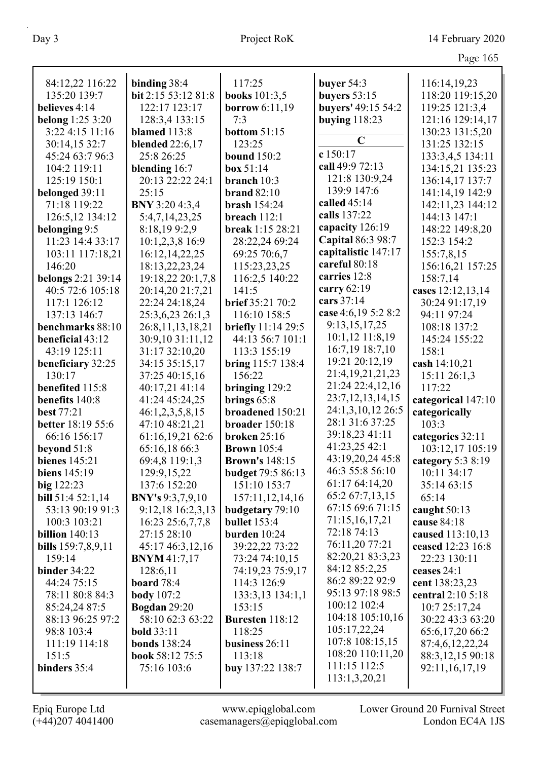| 84:12,22 116:22         | binding 38:4            | 117:25                   | buyer 54:3           | 116:14,19,23       |
|-------------------------|-------------------------|--------------------------|----------------------|--------------------|
| 135:20 139:7            | bit 2:15 53:12 81:8     | <b>books</b> 101:3,5     | buyers $53:15$       | 118:20 119:15,20   |
| believes 4:14           | 122:17 123:17           | borrow $6:11,19$         | buyers' 49:15 54:2   | 119:25 121:3,4     |
| <b>belong</b> 1:25 3:20 | 128:3,4 133:15          | 7:3                      | buying $118:23$      | 121:16 129:14,17   |
| 3:224:1511:16           | blamed 113:8            | <b>bottom 51:15</b>      |                      | 130:23 131:5,20    |
| 30:14,15 32:7           | <b>blended</b> 22:6,17  | 123:25                   | $\mathbf C$          | 131:25 132:15      |
| 45:24 63:7 96:3         | 25:8 26:25              | <b>bound</b> 150:2       | c 150:17             | 133:3,4,5 134:11   |
| 104:2 119:11            | blending 16:7           | box~51:14                | call 49:9 72:13      | 134:15,21 135:23   |
| 125:19 150:1            | 20:13 22:22 24:1        | branch 10:3              | 121:8 130:9,24       | 136:14,17 137:7    |
| belonged 39:11          | 25:15                   | brand $82:10$            | 139:9 147:6          | 141:14,19 142:9    |
| 71:18 119:22            | BNY 3:20 4:3,4          | brash $154:24$           | called $45:14$       | 142:11,23 144:12   |
| 126:5,12 134:12         | 5:4,7,14,23,25          | breach 112:1             | calls 137:22         | 144:13 147:1       |
| belonging 9:5           | 8:18,199:2,9            | break 1:15 28:21         | capacity 126:19      | 148:22 149:8,20    |
| 11:23 14:4 33:17        | 10:1,2,3,8 16:9         | 28:22,24 69:24           | Capital 86:3 98:7    | 152:3 154:2        |
| 103:11 117:18,21        | 16:12,14,22,25          | 69:25 70:6,7             | capitalistic 147:17  | 155:7,8,15         |
| 146:20                  | 18:13,22,23,24          | 115:23,23,25             | careful 80:18        | 156:16,21 157:25   |
| belongs 2:21 39:14      | 19:18,22 20:1,7,8       | 116:2,5 140:22           | carries 12:8         | 158:7,14           |
| 40:5 72:6 105:18        | 20:14,20 21:7,21        | 141:5                    | carry 62:19          | cases 12:12,13,14  |
| 117:1 126:12            | 22:24 24:18,24          | brief 35:21 70:2         | cars 37:14           | 30:24 91:17,19     |
| 137:13 146:7            | 25:3,6,23 26:1,3        | 116:10 158:5             | case 4:6,19 5:2 8:2  | 94:11 97:24        |
| benchmarks 88:10        | 26:8,11,13,18,21        | briefly 11:14 29:5       | 9:13,15,17,25        | 108:18 137:2       |
| beneficial 43:12        | 30:9,10 31:11,12        | 44:13 56:7 101:1         | 10:1,12 11:8,19      | 145:24 155:22      |
| 43:19 125:11            | 31:17 32:10,20          | 113:3 155:19             | 16:7,19 18:7,10      | 158:1              |
| beneficiary 32:25       | 34:15 35:15,17          | bring 115:7 138:4        | 19:21 20:12,19       | cash 14:10,21      |
| 130:17                  | 37:25 40:15,16          | 156:22                   | 21:4,19,21,21,23     | 15:11 26:1,3       |
| benefited 115:8         | 40:17,21 41:14          | bringing 129:2           | 21:24 22:4,12,16     | 117:22             |
| benefits 140:8          | 41:24 45:24,25          | brings $65:8$            | 23:7, 12, 13, 14, 15 | categorical 147:10 |
| <b>best</b> 77:21       | 46:1,2,3,5,8,15         | broadened 150:21         | 24:1,3,10,12 26:5    | categorically      |
| better 18:19 55:6       | 47:10 48:21,21          | broader 150:18           | 28:1 31:6 37:25      | 103:3              |
| 66:16 156:17            | 61:16,19,21 62:6        | <b>broken</b> 25:16      | 39:18,23 41:11       | categories 32:11   |
| beyond 51:8             | 65:16,18 66:3           | <b>Brown</b> 105:4       | 41:23,25 42:1        | 103:12,17 105:19   |
| <b>bienes</b> 145:21    | 69:4,8 119:1,3          | <b>Brown's 148:15</b>    | 43:19,20,24 45:8     | category 5:3 8:19  |
| biens $145:19$          | 129:9, 15, 22           | <b>budget</b> 79:5 86:13 | 46:3 55:8 56:10      | 10:11 34:17        |
| big 122:23              | 137:6 152:20            | 151:10 153:7             | 61:17 64:14,20       | 35:14 63:15        |
| bill 51:4 52:1,14       | <b>BNY's</b> 9:3,7,9,10 | 157:11,12,14,16          | 65:2 67:7,13,15      | 65:14              |
| 53:13 90:19 91:3        | 9:12,18 16:2,3,13       | budgetary 79:10          | 67:15 69:6 71:15     | caught 50:13       |
| 100:3 103:21            | 16:23 25:6,7,7,8        | <b>bullet</b> 153:4      | 71:15,16,17,21       | cause 84:18        |
| billion $140:13$        | 27:15 28:10             | burden $10:24$           | 72:18 74:13          | caused 113:10,13   |
| bills 159:7,8,9,11      | 45:17 46:3,12,16        | 39:22,22 73:22           | 76:11,20 77:21       | ceased 12:23 16:8  |
| 159:14                  | <b>BNYM</b> 41:7,17     | 73:24 74:10,15           | 82:20,21 83:3,23     | 22:23 130:11       |
| binder $34:22$          | 128:6,11                | 74:19,23 75:9,17         | 84:12 85:2,25        | ceases 24:1        |
| 44:24 75:15             | <b>board</b> 78:4       | 114:3 126:9              | 86:2 89:22 92:9      | cent 138:23,23     |
| 78:11 80:8 84:3         | <b>body</b> 107:2       | 133:3,13 134:1,1         | 95:13 97:18 98:5     | central 2:10 5:18  |
| 85:24,24 87:5           | <b>Bogdan</b> 29:20     | 153:15                   | 100:12 102:4         | 10:7 25:17,24      |
| 88:13 96:25 97:2        | 58:10 62:3 63:22        | Buresten 118:12          | 104:18 105:10,16     | 30:22 43:3 63:20   |
| 98:8 103:4              | <b>bold</b> 33:11       | 118:25                   | 105:17,22,24         | 65:6,17,20 66:2    |
| 111:19 114:18           | <b>bonds</b> 138:24     | business 26:11           | 107:8 108:15,15      | 87:4,6,12,22,24    |
| 151:5                   | book 58:12 75:5         | 113:18                   | 108:20 110:11,20     | 88:3,12,15 90:18   |
| binders 35:4            | 75:16 103:6             | buy 137:22 138:7         | 111:15 112:5         | 92:11,16,17,19     |
|                         |                         |                          | 113:1,3,20,21        |                    |
|                         |                         |                          |                      |                    |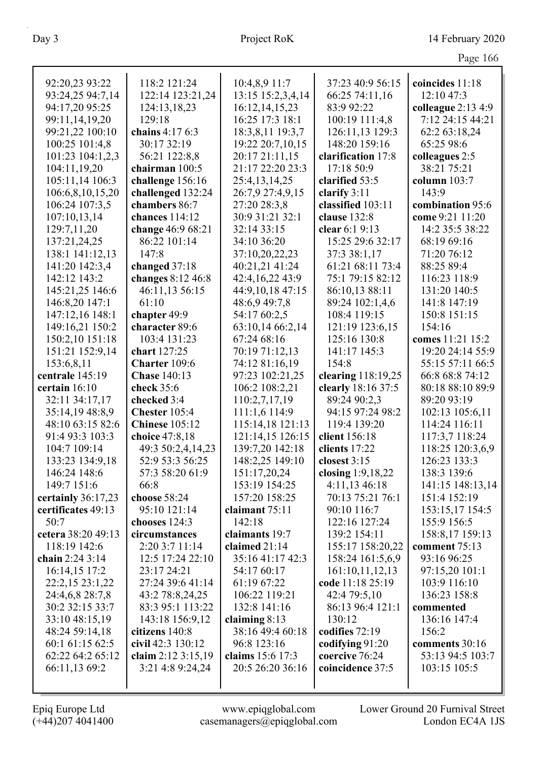| 92:20,23 93:22     | 118:2 121:24            | 10:4,8,9 11:7                 | 37:23 40:9 56:15                | coincides 11:18     |
|--------------------|-------------------------|-------------------------------|---------------------------------|---------------------|
| 93:24,25 94:7,14   | 122:14 123:21,24        | 13:15 15:2,3,4,14             | 66:25 74:11,16                  | 12:10 47:3          |
| 94:17,20 95:25     | 124:13,18,23            | 16:12,14,15,23                | 83:9 92:22                      | colleague $2:134:9$ |
| 99:11,14,19,20     | 129:18                  | 16:25 17:3 18:1               | 100:19 111:4,8                  | 7:12 24:15 44:21    |
| 99:21,22 100:10    | chains 4:17 6:3         | 18:3,8,11 19:3,7              | 126:11,13 129:3                 | 62:2 63:18,24       |
| 100:25 101:4,8     | 30:17 32:19             | 19:22 20:7,10,15              | 148:20 159:16                   | 65:25 98:6          |
| 101:23 104:1,2,3   | 56:21 122:8,8           | 20:17 21:11,15                | clarification 17:8              | colleagues 2:5      |
| 104:11,19,20       | chairman 100:5          | 21:17 22:20 23:3              | 17:18 50:9                      | 38:21 75:21         |
| 105:11,14 106:3    | challenge 156:16        | 25:4,13,14,25                 | clarified 53:5                  | column $103:7$      |
| 106:6,8,10,15,20   | challenged 132:24       | 26:7,9 27:4,9,15              | clarify $3:11$                  | 143:9               |
| 106:24 107:3,5     | chambers 86:7           | 27:20 28:3,8                  | classified 103:11               | combination 95:6    |
| 107:10,13,14       | chances 114:12          | 30:9 31:21 32:1               | clause 132:8                    | come 9:21 11:20     |
| 129:7,11,20        | change 46:9 68:21       | 32:14 33:15                   | clear 6:1 9:13                  | 14:2 35:5 38:22     |
| 137:21,24,25       | 86:22 101:14            | 34:10 36:20                   | 15:25 29:6 32:17                | 68:19 69:16         |
| 138:1 141:12,13    | 147:8                   | 37:10,20,22,23                | 37:3 38:1,17                    | 71:20 76:12         |
| 141:20 142:3,4     | changed 37:18           | 40:21,21 41:24                | 61:21 68:11 73:4                | 88:25 89:4          |
| 142:12 143:2       | changes 8:12 46:8       | 42:4,16,22 43:9               | 75:1 79:15 82:12                | 116:23 118:9        |
|                    |                         |                               |                                 | 131:20 140:5        |
| 145:21,25 146:6    | 46:11,13 56:15          | 44:9,10,18 47:15              | 86:10,13 88:11                  |                     |
| 146:8,20 147:1     | 61:10                   | 48:6,9 49:7,8<br>54:17 60:2,5 | 89:24 102:1,4,6<br>108:4 119:15 | 141:8 147:19        |
| 147:12,16 148:1    | chapter 49:9            |                               |                                 | 150:8 151:15        |
| 149:16,21 150:2    | character 89:6          | 63:10,14 66:2,14              | 121:19 123:6,15                 | 154:16              |
| 150:2,10 151:18    | 103:4 131:23            | 67:24 68:16                   | 125:16 130:8                    | comes 11:21 15:2    |
| 151:21 152:9,14    | chart 127:25            | 70:19 71:12,13                | 141:17 145:3                    | 19:20 24:14 55:9    |
| 153:6,8,11         | Charter 109:6           | 74:12 81:16,19                | 154:8                           | 55:15 57:11 66:5    |
| centrale 145:19    | <b>Chase 140:13</b>     | 97:23 102:21,25               | clearing 118:19,25              | 66:8 68:8 74:12     |
| certain 16:10      | check 35:6              | 106:2 108:2,21                | clearly 18:16 37:5              | 80:18 88:10 89:9    |
| 32:11 34:17,17     | checked 3:4             | 110:2,7,17,19                 | 89:24 90:2,3                    | 89:20 93:19         |
| 35:14,19 48:8,9    | Chester 105:4           | 111:1,6 114:9                 | 94:15 97:24 98:2                | 102:13 105:6,11     |
| 48:10 63:15 82:6   | <b>Chinese</b> 105:12   | 115:14,18 121:13              | 119:4 139:20                    | 114:24 116:11       |
| 91:4 93:3 103:3    | choice 47:8,18          | 121:14,15 126:15              | client 156:18                   | 117:3,7 118:24      |
| 104:7 109:14       | 49:3 50:2,4,14,23       | 139:7,20 142:18               | clients 17:22                   | 118:25 120:3,6,9    |
| 133:23 134:9,18    | 52:9 53:3 56:25         | 148:2,25 149:10               | closest $3:15$                  | 126:23 133:3        |
| 146:24 148:6       | 57:3 58:20 61:9         | 151:17,20,24                  | closing $1:9,18,22$             | 138:3 139:6         |
| 149:7 151:6        | 66:8                    | 153:19 154:25                 | $4:11,13$ 46:18                 | 141:15 148:13,14    |
| certainly 36:17,23 | choose 58:24            | 157:20 158:25                 | 70:13 75:21 76:1                | 151:4 152:19        |
| certificates 49:13 | 95:10 121:14            | claimant 75:11                | 90:10 116:7                     | 153:15,17 154:5     |
| 50:7               | chooses 124:3           | 142:18                        | 122:16 127:24                   | 155:9 156:5         |
| cetera 38:20 49:13 | circumstances           | claimants 19:7                | 139:2 154:11                    | 158:8,17 159:13     |
| 118:19 142:6       | 2:20 3:7 11:14          | claimed 21:14                 | 155:17 158:20,22                | comment 75:13       |
| chain 2:24 3:14    | 12:5 17:24 22:10        | 35:16 41:17 42:3              | 158:24 161:5,6,9                | 93:16 96:25         |
| 16:14,15 17:2      | 23:17 24:21             | 54:17 60:17                   | 161:10,11,12,13                 | 97:15,20 101:1      |
| 22:2,15 23:1,22    | 27:24 39:6 41:14        | 61:19 67:22                   | code 11:18 25:19                | 103:9 116:10        |
| 24:4,6,8 28:7,8    | 43:2 78:8,24,25         | 106:22 119:21                 | 42:4 79:5,10                    | 136:23 158:8        |
| 30:2 32:15 33:7    | 83:3 95:1 113:22        | 132:8 141:16                  | 86:13 96:4 121:1                | commented           |
| 33:10 48:15,19     | 143:18 156:9,12         | claiming $8:13$               | 130:12                          | 136:16 147:4        |
| 48:24 59:14,18     | citizens 140:8          | 38:16 49:4 60:18              | codifies 72:19                  | 156:2               |
| 60:1 61:15 62:5    | civil 42:3 130:12       | 96:8 123:16                   | codifying 91:20                 | comments 30:16      |
| 62:22 64:2 65:12   | claim $2:12 \, 3:15,19$ | claims 15:6 17:3              | coercive 76:24                  | 53:13 94:5 103:7    |
| 66:11,13 69:2      | 3:21 4:8 9:24,24        | 20:5 26:20 36:16              | coincidence 37:5                | 103:15 105:5        |
|                    |                         |                               |                                 |                     |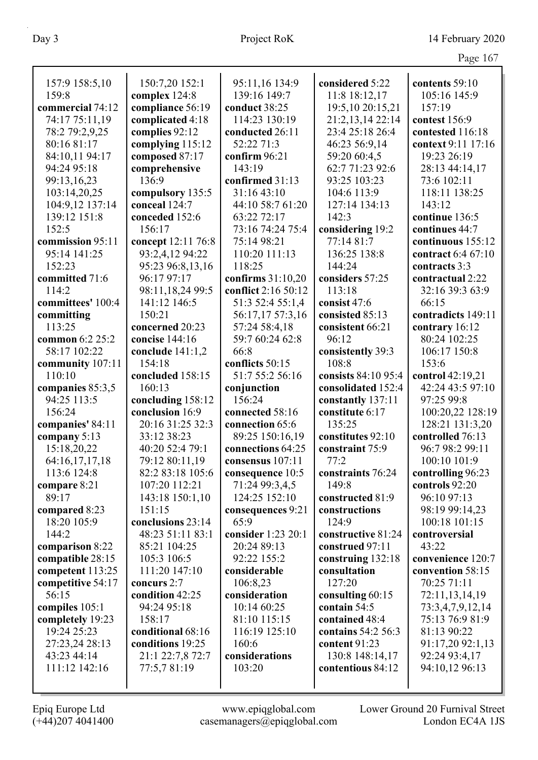|                         |                    |                                |                     | $1 \, \text{age} \, 101$ |
|-------------------------|--------------------|--------------------------------|---------------------|--------------------------|
|                         |                    |                                |                     |                          |
| 157:9 158:5,10<br>159:8 | 150:7,20 152:1     | 95:11,16 134:9<br>139:16 149:7 | considered 5:22     | contents 59:10           |
|                         | complex 124:8      |                                | 11:8 18:12,17       | 105:16 145:9             |
| commercial 74:12        | compliance 56:19   | conduct 38:25                  | 19:5,10 20:15,21    | 157:19                   |
| 74:17 75:11,19          | complicated 4:18   | 114:23 130:19                  | 21:2,13,14 22:14    | contest 156:9            |
| 78:2 79:2,9,25          | complies 92:12     | conducted 26:11                | 23:4 25:18 26:4     | contested 116:18         |
| 80:16 81:17             | complying 115:12   | 52:22 71:3                     | 46:23 56:9,14       | context 9:11 17:16       |
| 84:10,11 94:17          | composed 87:17     | confirm 96:21                  | 59:20 60:4,5        | 19:23 26:19              |
| 94:24 95:18             | comprehensive      | 143:19                         | 62:7 71:23 92:6     | 28:13 44:14,17           |
| 99:13,16,23             | 136:9              | confirmed 31:13                | 93:25 103:23        | 73:6 102:11              |
| 103:14,20,25            | compulsory 135:5   | 31:16 43:10                    | 104:6 113:9         | 118:11 138:25            |
| 104:9,12 137:14         | conceal 124:7      | 44:10 58:7 61:20               | 127:14 134:13       | 143:12                   |
| 139:12 151:8            | conceded 152:6     | 63:22 72:17                    | 142:3               | continue 136:5           |
| 152:5                   | 156:17             | 73:16 74:24 75:4               | considering 19:2    | continues 44:7           |
| commission 95:11        | concept 12:11 76:8 | 75:14 98:21                    | 77:14 81:7          | continuous 155:12        |
| 95:14 141:25            | 93:2,4,12 94:22    | 110:20 111:13                  | 136:25 138:8        | contract 6:4 67:10       |
| 152:23                  | 95:23 96:8,13,16   | 118:25                         | 144:24              | contracts 3:3            |
| committed 71:6          | 96:17 97:17        | confirms $31:10,20$            | considers 57:25     | contractual 2:22         |
| 114:2                   | 98:11,18,24 99:5   | conflict 2:16 50:12            | 113:18              | 32:16 39:3 63:9          |
| committees' 100:4       | 141:12 146:5       | 51:3 52:4 55:1,4               | consist 47:6        | 66:15                    |
| committing              | 150:21             | 56:17,17 57:3,16               | consisted 85:13     | contradicts 149:11       |
| 113:25                  | concerned 20:23    | 57:24 58:4,18                  | consistent 66:21    | contrary 16:12           |
| common 6:2 25:2         | concise 144:16     | 59:7 60:24 62:8                | 96:12               | 80:24 102:25             |
| 58:17 102:22            | conclude $141:1,2$ | 66:8                           | consistently 39:3   | 106:17 150:8             |
| community 107:11        | 154:18             | conflicts 50:15                | 108:8               | 153:6                    |
| 110:10                  | concluded 158:15   | 51:7 55:2 56:16                | consists 84:10 95:4 | control 42:19,21         |
| companies 85:3,5        | 160:13             | conjunction                    | consolidated 152:4  | 42:24 43:5 97:10         |
| 94:25 113:5             | concluding 158:12  | 156:24                         | constantly 137:11   | 97:25 99:8               |
| 156:24                  | conclusion 16:9    | connected 58:16                | constitute 6:17     | 100:20,22 128:19         |
| companies' 84:11        | 20:16 31:25 32:3   | connection 65:6                | 135:25              | 128:21 131:3,20          |
| company 5:13            | 33:12 38:23        | 89:25 150:16,19                | constitutes 92:10   | controlled 76:13         |
| 15:18,20,22             | 40:20 52:4 79:1    | connections 64:25              | constraint 75:9     | 96:7 98:2 99:11          |
| 64:16,17,17,18          | 79:12 80:11,19     | consensus 107:11               | 77:2                | 100:10 101:9             |
| 113:6 124:8             | 82:2 83:18 105:6   | consequence 10:5               | constraints 76:24   | controlling 96:23        |
| compare 8:21            | 107:20 112:21      | 71:24 99:3,4,5                 | 149:8               | controls 92:20           |
| 89:17                   | 143:18 150:1,10    | 124:25 152:10                  | constructed 81:9    | 96:10 97:13              |
| compared 8:23           | 151:15             | consequences 9:21              | constructions       | 98:19 99:14,23           |
| 18:20 105:9             | conclusions 23:14  | 65:9                           | 124:9               | 100:18 101:15            |
| 144:2                   | 48:23 51:11 83:1   | consider 1:23 20:1             | constructive 81:24  | controversial            |
| comparison 8:22         | 85:21 104:25       | 20:24 89:13                    | construed 97:11     | 43:22                    |
| compatible 28:15        | 105:3 106:5        | 92:22 155:2                    | construing 132:18   | convenience 120:7        |
| competent 113:25        | 111:20 147:10      | considerable                   | consultation        | convention 58:15         |
| competitive 54:17       | concurs 2:7        | 106:8,23                       | 127:20              | 70:25 71:11              |
| 56:15                   | condition 42:25    | consideration                  | consulting 60:15    | 72:11,13,14,19           |
| compiles 105:1          | 94:24 95:18        | 10:14 60:25                    | contain 54:5        | 73:3,4,7,9,12,14         |
| completely 19:23        | 158:17             | 81:10 115:15                   | contained 48:4      | 75:13 76:9 81:9          |
| 19:24 25:23             | conditional 68:16  | 116:19 125:10                  | contains 54:2 56:3  | 81:13 90:22              |
| 27:23,24 28:13          | conditions 19:25   | 160:6                          | content 91:23       | 91:17,20 92:1,13         |
| 43:23 44:14             | 21:1 22:7,8 72:7   | considerations                 | 130:8 148:14,17     | 92:24 93:4,17            |
| 111:12 142:16           | 77:5,7 81:19       | 103:20                         | contentious 84:12   | 94:10,12 96:13           |
|                         |                    |                                |                     |                          |
|                         |                    |                                |                     |                          |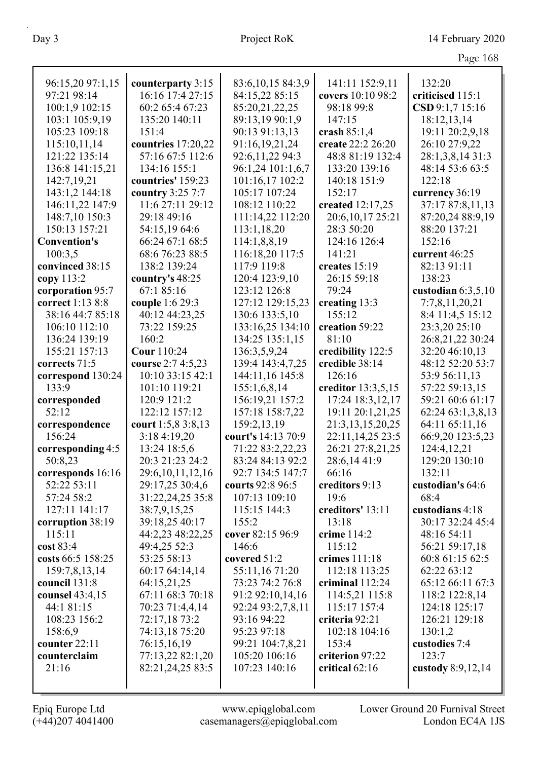| Page 168 |  |
|----------|--|
|          |  |

| 96:15,20 97:1,15         | counterparty 3:15               | 83:6,10,15 84:3,9  | 141:11 152:9,11          | 132:20                  |
|--------------------------|---------------------------------|--------------------|--------------------------|-------------------------|
| 97:21 98:14              | 16:16 17:4 27:15                | 84:15,22 85:15     | covers 10:10 98:2        | criticised 115:1        |
| 100:1,9 102:15           | 60:2 65:4 67:23                 | 85:20,21,22,25     | 98:18 99:8               | CSD 9:1,7 15:16         |
| 103:1 105:9,19           | 135:20 140:11                   | 89:13,19 90:1,9    | 147:15                   | 18:12,13,14             |
| 105:23 109:18            | 151:4                           | 90:13 91:13,13     | crash $85:1,4$           | 19:11 20:2,9,18         |
| 115:10,11,14             | countries 17:20,22              | 91:16,19,21,24     | create 22:2 26:20        | 26:10 27:9,22           |
| 121:22 135:14            | 57:16 67:5 112:6                | 92:6,11,22 94:3    | 48:8 81:19 132:4         | 28:1,3,8,14 31:3        |
| 136:8 141:15,21          | 134:16 155:1                    | 96:1,24 101:1,6,7  | 133:20 139:16            | 48:14 53:6 63:5         |
| 142:7,19,21              | countries' 159:23               | 101:16,17 102:2    | 140:18 151:9             | 122:18                  |
| 143:1,2 144:18           | country 3:25 7:7                | 105:17 107:24      | 152:17                   | currency 36:19          |
| 146:11,22 147:9          | 11:6 27:11 29:12                | 108:12 110:22      | created 12:17,25         | 37:17 87:8,11,13        |
| 148:7,10 150:3           | 29:18 49:16                     | 111:14,22 112:20   | 20:6, 10, 17 25: 21      | 87:20,24 88:9,19        |
| 150:13 157:21            | 54:15,1964:6                    | 113:1,18,20        | 28:3 50:20               | 88:20 137:21            |
| <b>Convention's</b>      | 66:24 67:1 68:5                 | 114:1,8,8,19       | 124:16 126:4             | 152:16                  |
| 100:3,5                  | 68:6 76:23 88:5                 | 116:18,20 117:5    | 141:21                   | current 46:25           |
| convinced 38:15          | 138:2 139:24                    | 117:9 119:8        | creates 15:19            | 82:13 91:11             |
| copy 113:2               | country's 48:25                 | 120:4 123:9,10     | 26:15 59:18              | 138:23                  |
| corporation 95:7         | 67:1 85:16                      | 123:12 126:8       | 79:24                    | custodian $6:3,5,10$    |
| correct 1:13 8:8         | couple 1:6 29:3                 | 127:12 129:15,23   | creating 13:3            | 7:7,8,11,20,21          |
| 38:16 44:7 85:18         | 40:12 44:23,25                  | 130:6 133:5,10     | 155:12                   | 8:4 11:4,5 15:12        |
| 106:10 112:10            | 73:22 159:25                    | 133:16,25 134:10   | creation 59:22           | 23:3,20 25:10           |
| 136:24 139:19            | 160:2                           | 134:25 135:1,15    | 81:10                    | 26:8,21,22 30:24        |
| 155:21 157:13            | <b>Cour</b> 110:24              | 136:3,5,9,24       |                          | 32:20 46:10,13          |
|                          |                                 |                    | credibility 122:5        | 48:12 52:20 53:7        |
| corrects 71:5            | course 2:7 4:5,23               | 139:4 143:4,7,25   | credible 38:14<br>126:16 |                         |
| correspond 130:24        | 10:10 33:15 42:1                | 144:11,16 145:8    |                          | 53:9 56:11,13           |
| 133:9                    | 101:10 119:21                   | 155:1,6,8,14       | creditor 13:3,5,15       | 57:22 59:13,15          |
| corresponded<br>52:12    | 120:9 121:2                     | 156:19,21 157:2    | 17:24 18:3,12,17         | 59:21 60:6 61:17        |
|                          | 122:12 157:12                   | 157:18 158:7,22    | 19:11 20:1,21,25         | 62:24 63:1,3,8,13       |
| correspondence<br>156:24 | court 1:5,8 3:8,13              | 159:2,13,19        | 21:3, 13, 15, 20, 25     | 64:11 65:11,16          |
|                          | 3:18 4:19,20                    | court's 14:13 70:9 | 22:11,14,25 23:5         | 66:9,20 123:5,23        |
| corresponding 4:5        | 13:24 18:5,6<br>20:3 21:23 24:2 | 71:22 83:2,22,23   | 26:21 27:8,21,25         | 124:4,12,21             |
| 50:8,23                  |                                 | 83:24 84:13 92:2   | 28:6,14 41:9             | 129:20 130:10<br>132:11 |
| corresponds 16:16        | 29:6, 10, 11, 12, 16            | 92:7 134:5 147:7   | 66:16                    |                         |
| 52:22 53:11              | 29:17,25 30:4,6                 | courts 92:8 96:5   | creditors 9:13           | custodian's 64:6        |
| 57:24 58:2               | 31:22,24,25 35:8                | 107:13 109:10      | 19:6                     | 68:4                    |
| 127:11 141:17            | 38:7,9,15,25                    | 115:15 144:3       | creditors' 13:11         | custodians 4:18         |
| corruption 38:19         | 39:18,25 40:17                  | 155:2              | 13:18                    | 30:17 32:24 45:4        |
| 115:11                   | 44:2,23 48:22,25                | cover 82:15 96:9   | crime 114:2              | 48:16 54:11             |
| cost 83:4                | 49:4,25 52:3                    | 146:6              | 115:12                   | 56:21 59:17,18          |
| costs 66:5 158:25        | 53:25 58:13                     | covered 51:2       | crimes 111:18            | 60:8 61:15 62:5         |
| 159:7,8,13,14            | 60:17 64:14,14                  | 55:11,16 71:20     | 112:18 113:25            | 62:22 63:12             |
| council 131:8            | 64:15,21,25                     | 73:23 74:2 76:8    | criminal 112:24          | 65:12 66:11 67:3        |
| counsel 43:4,15          | 67:11 68:3 70:18                | 91:2 92:10,14,16   | 114:5,21 115:8           | 118:2 122:8,14          |
| 44:1 81:15               | 70:23 71:4,4,14                 | 92:24 93:2,7,8,11  | 115:17 157:4             | 124:18 125:17           |
| 108:23 156:2             | 72:17,18 73:2                   | 93:16 94:22        | criteria 92:21           | 126:21 129:18           |
| 158:6,9                  | 74:13,18 75:20                  | 95:23 97:18        | 102:18 104:16            | 130:1,2                 |
| counter 22:11            | 76:15,16,19                     | 99:21 104:7,8,21   | 153:4                    | custodies 7:4           |
| counterclaim             | 77:13,22 82:1,20                | 105:20 106:16      | criterion 97:22          | 123:7                   |
| 21:16                    | 82:21,24,25 83:5                | 107:23 140:16      | critical 62:16           | custody 8:9,12,14       |
|                          |                                 |                    |                          |                         |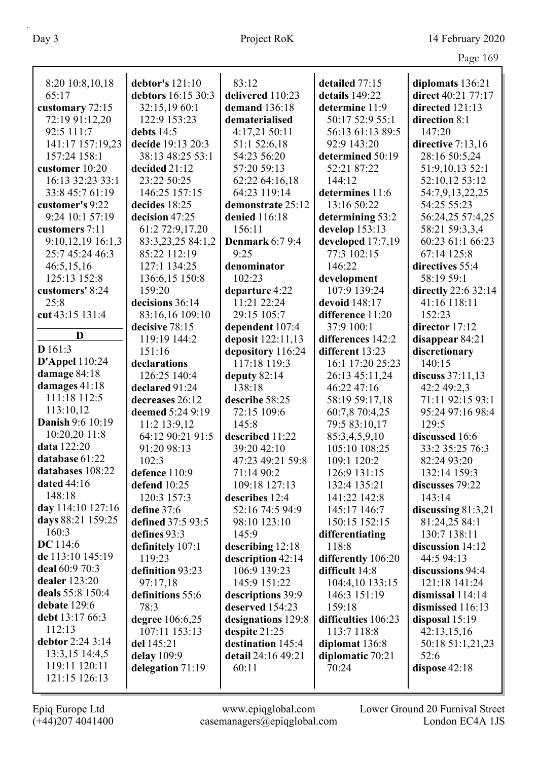|                     |                    |                        |                     | $100 - 100$          |
|---------------------|--------------------|------------------------|---------------------|----------------------|
| 8:20 10:8,10,18     | debtor's 121:10    | 83:12                  | detailed 77:15      | diplomats 136:21     |
| 65:17               | debtors 16:15 30:3 | delivered 110:23       | details 149:22      | direct 40:21 77:17   |
| customary 72:15     | 32:15,19 60:1      | demand 136:18          | determine 11:9      | directed 121:13      |
| 72:19 91:12,20      | 122:9 153:23       | dematerialised         | 50:17 52:9 55:1     | direction 8:1        |
| 92:5 111:7          | debts 14:5         | 4:17,21 50:11          | 56:13 61:13 89:5    | 147:20               |
| 141:17 157:19,23    | decide 19:13 20:3  | 51:1 52:6,18           | 92:9 143:20         | directive 7:13,16    |
| 157:24 158:1        | 38:13 48:25 53:1   | 54:23 56:20            | determined 50:19    | 28:16 50:5,24        |
| customer 10:20      | decided 21:12      | 57:20 59:13            | 52:21 87:22         | 51:9,10,13 52:1      |
| 16:13 32:23 33:1    | 23:22 50:25        | 62:22 64:16,18         | 144:12              | 52:10,12 53:12       |
| 33:8 45:7 61:19     | 146:25 157:15      | 64:23 119:14           | determines 11:6     | 54:7,9,13,22,25      |
| customer's 9:22     | decides 18:25      | demonstrate 25:12      | 13:16 50:22         | 54:25 55:23          |
| 9:24 10:1 57:19     | decision 47:25     | denied 116:18          | determining 53:2    | 56:24,25 57:4,25     |
| customers 7:11      | 61:2 72:9,17,20    | 156:11                 | develop 153:13      | 58:21 59:3,3,4       |
| $9:10,12,19$ 16:1,3 | 83:3,23,25 84:1,2  | <b>Denmark</b> 6:7 9:4 | developed 17:7,19   | 60:23 61:1 66:23     |
| 25:7 45:24 46:3     | 85:22 112:19       | 9:25                   | 77:3 102:15         | 67:14 125:8          |
| 46:5,15,16          | 127:1 134:25       | denominator            | 146:22              | directives 55:4      |
| 125:13 152:8        | 136:6,15 150:8     | 102:23                 | development         | 58:19 59:1           |
| customers' 8:24     | 159:20             | departure 4:22         | 107:9 139:24        | directly 22:6 32:14  |
| 25:8                | decisions 36:14    | 11:21 22:24            | devoid 148:17       | 41:16 118:11         |
| cut 43:15 131:4     | 83:16,16 109:10    | 29:15 105:7            | difference 11:20    | 152:23               |
|                     | decisive 78:15     | dependent 107:4        | 37:9 100:1          | director 17:12       |
| D                   | 119:19 144:2       | deposit 122:11,13      | differences 142:2   | disappear 84:21      |
| D 161:3             | 151:16             | depository 116:24      | different 13:23     | discretionary        |
| $D'Appel$ 110:24    | declarations       | 117:18 119:3           | 16:1 17:20 25:23    | 140:15               |
| damage 84:18        | 126:25 140:4       | deputy 82:14           | 26:13 45:11,24      | discuss $37:11,13$   |
| damages 41:18       | declared 91:24     | 138:18                 | 46:22 47:16         | 42:2 49:2,3          |
| 111:18 112:5        | decreases 26:12    | describe 58:25         | 58:19 59:17,18      | 71:11 92:15 93:1     |
| 113:10,12           | deemed 5:24 9:19   | 72:15 109:6            | 60:7,8 70:4,25      | 95:24 97:16 98:4     |
| Danish 9:6 10:19    | 11:2 13:9,12       | 145:8                  | 79:5 83:10,17       | 129:5                |
| 10:20,20 11:8       | 64:12 90:21 91:5   | described 11:22        | 85:3,4,5,9,10       | discussed 16:6       |
| data 122:20         | 91:20 98:13        | 39:20 42:10            | 105:10 108:25       | 33:2 35:25 76:3      |
| database 61:22      | 102:3              | 47:23 49:21 59:8       | 109:1 120:2         | 82:24 93:20          |
| databases 108:22    | defence 110:9      | 71:14 90:2             | 126:9 131:15        | 132:14 159:3         |
| dated 44:16         | defend 10:25       | 109:18 127:13          | 132:4 135:21        | discusses 79:22      |
| 148:18              | 120:3 157:3        | describes 12:4         | 141:22 142:8        | 143:14               |
| day 114:10 127:16   | define 37:6        | 52:16 74:5 94:9        | 145:17 146:7        | discussing $81:3,21$ |
| days 88:21 159:25   | defined 37:5 93:5  | 98:10 123:10           | 150:15 152:15       | 81:24,25 84:1        |
| 160:3               | defines 93:3       | 145:9                  | differentiating     | 130:7 138:11         |
| <b>DC</b> 114:6     | definitely 107:1   | describing 12:18       | 118:8               | discussion 14:12     |
| de 113:10 145:19    | 119:23             | description 42:14      | differently 106:20  | 44:5 94:13           |
| deal 60:9 70:3      | definition 93:23   | 106:9 139:23           | difficult 14:8      | discussions 94:4     |
| dealer 123:20       | 97:17,18           | 145:9 151:22           | 104:4,10 133:15     | 121:18 141:24        |
| deals 55:8 150:4    | definitions 55:6   | descriptions 39:9      | 146:3 151:19        | dismissal $114:14$   |
| debate 129:6        | 78:3               | deserved 154:23        | 159:18              | dismissed 116:13     |
| debt 13:17 66:3     | degree 106:6,25    | designations 129:8     | difficulties 106:23 | disposal $15:19$     |
| 112:13              | 107:11 153:13      | despite $21:25$        | 113:7 118:8         | 42:13,15,16          |
| debtor 2:24 3:14    | del 145:21         | destination 145:4      | diplomat 136:8      | 50:18 51:1,21,23     |
| 13:3,15 14:4,5      | delay 109:9        | detail 24:16 49:21     | diplomatic 70:21    | 52:6                 |
| 119:11 120:11       | delegation 71:19   | 60:11                  | 70:24               | dispose $42:18$      |
| 121:15 126:13       |                    |                        |                     |                      |
|                     |                    |                        |                     |                      |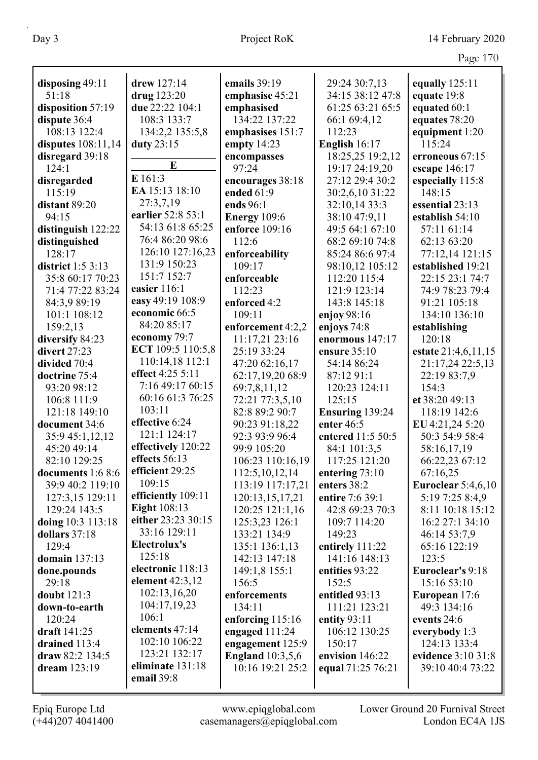|                      |                                           |                                    |                         | Page 170                     |
|----------------------|-------------------------------------------|------------------------------------|-------------------------|------------------------------|
| disposing 49:11      | drew 127:14                               | emails 39:19                       | 29:24 30:7,13           | equally $125:11$             |
| 51:18                | drug 123:20                               | emphasise 45:21                    | 34:15 38:12 47:8        | equate 19:8                  |
| disposition 57:19    | due 22:22 104:1                           | emphasised                         | 61:25 63:21 65:5        | equated 60:1                 |
| dispute 36:4         | 108:3 133:7                               | 134:22 137:22                      | 66:1 69:4,12            | equates 78:20                |
| 108:13 122:4         | 134:2,2 135:5,8                           | emphasises 151:7                   | 112:23                  | equipment 1:20               |
| disputes 108:11,14   | duty 23:15                                | empty $14:23$                      | English 16:17           | 115:24                       |
| disregard 39:18      |                                           | encompasses                        | 18:25,25 19:2,12        | erroneous 67:15              |
| 124:1                | E                                         | 97:24                              | 19:17 24:19,20          | escape 146:17                |
| disregarded          | E 161:3                                   | encourages 38:18                   | 27:12 29:4 30:2         | especially 115:8             |
| 115:19               | EA 15:13 18:10                            | ended 61:9                         | 30:2,6,10 31:22         | 148:15                       |
| distant 89:20        | 27:3,7,19                                 | ends 96:1                          | 32:10,14 33:3           | essential 23:13              |
| 94:15                | earlier 52:8 53:1                         | <b>Energy</b> 109:6                | 38:10 47:9,11           | establish 54:10              |
| distinguish 122:22   | 54:13 61:8 65:25                          | enforce 109:16                     | 49:5 64:1 67:10         | 57:11 61:14                  |
| distinguished        | 76:4 86:20 98:6                           | 112:6                              | 68:2 69:10 74:8         | 62:13 63:20                  |
| 128:17               | 126:10 127:16,23                          | enforceability                     | 85:24 86:6 97:4         | 77:12,14 121:15              |
| district $1:5$ 3:13  | 131:9 150:23                              | 109:17                             | 98:10,12 105:12         | established 19:21            |
| 35:8 60:17 70:23     | 151:7 152:7                               | enforceable                        | 112:20 115:4            | 22:15 23:1 74:7              |
| 71:4 77:22 83:24     | easier 116:1                              | 112:23                             | 121:9 123:14            | 74:9 78:23 79:4              |
| 84:3,9 89:19         | easy 49:19 108:9                          | enforced 4:2                       | 143:8 145:18            | 91:21 105:18                 |
| 101:1 108:12         | economic 66:5                             | 109:11                             | enjoy $98:16$           | 134:10 136:10                |
| 159:2,13             | 84:20 85:17                               | enforcement 4:2,2                  | enjoys 74:8             | establishing                 |
| diversify 84:23      | economy 79:7                              | 11:17,21 23:16                     | enormous 147:17         | 120:18                       |
| divert 27:23         | ECT 109:5 110:5,8                         | 25:19 33:24                        | ensure 35:10            | estate 21:4,6,11,15          |
| divided 70:4         | 110:14,18 112:1                           | 47:20 62:16,17                     | 54:14 86:24             | 21:17,24 22:5,13             |
| doctrine 75:4        | effect 4:25 5:11                          | 62:17,19,20 68:9                   | 87:12 91:1              | 22:19 83:7,9                 |
| 93:20 98:12          | 7:16 49:17 60:15                          | 69:7,8,11,12                       | 120:23 124:11           | 154:3                        |
| 106:8 111:9          | 60:16 61:3 76:25                          | 72:21 77:3,5,10                    | 125:15                  | et 38:20 49:13               |
| 121:18 149:10        | 103:11                                    | 82:8 89:2 90:7                     | Ensuring 139:24         | 118:19 142:6                 |
| document 34:6        | effective 6:24                            | 90:23 91:18,22                     | enter 46:5              | EU 4:21,24 5:20              |
| 35:9 45:1,12,12      | 121:1 124:17                              | 92:3 93:9 96:4                     | entered 11:5 50:5       | 50:3 54:9 58:4               |
| 45:20 49:14          | effectively 120:22                        | 99:9 105:20                        | 84:1 101:3,5            | 58:16,17,19                  |
| 82:10 129:25         | effects 56:13                             | 106:23 110:16,19                   | 117:25 121:20           | 66:22,23 67:12               |
| documents 1:6 8:6    | efficient 29:25                           | 112:5, 10, 12, 14                  | entering 73:10          | 67:16,25                     |
| 39:9 40:2 119:10     | 109:15                                    | 113:19 117:17,21                   | enters 38:2             | <b>Euroclear</b> 5:4,6,10    |
| 127:3,15 129:11      | efficiently 109:11                        | 120:13,15,17,21                    | entire 7:6 39:1         | 5:19 7:25 8:4,9              |
| 129:24 143:5         | <b>Eight</b> 108:13<br>either 23:23 30:15 | 120:25 121:1,16                    | 42:8 69:23 70:3         | 8:11 10:18 15:12             |
| doing 10:3 113:18    | 33:16 129:11                              | 125:3,23 126:1                     | 109:7 114:20            | 16:2 27:1 34:10              |
| dollars 37:18        | Electrolux's                              | 133:21 134:9                       | 149:23                  | 46:14 53:7,9                 |
| 129:4                | 125:18                                    | 135:1 136:1,13                     | entirely $111:22$       | 65:16 122:19                 |
| domain 137:13        | electronic 118:13                         | 142:13 147:18                      | 141:16 148:13           | 123:5                        |
| done.pounds          | element $42:3,12$                         | 149:1,8 155:1                      | entities 93:22          | Euroclear's 9:18             |
| 29:18<br>doubt 121:3 | 102:13,16,20                              | 156:5<br>enforcements              | 152:5<br>entitled 93:13 | 15:16 53:10                  |
| down-to-earth        | 104:17,19,23                              | 134:11                             | 111:21 123:21           | European 17:6<br>49:3 134:16 |
| 120:24               | 106:1                                     |                                    | entity 93:11            | events 24:6                  |
| draft 141:25         | elements 47:14                            | enforcing 115:16<br>engaged 111:24 | 106:12 130:25           | everybody 1:3                |
| drained 113:4        | 102:10 106:22                             | engagement 125:9                   | 150:17                  | 124:13 133:4                 |
| draw 82:2 134:5      | 123:21 132:17                             | <b>England</b> 10:3,5,6            | envision 146:22         | evidence 3:10 31:8           |
| dream 123:19         | eliminate 131:18                          | 10:16 19:21 25:2                   | equal 71:25 76:21       | 39:10 40:4 73:22             |
|                      | email 39:8                                |                                    |                         |                              |
|                      |                                           |                                    |                         |                              |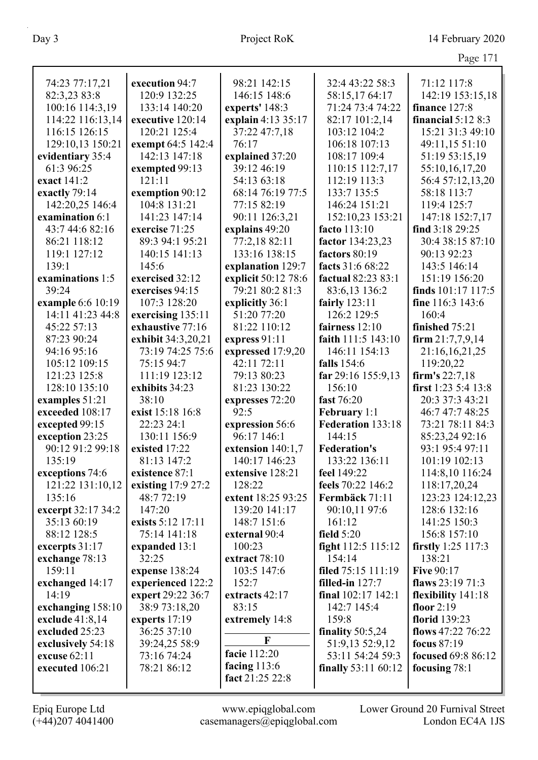|                          |                        |                         |                              | Page 171                            |
|--------------------------|------------------------|-------------------------|------------------------------|-------------------------------------|
| 74:23 77:17,21           | execution 94:7         | 98:21 142:15            | 32:4 43:22 58:3              | 71:12 117:8                         |
| 82:3,23 83:8             | 120:9 132:25           | 146:15 148:6            | 58:15,1764:17                | 142:19 153:15,18                    |
| 100:16 114:3,19          | 133:14 140:20          | experts' 148:3          | 71:24 73:4 74:22             | finance 127:8                       |
| 114:22 116:13,14         | executive 120:14       | explain 4:13 35:17      | 82:17 101:2,14               | financial $5:128:3$                 |
| 116:15 126:15            | 120:21 125:4           | 37:22 47:7,18           | 103:12 104:2                 | 15:21 31:3 49:10                    |
| 129:10,13 150:21         | exempt 64:5 142:4      | 76:17                   | 106:18 107:13                | 49:11,15 51:10                      |
| evidentiary 35:4         | 142:13 147:18          | explained 37:20         | 108:17 109:4                 | 51:19 53:15,19                      |
| 61:3 96:25               | exempted 99:13         | 39:12 46:19             | 110:15 112:7,17              | 55:10,16,17,20                      |
| exact 141:2              | 121:11                 | 54:13 63:18             | 112:19 113:3                 | 56:4 57:12,13,20                    |
| exactly 79:14            | exemption 90:12        | 68:14 76:19 77:5        | 133:7 135:5                  | 58:18 113:7                         |
| 142:20,25 146:4          | 104:8 131:21           | 77:15 82:19             | 146:24 151:21                | 119:4 125:7                         |
| examination 6:1          | 141:23 147:14          | 90:11 126:3,21          | 152:10,23 153:21             | 147:18 152:7,17                     |
| 43:7 44:6 82:16          | exercise 71:25         | explains 49:20          | facto 113:10                 | find 3:18 29:25                     |
| 86:21 118:12             | 89:3 94:1 95:21        | 77:2,18 82:11           | factor 134:23,23             | 30:4 38:15 87:10                    |
| 119:1 127:12             | 140:15 141:13          | 133:16 138:15           | factors 80:19                | 90:13 92:23                         |
| 139:1                    | 145:6                  | explanation 129:7       | facts 31:6 68:22             | 143:5 146:14                        |
| examinations 1:5         | exercised 32:12        | explicit 50:12 78:6     | factual 82:23 83:1           | 151:19 156:20                       |
| 39:24                    | exercises 94:15        | 79:21 80:2 81:3         | 83:6,13 136:2                | finds $101:17$ $117:5$              |
| example 6:6 10:19        | 107:3 128:20           | explicitly 36:1         | fairly $123:11$              | fine 116:3 143:6                    |
| 14:11 41:23 44:8         | exercising 135:11      | 51:20 77:20             | 126:2 129:5                  | 160:4                               |
| 45:22 57:13              | exhaustive 77:16       | 81:22 110:12            | fairness 12:10               | finished 75:21                      |
| 87:23 90:24              | exhibit 34:3,20,21     | express 91:11           | faith 111:5 143:10           | firm $21:7,7,9,14$                  |
| 94:16 95:16              | 73:19 74:25 75:6       | expressed 17:9,20       | 146:11 154:13                | 21:16,16,21,25                      |
| 105:12 109:15            | 75:15 94:7             | 42:11 72:11             | falls 154:6                  | 119:20,22                           |
| 121:23 125:8             | 111:19 123:12          | 79:13 80:23             | far 29:16 155:9,13           | firm's 22:7,18                      |
| 128:10 135:10            | exhibits 34:23         | 81:23 130:22            | 156:10                       | first 1:23 5:4 13:8                 |
| examples 51:21           | 38:10                  | expresses 72:20         | fast 76:20                   | 20:3 37:3 43:21                     |
| exceeded 108:17          | exist 15:18 16:8       | 92:5                    | February 1:1                 | 46:7 47:7 48:25                     |
| excepted 99:15           | 22:23 24:1             | expression 56:6         | Federation 133:18            | 73:21 78:11 84:3                    |
| exception 23:25          | 130:11 156:9           | 96:17 146:1             | 144:15                       | 85:23,24 92:16                      |
| 90:12 91:2 99:18         | existed 17:22          | extension 140:1,7       | <b>Federation's</b>          | 93:1 95:4 97:11                     |
| 135:19                   | 81:13 147:2            | 140:17 146:23           | 133:22 136:11                | 101:19 102:13                       |
| exceptions 74:6          | existence 87:1         | extensive 128:21        | feel 149:22                  | 114:8,10 116:24                     |
| 121:22 131:10,12         | existing 17:9 27:2     | 128:22                  | feels 70:22 146:2            | 118:17,20,24                        |
| 135:16                   | 48:772:19              | extent 18:25 93:25      | Fermbäck 71:11               | 123:23 124:12,23                    |
| excerpt 32:17 34:2       | 147:20                 | 139:20 141:17           | 90:10,11 97:6                | 128:6 132:16                        |
| 35:13 60:19              | exists 5:12 17:11      | 148:7 151:6             | 161:12                       | 141:25 150:3                        |
| 88:12 128:5              | 75:14 141:18           | external 90:4           | field $5:20$                 | 156:8 157:10                        |
| excerpts $31:17$         | expanded 13:1<br>32:25 | 100:23<br>extract 78:10 | fight 112:5 115:12<br>154:14 | <b>firstly</b> 1:25 117:3<br>138:21 |
| exchange 78:13<br>159:11 | expense 138:24         | 103:5 147:6             | filed 75:15 111:19           | <b>Five 90:17</b>                   |
| exchanged 14:17          | experienced 122:2      | 152:7                   | filled-in $127:7$            | flaws $23:1971:3$                   |
| 14:19                    | expert 29:22 36:7      | extracts 42:17          | final 102:17 142:1           | flexibility 141:18                  |
| exchanging 158:10        | 38:9 73:18,20          | 83:15                   | 142:7 145:4                  | floor $2:19$                        |
| exclude $41:8,14$        | experts $17:19$        | extremely 14:8          | 159:8                        | florid 139:23                       |
| excluded 25:23           | 36:25 37:10            |                         | finality $50:5,24$           | flows 47:22 76:22                   |
| exclusively 54:18        | 39:24,25 58:9          | F                       | 51:9,13 52:9,12              | focus 87:19                         |
| excuse 62:11             | 73:16 74:24            | facie 112:20            | 53:11 54:24 59:3             | focused 69:8 86:12                  |
| executed 106:21          | 78:21 86:12            | facing $113:6$          | finally 53:11 60:12          | focusing 78:1                       |
|                          |                        | fact 21:25 22:8         |                              |                                     |
|                          |                        |                         |                              |                                     |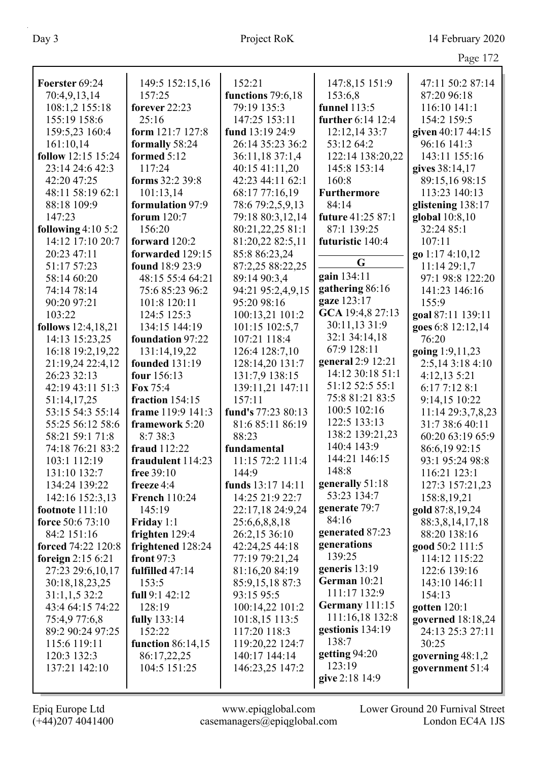|                     |                          |                    |                    | 14.4               |
|---------------------|--------------------------|--------------------|--------------------|--------------------|
| Foerster 69:24      | 149:5 152:15,16          | 152:21             | 147:8,15 151:9     | 47:11 50:2 87:14   |
| 70:4,9,13,14        | 157:25                   | functions 79:6,18  | 153:6,8            | 87:20 96:18        |
| 108:1,2 155:18      | forever 22:23            | 79:19 135:3        | funnel 113:5       | 116:10 141:1       |
| 155:19 158:6        | 25:16                    | 147:25 153:11      | further 6:14 12:4  | 154:2 159:5        |
| 159:5,23 160:4      | form 121:7 127:8         | fund 13:19 24:9    | 12:12,14 33:7      | given 40:17 44:15  |
| 161:10,14           | formally 58:24           | 26:14 35:23 36:2   | 53:12 64:2         | 96:16 141:3        |
| follow 12:15 15:24  | formed $5:12$            | 36:11,18 37:1,4    | 122:14 138:20,22   | 143:11 155:16      |
| 23:14 24:6 42:3     | 117:24                   | 40:15 41:11,20     | 145:8 153:14       | gives 38:14,17     |
| 42:20 47:25         | forms 32:2 39:8          | 42:23 44:11 62:1   | 160:8              | 89:15,16 98:15     |
| 48:11 58:19 62:1    | 101:13,14                | 68:17 77:16,19     | <b>Furthermore</b> | 113:23 140:13      |
| 88:18 109:9         | formulation 97:9         | 78:6 79:2,5,9,13   | 84:14              | glistening 138:17  |
| 147:23              | forum 120:7              | 79:18 80:3,12,14   | future 41:25 87:1  | global 10:8,10     |
| following $4:105:2$ | 156:20                   | 80:21,22,25 81:1   | 87:1 139:25        | 32:24 85:1         |
| 14:12 17:10 20:7    | forward 120:2            | 81:20,22 82:5,11   | futuristic 140:4   | 107:11             |
| 20:23 47:11         | forwarded 129:15         | 85:8 86:23,24      |                    | go 1:17 4:10,12    |
| 51:17 57:23         | found 18:9 23:9          | 87:2,25 88:22,25   | G                  | 11:14 29:1,7       |
| 58:14 60:20         | 48:15 55:4 64:21         | 89:14 90:3,4       | gain 134:11        | 97:1 98:8 122:20   |
| 74:14 78:14         | 75:6 85:23 96:2          | 94:21 95:2,4,9,15  | gathering 86:16    | 141:23 146:16      |
| 90:20 97:21         | 101:8 120:11             | 95:20 98:16        | gaze 123:17        | 155:9              |
| 103:22              | 124:5 125:3              | 100:13,21 101:2    | GCA 19:4,8 27:13   | goal 87:11 139:11  |
| follows 12:4,18,21  | 134:15 144:19            | 101:15 102:5,7     | 30:11,13 31:9      | goes 6:8 12:12,14  |
| 14:13 15:23,25      | foundation 97:22         | 107:21 118:4       | 32:1 34:14,18      | 76:20              |
| 16:18 19:2,19,22    | 131:14,19,22             | 126:4 128:7,10     | 67:9 128:11        | going 1:9,11,23    |
| 21:19,24 22:4,12    | founded 131:19           | 128:14,20 131:7    | general 2:9 12:21  | 2:5,14 3:18 4:10   |
| 26:23 32:13         | four 156:13              | 131:7,9 138:15     | 14:12 30:18 51:1   | 4:12,13 5:21       |
| 42:19 43:11 51:3    | Fox 75:4                 | 139:11,21 147:11   | 51:12 52:5 55:1    | 6:17 7:12 8:1      |
| 51:14,17,25         | fraction 154:15          | 157:11             | 75:8 81:21 83:5    | 9:14,15 10:22      |
| 53:15 54:3 55:14    | frame 119:9 141:3        | fund's 77:23 80:13 | 100:5 102:16       | 11:14 29:3,7,8,23  |
| 55:25 56:12 58:6    | framework 5:20           | 81:6 85:11 86:19   | 122:5 133:13       | 31:7 38:6 40:11    |
| 58:21 59:1 71:8     | 8:7 38:3                 | 88:23              | 138:2 139:21,23    | 60:20 63:19 65:9   |
| 74:18 76:21 83:2    | fraud 112:22             | fundamental        | 140:4 143:9        | 86:6,19 92:15      |
| 103:1 112:19        | fraudulent 114:23        | 11:15 72:2 111:4   | 144:21 146:15      | 93:1 95:24 98:8    |
| 131:10 132:7        | free 39:10               | 144:9              | 148:8              | 116:21 123:1       |
| 134:24 139:22       | freeze 4:4               | funds 13:17 14:11  | generally 51:18    | 127:3 157:21,23    |
| 142:16 152:3,13     | <b>French 110:24</b>     | 14:25 21:9 22:7    | 53:23 134:7        | 158:8,19,21        |
| footnote $111:10$   | 145:19                   | 22:17,18 24:9,24   | generate 79:7      | gold 87:8,19,24    |
| force 50:6 73:10    | Friday 1:1               | 25:6,6,8,8,18      | 84:16              | 88:3,8,14,17,18    |
| 84:2 151:16         | frighten 129:4           | 26:2,15 36:10      | generated 87:23    | 88:20 138:16       |
| forced 74:22 120:8  | frightened 128:24        | 42:24,25 44:18     | generations        | good 50:2 111:5    |
| foreign $2:156:21$  | front $97:3$             | 77:19 79:21,24     | 139:25             | 114:12 115:22      |
| 27:23 29:6,10,17    | fulfilled 47:14          | 81:16,20 84:19     | generis $13:19$    | 122:6 139:16       |
| 30:18,18,23,25      | 153:5                    | 85:9,15,18 87:3    | German 10:21       | 143:10 146:11      |
| 31:1,1,532:2        | full 9:1 42:12           | 93:15 95:5         | 111:17 132:9       | 154:13             |
| 43:4 64:15 74:22    | 128:19                   | 100:14,22 101:2    | Germany 111:15     | gotten $120:1$     |
| 75:4,9 77:6,8       | fully 133:14             | 101:8,15 113:5     | 111:16,18 132:8    | governed 18:18,24  |
| 89:2 90:24 97:25    | 152:22                   | 117:20 118:3       | gestionis 134:19   | 24:13 25:3 27:11   |
| 115:6 119:11        | <b>function</b> 86:14,15 | 119:20,22 124:7    | 138:7              | 30:25              |
| 120:3 132:3         | 86:17,22,25              | 140:17 144:14      | getting 94:20      | governing $48:1,2$ |
| 137:21 142:10       | 104:5 151:25             | 146:23,25 147:2    | 123:19             | government 51:4    |
|                     |                          |                    | give 2:18 14:9     |                    |
|                     |                          |                    |                    |                    |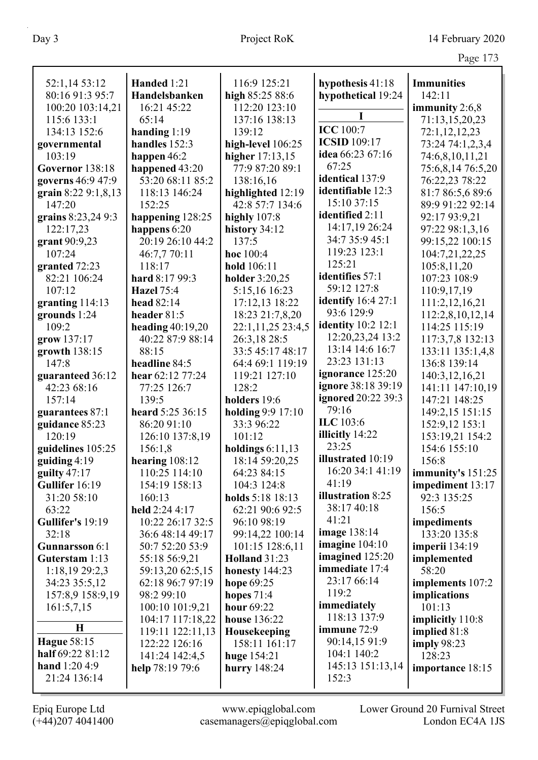|                     |                    |                      |                           | O                  |
|---------------------|--------------------|----------------------|---------------------------|--------------------|
| 52:1,14 53:12       | Handed 1:21        | 116:9 125:21         | hypothesis 41:18          | <b>Immunities</b>  |
| 80:16 91:3 95:7     | Handelsbanken      | high 85:25 88:6      | hypothetical 19:24        | 142:11             |
| 100:20 103:14,21    | 16:21 45:22        | 112:20 123:10        |                           | immunity 2:6,8     |
| 115:6 133:1         | 65:14              | 137:16 138:13        |                           | 71:13,15,20,23     |
| 134:13 152:6        | handing $1:19$     | 139:12               | <b>ICC</b> 100:7          | 72:1,12,12,23      |
| governmental        | handles 152:3      | high-level 106:25    | <b>ICSID</b> 109:17       | 73:24 74:1,2,3,4   |
| 103:19              | happen 46:2        | higher 17:13,15      | idea 66:23 67:16          | 74:6,8,10,11,21    |
| Governor 138:18     | happened 43:20     | 77:9 87:20 89:1      | 67:25                     | 75:6,8,14 76:5,20  |
| governs 46:9 47:9   | 53:20 68:11 85:2   | 138:16,16            | identical 137:9           | 76:22,23 78:22     |
| grain 8:22 9:1,8,13 | 118:13 146:24      | highlighted 12:19    | identifiable 12:3         | 81:7 86:5,6 89:6   |
| 147:20              | 152:25             | 42:8 57:7 134:6      | 15:10 37:15               | 89:9 91:22 92:14   |
| grains 8:23,24 9:3  | happening 128:25   | highly 107:8         | identified 2:11           | 92:17 93:9,21      |
| 122:17,23           | happens 6:20       | history 34:12        | 14:17,19 26:24            | 97:22 98:1,3,16    |
| grant 90:9,23       | 20:19 26:10 44:2   | 137:5                | 34:7 35:9 45:1            | 99:15,22 100:15    |
| 107:24              | 46:7,7 70:11       | hoc 100:4            | 119:23 123:1              | 104:7,21,22,25     |
| granted 72:23       | 118:17             | hold 106:11          | 125:21                    | 105:8,11,20        |
| 82:21 106:24        | hard 8:17 99:3     | holder 3:20,25       | identifies 57:1           | 107:23 108:9       |
| 107:12              | <b>Hazel</b> 75:4  | 5:15,16 16:23        | 59:12 127:8               | 110:9,17,19        |
| granting 114:13     | head 82:14         | 17:12,13 18:22       | <b>identify</b> 16:4 27:1 | 111:2,12,16,21     |
| grounds 1:24        | header 81:5        | 18:23 21:7,8,20      | 93:6 129:9                | 112:2,8,10,12,14   |
| 109:2               | heading $40:19,20$ | 22:1,11,25 23:4,5    | <b>identity</b> 10:2 12:1 | 114:25 115:19      |
| grow 137:17         | 40:22 87:9 88:14   | 26:3,18 28:5         | 12:20,23,24 13:2          | 117:3,7,8 132:13   |
| growth 138:15       | 88:15              | 33:5 45:17 48:17     | 13:14 14:6 16:7           | 133:11 135:1,4,8   |
| 147:8               | headline 84:5      | 64:4 69:1 119:19     | 23:23 131:13              | 136:8 139:14       |
| guaranteed 36:12    | hear 62:12 77:24   | 119:21 127:10        | ignorance 125:20          | 140:3,12,16,21     |
| 42:23 68:16         | 77:25 126:7        | 128:2                | ignore 38:18 39:19        | 141:11 147:10,19   |
| 157:14              | 139:5              | holders 19:6         | ignored 20:22 39:3        | 147:21 148:25      |
| guarantees 87:1     | heard 5:25 36:15   | holding 9:9 17:10    | 79:16                     | 149:2,15 151:15    |
| guidance 85:23      | 86:20 91:10        | 33:3 96:22           | ILC 103:6                 | 152:9,12 153:1     |
| 120:19              | 126:10 137:8,19    | 101:12               | illicitly 14:22           | 153:19,21 154:2    |
| guidelines 105:25   | 156:1,8            | holdings $6:11,13$   | 23:25                     | 154:6 155:10       |
| guiding $4:19$      | hearing $108:12$   | 18:14 59:20,25       | illustrated 10:19         | 156:8              |
| guilty $47:17$      | 110:25 114:10      | 64:23 84:15          | 16:20 34:1 41:19          | immunity's 151:25  |
| Gullifer 16:19      | 154:19 158:13      | 104:3 124:8          | 41:19                     | impediment 13:17   |
| 31:20 58:10         | 160:13             | holds 5:18 18:13     | illustration 8:25         | 92:3 135:25        |
| 63:22               | held 2:24 4:17     | 62:21 90:6 92:5      | 38:17 40:18               | 156:5              |
| Gullifer's 19:19    | 10:22 26:17 32:5   | 96:10 98:19          | 41:21                     | impediments        |
| 32:18               | 36:6 48:14 49:17   | 99:14,22 100:14      | image 138:14              | 133:20 135:8       |
| Gunnarsson 6:1      | 50:7 52:20 53:9    | 101:15 128:6,11      | imagine $104:10$          | imperii 134:19     |
| Guterstam 1:13      | 55:18 56:9,21      | <b>Holland 31:23</b> | imagined 125:20           | implemented        |
| 1:18,1929:2,3       | 59:13,20 62:5,15   | honesty $144:23$     | immediate 17:4            | 58:20              |
| 34:23 35:5,12       | 62:18 96:7 97:19   | hope 69:25           | 23:17 66:14               | implements 107:2   |
| 157:8,9 158:9,19    | 98:2 99:10         | hopes $71:4$         | 119:2                     | implications       |
| 161:5,7,15          | 100:10 101:9,21    | hour 69:22           | immediately               | 101:13             |
|                     | 104:17 117:18,22   | house 136:22         | 118:13 137:9              | implicitly 110:8   |
| $\bf H$             | 119:11 122:11,13   | Housekeeping         | immune $72:9$             | implied 81:8       |
| <b>Hague 58:15</b>  | 122:22 126:16      | 158:11 161:17        | 90:14,15 91:9             | <b>imply 98:23</b> |
| half 69:22 81:12    | 141:24 142:4,5     | huge $154:21$        | 104:1 140:2               | 128:23             |
| hand 1:20 4:9       | help 78:19 79:6    | hurry 148:24         | 145:13 151:13,14          | importance 18:15   |
| 21:24 136:14        |                    |                      | 152:3                     |                    |
|                     |                    |                      |                           |                    |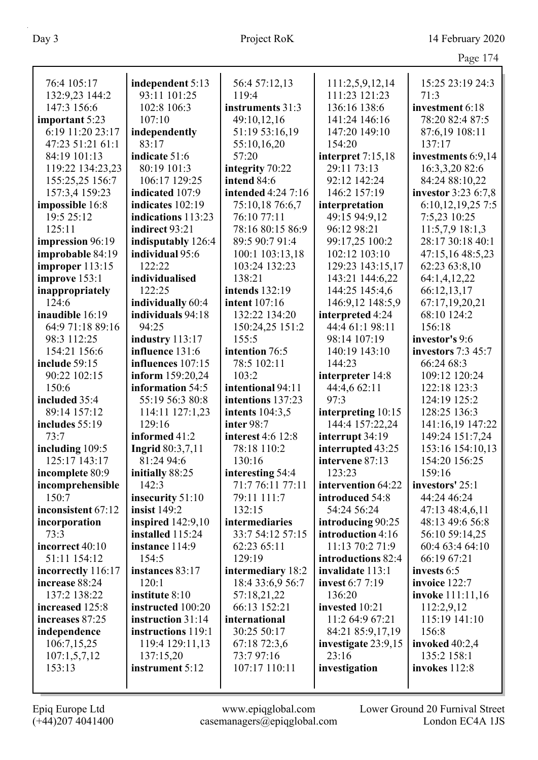| $\overline{\phantom{a}}$<br>яσ |  |
|--------------------------------|--|
|                                |  |

| 76:4 105:17        | independent 5:13        | 56:4 57:12,13             | 111:2,5,9,12,14        | 15:25 23:19 24:3    |
|--------------------|-------------------------|---------------------------|------------------------|---------------------|
| 132:9,23 144:2     | 93:11 101:25            | 119:4                     | 111:23 121:23          | 71:3                |
| 147:3 156:6        | 102:8 106:3             | instruments 31:3          | 136:16 138:6           | investment 6:18     |
| important 5:23     | 107:10                  | 49:10,12,16               | 141:24 146:16          | 78:20 82:4 87:5     |
| 6:19 11:20 23:17   | independently           | 51:19 53:16,19            | 147:20 149:10          | 87:6,19 108:11      |
| 47:23 51:21 61:1   | 83:17                   | 55:10,16,20               | 154:20                 | 137:17              |
| 84:19 101:13       | indicate 51:6           | 57:20                     | interpret 7:15,18      | investments 6:9,14  |
| 119:22 134:23,23   | 80:19 101:3             | integrity 70:22           | 29:11 73:13            | 16:3,3,20 82:6      |
| 155:25,25 156:7    | 106:17 129:25           | intend 84:6               | 92:12 142:24           | 84:24 88:10,22      |
| 157:3,4 159:23     | indicated 107:9         | <b>intended</b> 4:24 7:16 | 146:2 157:19           | investor 3:23 6:7,8 |
| impossible 16:8    | indicates 102:19        | 75:10,18 76:6,7           | interpretation         | 6:10,12,19,25 7:5   |
| 19:5 25:12         | indications 113:23      | 76:10 77:11               | 49:15 94:9,12          | 7:5,23 10:25        |
| 125:11             | indirect 93:21          | 78:16 80:15 86:9          | 96:12 98:21            | 11:5,7,9 18:1,3     |
| impression 96:19   | indisputably 126:4      | 89:5 90:7 91:4            | 99:17,25 100:2         | 28:17 30:18 40:1    |
| improbable 84:19   | individual 95:6         | 100:1 103:13,18           | 102:12 103:10          | 47:15,16 48:5,23    |
| improper 113:15    | 122:22                  | 103:24 132:23             | 129:23 143:15,17       | 62:23 63:8,10       |
| improve 153:1      | individualised          | 138:21                    | 143:21 144:6,22        | 64:1,4,12,22        |
| inappropriately    | 122:25                  | intends 132:19            | 144:25 145:4,6         | 66:12,13,17         |
| 124:6              | individually 60:4       | <b>intent</b> 107:16      | 146:9,12 148:5,9       | 67:17,19,20,21      |
| inaudible 16:19    | individuals 94:18       | 132:22 134:20             | interpreted 4:24       | 68:10 124:2         |
| 64:9 71:18 89:16   | 94:25                   | 150:24,25 151:2           | 44:4 61:1 98:11        | 156:18              |
| 98:3 112:25        | industry 113:17         | 155:5                     | 98:14 107:19           | investor's 9:6      |
| 154:21 156:6       | influence 131:6         | intention 76:5            | 140:19 143:10          | investors 7:3 45:7  |
| include 59:15      | influences 107:15       | 78:5 102:11               | 144:23                 | 66:24 68:3          |
| 90:22 102:15       | inform 159:20,24        | 103:2                     | interpreter 14:8       | 109:12 120:24       |
| 150:6              | information 54:5        | intentional 94:11         | 44:4,6 62:11           | 122:18 123:3        |
| included 35:4      | 55:19 56:3 80:8         | intentions 137:23         | 97:3                   | 124:19 125:2        |
| 89:14 157:12       | 114:11 127:1,23         | intents 104:3,5           | interpreting 10:15     | 128:25 136:3        |
| includes 55:19     | 129:16                  | inter 98:7                | 144:4 157:22,24        | 141:16,19 147:22    |
| 73:7               | informed 41:2           | interest 4:6 12:8         | interrupt 34:19        | 149:24 151:7,24     |
| including 109:5    | <b>Ingrid</b> 80:3,7,11 | 78:18 110:2               | interrupted 43:25      | 153:16 154:10,13    |
| 125:17 143:17      | 81:24 94:6              | 130:16                    | intervene 87:13        | 154:20 156:25       |
| incomplete 80:9    | initially 88:25         | interesting 54:4          | 123:23                 | 159:16              |
| incomprehensible   | 142:3                   | 71:7 76:11 77:11          | intervention 64:22     | investors' 25:1     |
| 150:7              | insecurity 51:10        | 79:11 111:7               | introduced 54:8        | 44:24 46:24         |
| inconsistent 67:12 | insist $149:2$          | 132:15                    | 54:24 56:24            | 47:13 48:4,6,11     |
| incorporation      | inspired $142:9,10$     | intermediaries            | introducing 90:25      | 48:13 49:6 56:8     |
| 73:3               | installed 115:24        | 33:7 54:12 57:15          | introduction 4:16      | 56:10 59:14,25      |
| incorrect 40:10    | instance 114:9          | 62:23 65:11               | 11:13 70:2 71:9        | 60:4 63:4 64:10     |
| 51:11 154:12       | 154:5                   | 129:19                    | introductions 82:4     | 66:19 67:21         |
| incorrectly 116:17 | instances 83:17         | intermediary 18:2         | invalidate 113:1       | invests 6:5         |
| increase 88:24     | 120:1                   | 18:4 33:6,9 56:7          | <b>invest</b> 6:7 7:19 | invoice 122:7       |
| 137:2 138:22       | institute 8:10          | 57:18,21,22               | 136:20                 | invoke 111:11,16    |
| increased 125:8    | instructed 100:20       | 66:13 152:21              | invested 10:21         | 112:2,9,12          |
| increases 87:25    | instruction 31:14       | international             | 11:2 64:9 67:21        | 115:19 141:10       |
| independence       | instructions 119:1      | 30:25 50:17               | 84:21 85:9,17,19       | 156:8               |
| 106:7,15,25        | 119:4 129:11,13         | 67:18 72:3,6              | investigate 23:9,15    | invoked $40:2,4$    |
| 107:1,5,7,12       | 137:15,20               | 73:797:16                 | 23:16                  | 135:2 158:1         |
| 153:13             | instrument 5:12         | 107:17 110:11             | investigation          | invokes 112:8       |
|                    |                         |                           |                        |                     |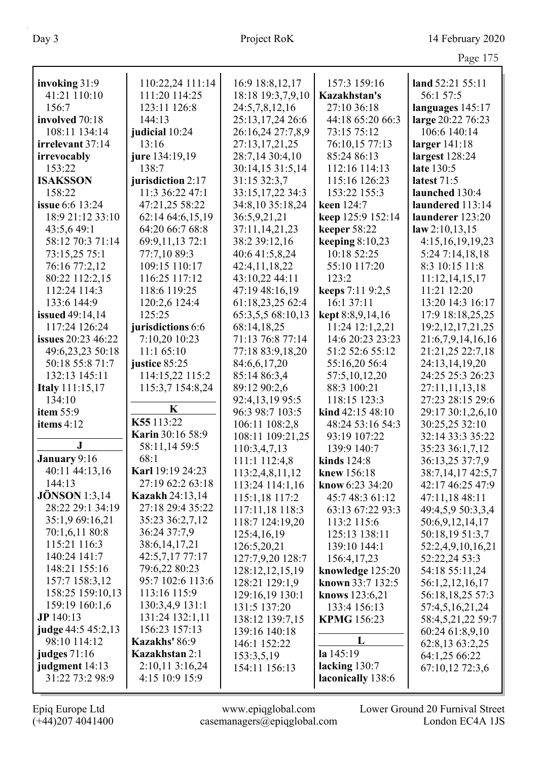|                                |                                  |                            |                    | Page 175                         |
|--------------------------------|----------------------------------|----------------------------|--------------------|----------------------------------|
| invoking 31:9                  | 110:22,24 111:14                 | 16:9 18:8,12,17            | 157:3 159:16       | land 52:21 55:11                 |
| 41:21 110:10                   | 111:20 114:25                    | 18:18 19:3,7,9,10          | Kazakhstan's       | 56:1 57:5                        |
| 156:7                          | 123:11 126:8                     | 24:5,7,8,12,16             | 27:10 36:18        | languages 145:17                 |
| involved 70:18                 | 144:13                           | 25:13,17,24 26:6           | 44:18 65:20 66:3   | large 20:22 76:23                |
| 108:11 134:14                  | judicial 10:24                   | 26:16,24 27:7,8,9          | 73:15 75:12        | 106:6 140:14                     |
| irrelevant 37:14               | 13:16                            | 27:13,17,21,25             | 76:10,15 77:13     | larger $141:18$                  |
| irrevocably                    | jure 134:19,19                   | 28:7,14 30:4,10            | 85:24 86:13        | largest 128:24                   |
| 153:22                         | 138:7                            | 30:14,15 31:5,14           | 112:16 114:13      | late 130:5                       |
| <b>ISAKSSON</b>                | jurisdiction 2:17                | 31:15 32:3,7               | 115:16 126:23      | latest 71:5                      |
| 158:22                         | 11:3 36:22 47:1                  | 33:15,17,22 34:3           | 153:22 155:3       | launched 130:4                   |
| <b>issue</b> 6:6 13:24         | 47:21,25 58:22                   | 34:8,10 35:18,24           | keen 124:7         | laundered 113:14                 |
| 18:9 21:12 33:10               | 62:14 64:6,15,19                 | 36:5,9,21,21               | keep 125:9 152:14  | launderer 123:20                 |
| 43:5,649:1                     | 64:20 66:7 68:8                  | 37:11,14,21,23             | keeper 58:22       | law 2:10,13,15                   |
| 58:12 70:3 71:14               | 69:9,11,13 72:1                  | 38:2 39:12,16              | keeping $8:10,23$  | 4:15,16,19,19,23                 |
| 73:15,25 75:1                  | 77:7,10 89:3                     | 40:6 41:5,8,24             | 10:18 52:25        | 5:24 7:14,18,18                  |
| 76:16 77:2,12                  | 109:15 110:17                    | 42:4,11,18,22              | 55:10 117:20       | 8:3 10:15 11:8                   |
| 80:22 112:2,15                 | 116:25 117:12                    | 43:10,22 44:11             | 123:2              | 11:12,14,15,17                   |
| 112:24 114:3                   | 118:6 119:25                     | 47:19 48:16,19             | keeps 7:11 9:2,5   | 11:21 12:20                      |
| 133:6 144:9                    | 120:2,6 124:4                    | 61:18,23,25 62:4           | 16:1 37:11         | 13:20 14:3 16:17                 |
| <b>issued</b> 49:14,14         | 125:25                           | 65:3,5,5 68:10,13          | kept 8:8,9,14,16   | 17:9 18:18,25,25                 |
| 117:24 126:24                  | jurisdictions 6:6                | 68:14,18,25                | 11:24 12:1,2,21    | 19:2, 12, 17, 21, 25             |
| <b>issues</b> 20:23 46:22      | 7:10,20 10:23                    | 71:13 76:8 77:14           | 14:6 20:23 23:23   | 21:6,7,9,14,16,16                |
| 49:6,23,23 50:18               | 11:165:10                        | 77:18 83:9,18,20           | 51:2 52:6 55:12    | 21:21,25 22:7,18                 |
| 50:18 55:8 71:7                | justice 85:25                    | 84:6,6,17,20               | 55:16,20 56:4      | 24:13,14,19,20                   |
| 132:13 145:11                  | 114:15,22 115:2                  | 85:14 86:3,4               | 57:5,10,12,20      | 24:25 25:3 26:23                 |
| <b>Italy</b> 111:15,17         | 115:3,7 154:8,24                 | 89:12 90:2,6               | 88:3 100:21        | 27:11,11,13,18                   |
| 134:10                         |                                  | 92:4,13,19 95:5            | 118:15 123:3       | 27:23 28:15 29:6                 |
| item 55:9                      | K                                | 96:3 98:7 103:5            | kind 42:15 48:10   | 29:17 30:1,2,6,10                |
| items 4:12                     | K55 113:22                       | 106:11 108:2,8             | 48:24 53:16 54:3   | 30:25,25 32:10                   |
|                                | <b>Karin</b> 30:16 58:9          | 108:11 109:21,25           | 93:19 107:22       | 32:14 33:3 35:22                 |
| ${\bf J}$                      | 58:11,14 59:5                    | 110:3,4,7,13               | 139:9 140:7        | 35:23 36:1,7,12                  |
| January 9:16                   | 68:1                             | 111:1 112:4,8              | kinds $124:8$      | 36:13,25 37:7,9                  |
| 40:11 44:13,16                 | Karl 19:19 24:23                 | 113:2,4,8,11,12            | knew 156:18        | 38:7,14,17 42:5,7                |
| 144:13                         | 27:19 62:2 63:18                 | 113:24 114:1,16            | know 6:23 34:20    | 42:17 46:25 47:9                 |
| <b>JÖNSON</b> 1:3,14           | <b>Kazakh 24:13,14</b>           | 115:1,18 117:2             | 45:7 48:3 61:12    | 47:11,18 48:11                   |
| 28:22 29:1 34:19               | 27:18 29:4 35:22                 | 117:11,18 118:3            | 63:13 67:22 93:3   | 49:4,5,9 50:3,3,4                |
| 35:1,9 69:16,21                | 35:23 36:2,7,12                  | 118:7 124:19,20            | 113:2 115:6        | 50:6,9,12,14,17                  |
| 70:1,6,11 80:8<br>115:21 116:3 | 36:24 37:7,9                     | 125:4,16,19                | 125:13 138:11      | 50:18,19 51:3,7                  |
| 140:24 141:7                   | 38:6, 14, 17, 21                 | 126:5,20,21                | 139:10 144:1       | 52:2,4,9,10,16,21                |
| 148:21 155:16                  | 42:5,7,17 77:17<br>79:6,22 80:23 | 127:7,9,20 128:7           | 156:4,17,23        | 52:22,24 53:3                    |
| 157:7 158:3,12                 | 95:7 102:6 113:6                 | 128:12,12,15,19            | knowledge 125:20   | 54:18 55:11,24                   |
| 158:25 159:10,13               | 113:16 115:9                     | 128:21 129:1,9             | known 33:7 132:5   | 56:1,2,12,16,17                  |
| 159:19 160:1,6                 | 130:3,4,9 131:1                  | 129:16,19 130:1            | knows 123:6,21     | 56:18,18,25 57:3                 |
| JP 140:13                      | 131:24 132:1,11                  | 131:5 137:20               | 133:4 156:13       | 57:4,5,16,21,24                  |
| judge 44:5 45:2,13             | 156:23 157:13                    | 138:12 139:7,15            | <b>KPMG</b> 156:23 | 58:4,5,21,22 59:7                |
| 98:10 114:12                   | Kazakhs' 86:9                    | 139:16 140:18              | L                  | 60:24 61:8,9,10                  |
| judges $71:16$                 | <b>Kazakhstan 2:1</b>            | 146:1 152:22<br>153:3,5,19 | la 145:19          | 62:8,13 63:2,25<br>64:1,25 66:22 |
| judgment 14:13                 | 2:10,11 3:16,24                  | 154:11 156:13              | lacking 130:7      | 67:10,12 72:3,6                  |
| 31:22 73:2 98:9                | 4:15 10:9 15:9                   |                            | laconically 138:6  |                                  |
|                                |                                  |                            |                    |                                  |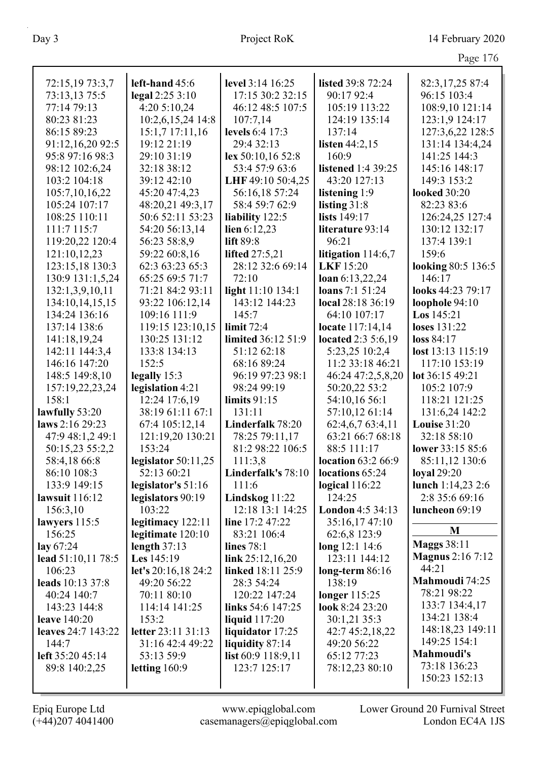|                                   |                                       |                                         |                                    | Page 176                |
|-----------------------------------|---------------------------------------|-----------------------------------------|------------------------------------|-------------------------|
|                                   |                                       |                                         |                                    |                         |
| 72:15,19 73:3,7                   | left-hand 45:6                        | level 3:14 16:25                        | listed 39:8 72:24                  | 82:3,17,25 87:4         |
| 73:13,13 75:5                     | legal $2:253:10$                      | 17:15 30:2 32:15                        | 90:17 92:4                         | 96:15 103:4             |
| 77:14 79:13                       | 4:20 5:10,24                          | 46:12 48:5 107:5                        | 105:19 113:22                      | 108:9,10 121:14         |
| 80:23 81:23                       | 10:2,6,15,24 14:8                     | 107:7,14                                | 124:19 135:14                      | 123:1,9 124:17          |
| 86:15 89:23                       | $15:1,7$ 17:11,16                     | levels 6:4 17:3                         | 137:14                             | 127:3,6,22 128:5        |
| 91:12,16,20 92:5                  | 19:12 21:19                           | 29:4 32:13                              | listen $44:2,15$                   | 131:14 134:4,24         |
| 95:8 97:16 98:3                   | 29:10 31:19                           | lex 50:10,16 52:8                       | 160:9                              | 141:25 144:3            |
| 98:12 102:6,24                    | 32:18 38:12                           | 53:4 57:9 63:6                          | <b>listened</b> 1:4 39:25          | 145:16 148:17           |
| 103:2 104:18                      | 39:12 42:10                           | LHF 49:10 50:4,25                       | 43:20 127:13                       | 149:3 153:2             |
| 105:7,10,16,22                    | 45:20 47:4,23                         | 56:16,18 57:24                          | listening 1:9                      | <b>looked</b> 30:20     |
| 105:24 107:17                     | 48:20,21 49:3,17                      | 58:4 59:7 62:9                          | listing $31:8$                     | 82:23 83:6              |
| 108:25 110:11                     | 50:6 52:11 53:23                      | liability 122:5                         | lists 149:17                       | 126:24,25 127:4         |
| 111:7 115:7                       | 54:20 56:13,14                        | lien $6:12,23$                          | literature 93:14                   | 130:12 132:17           |
| 119:20,22 120:4                   | 56:23 58:8,9                          | lift 89:8                               | 96:21                              | 137:4 139:1             |
| 121:10,12,23                      | 59:22 60:8,16                         | <b>lifted</b> 27:5,21                   | litigation 114:6,7                 | 159:6                   |
| 123:15,18 130:3                   | 62:3 63:23 65:3                       | 28:12 32:6 69:14                        | <b>LKF</b> 15:20                   | looking 80:5 136:5      |
| 130:9 131:1,5,24                  | 65:25 69:5 71:7                       | 72:10                                   | loan 6:13,22,24                    | 146:17                  |
| 132:1,3,9,10,11                   | 71:21 84:2 93:11                      | light 11:10 134:1                       | <b>loans</b> 7:1 51:24             | looks 44:23 79:17       |
| 134:10,14,15,15                   | 93:22 106:12,14                       | 143:12 144:23                           | local 28:18 36:19                  | loophole 94:10          |
| 134:24 136:16                     | 109:16 111:9                          | 145:7                                   | 64:10 107:17                       | Los 145:21              |
| 137:14 138:6                      | 119:15 123:10,15                      | limit $72:4$                            | locate 117:14,14                   | loses 131:22            |
| 141:18,19,24                      | 130:25 131:12                         | limited 36:12 51:9                      | <b>located</b> 2:3 5:6,19          | loss 84:17              |
| 142:11 144:3,4                    | 133:8 134:13                          | 51:12 62:18                             | 5:23,25 10:2,4                     | lost 13:13 115:19       |
| 146:16 147:20                     | 152:5                                 | 68:16 89:24                             | 11:2 33:18 46:21                   | 117:10 153:19           |
| 148:5 149:8,10                    | legally 15:3                          | 96:19 97:23 98:1                        | 46:24 47:2,5,8,20                  | lot 36:15 49:21         |
| 157:19,22,23,24                   | legislation 4:21                      | 98:24 99:19                             | 50:20,22 53:2                      | 105:2 107:9             |
| 158:1                             | 12:24 17:6,19                         | limits $91:15$                          | 54:10,16 56:1                      | 118:21 121:25           |
| lawfully 53:20                    | 38:19 61:11 67:1                      | 131:11                                  | 57:10,12 61:14                     | 131:6,24 142:2          |
| laws 2:16 29:23                   | 67:4 105:12,14                        | Linderfalk 78:20                        | 62:4,6,7 63:4,11                   | <b>Louise 31:20</b>     |
| 47:9 48:1,2 49:1                  | 121:19,20 130:21                      | 78:25 79:11,17                          | 63:21 66:7 68:18                   | 32:18 58:10             |
| 50:15,23 55:2,2                   | 153:24                                | 81:2 98:22 106:5                        | 88:5 111:17                        | lower 33:15 85:6        |
| 58:4,18 66:8                      | legislator 50:11,25                   | 111:3,8                                 | location 63:2 66:9                 | 85:11,12 130:6          |
| 86:10 108:3                       | 52:13 60:21                           | Linderfalk's 78:10                      | locations 65:24                    | <b>loyal</b> 29:20      |
| 133:9 149:15                      | legislator's $51:16$                  | 111:6                                   | logical $116:22$                   | lunch $1:14,23$ 2:6     |
| lawsuit 116:12                    | legislators 90:19                     | Lindskog $11:22$                        | 124:25                             | 2:8 35:6 69:16          |
| 156:3,10                          | 103:22                                | 12:18 13:1 14:25                        | London 4:5 34:13                   | luncheon 69:19          |
| lawyers 115:5<br>156:25           | legitimacy 122:11                     | line $17:247:22$                        | 35:16,17 47:10                     | M                       |
|                                   | legitimate 120:10<br>length $37:13$   | 83:21 106:4<br>lines 78:1               | 62:6,8 123:9                       | <b>Maggs 38:11</b>      |
| lay $67:24$<br>lead 51:10,11 78:5 | <b>Les</b> $145:19$                   |                                         | long 12:1 14:6<br>123:11 144:12    | <b>Magnus</b> 2:16 7:12 |
| 106:23                            |                                       | link $25:12,16,20$<br>linked 18:11 25:9 |                                    | 44:21                   |
| leads 10:13 37:8                  | let's $20:16,18\,24:2$<br>49:20 56:22 | 28:3 54:24                              | long-term $86:16$<br>138:19        | Mahmoudi 74:25          |
| 40:24 140:7                       | 70:11 80:10                           | 120:22 147:24                           |                                    | 78:21 98:22             |
| 143:23 144:8                      | 114:14 141:25                         | links 54:6 147:25                       | longer $115:25$<br>look 8:24 23:20 | 133:7 134:4,17          |
| <b>leave</b> 140:20               | 153:2                                 |                                         | 30:1,21 35:3                       | 134:21 138:4            |
| <b>leaves</b> 24:7 143:22         | letter 23:11 31:13                    | liquid $117:20$<br>liquidator 17:25     | 42:7 45:2,18,22                    | 148:18,23 149:11        |
| 144:7                             | 31:16 42:4 49:22                      | liquidity 87:14                         | 49:20 56:22                        | 149:25 154:1            |
| left 35:20 45:14                  | 53:13 59:9                            | list $60:9$ 118:9,11                    | 65:12 77:23                        | Mahmoudi's              |
| 89:8 140:2,25                     | letting $160:9$                       | 123:7 125:17                            | 78:12,23 80:10                     | 73:18 136:23            |
|                                   |                                       |                                         |                                    | 150:23 152:13           |
|                                   |                                       |                                         |                                    |                         |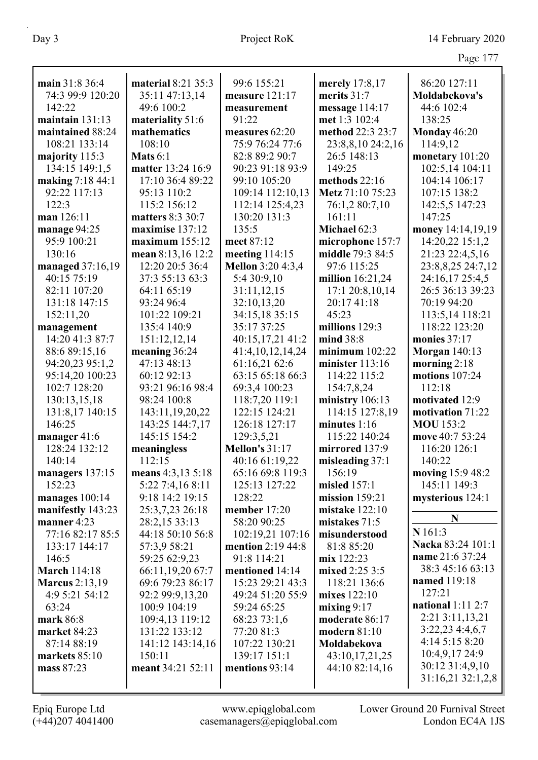|                       |                    |                          |                    | Page 177              |
|-----------------------|--------------------|--------------------------|--------------------|-----------------------|
|                       |                    |                          |                    |                       |
| main 31:8 36:4        | material 8:21 35:3 | 99:6 155:21              | merely 17:8,17     | 86:20 127:11          |
| 74:3 99:9 120:20      | 35:11 47:13,14     | measure 121:17           | merits 31:7        | Moldabekova's         |
| 142:22                | 49:6 100:2         | measurement              | message 114:17     | 44:6 102:4            |
| maintain $131:13$     | materiality 51:6   | 91:22                    | met 1:3 102:4      | 138:25                |
| maintained 88:24      | mathematics        | measures 62:20           | method 22:3 23:7   | Monday 46:20          |
| 108:21 133:14         | 108:10             | 75:9 76:24 77:6          | 23:8,8,10 24:2,16  | 114:9,12              |
| majority 115:3        | <b>Mats</b> $6:1$  | 82:8 89:2 90:7           | 26:5 148:13        | monetary 101:20       |
| 134:15 149:1,5        | matter 13:24 16:9  | 90:23 91:18 93:9         | 149:25             | 102:5,14 104:11       |
| making 7:18 44:1      | 17:10 36:4 89:22   | 99:10 105:20             | methods $22:16$    | 104:14 106:17         |
| 92:22 117:13          | 95:13 110:2        | 109:14 112:10,13         | Metz 71:10 75:23   | 107:15 138:2          |
| 122:3                 | 115:2 156:12       | 112:14 125:4,23          | 76:1,2 80:7,10     | 142:5,5 147:23        |
| man 126:11            | matters 8:3 30:7   | 130:20 131:3             | 161:11             | 147:25                |
| manage 94:25          | maximise 137:12    | 135:5                    | Michael 62:3       | money 14:14,19,19     |
| 95:9 100:21           | maximum $155:12$   | meet 87:12               | microphone 157:7   | 14:20,22 15:1,2       |
| 130:16                | mean 8:13,16 12:2  | meeting $114:15$         | middle 79:3 84:5   | 21:23 22:4,5,16       |
| managed 37:16,19      | 12:20 20:5 36:4    | <b>Mellon</b> 3:20 4:3,4 | 97:6 115:25        | 23:8,8,25 24:7,12     |
| 40:15 75:19           | 37:3 55:13 63:3    | 5:4 30:9,10              | million $16:21,24$ | 24:16,17 25:4,5       |
| 82:11 107:20          | 64:11 65:19        | 31:11,12,15              | 17:1 20:8,10,14    | 26:5 36:13 39:23      |
| 131:18 147:15         | 93:24 96:4         | 32:10,13,20              | 20:17 41:18        | 70:19 94:20           |
| 152:11,20             | 101:22 109:21      | 34:15,18 35:15           | 45:23              | 113:5,14 118:21       |
| management            | 135:4 140:9        | 35:17 37:25              | millions 129:3     | 118:22 123:20         |
| 14:20 41:3 87:7       | 151:12,12,14       | 40:15,17,21 41:2         | mind 38:8          | monies 37:17          |
| 88:6 89:15,16         | meaning 36:24      | 41:4,10,12,14,24         | minimum $102:22$   | <b>Morgan</b> 140:13  |
| 94:20,23 95:1,2       | 47:13 48:13        | 61:16,21 62:6            | minister 113:16    | morning $2:18$        |
| 95:14,20 100:23       | 60:12 92:13        | 63:15 65:18 66:3         | 114:22 115:2       | motions 107:24        |
| 102:7 128:20          | 93:21 96:16 98:4   | 69:3,4 100:23            | 154:7,8,24         | 112:18                |
| 130:13,15,18          | 98:24 100:8        | 118:7,20 119:1           | ministry 106:13    | motivated 12:9        |
| 131:8,17 140:15       | 143:11,19,20,22    | 122:15 124:21            | 114:15 127:8,19    | motivation 71:22      |
| 146:25                | 143:25 144:7,17    | 126:18 127:17            | minutes 1:16       | <b>MOU</b> 153:2      |
| manager 41:6          | 145:15 154:2       | 129:3,5,21               | 115:22 140:24      | move 40:7 53:24       |
| 128:24 132:12         | meaningless        | <b>Mellon's 31:17</b>    | mirrored 137:9     | 116:20 126:1          |
| 140:14                | 112:15             | 40:16 61:19,22           | misleading $37:1$  | 140:22                |
| managers 137:15       | means 4:3,13 5:18  | 65:16 69:8 119:3         | 156:19             | moving 15:9 48:2      |
| 152:23                | 5:22 7:4,16 8:11   | 125:13 127:22            | misled $157:1$     | 145:11 149:3          |
| manages 100:14        | 9:18 14:2 19:15    | 128:22                   | mission $159:21$   | mysterious 124:1      |
| manifestly 143:23     | 25:3,7,23 26:18    | member $17:20$           | mistake $122:10$   |                       |
| manner $4:23$         | 28:2,15 33:13      | 58:20 90:25              | mistakes $71:5$    | N                     |
| 77:16 82:17 85:5      | 44:18 50:10 56:8   | 102:19,21 107:16         | misunderstood      | N 161:3               |
| 133:17 144:17         | 57:3,9 58:21       | <b>mention</b> 2:19 44:8 | 81:8 85:20         | Nacka 83:24 101:1     |
| 146:5                 | 59:25 62:9,23      | 91:8 114:21              | mix 122:23         | name 21:6 37:24       |
| <b>March 114:18</b>   | 66:11,19,20 67:7   | mentioned 14:14          | mixed 2:25 3:5     | 38:3 45:16 63:13      |
| <b>Marcus</b> 2:13,19 | 69:6 79:23 86:17   | 15:23 29:21 43:3         | 118:21 136:6       | named 119:18          |
| 4:9 5:21 54:12        | 92:2 99:9,13,20    | 49:24 51:20 55:9         | mixes 122:10       | 127:21                |
| 63:24                 | 100:9 104:19       | 59:24 65:25              | mixing $9:17$      | national $1:11$ $2:7$ |
| mark 86:8             | 109:4,13 119:12    | 68:23 73:1,6             | moderate 86:17     | 2:21 3:11,13,21       |
| market 84:23          | 131:22 133:12      | 77:20 81:3               | modern 81:10       | 3:22,234:3,6,7        |
| 87:14 88:19           | 141:12 143:14,16   | 107:22 130:21            | Moldabekova        | 4:14 5:15 8:20        |
| markets $85:10$       | 150:11             | 139:17 151:1             | 43:10,17,21,25     | 10:4,9,17 24:9        |
| mass 87:23            | meant 34:21 52:11  | mentions 93:14           | 44:10 82:14,16     | 30:12 31:4,9,10       |
|                       |                    |                          |                    | 31:16,21 32:1,2,8     |
|                       |                    |                          |                    |                       |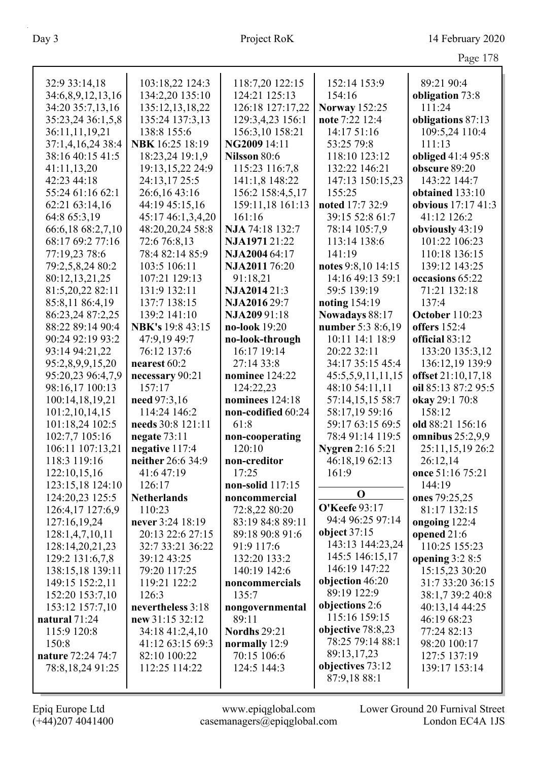|                                    |                                  |                            |                                             | Page 178                               |
|------------------------------------|----------------------------------|----------------------------|---------------------------------------------|----------------------------------------|
| 32:9 33:14,18                      | 103:18,22 124:3                  | 118:7,20 122:15            | 152:14 153:9                                | 89:21 90:4                             |
| 34:6,8,9,12,13,16                  | 134:2,20 135:10                  | 124:21 125:13              | 154:16                                      | obligation 73:8                        |
| 34:20 35:7,13,16                   | 135:12,13,18,22                  | 126:18 127:17,22           | <b>Norway</b> 152:25                        | 111:24                                 |
| 35:23,24 36:1,5,8                  | 135:24 137:3,13                  | 129:3,4,23 156:1           | note 7:22 12:4                              | obligations 87:13                      |
| 36:11,11,19,21                     | 138:8 155:6                      | 156:3,10 158:21            | 14:17 51:16                                 | 109:5,24 110:4                         |
| 37:1,4,16,24 38:4                  | NBK 16:25 18:19                  | NG2009 14:11               | 53:25 79:8                                  | 111:13                                 |
| 38:16 40:15 41:5                   | 18:23,24 19:1,9                  | Nilsson 80:6               | 118:10 123:12                               | obliged 41:4 95:8                      |
| 41:11,13,20                        | 19:13,15,22 24:9                 | 115:23 116:7,8             | 132:22 146:21                               | obscure 89:20                          |
| 42:23 44:18                        | 24:13,17 25:5                    | 141:1,8 148:22             | 147:13 150:15,23                            | 143:22 144:7                           |
| 55:24 61:16 62:1                   | 26:6,16 43:16                    | 156:2 158:4,5,17           | 155:25                                      | obtained 133:10                        |
| 62:21 63:14,16                     | 44:19 45:15,16                   | 159:11,18 161:13           | noted 17:7 32:9                             | obvious 17:17 41:3                     |
| 64:8 65:3,19                       | 45:17 46:1,3,4,20                | 161:16                     | 39:15 52:8 61:7                             | 41:12 126:2                            |
| 66:6,18 68:2,7,10                  | 48:20,20,24 58:8                 | NJA 74:18 132:7            | 78:14 105:7,9                               | obviously 43:19                        |
| 68:17 69:2 77:16                   | 72:6 76:8,13                     | NJA197121:22               | 113:14 138:6                                | 101:22 106:23                          |
| 77:19,23 78:6                      | 78:4 82:14 85:9                  | NJA2004 64:17              | 141:19                                      | 110:18 136:15                          |
| 79:2,5,8,24 80:2                   | 103:5 106:11                     | NJA201176:20               | notes 9:8,10 14:15                          | 139:12 143:25                          |
| 80:12,13,21,25                     | 107:21 129:13                    | 91:18,21                   | 14:16 49:13 59:1                            | occasions 65:22                        |
| 81:5,20,22 82:11                   | 131:9 132:11                     | NJA201421:3                | 59:5 139:19                                 | 71:21 132:18                           |
| 85:8,11 86:4,19                    | 137:7 138:15                     | NJA201629:7                | noting 154:19                               | 137:4                                  |
| 86:23,24 87:2,25                   | 139:2 141:10                     | NJA20991:18                | Nowadays 88:17                              | <b>October 110:23</b>                  |
| 88:22 89:14 90:4                   | <b>NBK's</b> 19:8 43:15          | no-look $19:20$            | number 5:3 8:6,19                           | <b>offers</b> 152:4                    |
| 90:24 92:19 93:2                   | 47:9,19 49:7                     | no-look-through            | 10:11 14:1 18:9                             | official 83:12                         |
| 93:14 94:21,22                     | 76:12 137:6                      | 16:17 19:14                | 20:22 32:11                                 | 133:20 135:3,12                        |
| 95:2,8,9,9,15,20                   | nearest 60:2                     | 27:14 33:8                 | 34:17 35:15 45:4                            | 136:12,19 139:9                        |
| 95:20,23 96:4,7,9                  | necessary 90:21                  | nominee 124:22             | 45:5,5,9,11,11,15                           | offset 21:10,17,18                     |
| 98:16,17 100:13                    | 157:17                           | 124:22,23                  | 48:10 54:11,11                              | oil 85:13 87:2 95:5                    |
| 100:14,18,19,21                    | need 97:3,16<br>114:24 146:2     | nominees 124:18            | 57:14,15,15 58:7                            | okay 29:1 70:8                         |
| 101:2,10,14,15                     | needs 30:8 121:11                | non-codified 60:24<br>61:8 | 58:17,19 59:16<br>59:17 63:15 69:5          | 158:12<br>old 88:21 156:16             |
| 101:18,24 102:5                    |                                  |                            |                                             |                                        |
| 102:7,7 105:16<br>106:11 107:13,21 | negate $73:11$<br>negative 117:4 | non-cooperating<br>120:10  | 78:4 91:14 119:5<br><b>Nygren</b> 2:16 5:21 | omnibus $25:2,9,9$<br>25:11,15,19 26:2 |
| 118:3 119:16                       | neither 26:6 34:9                | non-creditor               | 46:18,19 62:13                              | 26:12,14                               |
| 122:10,15,16                       | 41:6 47:19                       | 17:25                      | 161:9                                       | once 51:16 75:21                       |
| 123:15,18 124:10                   | 126:17                           | non-solid 117:15           |                                             | 144:19                                 |
| 124:20,23 125:5                    | <b>Netherlands</b>               | noncommercial              | $\mathbf 0$                                 | ones 79:25,25                          |
| 126:4,17 127:6,9                   | 110:23                           | 72:8,22 80:20              | <b>O'Keefe 93:17</b>                        | 81:17 132:15                           |
| 127:16,19,24                       | never 3:24 18:19                 | 83:19 84:8 89:11           | 94:4 96:25 97:14                            | ongoing 122:4                          |
| 128:1,4,7,10,11                    | 20:13 22:6 27:15                 | 89:18 90:8 91:6            | object $37:15$                              | opened 21:6                            |
| 128:14,20,21,23                    | 32:7 33:21 36:22                 | 91:9 117:6                 | 143:13 144:23,24                            | 110:25 155:23                          |
| 129:2 131:6,7,8                    | 39:12 43:25                      | 132:20 133:2               | 145:5 146:15,17                             | opening $3:28:5$                       |
| 138:15,18 139:11                   | 79:20 117:25                     | 140:19 142:6               | 146:19 147:22                               | 15:15,23 30:20                         |
| 149:15 152:2,11                    | 119:21 122:2                     | noncommercials             | objection 46:20                             | 31:7 33:20 36:15                       |
| 152:20 153:7,10                    | 126:3                            | 135:7                      | 89:19 122:9                                 | 38:1,7 39:2 40:8                       |
| 153:12 157:7,10                    | nevertheless 3:18                | nongovernmental            | objections 2:6                              | 40:13,14 44:25                         |
| natural 71:24                      | new 31:15 32:12                  | 89:11                      | 115:16 159:15                               | 46:19 68:23                            |
| 115:9 120:8                        | 34:18 41:2,4,10                  | <b>Nordhs</b> 29:21        | objective 78:8,23                           | 77:24 82:13                            |
| 150:8                              | 41:12 63:15 69:3                 | normally 12:9              | 78:25 79:14 88:1                            | 98:20 100:17                           |
| nature 72:24 74:7                  | 82:10 100:22                     | 70:15 106:6                | 89:13,17,23                                 | 127:5 137:19                           |
| 78:8,18,24 91:25                   | 112:25 114:22                    | 124:5 144:3                | objectives 73:12                            | 139:17 153:14                          |
|                                    |                                  |                            | 87:9,18 88:1                                |                                        |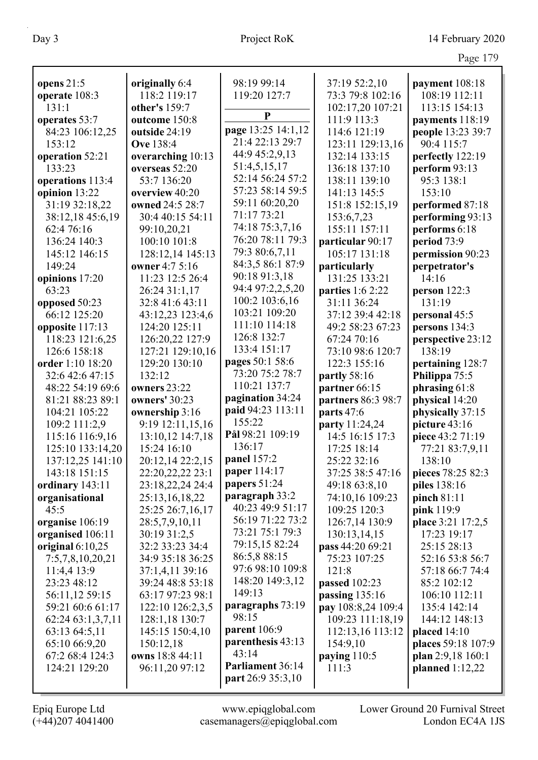| opens $21:5$            | originally 6:4      | 98:19 99:14                        | 37:19 52:2,10      | payment 108:18     |
|-------------------------|---------------------|------------------------------------|--------------------|--------------------|
| operate 108:3           | 118:2 119:17        | 119:20 127:7                       | 73:3 79:8 102:16   | 108:19 112:11      |
| 131:1                   | other's 159:7       |                                    | 102:17,20 107:21   | 113:15 154:13      |
| operates 53:7           | outcome 150:8       | ${\bf P}$                          | 111:9 113:3        | payments 118:19    |
| 84:23 106:12,25         | outside 24:19       | page 13:25 14:1,12                 | 114:6 121:19       | people 13:23 39:7  |
| 153:12                  | <b>Ove</b> 138:4    | 21:4 22:13 29:7                    | 123:11 129:13,16   | 90:4 115:7         |
| operation 52:21         | overarching 10:13   | 44:9 45:2,9,13                     | 132:14 133:15      | perfectly 122:19   |
| 133:23                  | overseas 52:20      | 51:4,5,15,17                       | 136:18 137:10      | perform 93:13      |
| operations 113:4        | 53:7 136:20         | 52:14 56:24 57:2                   | 138:11 139:10      | 95:3 138:1         |
| opinion 13:22           | overview 40:20      | 57:23 58:14 59:5                   | 141:13 145:5       | 153:10             |
| 31:19 32:18,22          | owned 24:5 28:7     | 59:11 60:20,20                     | 151:8 152:15,19    | performed 87:18    |
| 38:12,18 45:6,19        | 30:4 40:15 54:11    | 71:17 73:21                        | 153:6,7,23         | performing 93:13   |
| 62:4 76:16              | 99:10,20,21         | 74:18 75:3,7,16                    | 155:11 157:11      | performs 6:18      |
| 136:24 140:3            | 100:10 101:8        | 76:20 78:11 79:3                   | particular 90:17   | period 73:9        |
| 145:12 146:15           | 128:12,14 145:13    | 79:3 80:6,7,11                     | 105:17 131:18      | permission 90:23   |
| 149:24                  | owner 4:7 5:16      | 84:3,5 86:1 87:9                   | particularly       | perpetrator's      |
|                         | 11:23 12:5 26:4     | 90:18 91:3,18                      | 131:25 133:21      | 14:16              |
| opinions 17:20<br>63:23 |                     | 94:4 97:2,2,5,20                   |                    |                    |
|                         | 26:24 31:1,17       | 100:2 103:6,16                     | parties 1:6 2:22   | person 122:3       |
| opposed 50:23           | 32:8 41:6 43:11     | 103:21 109:20                      | 31:11 36:24        | 131:19             |
| 66:12 125:20            | 43:12,23 123:4,6    | 111:10 114:18                      | 37:12 39:4 42:18   | personal 45:5      |
| opposite 117:13         | 124:20 125:11       | 126:8 132:7                        | 49:2 58:23 67:23   | persons 134:3      |
| 118:23 121:6,25         | 126:20,22 127:9     | 133:4 151:17                       | 67:24 70:16        | perspective 23:12  |
| 126:6 158:18            | 127:21 129:10,16    |                                    | 73:10 98:6 120:7   | 138:19             |
| order 1:10 18:20        | 129:20 130:10       | pages 50:1 58:6<br>73:20 75:2 78:7 | 122:3 155:16       | pertaining 128:7   |
| 32:6 42:6 47:15         | 132:12              | 110:21 137:7                       | partly 58:16       | Philippa 75:5      |
| 48:22 54:19 69:6        | <b>owners</b> 23:22 |                                    | partner 66:15      | phrasing 61:8      |
| 81:21 88:23 89:1        | owners' 30:23       | pagination 34:24                   | partners 86:3 98:7 | physical 14:20     |
| 104:21 105:22           | ownership 3:16      | paid 94:23 113:11                  | parts 47:6         | physically 37:15   |
| 109:2 111:2,9           | 9:19 12:11,15,16    | 155:22                             | party 11:24,24     | picture 43:16      |
| 115:16 116:9,16         | 13:10,12 14:7,18    | Pål 98:21 109:19                   | 14:5 16:15 17:3    | piece 43:2 71:19   |
| 125:10 133:14,20        | 15:24 16:10         | 136:17                             | 17:25 18:14        | 77:21 83:7,9,11    |
| 137:12,25 141:10        | 20:12,14 22:2,15    | panel 157:2                        | 25:22 32:16        | 138:10             |
| 143:18 151:15           | 22:20, 22, 22 23:1  | paper 114:17                       | 37:25 38:5 47:16   | pieces 78:25 82:3  |
| ordinary 143:11         | 23:18,22,24 24:4    | papers 51:24                       | 49:18 63:8,10      | piles 138:16       |
| organisational          | 25:13,16,18,22      | paragraph 33:2                     | 74:10,16 109:23    | pinch $81:11$      |
| 45:5                    | 25:25 26:7,16,17    | 40:23 49:9 51:17                   | 109:25 120:3       | pink 119:9         |
| organise 106:19         | 28:5,7,9,10,11      | 56:19 71:22 73:2                   | 126:7,14 130:9     | place 3:21 17:2,5  |
| organised 106:11        | 30:19 31:2,5        | 73:21 75:1 79:3                    | 130:13,14,15       | 17:23 19:17        |
| original $6:10,25$      | 32:2 33:23 34:4     | 79:15,15 82:24                     | pass 44:20 69:21   | 25:15 28:13        |
| 7:5,7,8,10,20,21        | 34:9 35:18 36:25    | 86:5,8 88:15                       | 75:23 107:25       | 52:16 53:8 56:7    |
| 11:4,4 13:9             | 37:1,4,11 39:16     | 97:6 98:10 109:8                   | 121:8              | 57:18 66:7 74:4    |
| 23:23 48:12             | 39:24 48:8 53:18    | 148:20 149:3,12                    | passed 102:23      | 85:2 102:12        |
| 56:11,12 59:15          | 63:17 97:23 98:1    | 149:13                             | passing $135:16$   | 106:10 112:11      |
| 59:21 60:6 61:17        | 122:10 126:2,3,5    | paragraphs 73:19                   | pay 108:8,24 109:4 | 135:4 142:14       |
| 62:24 63:1,3,7,11       | 128:1,18 130:7      | 98:15                              | 109:23 111:18,19   | 144:12 148:13      |
| 63:13 64:5,11           | 145:15 150:4,10     | parent 106:9                       | 112:13,16 113:12   | placed 14:10       |
| 65:10 66:9,20           | 150:12,18           | parenthesis 43:13                  | 154:9,10           | places 59:18 107:9 |
| 67:2 68:4 124:3         | owns 18:8 44:11     | 43:14                              | paying $110:5$     | plan 2:9,18 160:1  |
| 124:21 129:20           | 96:11,20 97:12      | Parliament 36:14                   | 111:3              | planned $1:12,22$  |
|                         |                     | part 26:9 35:3,10                  |                    |                    |
|                         |                     |                                    |                    |                    |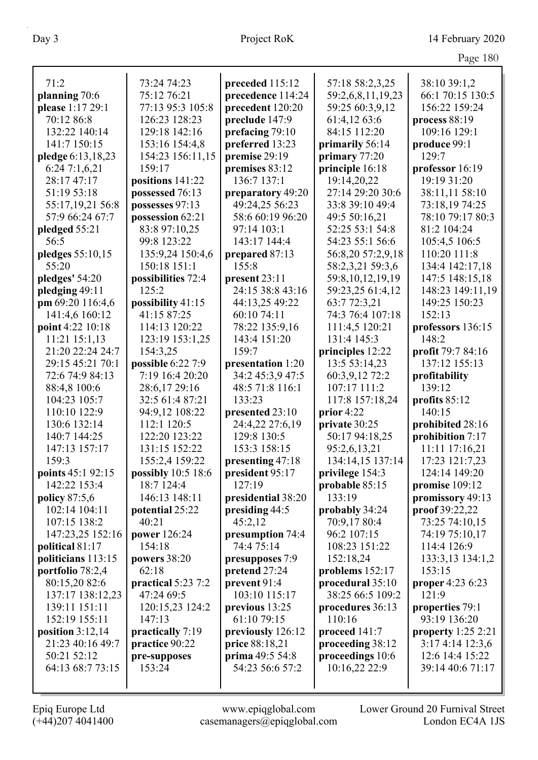| Page $180$ |  |
|------------|--|
|            |  |

|                    |                     |                    |                      | $1$ agu $100$        |
|--------------------|---------------------|--------------------|----------------------|----------------------|
| 71:2               | 73:24 74:23         | preceded 115:12    | 57:18 58:2,3,25      | 38:10 39:1,2         |
| planning 70:6      | 75:12 76:21         | precedence 114:24  | 59:2,6,8,11,19,23    | 66:1 70:15 130:5     |
| please 1:17 29:1   | 77:13 95:3 105:8    | precedent 120:20   | 59:25 60:3,9,12      | 156:22 159:24        |
| 70:12 86:8         | 126:23 128:23       | preclude 147:9     | 61:4,12 63:6         | process 88:19        |
| 132:22 140:14      | 129:18 142:16       | prefacing 79:10    | 84:15 112:20         | 109:16 129:1         |
| 141:7 150:15       | 153:16 154:4,8      | preferred 13:23    | primarily 56:14      | produce 99:1         |
| pledge 6:13,18,23  | 154:23 156:11,15    | premise 29:19      | primary $77:20$      | 129:7                |
| 6:247:1,6,21       | 159:17              | premises 83:12     | principle 16:18      | professor 16:19      |
| 28:17 47:17        | positions 141:22    | 136:7 137:1        | 19:14,20,22          | 19:19 31:20          |
| 51:19 53:18        | possessed 76:13     | preparatory 49:20  | 27:14 29:20 30:6     | 38:11,11 58:10       |
| 55:17,19,21 56:8   | possesses 97:13     | 49:24,25 56:23     | 33:8 39:10 49:4      | 73:18,19 74:25       |
| 57:9 66:24 67:7    | possession 62:21    | 58:6 60:19 96:20   | 49:5 50:16,21        | 78:10 79:17 80:3     |
| pledged 55:21      | 83:8 97:10,25       | 97:14 103:1        | 52:25 53:1 54:8      | 81:2 104:24          |
| 56:5               | 99:8 123:22         | 143:17 144:4       | 54:23 55:1 56:6      | 105:4,5 106:5        |
| pledges 55:10,15   | 135:9,24 150:4,6    | prepared 87:13     | 56:8,20 57:2,9,18    | 110:20 111:8         |
| 55:20              | 150:18 151:1        | 155:8              | 58:2,3,21 59:3,6     | 134:4 142:17,18      |
| pledges' 54:20     | possibilities 72:4  | present 23:11      | 59:8, 10, 12, 19, 19 | 147:5 148:15,18      |
| pledging 49:11     | 125:2               | 24:15 38:8 43:16   | 59:23,25 61:4,12     | 148:23 149:11,19     |
| pm 69:20 116:4,6   | possibility 41:15   | 44:13,25 49:22     | 63:7 72:3,21         | 149:25 150:23        |
| 141:4,6 160:12     | 41:15 87:25         | 60:10 74:11        | 74:3 76:4 107:18     | 152:13               |
| point 4:22 10:18   | 114:13 120:22       | 78:22 135:9,16     | 111:4,5 120:21       | professors 136:15    |
| 11:21 15:1,13      | 123:19 153:1,25     | 143:4 151:20       | 131:4 145:3          | 148:2                |
| 21:20 22:24 24:7   | 154:3,25            | 159:7              | principles 12:22     | profit 79:7 84:16    |
| 29:15 45:21 70:1   | possible 6:22 7:9   | presentation 1:20  | 13:5 53:14,23        | 137:12 155:13        |
| 72:6 74:9 84:13    | 7:19 16:4 20:20     | 34:2 45:3,9 47:5   | 60:3,9,12 72:2       | profitability        |
| 88:4,8 100:6       | 28:6,17 29:16       | 48:5 71:8 116:1    | 107:17 111:2         | 139:12               |
| 104:23 105:7       | 32:5 61:4 87:21     | 133:23             | 117:8 157:18,24      | profits 85:12        |
| 110:10 122:9       | 94:9,12 108:22      | presented 23:10    | prior $4:22$         | 140:15               |
| 130:6 132:14       | 112:1 120:5         | 24:4,22 27:6,19    | private 30:25        | prohibited 28:16     |
| 140:7 144:25       | 122:20 123:22       | 129:8 130:5        | 50:17 94:18,25       | prohibition 7:17     |
| 147:13 157:17      | 131:15 152:22       | 153:3 158:15       | 95:2,6,13,21         | 11:11 17:16,21       |
| 159:3              | 155:2,4 159:22      | presenting 47:18   | 134:14,15 137:14     | 17:23 121:7,23       |
| points 45:1 92:15  | possibly 10:5 18:6  | president 95:17    | privilege 154:3      | 124:14 149:20        |
| 142:22 153:4       | 18:7 124:4          | 127:19             | probable 85:15       | promise 109:12       |
| policy 87:5,6      | 146:13 148:11       | presidential 38:20 | 133:19               | promissory 49:13     |
| 102:14 104:11      | potential 25:22     | presiding 44:5     | probably 34:24       | proof 39:22,22       |
| 107:15 138:2       | 40:21               | 45:2,12            | 70:9,17 80:4         | 73:25 74:10,15       |
| 147:23,25 152:16   | <b>power</b> 126:24 | presumption 74:4   | 96:2 107:15          | 74:19 75:10,17       |
| political 81:17    | 154:18              | 74:4 75:14         | 108:23 151:22        | 114:4 126:9          |
| politicians 113:15 | powers $38:20$      | presupposes 7:9    | 152:18,24            | 133:3,13 134:1,2     |
| portfolio 78:2,4   | 62:18               | pretend 27:24      | problems 152:17      | 153:15               |
| 80:15,20 82:6      | practical 5:23 7:2  | prevent 91:4       | procedural 35:10     | proper 4:23 6:23     |
| 137:17 138:12,23   | 47:24 69:5          | 103:10 115:17      | 38:25 66:5 109:2     | 121:9                |
| 139:11 151:11      | 120:15,23 124:2     | previous 13:25     | procedures 36:13     | properties 79:1      |
| 152:19 155:11      | 147:13              | 61:10 79:15        | 110:16               | 93:19 136:20         |
| position $3:12,14$ | practically 7:19    | previously 126:12  | proceed 141:7        | property $1:25$ 2:21 |
| 21:23 40:16 49:7   | practice 90:22      | price 88:18,21     | proceeding 38:12     | 3:17 4:14 12:3,6     |
| 50:21 52:12        | pre-supposes        | prima 49:5 54:8    | proceedings 10:6     | 12:6 14:4 15:22      |
| 64:13 68:7 73:15   | 153:24              | 54:23 56:6 57:2    | 10:16,22 22:9        | 39:14 40:6 71:17     |
|                    |                     |                    |                      |                      |
|                    |                     |                    |                      |                      |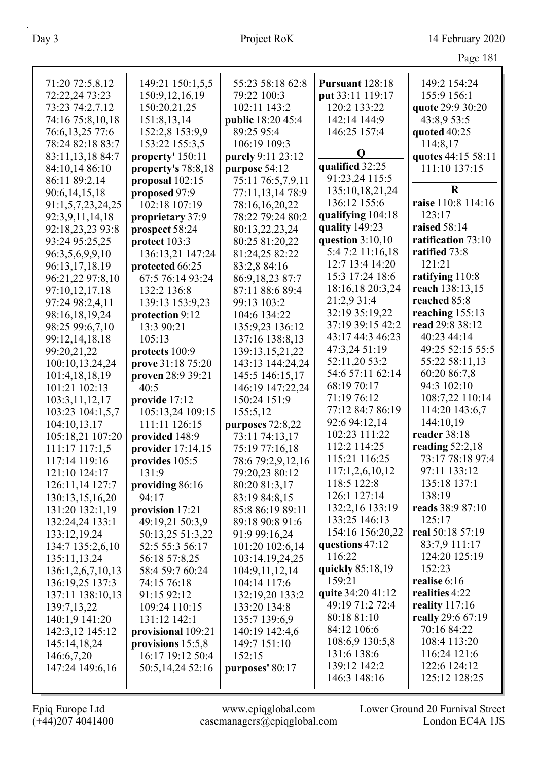|                   |                     |                   |                                | Page 181                      |
|-------------------|---------------------|-------------------|--------------------------------|-------------------------------|
| 71:20 72:5,8,12   | 149:21 150:1,5,5    | 55:23 58:18 62:8  | Pursuant 128:18                | 149:2 154:24                  |
| 72:22,24 73:23    | 150:9, 12, 16, 19   | 79:22 100:3       | put 33:11 119:17               | 155:9 156:1                   |
| 73:23 74:2,7,12   | 150:20,21,25        | 102:11 143:2      | 120:2 133:22                   | quote 29:9 30:20              |
| 74:16 75:8,10,18  | 151:8,13,14         | public 18:20 45:4 | 142:14 144:9                   | 43:8,9 53:5                   |
| 76:6,13,25 77:6   | 152:2,8 153:9,9     | 89:25 95:4        | 146:25 157:4                   | quoted 40:25                  |
| 78:24 82:18 83:7  | 153:22 155:3,5      | 106:19 109:3      |                                | 114:8,17                      |
| 83:11,13,18 84:7  | property' 150:11    | purely 9:11 23:12 | Q                              | quotes 44:15 58:11            |
| 84:10,14 86:10    | property's 78:8,18  | purpose 54:12     | qualified 32:25                | 111:10 137:15                 |
| 86:11 89:2,14     | proposal 102:15     | 75:11 76:5,7,9,11 | 91:23,24 115:5                 |                               |
| 90:6,14,15,18     | proposed 97:9       | 77:11,13,14 78:9  | 135:10,18,21,24                | $\bf R$                       |
| 91:1,5,7,23,24,25 | 102:18 107:19       | 78:16,16,20,22    | 136:12 155:6                   | raise 110:8 114:16            |
| 92:3,9,11,14,18   | proprietary 37:9    | 78:22 79:24 80:2  | qualifying 104:18              | 123:17                        |
| 92:18,23,23 93:8  | prospect 58:24      | 80:13,22,23,24    | quality 149:23                 | raised 58:14                  |
| 93:24 95:25,25    | protect 103:3       | 80:25 81:20,22    | question $3:10,10$             | ratification 73:10            |
| 96:3,5,6,9,9,10   | 136:13,21 147:24    | 81:24,25 82:22    | 5:4 7:2 11:16,18               | ratified 73:8                 |
| 96:13,17,18,19    | protected 66:25     | 83:2,8 84:16      | 12:7 13:4 14:20                | 121:21                        |
| 96:21,22 97:8,10  | 67:5 76:14 93:24    | 86:9,18,23 87:7   | 15:3 17:24 18:6                | ratifying 110:8               |
| 97:10,12,17,18    | 132:2 136:8         | 87:11 88:6 89:4   | 18:16,18 20:3,24               | reach 138:13,15               |
| 97:24 98:2,4,11   | 139:13 153:9,23     | 99:13 103:2       | 21:2,9 31:4                    | reached 85:8                  |
| 98:16,18,19,24    | protection 9:12     | 104:6 134:22      | 32:19 35:19,22                 | reaching 155:13               |
| 98:25 99:6,7,10   | 13:3 90:21          | 135:9,23 136:12   | 37:19 39:15 42:2               | read 29:8 38:12               |
| 99:12,14,18,18    | 105:13              | 137:16 138:8,13   | 43:17 44:3 46:23               | 40:23 44:14                   |
| 99:20,21,22       | protects 100:9      | 139:13,15,21,22   | 47:3,24 51:19                  | 49:25 52:15 55:5              |
| 100:10,13,24,24   | prove 31:18 75:20   | 143:13 144:24,24  | 52:11,20 53:2                  | 55:22 58:11,13                |
| 101:4,18,18,19    | proven 28:9 39:21   | 145:5 146:15,17   | 54:6 57:11 62:14               | 60:20 86:7,8                  |
| 101:21 102:13     | 40:5                | 146:19 147:22,24  | 68:19 70:17                    | 94:3 102:10                   |
| 103:3,11,12,17    | provide 17:12       | 150:24 151:9      | 71:19 76:12                    | 108:7,22 110:14               |
| 103:23 104:1,5,7  | 105:13,24 109:15    | 155:5,12          | 77:12 84:7 86:19               | 114:20 143:6,7                |
| 104:10,13,17      | 111:11 126:15       | purposes 72:8,22  | 92:6 94:12,14                  | 144:10,19                     |
| 105:18,21 107:20  | provided 148:9      | 73:11 74:13,17    | 102:23 111:22                  | reader 38:18                  |
| 111:17 117:1.5    | provider $17:14,15$ | 75:19 77:16,18    | 112:2 114:25                   | reading $52:2,18$             |
| 117:14 119:16     | provides 105:5      | 78:6 79:2,9,12,16 | 115:21 116:25                  | 73:17 78:18 97:4              |
| 121:10 124:17     | 131:9               | 79:20,23 80:12    | 117:1,2,6,10,12                | 97:11 133:12                  |
| 126:11,14 127:7   | providing 86:16     | 80:20 81:3,17     | 118:5 122:8                    | 135:18 137:1                  |
| 130:13,15,16,20   | 94:17               | 83:19 84:8,15     | 126:1 127:14                   | 138:19                        |
| 131:20 132:1,19   | provision 17:21     | 85:8 86:19 89:11  | 132:2,16 133:19                | reads 38:9 87:10              |
| 132:24,24 133:1   | 49:19,21 50:3,9     | 89:18 90:8 91:6   | 133:25 146:13                  | 125:17                        |
| 133:12,19,24      | 50:13,25 51:3,22    | 91:9 99:16,24     | 154:16 156:20,22               | real 50:18 57:19              |
| 134:7 135:2,6,10  | 52:5 55:3 56:17     | 101:20 102:6,14   | questions 47:12                | 83:7,9 111:17                 |
| 135:11,13,24      | 56:18 57:8,25       | 103:14,19,24,25   | 116:22                         | 124:20 125:19                 |
| 136:1,2,6,7,10,13 | 58:4 59:7 60:24     | 104:9,11,12,14    | quickly 85:18,19               | 152:23                        |
| 136:19,25 137:3   | 74:15 76:18         | 104:14 117:6      | 159:21                         | realise 6:16                  |
| 137:11 138:10,13  | 91:15 92:12         | 132:19,20 133:2   | quite 34:20 41:12              | realities 4:22                |
| 139:7,13,22       | 109:24 110:15       | 133:20 134:8      | 49:19 71:2 72:4                | reality $117:16$              |
| 140:1,9 141:20    | 131:12 142:1        | 135:7 139:6,9     | 80:18 81:10                    | really 29:6 67:19             |
| 142:3,12 145:12   | provisional 109:21  | 140:19 142:4,6    | 84:12 106:6                    | 70:16 84:22                   |
| 145:14,18,24      | provisions 15:5,8   | 149:7 151:10      | 108:6,9 130:5,8<br>131:6 138:6 | 108:4 113:20<br>116:24 121:6  |
| 146:6,7,20        | 16:17 19:12 50:4    | 152:15            | 139:12 142:2                   |                               |
| 147:24 149:6,16   | 50:5,14,24 52:16    | purposes' 80:17   | 146:3 148:16                   | 122:6 124:12<br>125:12 128:25 |
|                   |                     |                   |                                |                               |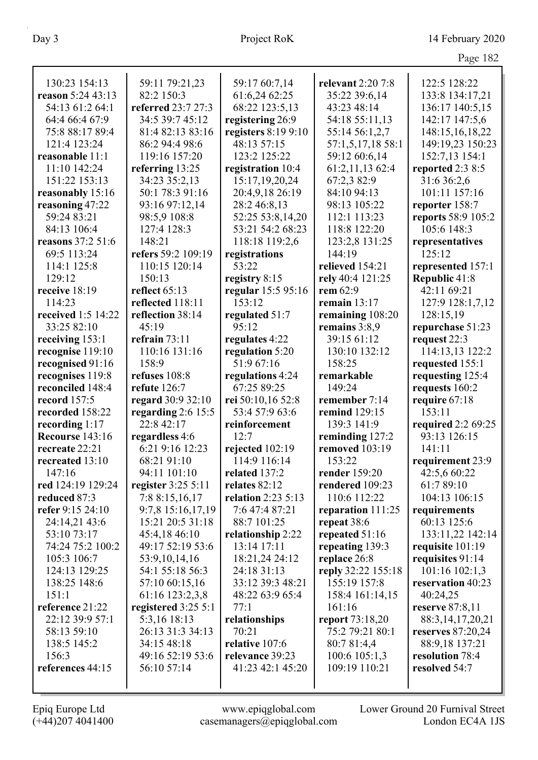|                    |                      |                     |                        | Page 182             |
|--------------------|----------------------|---------------------|------------------------|----------------------|
| 130:23 154:13      | 59:11 79:21,23       | 59:17 60:7,14       | relevant 2:20 7:8      | 122:5 128:22         |
| reason 5:24 43:13  | 82:2 150:3           | 61:6,24 62:25       | 35:22 39:6,14          | 133:8 134:17,21      |
| 54:13 61:2 64:1    | referred 23:7 27:3   | 68:22 123:5,13      | 43:23 48:14            | 136:17 140:5,15      |
| 64:4 66:4 67:9     | 34:5 39:7 45:12      | registering 26:9    | 54:18 55:11,13         | 142:17 147:5,6       |
| 75:8 88:17 89:4    | 81:4 82:13 83:16     | registers 8:19 9:10 | 55:14 56:1,2,7         | 148:15,16,18,22      |
| 121:4 123:24       | 86:2 94:4 98:6       | 48:13 57:15         | 57:1,5,17,18 58:1      | 149:19,23 150:23     |
| reasonable 11:1    | 119:16 157:20        | 123:2 125:22        | 59:12 60:6,14          | 152:7,13 154:1       |
| 11:10 142:24       | referring 13:25      | registration 10:4   | 61:2,11,13 62:4        | reported 2:3 8:5     |
| 151:22 153:13      | 34:23 35:2,13        | 15:17,19,20,24      | 67:2,3 82:9            | 31:6 36:2,6          |
| reasonably 15:16   | 50:1 78:3 91:16      | 20:4,9,18 26:19     | 84:10 94:13            | 101:11 157:16        |
| reasoning 47:22    | 93:16 97:12,14       | 28:2 46:8,13        | 98:13 105:22           | reporter 158:7       |
| 59:24 83:21        | 98:5,9 108:8         | 52:25 53:8,14,20    | 112:1 113:23           | reports 58:9 105:2   |
| 84:13 106:4        | 127:4 128:3          | 53:21 54:2 68:23    | 118:8 122:20           | 105:6 148:3          |
| reasons 37:2 51:6  | 148:21               | 118:18 119:2,6      | 123:2,8 131:25         | representatives      |
| 69:5 113:24        | refers 59:2 109:19   | registrations       | 144:19                 | 125:12               |
| 114:1 125:8        | 110:15 120:14        | 53:22               | relieved 154:21        | represented 157:1    |
| 129:12             | 150:13               | registry 8:15       | rely 40:4 121:25       | Republic 41:8        |
| receive 18:19      | reflect $65:13$      | regular 15:5 95:16  | rem 62:9               | 42:11 69:21          |
| 114:23             | reflected 118:11     | 153:12              | remain $13:17$         | 127:9 128:1,7,12     |
| received 1:5 14:22 | reflection 38:14     | regulated 51:7      | remaining 108:20       | 128:15,19            |
| 33:25 82:10        | 45:19                | 95:12               | remains 3:8,9          | repurchase 51:23     |
| receiving 153:1    | refrain $73:11$      | regulates 4:22      | 39:15 61:12            | request 22:3         |
| recognise 119:10   | 110:16 131:16        | regulation 5:20     | 130:10 132:12          | 114:13,13 122:2      |
| recognised 91:16   | 158:9                | 51:9 67:16          | 158:25                 | requested 155:1      |
| recognises 119:8   | refuses 108:8        | regulations 4:24    | remarkable             | requesting 125:4     |
| reconciled 148:4   | refute $126:7$       | 67:25 89:25         | 149:24                 | requests 160:2       |
| record 157:5       | regard 30:9 32:10    | rei 50:10,16 52:8   | remember 7:14          | require 67:18        |
| recorded 158:22    | regarding $2:6$ 15:5 | 53:4 57:9 63:6      | remind 129:15          | 153:11               |
| recording 1:17     | 22:8 42:17           | reinforcement       | 139:3 141:9            | required 2:2 69:25   |
| Recourse 143:16    | regardless 4:6       | 12:7                | reminding 127:2        | 93:13 126:15         |
| recreate 22:21     | 6:21 9:16 12:23      | rejected 102:19     | removed 103:19         | 141:11               |
| recreated 13:10    | 68:21 91:10          | 114:9 116:14        | 153:22                 | requirement 23:9     |
| 147:16             | 94:11 101:10         | related 137:2       | render 159:20          | 42:5,6 60:22         |
| red 124:19 129:24  | register 3:25 5:11   | relates 82:12       | rendered 109:23        | 61:7 89:10           |
| reduced 87:3       | 7:8 8:15,16,17       | relation 2:23 5:13  | 110:6 112:22           | 104:13 106:15        |
| refer 9:15 24:10   | 9:7,8 15:16,17,19    | 7:6 47:4 87:21      | reparation 111:25      | requirements         |
| 24:14,21 43:6      | 15:21 20:5 31:18     | 88:7 101:25         | repeat 38:6            | 60:13 125:6          |
| 53:10 73:17        | 45:4,18 46:10        | relationship 2:22   | repeated $51:16$       | 133:11,22 142:14     |
| 74:24 75:2 100:2   | 49:17 52:19 53:6     | 13:14 17:11         | repeating 139:3        | requisite 101:19     |
| 105:3 106:7        | 53:9,10,14,16        | 18:21,24 24:12      | replace 26:8           | requisites 91:14     |
| 124:13 129:25      | 54:1 55:18 56:3      | 24:18 31:13         | reply 32:22 155:18     | 101:16 102:1,3       |
| 138:25 148:6       | 57:10 60:15,16       | 33:12 39:3 48:21    | 155:19 157:8           | reservation 40:23    |
| 151:1              | 61:16 123:2,3,8      | 48:22 63:9 65:4     | 158:4 161:14,15        | 40:24,25             |
| reference 21:22    | registered 3:25 5:1  | 77:1                | 161:16                 | reserve $87:8,11$    |
| 22:12 39:9 57:1    | 5:3,16 18:13         | relationships       | <b>report</b> 73:18,20 | 88:3, 14, 17, 20, 21 |
| 58:13 59:10        | 26:13 31:3 34:13     | 70:21               | 75:2 79:21 80:1        | reserves 87:20,24    |
| 138:5 145:2        | 34:15 48:18          | relative 107:6      | 80:7 81:4,4            | 88:9,18 137:21       |
| 156:3              | 49:16 52:19 53:6     | relevance 39:23     | 100:6 105:1,3          | resolution 78:4      |
| references 44:15   | 56:10 57:14          | 41:23 42:1 45:20    | 109:19 110:21          | resolved 54:7        |
|                    |                      |                     |                        |                      |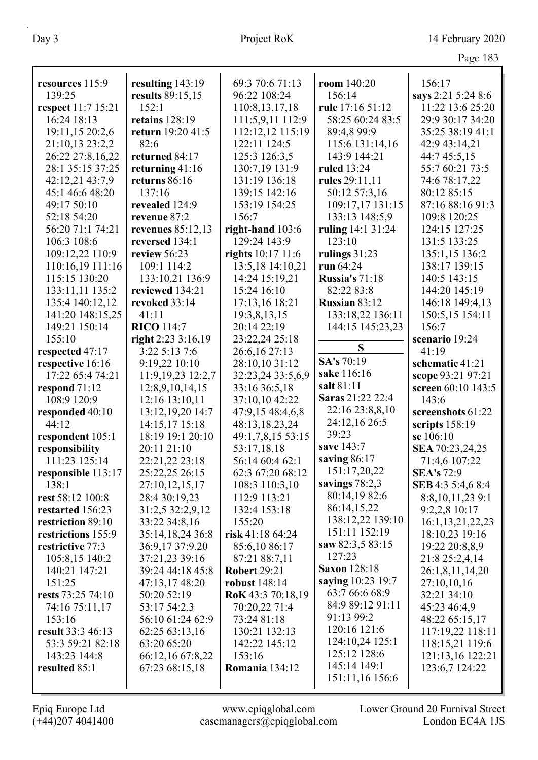| resources 115:9           | resulting 143:19    | 69:3 70:6 71:13      | room 140:20           | 156:17              |
|---------------------------|---------------------|----------------------|-----------------------|---------------------|
| 139:25                    | results 89:15,15    | 96:22 108:24         | 156:14                | says 2:21 5:24 8:6  |
| respect 11:7 15:21        | 152:1               | 110:8,13,17,18       | rule 17:16 51:12      | 11:22 13:6 25:20    |
| 16:24 18:13               | retains $128:19$    | 111:5,9,11 112:9     | 58:25 60:24 83:5      | 29:9 30:17 34:20    |
| 19:11,15 20:2,6           | return 19:20 41:5   | 112:12,12 115:19     | 89:4,8 99:9           | 35:25 38:19 41:1    |
| 21:10,13 23:2,2           | 82:6                | 122:11 124:5         | 115:6 131:14,16       | 42:9 43:14,21       |
| 26:22 27:8,16,22          | returned 84:17      | 125:3 126:3,5        | 143:9 144:21          | 44:7 45:5,15        |
| 28:1 35:15 37:25          | returning 41:16     | 130:7,19 131:9       | ruled 13:24           | 55:7 60:21 73:5     |
| 42:12,21 43:7,9           | returns 86:16       | 131:19 136:18        | rules 29:11,11        | 74:6 78:17,22       |
| 45:1 46:6 48:20           | 137:16              | 139:15 142:16        | 50:12 57:3,16         | 80:12 85:15         |
| 49:17 50:10               | revealed 124:9      | 153:19 154:25        | 109:17,17 131:15      | 87:16 88:16 91:3    |
| 52:18 54:20               | revenue 87:2        | 156:7                | 133:13 148:5,9        | 109:8 120:25        |
| 56:20 71:1 74:21          | revenues 85:12,13   | right-hand $103:6$   | ruling 14:1 31:24     | 124:15 127:25       |
| 106:3 108:6               | reversed 134:1      | 129:24 143:9         | 123:10                | 131:5 133:25        |
| 109:12,22 110:9           | review 56:23        | rights 10:17 11:6    | rulings $31:23$       | 135:1,15 136:2      |
| 110:16,19 111:16          | 109:1 114:2         | 13:5,18 14:10,21     | run 64:24             | 138:17 139:15       |
| 115:15 130:20             | 133:10,21 136:9     | 14:24 15:19,21       | <b>Russia's 71:18</b> | 140:5 143:15        |
| 133:11,11 135:2           | reviewed 134:21     | 15:24 16:10          | 82:22 83:8            | 144:20 145:19       |
| 135:4 140:12,12           | revoked 33:14       | 17:13,16 18:21       | <b>Russian 83:12</b>  | 146:18 149:4,13     |
| 141:20 148:15,25          | 41:11               | 19:3,8,13,15         | 133:18,22 136:11      | 150:5,15 154:11     |
| 149:21 150:14             | <b>RICO</b> 114:7   | 20:14 22:19          | 144:15 145:23,23      | 156:7               |
| 155:10                    | right $2:233:16,19$ | 23:22,24 25:18       |                       | scenario 19:24      |
| respected 47:17           | 3:22 5:13 7:6       | 26:6,16 27:13        | S                     | 41:19               |
| respective 16:16          | 9:19,22 10:10       | 28:10,10 31:12       | SA's 70:19            | schematic 41:21     |
| 17:22 65:4 74:21          | 11:9,19,23 12:2,7   | 32:23,24 33:5,6,9    | sake 116:16           | scope 93:21 97:21   |
| respond 71:12             | 12:8,9,10,14,15     | 33:16 36:5,18        | salt 81:11            | screen 60:10 143:5  |
| 108:9 120:9               | 12:16 13:10,11      | 37:10,10 42:22       | Saras 21:22 22:4      | 143:6               |
| responded 40:10           | 13:12,19,20 14:7    | 47:9,15 48:4,6,8     | 22:16 23:8,8,10       | screenshots 61:22   |
| 44:12                     | 14:15,17 15:18      | 48:13,18,23,24       | 24:12,16 26:5         | scripts 158:19      |
| respondent 105:1          | 18:19 19:1 20:10    | 49:1,7,8,15 53:15    | 39:23                 | se 106:10           |
| responsibility            | 20:11 21:10         | 53:17,18,18          | save 143:7            | SEA 70:23,24,25     |
| 111:23 125:14             | 22:21,22 23:18      | 56:14 60:4 62:1      | saving 86:17          | 71:4,6 107:22       |
| <b>responsible</b> 113:17 | 25:22,25 26:15      | 62:3 67:20 68:12     | 151:17,20,22          | <b>SEA's</b> 72:9   |
| 138:1                     | 27:10,12,15,17      | 108:3 110:3,10       | savings $78:2,3$      | SEB 4:3 5:4,6 8:4   |
| rest 58:12 100:8          | 28:4 30:19,23       | 112:9 113:21         | 80:14,1982:6          | 8:8, 10, 11, 23 9:1 |
| restarted 156:23          | 31:2,5 32:2,9,12    | 132:4 153:18         | 86:14,15,22           | 9:2,2,8 10:17       |
| restriction 89:10         | 33:22 34:8,16       | 155:20               | 138:12,22 139:10      | 16:1,13,21,22,23    |
| restrictions 155:9        | 35:14,18,24 36:8    | risk 41:18 64:24     | 151:11 152:19         | 18:10,23 19:16      |
| restrictive 77:3          | 36:9,17 37:9,20     | 85:6,10 86:17        | saw 82:3,5 83:15      | 19:22 20:8,8,9      |
| 105:8,15 140:2            | 37:21,23 39:16      | 87:21 88:7,11        | 127:23                | 21:8 25:2,4,14      |
| 140:21 147:21             | 39:24 44:18 45:8    | <b>Robert 29:21</b>  | <b>Saxon</b> 128:18   | 26:1,8,11,14,20     |
| 151:25                    | 47:13,17 48:20      | <b>robust</b> 148:14 | saying 10:23 19:7     | 27:10,10,16         |
| rests 73:25 74:10         | 50:20 52:19         | RoK 43:3 70:18,19    | 63:7 66:6 68:9        | 32:21 34:10         |
| 74:16 75:11,17            | 53:17 54:2,3        | 70:20,22 71:4        | 84:9 89:12 91:11      | 45:23 46:4,9        |
| 153:16                    | 56:10 61:24 62:9    | 73:24 81:18          | 91:13 99:2            | 48:22 65:15,17      |
| result 33:3 46:13         | 62:25 63:13,16      | 130:21 132:13        | 120:16 121:6          | 117:19,22 118:11    |
| 53:3 59:21 82:18          | 63:20 65:20         | 142:22 145:12        | 124:10,24 125:1       | 118:15,21 119:6     |
| 143:23 144:8              | 66:12,16 67:8,22    | 153:16               | 125:12 128:6          | 121:13,16 122:21    |
| resulted 85:1             | 67:23 68:15,18      | Romania 134:12       | 145:14 149:1          | 123:6,7 124:22      |
|                           |                     |                      | 151:11,16 156:6       |                     |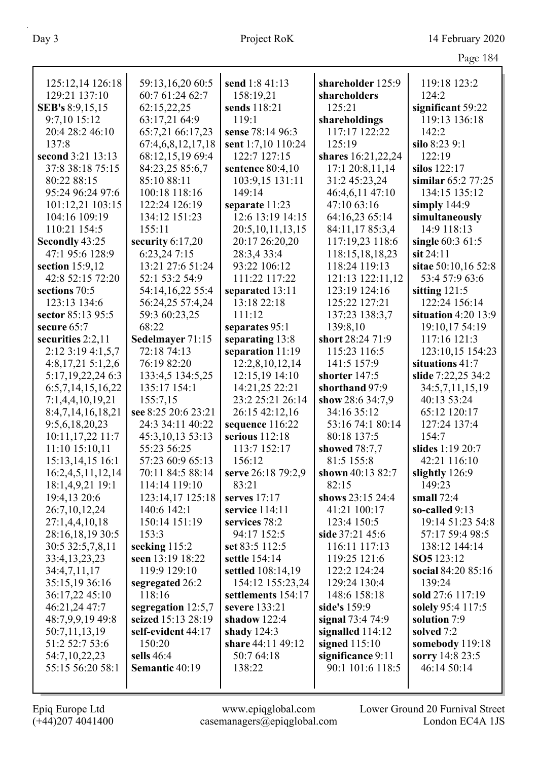| 125:12,14 126:18       | 59:13,16,20 60:5    | send 1:8 41:13       | shareholder 125:9  | 119:18 123:2          |
|------------------------|---------------------|----------------------|--------------------|-----------------------|
| 129:21 137:10          | 60:7 61:24 62:7     | 158:19,21            | shareholders       | 124:2                 |
| <b>SEB's 8:9,15,15</b> | 62:15,22,25         | sends 118:21         | 125:21             | significant 59:22     |
| 9:7,10 15:12           | 63:17,21 64:9       | 119:1                | shareholdings      | 119:13 136:18         |
| 20:4 28:2 46:10        | 65:7,21 66:17,23    | sense 78:14 96:3     | 117:17 122:22      | 142:2                 |
| 137:8                  | 67:4,6,8,12,17,18   | sent 1:7,10 110:24   | 125:19             | silo 8:23 9:1         |
| second 3:21 13:13      | 68:12,15,19 69:4    | 122:7 127:15         | shares 16:21,22,24 | 122:19                |
| 37:8 38:18 75:15       | 84:23,25 85:6,7     | sentence 80:4,10     | 17:1 20:8,11,14    | silos 122:17          |
| 80:22 88:15            | 85:10 88:11         | 103:9,15 131:11      | 31:2 45:23,24      | similar $65:277:25$   |
| 95:24 96:24 97:6       | 100:18 118:16       | 149:14               | 46:4,6,11 47:10    | 134:15 135:12         |
| 101:12,21 103:15       | 122:24 126:19       | separate 11:23       | 47:10 63:16        | simply $144:9$        |
| 104:16 109:19          | 134:12 151:23       | 12:6 13:19 14:15     | 64:16,23 65:14     | simultaneously        |
| 110:21 154:5           | 155:11              | 20:5, 10, 11, 13, 15 | 84:11,1785:3,4     | 14:9 118:13           |
| Secondly 43:25         | security $6:17,20$  | 20:17 26:20,20       | 117:19,23 118:6    | single 60:3 61:5      |
| 47:1 95:6 128:9        | 6:23,24 7:15        | 28:3,4 33:4          | 118:15,18,18,23    | $s$ it 24:11          |
| section 15:9,12        | 13:21 27:6 51:24    | 93:22 106:12         | 118:24 119:13      | sitae 50:10,16 52:8   |
| 42:8 52:15 72:20       | 52:1 53:2 54:9      | 111:22 117:22        | 121:13 122:11,12   | 53:4 57:9 63:6        |
| sections 70:5          | 54:14,16,22 55:4    | separated 13:11      | 123:19 124:16      | sitting $121:5$       |
| 123:13 134:6           | 56:24,25 57:4,24    | 13:18 22:18          | 125:22 127:21      | 122:24 156:14         |
| sector 85:13 95:5      | 59:3 60:23,25       | 111:12               | 137:23 138:3,7     | situation $4:20$ 13:9 |
| secure 65:7            | 68:22               | separates 95:1       | 139:8,10           | 19:10,17 54:19        |
| securities 2:2,11      | Sedelmayer 71:15    | separating 13:8      | short 28:24 71:9   | 117:16 121:3          |
| $2:12$ 3:19 4:1,5,7    | 72:18 74:13         | separation 11:19     | 115:23 116:5       | 123:10,15 154:23      |
| $4:8,17,21\ 5:1,2,6$   | 76:19 82:20         | 12:2,8,10,12,14      | 141:5 157:9        | situations 41:7       |
| 5:17, 19, 22, 24 6:3   | 133:4,5 134:5,25    | 12:15,19 14:10       | shorter 147:5      | slide 7:22,25 34:2    |
| 6:5,7,14,15,16,22      | 135:17 154:1        | 14:21,25 22:21       | shorthand 97:9     | 34:5,7,11,15,19       |
| 7:1,4,4,10,19,21       | 155:7,15            | 23:2 25:21 26:14     | show 28:6 34:7,9   | 40:13 53:24           |
| 8:4,7,14,16,18,21      | see 8:25 20:6 23:21 | 26:15 42:12,16       | 34:16 35:12        | 65:12 120:17          |
| 9:5,6,18,20,23         | 24:3 34:11 40:22    | sequence 116:22      | 53:16 74:1 80:14   | 127:24 137:4          |
| 10:11,17,22 11:7       | 45:3,10,13 53:13    | serious 112:18       | 80:18 137:5        | 154:7                 |
| 11:10 15:10,11         | 55:23 56:25         | 113:7 152:17         | showed 78:7,7      | slides 1:19 20:7      |
| 15:13,14,15 16:1       | 57:23 60:9 65:13    | 156:12               | 81:5 155:8         | 42:21 116:10          |
| 16:2,4,5,11,12,14      | 70:11 84:5 88:14    | serve 26:18 79:2,9   | shown 40:13 82:7   | slightly 126:9        |
| 18:1,4,9,21 19:1       | 114:14 119:10       | 83:21                | 82:15              | 149:23                |
| 19:4,13 20:6           | 123:14,17 125:18    | serves $17:17$       | shows 23:15 24:4   | small $72:4$          |
| 26:7,10,12,24          | 140:6 142:1         | service $114:11$     | 41:21 100:17       | so-called 9:13        |
| 27:1,4,4,10,18         | 150:14 151:19       | services 78:2        | 123:4 150:5        | 19:14 51:23 54:8      |
| 28:16,18,19 30:5       | 153:3               | 94:17 152:5          | side 37:21 45:6    | 57:17 59:4 98:5       |
| 30:5 32:5,7,8,11       | seeking 115:2       | set 83:5 112:5       | 116:11 117:13      | 138:12 144:14         |
| 33:4, 13, 23, 23       | seen 13:19 18:22    | settle 154:14        | 119:25 121:6       | SO5 123:12            |
| 34:4,7,11,17           | 119:9 129:10        | settled 108:14,19    | 122:2 124:24       | social 84:20 85:16    |
| 35:15,19 36:16         | segregated 26:2     | 154:12 155:23,24     | 129:24 130:4       | 139:24                |
| 36:17,22 45:10         | 118:16              | settlements 154:17   | 148:6 158:18       | sold 27:6 117:19      |
| 46:21,24 47:7          | segregation 12:5,7  | severe 133:21        | side's 159:9       | solely 95:4 117:5     |
| 48:7,9,9,19 49:8       | seized 15:13 28:19  | shadow $122:4$       | signal 73:4 74:9   | solution 7:9          |
| 50:7,11,13,19          | self-evident 44:17  | shady $124:3$        | signalled $114:12$ | solved 7:2            |
| 51:2 52:7 53:6         | 150:20              | share 44:11 49:12    | signed $115:10$    | somebody 119:18       |
| 54:7, 10, 22, 23       | sells $46:4$        | 50:7 64:18           | significance 9:11  | sorry 14:8 23:5       |
| 55:15 56:20 58:1       | Semantic 40:19      | 138:22               | 90:1 101:6 118:5   | 46:14 50:14           |
|                        |                     |                      |                    |                       |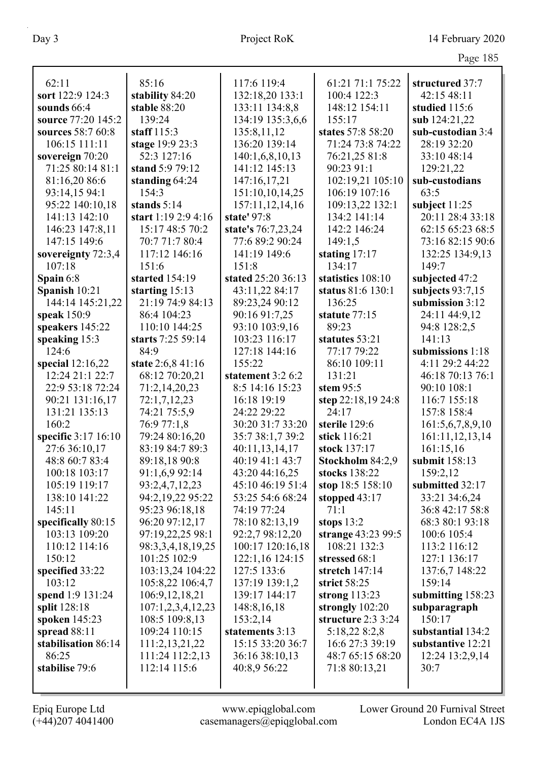| 62:11                               | 85:16                   | 117:6 119:4        | 61:21 71:1 75:22   | structured 37:7        |
|-------------------------------------|-------------------------|--------------------|--------------------|------------------------|
| sort 122:9 124:3                    | stability 84:20         | 132:18,20 133:1    | 100:4 122:3        | 42:15 48:11            |
| sounds 66:4                         | stable 88:20            | 133:11 134:8,8     | 148:12 154:11      | studied 115:6          |
| source 77:20 145:2                  | 139:24                  | 134:19 135:3,6,6   | 155:17             | sub 124:21,22          |
| sources 58:7 60:8                   | staff $115:3$           | 135:8,11,12        | states 57:8 58:20  | sub-custodian 3:4      |
| 106:15 111:11                       | stage 19:9 23:3         | 136:20 139:14      | 71:24 73:8 74:22   | 28:19 32:20            |
|                                     | 52:3 127:16             | 140:1,6,8,10,13    | 76:21,25 81:8      | 33:10 48:14            |
| sovereign 70:20<br>71:25 80:14 81:1 | stand 5:9 79:12         | 141:12 145:13      | 90:23 91:1         |                        |
|                                     |                         |                    | 102:19,21 105:10   | 129:21,22              |
| 81:16,20 86:6                       | standing 64:24<br>154:3 | 147:16,17,21       | 106:19 107:16      | sub-custodians<br>63:5 |
| 93:14,15 94:1                       |                         | 151:10,10,14,25    |                    |                        |
| 95:22 140:10,18                     | stands $5:14$           | 157:11,12,14,16    | 109:13,22 132:1    | subject $11:25$        |
| 141:13 142:10                       | start $1:192:94:16$     | state' 97:8        | 134:2 141:14       | 20:11 28:4 33:18       |
| 146:23 147:8,11                     | 15:17 48:5 70:2         | state's 76:7,23,24 | 142:2 146:24       | 62:15 65:23 68:5       |
| 147:15 149:6                        | 70:7 71:7 80:4          | 77:6 89:2 90:24    | 149:1,5            | 73:16 82:15 90:6       |
| sovereignty 72:3,4                  | 117:12 146:16           | 141:19 149:6       | stating $17:17$    | 132:25 134:9,13        |
| 107:18                              | 151:6                   | 151:8              | 134:17             | 149:7                  |
| Spain 6:8                           | started 154:19          | stated 25:20 36:13 | statistics 108:10  | subjected 47:2         |
| Spanish 10:21                       | starting 15:13          | 43:11,22 84:17     | status 81:6 130:1  | subjects $93:7,15$     |
| 144:14 145:21,22                    | 21:19 74:9 84:13        | 89:23,24 90:12     | 136:25             | submission 3:12        |
| speak 150:9                         | 86:4 104:23             | 90:16 91:7,25      | statute 77:15      | 24:11 44:9,12          |
| speakers 145:22                     | 110:10 144:25           | 93:10 103:9,16     | 89:23              | 94:8 128:2,5           |
| speaking $15:3$                     | starts 7:25 59:14       | 103:23 116:17      | statutes 53:21     | 141:13                 |
| 124:6                               | 84:9                    | 127:18 144:16      | 77:17 79:22        | submissions 1:18       |
| special $12:16,22$                  | state 2:6,8 41:16       | 155:22             | 86:10 109:11       | 4:11 29:2 44:22        |
| 12:24 21:1 22:7                     | 68:12 70:20,21          | statement 3:2 6:2  | 131:21             | 46:18 70:13 76:1       |
| 22:9 53:18 72:24                    | 71:2,14,20,23           | 8:5 14:16 15:23    | stem $95:5$        | 90:10 108:1            |
| 90:21 131:16,17                     | 72:1,7,12,23            | 16:18 19:19        | step 22:18,19 24:8 | 116:7 155:18           |
| 131:21 135:13                       | 74:21 75:5,9            | 24:22 29:22        | 24:17              | 157:8 158:4            |
| 160:2                               | 76:9 77:1,8             | 30:20 31:7 33:20   | sterile 129:6      | 161:5,6,7,8,9,10       |
| specific 3:17 16:10                 | 79:24 80:16,20          | 35:7 38:1,7 39:2   | stick 116:21       | 161:11,12,13,14        |
| 27:6 36:10,17                       | 83:19 84:7 89:3         | 40:11,13,14,17     | stock 137:17       | 161:15,16              |
| 48:8 60:7 83:4                      | 89:18,18 90:8           | 40:19 41:1 43:7    | Stockholm 84:2,9   | submit 158:13          |
| 100:18 103:17                       | 91:1,6,9 92:14          | 43:20 44:16,25     | stocks 138:22      | 159:2,12               |
| 105:19 119:17                       | 93:2,4,7,12,23          | 45:10 46:19 51:4   | stop 18:5 158:10   | submitted 32:17        |
| 138:10 141:22                       | 94:2,19,22 95:22        | 53:25 54:6 68:24   | stopped $43:17$    | 33:21 34:6,24          |
| 145:11                              | 95:23 96:18,18          | 74:19 77:24        | 71:1               | 36:8 42:17 58:8        |
| specifically 80:15                  | 96:20 97:12,17          | 78:10 82:13,19     | stops $13:2$       | 68:3 80:1 93:18        |
| 103:13 109:20                       | 97:19,22,25 98:1        | 92:2,7 98:12,20    | strange 43:23 99:5 | 100:6 105:4            |
| 110:12 114:16                       | 98:3,3,4,18,19,25       | 100:17 120:16,18   | 108:21 132:3       | 113:2 116:12           |
| 150:12                              | 101:25 102:9            | 122:1,16 124:15    | stressed 68:1      | 127:1 136:17           |
| specified 33:22                     | 103:13,24 104:22        | 127:5 133:6        | stretch $147:14$   | 137:6,7 148:22         |
| 103:12                              | 105:8,22 106:4,7        | 137:19 139:1,2     | strict 58:25       | 159:14                 |
| spend 1:9 131:24                    | 106:9, 12, 18, 21       | 139:17 144:17      | strong $113:23$    | submitting 158:23      |
| split 128:18                        | 107:1,2,3,4,12,23       | 148:8, 16, 18      | strongly $102:20$  | subparagraph           |
| spoken 145:23                       | 108:5 109:8,13          | 153:2,14           | structure 2:3 3:24 | 150:17                 |
| spread 88:11                        | 109:24 110:15           | statements 3:13    | 5:18,22 8:2,8      | substantial 134:2      |
| stabilisation 86:14                 | 111:2,13,21,22          | 15:15 33:20 36:7   | 16:6 27:3 39:19    | substantive 12:21      |
| 86:25                               | 111:24 112:2,13         | 36:16 38:10,13     | 48:7 65:15 68:20   | 12:24 13:2,9,14        |
| stabilise 79:6                      | 112:14 115:6            | 40:8,9 56:22       | 71:8 80:13,21      | 30:7                   |
|                                     |                         |                    |                    |                        |
|                                     |                         |                    |                    |                        |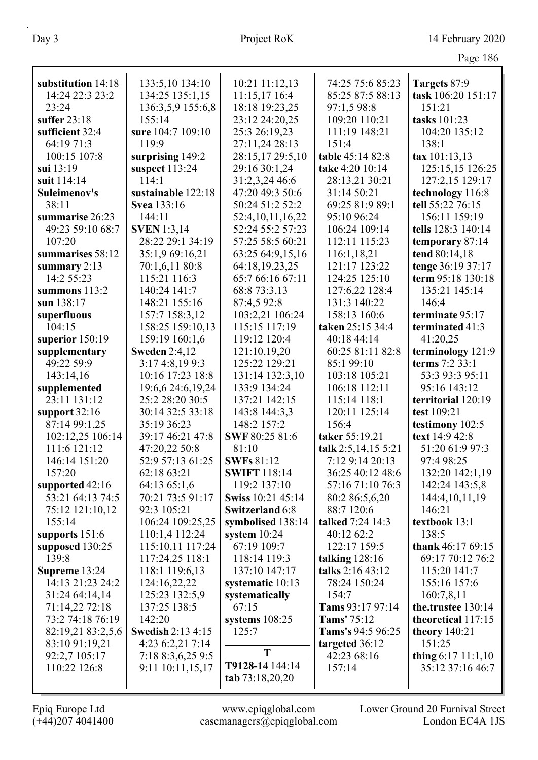|                    |                          |                                          |                     | $\circ$              |
|--------------------|--------------------------|------------------------------------------|---------------------|----------------------|
| substitution 14:18 | 133:5,10 134:10          | 10:21 11:12,13                           | 74:25 75:6 85:23    | Targets 87:9         |
| 14:24 22:3 23:2    | 134:25 135:1,15          | 11:15,17 16:4                            | 85:25 87:5 88:13    | task 106:20 151:17   |
| 23:24              | 136:3,5,9 155:6,8        | 18:18 19:23,25                           | 97:1,5 98:8         | 151:21               |
| suffer $23:18$     | 155:14                   | 23:12 24:20,25                           | 109:20 110:21       | tasks 101:23         |
| sufficient 32:4    | sure 104:7 109:10        | 25:3 26:19,23                            | 111:19 148:21       | 104:20 135:12        |
| 64:19 71:3         | 119:9                    | 27:11,24 28:13                           | 151:4               | 138:1                |
| 100:15 107:8       | surprising 149:2         | 28:15,17 29:5,10                         | table 45:14 82:8    | tax 101:13,13        |
| sui 13:19          | suspect 113:24           | 29:16 30:1,24                            | take 4:20 10:14     | 125:15,15 126:25     |
| suit 114:14        | 114:1                    | 31:2,3,24 46:6                           | 28:13,21 30:21      | 127:2,15 129:17      |
| Suleimenov's       | sustainable 122:18       | 47:20 49:3 50:6                          | 31:14 50:21         | technology 116:8     |
| 38:11              | <b>Svea</b> 133:16       | 50:24 51:2 52:2                          | 69:25 81:9 89:1     | tell 55:22 76:15     |
| summarise 26:23    | 144:11                   |                                          | 95:10 96:24         | 156:11 159:19        |
|                    |                          | 52:4, 10, 11, 16, 22<br>52:24 55:2 57:23 |                     |                      |
| 49:23 59:10 68:7   | <b>SVEN</b> 1:3,14       |                                          | 106:24 109:14       | tells 128:3 140:14   |
| 107:20             | 28:22 29:1 34:19         | 57:25 58:5 60:21                         | 112:11 115:23       | temporary 87:14      |
| summarises 58:12   | 35:1,9 69:16,21          | 63:25 64:9,15,16                         | 116:1,18,21         | tend 80:14,18        |
| summary $2:13$     | 70:1,6,11 80:8           | 64:18,19,23,25                           | 121:17 123:22       | tenge 36:19 37:17    |
| 14:2 55:23         | 115:21 116:3             | 65:7 66:16 67:11                         | 124:25 125:10       | term 95:18 130:18    |
| summons 113:2      | 140:24 141:7             | 68:8 73:3,13                             | 127:6,22 128:4      | 135:21 145:14        |
| sun 138:17         | 148:21 155:16            | 87:4,5 92:8                              | 131:3 140:22        | 146:4                |
| superfluous        | 157:7 158:3,12           | 103:2,21 106:24                          | 158:13 160:6        | terminate 95:17      |
| 104:15             | 158:25 159:10,13         | 115:15 117:19                            | taken 25:15 34:4    | terminated 41:3      |
| superior 150:19    | 159:19 160:1,6           | 119:12 120:4                             | 40:18 44:14         | 41:20,25             |
| supplementary      | <b>Sweden 2:4,12</b>     | 121:10,19,20                             | 60:25 81:11 82:8    | terminology 121:9    |
| 49:22 59:9         | 3:17 4:8,19 9:3          | 125:22 129:21                            | 85:1 99:10          | terms 7:2 33:1       |
| 143:14,16          | 10:16 17:23 18:8         | 131:14 132:3,10                          | 103:18 105:21       | 53:3 93:3 95:11      |
| supplemented       | 19:6,6 24:6,19,24        | 133:9 134:24                             | 106:18 112:11       | 95:16 143:12         |
| 23:11 131:12       | 25:2 28:20 30:5          | 137:21 142:15                            | 115:14 118:1        | territorial 120:19   |
| support $32:16$    | 30:14 32:5 33:18         | 143:8 144:3,3                            | 120:11 125:14       | test 109:21          |
| 87:14 99:1,25      | 35:19 36:23              | 148:2 157:2                              | 156:4               | testimony 102:5      |
| 102:12,25 106:14   | 39:17 46:21 47:8         | SWF 80:25 81:6                           | taker 55:19,21      | text 14:9 42:8       |
| 111:6 121:12       | 47:20,22 50:8            | 81:10                                    | talk 2:5,14,15 5:21 | 51:20 61:9 97:3      |
| 146:14 151:20      | 52:9 57:13 61:25         | <b>SWFs</b> 81:12                        | 7:12 9:14 20:13     | 97:4 98:25           |
| 157:20             | 62:18 63:21              | <b>SWIFT</b> 118:14                      | 36:25 40:12 48:6    | 132:20 142:1,19      |
| supported 42:16    | 64:13 65:1,6             | 119:2 137:10                             | 57:16 71:10 76:3    | 142:24 143:5,8       |
| 53:21 64:13 74:5   | 70:21 73:5 91:17         | Swiss 10:21 45:14                        | 80:2 86:5,6,20      | 144:4, 10, 11, 19    |
| 75:12 121:10,12    | 92:3 105:21              | <b>Switzerland 6:8</b>                   | 88:7 120:6          | 146:21               |
| 155:14             | 106:24 109:25,25         | symbolised 138:14                        | talked 7:24 14:3    | textbook 13:1        |
| supports 151:6     | 110:1,4 112:24           | system $10:24$                           | 40:12 62:2          | 138:5                |
| supposed 130:25    | 115:10,11 117:24         | 67:19 109:7                              | 122:17 159:5        | thank $46:1769:15$   |
| 139:8              | 117:24,25 118:1          | 118:14 119:3                             | talking $128:16$    | 69:17 70:12 76:2     |
| Supreme 13:24      | 118:1 119:6,13           | 137:10 147:17                            | talks 2:16 43:12    | 115:20 141:7         |
| 14:13 21:23 24:2   | 124:16,22,22             | systematic 10:13                         | 78:24 150:24        | 155:16 157:6         |
| 31:24 64:14,14     | 125:23 132:5,9           | systematically                           | 154:7               | 160:7,8,11           |
| 71:14,22 72:18     | 137:25 138:5             | 67:15                                    | Tams 93:17 97:14    | the.trustee 130:14   |
| 73:2 74:18 76:19   | 142:20                   | systems $108:25$                         | Tams' 75:12         | theoretical 117:15   |
| 82:19,21 83:2,5,6  | <b>Swedish 2:13 4:15</b> | 125:7                                    | Tams's 94:5 96:25   | theory 140:21        |
| 83:10 91:19,21     | 4:23 6:2,21 7:14         |                                          | targeted 36:12      | 151:25               |
| 92:2,7 105:17      | 7:18 8:3,6,25 9:5        | T                                        | 42:23 68:16         | thing $6:17$ 11:1,10 |
| 110:22 126:8       | 9:11 10:11,15,17         | T9128-14 144:14                          | 157:14              | 35:12 37:16 46:7     |
|                    |                          | tab 73:18,20,20                          |                     |                      |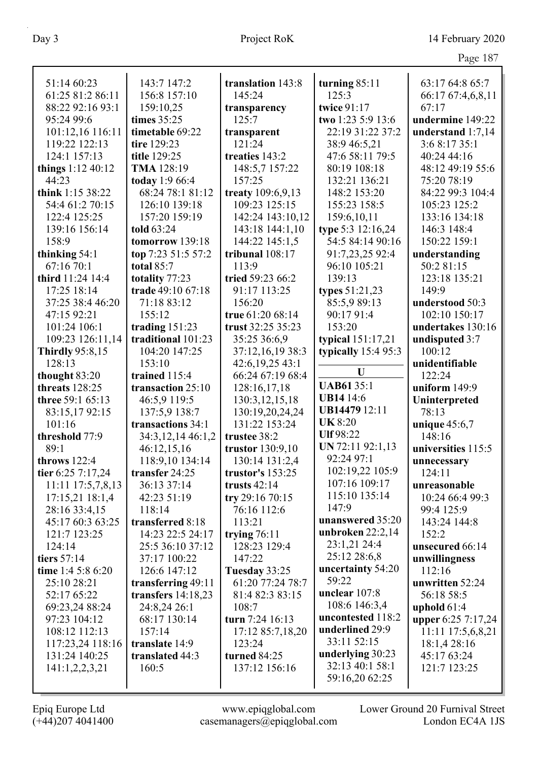| 51:14 60:23            | 143:7 147:2          | translation 143:8 | turning $85:11$      | 63:17 64:8 65:7          |
|------------------------|----------------------|-------------------|----------------------|--------------------------|
| 61:25 81:2 86:11       | 156:8 157:10         | 145:24            | 125:3                | 66:17 67:4,6,8,11        |
| 88:22 92:16 93:1       | 159:10,25            | transparency      | twice 91:17          | 67:17                    |
| 95:24 99:6             | times 35:25          | 125:7             | two 1:23 5:9 13:6    | undermine 149:22         |
| 101:12,16 116:11       | timetable 69:22      | transparent       | 22:19 31:22 37:2     | understand $1:7,14$      |
| 119:22 122:13          | tire 129:23          | 121:24            | 38:9 46:5,21         | 3:6 8:17 35:1            |
| 124:1 157:13           | title 129:25         | treaties 143:2    | 47:6 58:11 79:5      | 40:24 44:16              |
| things $1:12\,40:12$   | TMA 128:19           | 148:5,7 157:22    | 80:19 108:18         | 48:12 49:19 55:6         |
| 44:23                  | today 1:9 66:4       | 157:25            | 132:21 136:21        | 75:20 78:19              |
| think 1:15 38:22       | 68:24 78:1 81:12     | treaty 109:6,9,13 | 148:2 153:20         | 84:22 99:3 104:4         |
| 54:4 61:2 70:15        | 126:10 139:18        | 109:23 125:15     | 155:23 158:5         | 105:23 125:2             |
| 122:4 125:25           | 157:20 159:19        | 142:24 143:10,12  | 159:6,10,11          | 133:16 134:18            |
| 139:16 156:14          | told 63:24           | 143:18 144:1,10   | type 5:3 12:16,24    | 146:3 148:4              |
| 158:9                  | tomorrow 139:18      | 144:22 145:1,5    | 54:5 84:14 90:16     | 150:22 159:1             |
| thinking 54:1          | top 7:23 51:5 57:2   | tribunal 108:17   | 91:7,23,25 92:4      | understanding            |
| 67:16 70:1             | total $85:7$         | 113:9             | 96:10 105:21         | 50:2 81:15               |
| third 11:24 14:4       | totality 77:23       | tried 59:23 66:2  | 139:13               | 123:18 135:21            |
| 17:25 18:14            | trade 49:10 67:18    | 91:17 113:25      | types 51:21,23       | 149:9                    |
| 37:25 38:4 46:20       | 71:18 83:12          | 156:20            | 85:5,9 89:13         | understood 50:3          |
| 47:15 92:21            | 155:12               | true 61:20 68:14  | 90:17 91:4           | 102:10 150:17            |
| 101:24 106:1           | trading $151:23$     | trust 32:25 35:23 | 153:20               | undertakes 130:16        |
| 109:23 126:11,14       | traditional 101:23   | 35:25 36:6,9      | typical 151:17,21    |                          |
| <b>Thirdly</b> 95:8,15 | 104:20 147:25        | 37:12,16,19 38:3  | typically $15:495:3$ | undisputed 3:7<br>100:12 |
| 128:13                 | 153:10               | 42:6, 19, 25 43:1 |                      | unidentifiable           |
| thought 83:20          | trained 115:4        | 66:24 67:19 68:4  | U                    | 122:24                   |
| threats 128:25         | transaction 25:10    | 128:16,17,18      | <b>UAB6135:1</b>     | uniform $149:9$          |
| three 59:1 65:13       | 46:5,9 119:5         | 130:3, 12, 15, 18 | <b>UB14 14:6</b>     | Uninterpreted            |
| 83:15,1792:15          | 137:5,9 138:7        | 130:19,20,24,24   | <b>UB14479</b> 12:11 | 78:13                    |
| 101:16                 | transactions 34:1    | 131:22 153:24     | <b>UK 8:20</b>       | unique $45:6,7$          |
| threshold 77:9         | 34:3,12,14 46:1,2    | trustee 38:2      | Ulf 98:22            | 148:16                   |
| 89:1                   | 46:12,15,16          | trustor 130:9,10  | UN 72:11 92:1,13     | universities 115:5       |
| throws 122:4           | 118:9,10 134:14      | 130:14 131:2,4    | 92:24 97:1           | unnecessary              |
| tier 6:25 7:17,24      | transfer 24:25       | trustor's 153:25  | 102:19,22 105:9      | 124:11                   |
| 11:11 17:5,7,8,13      | 36:13 37:14          | trusts $42:14$    | 107:16 109:17        | unreasonable             |
| 17:15,21 18:1,4        | 42:23 51:19          | try 29:16 70:15   | 115:10 135:14        | 10:24 66:4 99:3          |
| 28:16 33:4,15          | 118:14               | 76:16 112:6       | 147:9                | 99:4 125:9               |
| 45:17 60:3 63:25       | transferred 8:18     | 113:21            | unanswered 35:20     | 143:24 144:8             |
| 121:7 123:25           | 14:23 22:5 24:17     | trying $76:11$    | unbroken $22:2,14$   | 152:2                    |
| 124:14                 | 25:5 36:10 37:12     | 128:23 129:4      | 23:1,21 24:4         | unsecured 66:14          |
| tiers 57:14            | 37:17 100:22         | 147:22            | 25:12 28:6,8         | unwillingness            |
| time 1:4 5:8 6:20      | 126:6 147:12         | Tuesday 33:25     | uncertainty 54:20    | 112:16                   |
| 25:10 28:21            | transferring 49:11   | 61:20 77:24 78:7  | 59:22                | unwritten 52:24          |
| 52:17 65:22            | transfers $14:18,23$ | 81:4 82:3 83:15   | unclear 107:8        | 56:18 58:5               |
| 69:23,24 88:24         | 24:8,24 26:1         | 108:7             | 108:6 146:3,4        | uphold $61:4$            |
| 97:23 104:12           | 68:17 130:14         | turn $7:24$ 16:13 | uncontested 118:2    | upper 6:25 7:17,24       |
| 108:12 112:13          | 157:14               | 17:12 85:7,18,20  | underlined 29:9      | 11:11 17:5,6,8,21        |
| 117:23,24 118:16       | translate 14:9       | 123:24            | 33:11 52:15          | 18:1,4 28:16             |
| 131:24 140:25          | translated 44:3      | turned 84:25      | underlying 30:23     | 45:17 63:24              |
| 141:1,2,2,3,21         | 160:5                | 137:12 156:16     | 32:13 40:1 58:1      | 121:7 123:25             |
|                        |                      |                   | 59:16,20 62:25       |                          |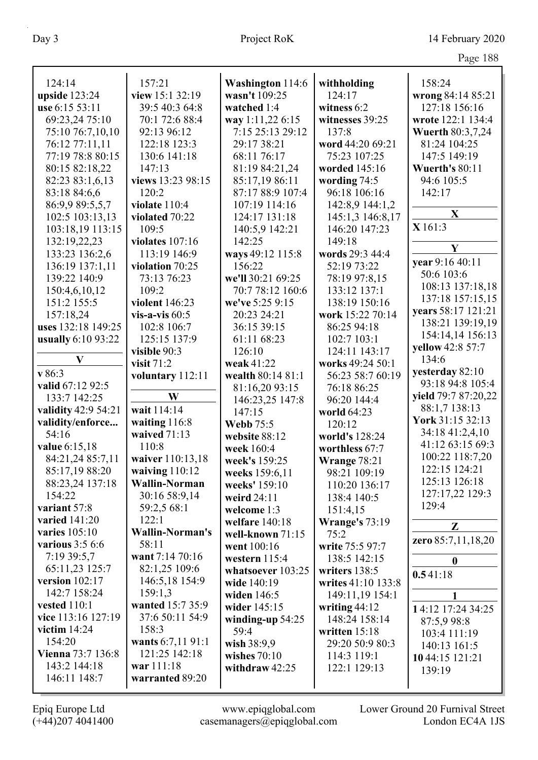| 124:14              | 157:21                 | <b>Washington 114:6</b>    | withholding                  | 158:24                  |
|---------------------|------------------------|----------------------------|------------------------------|-------------------------|
| upside 123:24       | view 15:1 32:19        | wasn't 109:25              | 124:17                       | wrong 84:14 85:21       |
| use 6:15 53:11      | 39:5 40:3 64:8         | watched 1:4                | witness 6:2                  | 127:18 156:16           |
| 69:23,24 75:10      | 70:1 72:6 88:4         | way 1:11,22 6:15           | witnesses 39:25              | wrote 122:1 134:4       |
| 75:10 76:7,10,10    | 92:13 96:12            | 7:15 25:13 29:12           | 137:8                        | <b>Wuerth 80:3,7,24</b> |
| 76:12 77:11,11      | 122:18 123:3           | 29:17 38:21                | word 44:20 69:21             | 81:24 104:25            |
| 77:19 78:8 80:15    | 130:6 141:18           | 68:11 76:17                | 75:23 107:25                 | 147:5 149:19            |
| 80:15 82:18,22      | 147:13                 | 81:19 84:21,24             | worded 145:16                | Wuerth's 80:11          |
| 82:23 83:1,6,13     | views 13:23 98:15      | 85:17,19 86:11             | wording 74:5                 | 94:6 105:5              |
| 83:18 84:6,6        | 120:2                  | 87:17 88:9 107:4           | 96:18 106:16                 | 142:17                  |
| 86:9,9 89:5,5,7     | violate 110:4          | 107:19 114:16              | 142:8,9 144:1,2              |                         |
| 102:5 103:13,13     | violated 70:22         | 124:17 131:18              | 145:1,3 146:8,17             | X                       |
| 103:18,19 113:15    | 109:5                  | 140:5,9 142:21             | 146:20 147:23                | X 161:3                 |
| 132:19,22,23        | violates $107:16$      | 142:25                     | 149:18                       |                         |
| 133:23 136:2,6      | 113:19 146:9           | ways 49:12 115:8           | words 29:3 44:4              | Y                       |
| 136:19 137:1,11     | violation 70:25        | 156:22                     | 52:19 73:22                  | vear 9:16 40:11         |
| 139:22 140:9        | 73:13 76:23            | we'll 30:21 69:25          | 78:19 97:8,15                | 50:6 103:6              |
| 150:4,6,10,12       | 109:2                  | 70:7 78:12 160:6           | 133:12 137:1                 | 108:13 137:18,18        |
| 151:2 155:5         | violent 146:23         | we've 5:25 9:15            | 138:19 150:16                | 137:18 157:15,15        |
| 157:18,24           | vis-a-vis $60:5$       | 20:23 24:21                | work 15:22 70:14             | years 58:17 121:21      |
| uses 132:18 149:25  | 102:8 106:7            | 36:15 39:15                | 86:25 94:18                  | 138:21 139:19,19        |
| usually 6:10 93:22  | 125:15 137:9           | 61:11 68:23                | 102:7 103:1                  | 154:14,14 156:13        |
|                     | visible 90:3           | 126:10                     | 124:11 143:17                | yellow 42:8 57:7        |
| $\mathbf{V}$        | visit $71:2$           | weak 41:22                 | works 49:24 50:1             | 134:6                   |
| v 86:3              | voluntary 112:11       | wealth 80:14 81:1          | 56:23 58:7 60:19             | yesterday 82:10         |
| valid 67:12 92:5    |                        | 81:16,20 93:15             | 76:18 86:25                  | 93:18 94:8 105:4        |
| 133:7 142:25        | W                      | 146:23,25 147:8            | 96:20 144:4                  | yield 79:7 87:20,22     |
| validity 42:9 54:21 | wait 114:14            | 147:15                     | world 64:23                  | 88:1,7 138:13           |
| validity/enforce    | waiting 116:8          | <b>Webb 75:5</b>           | 120:12                       | York 31:15 32:13        |
| 54:16               | waived 71:13           | website 88:12              | world's 128:24               | 34:18 41:2,4,10         |
| value 6:15,18       | 110:8                  | week 160:4                 | worthless 67:7               | 41:12 63:15 69:3        |
| 84:21,24 85:7,11    | waiver 110:13,18       | week's 159:25              |                              | 100:22 118:7,20         |
| 85:17,19 88:20      | waiving $110:12$       | weeks 159:6,11             | Wrange 78:21<br>98:21 109:19 | 122:15 124:21           |
| 88:23,24 137:18     | <b>Wallin-Norman</b>   |                            | 110:20 136:17                | 125:13 126:18           |
| 154:22              | 30:16 58:9,14          | weeks' 159:10              |                              | 127:17,22 129:3         |
| variant 57:8        | 59:2,5 68:1            | weird 24:11<br>welcome 1:3 | 138:4 140:5                  | 129:4                   |
| varied 141:20       | 122:1                  | welfare 140:18             | 151:4,15<br>Wrange's 73:19   |                         |
| varies 105:10       | <b>Wallin-Norman's</b> | well-known 71:15           | 75:2                         | $\mathbf{Z}$            |
| various $3:56:6$    | 58:11                  | went 100:16                | write 75:5 97:7              | zero 85:7,11,18,20      |
| 7:19 39:5,7         | want 7:14 70:16        | western 115:4              | 138:5 142:15                 |                         |
| 65:11,23 125:7      | 82:1,25 109:6          | whatsoever 103:25          |                              | $\boldsymbol{0}$        |
| version 102:17      | 146:5,18 154:9         |                            | writers $138:5$              | 0.541:18                |
| 142:7 158:24        | 159:1,3                | wide 140:19                | writes 41:10 133:8           |                         |
| vested 110:1        | wanted 15:7 35:9       | widen $146:5$              | 149:11,19 154:1              | 1                       |
| vice 113:16 127:19  | 37:6 50:11 54:9        | wider 145:15               | writing $44:12$              | 14:12 17:24 34:25       |
| victim $14:24$      | 158:3                  | winding-up $54:25$         | 148:24 158:14                | 87:5,9 98:8             |
| 154:20              | wants 6:7,11 91:1      | 59:4                       | written 15:18                | 103:4 111:19            |
| Vienna 73:7 136:8   | 121:25 142:18          | wish 38:9,9                | 29:20 50:9 80:3              | 140:13 161:5            |
| 143:2 144:18        | war 111:18             | wishes $70:10$             | 114:3 119:1                  | 1044:15 121:21          |
| 146:11 148:7        | warranted 89:20        | withdraw 42:25             | 122:1 129:13                 | 139:19                  |
|                     |                        |                            |                              |                         |